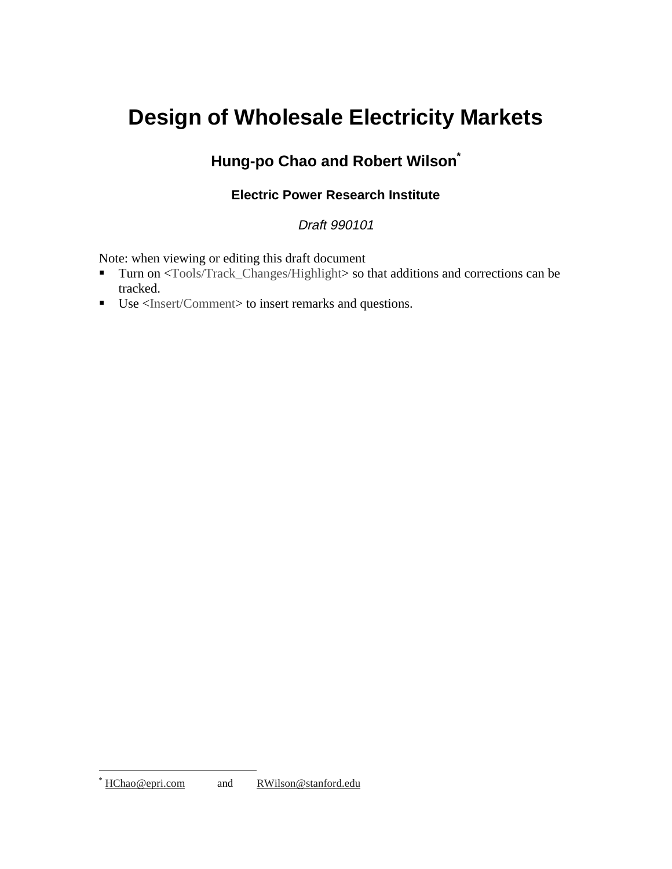# **Design of Wholesale Electricity Markets**

# **Hung-po Chao and Robert Wilson\***

#### **Electric Power Research Institute**

### Draft 990101

Note: when viewing or editing this draft document

- Turn on <Tools/Track\_Changes/Highlight> so that additions and corrections can be tracked.
- Use <Insert/Comment> to insert remarks and questions.

 $\overline{a}$ 

<sup>\*</sup> HChao@epri.com and RWilson@stanford.edu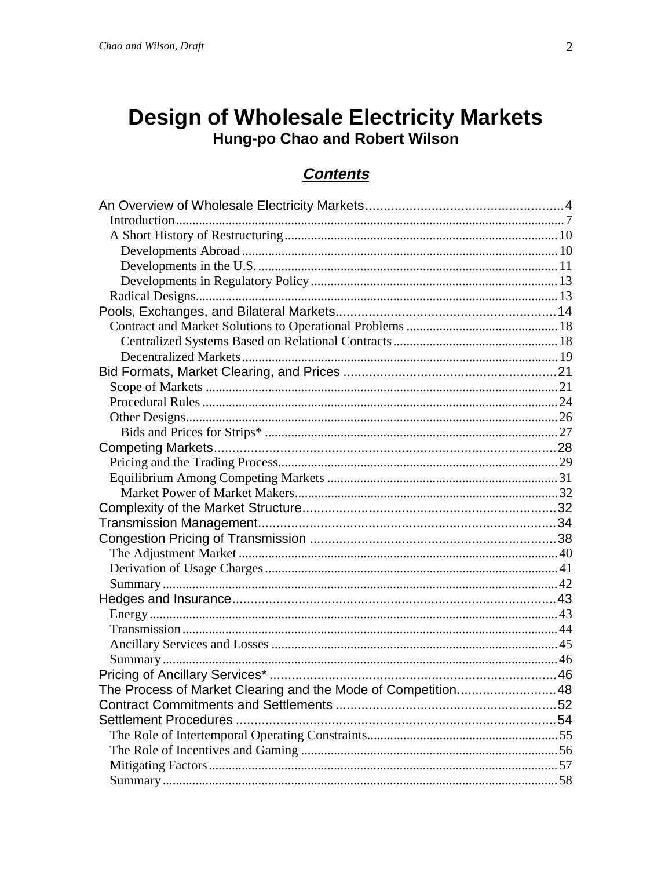# **Design of Wholesale Electricity Markets**<br>Hung-po Chao and Robert Wilson

## **Contents**

| The Process of Market Clearing and the Mode of Competition48 |  |
|--------------------------------------------------------------|--|
|                                                              |  |
|                                                              |  |
|                                                              |  |
|                                                              |  |
|                                                              |  |
|                                                              |  |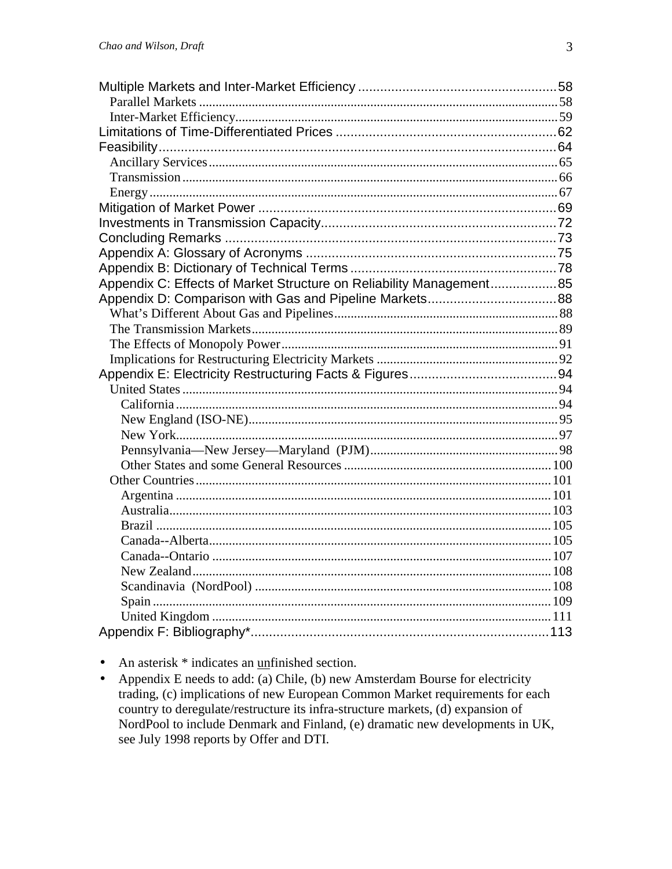| Appendix C: Effects of Market Structure on Reliability Management85 |  |
|---------------------------------------------------------------------|--|
|                                                                     |  |
|                                                                     |  |
|                                                                     |  |
|                                                                     |  |
|                                                                     |  |
|                                                                     |  |
|                                                                     |  |
|                                                                     |  |
|                                                                     |  |
|                                                                     |  |
|                                                                     |  |
|                                                                     |  |
|                                                                     |  |
|                                                                     |  |
|                                                                     |  |
|                                                                     |  |
|                                                                     |  |
|                                                                     |  |
|                                                                     |  |
|                                                                     |  |
|                                                                     |  |
|                                                                     |  |
|                                                                     |  |

- An asterisk  $*$  indicates an unfinished section.
- Appendix E needs to add: (a) Chile, (b) new Amsterdam Bourse for electricity trading, (c) implications of new European Common Market requirements for each country to deregulate/restructure its infra-structure markets, (d) expansion of NordPool to include Denmark and Finland, (e) dramatic new developments in UK, see July 1998 reports by Offer and DTI.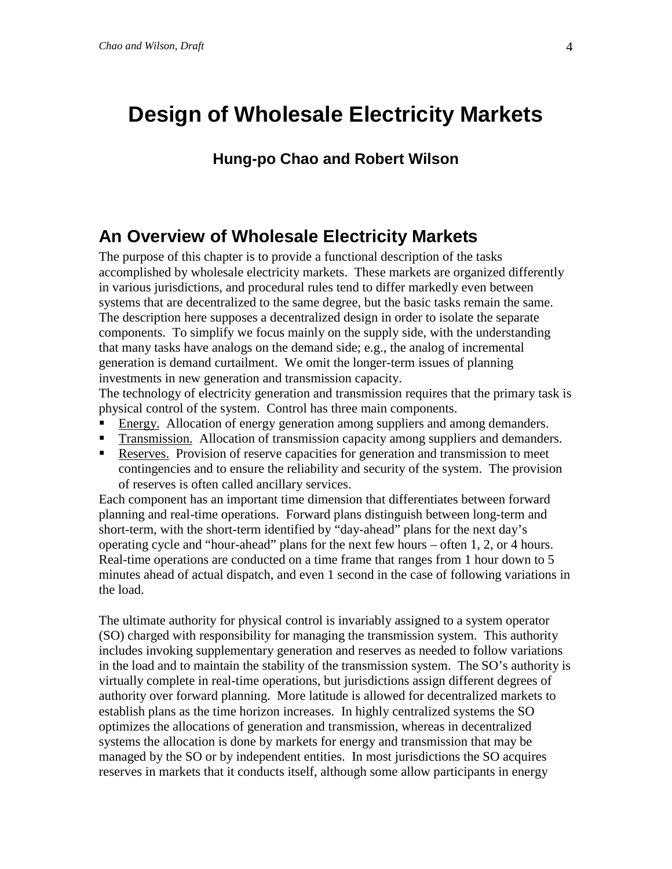# **Design of Wholesale Electricity Markets**

#### **Hung-po Chao and Robert Wilson**

## **An Overview of Wholesale Electricity Markets**

The purpose of this chapter is to provide a functional description of the tasks accomplished by wholesale electricity markets. These markets are organized differently in various jurisdictions, and procedural rules tend to differ markedly even between systems that are decentralized to the same degree, but the basic tasks remain the same. The description here supposes a decentralized design in order to isolate the separate components. To simplify we focus mainly on the supply side, with the understanding that many tasks have analogs on the demand side; e.g., the analog of incremental generation is demand curtailment. We omit the longer-term issues of planning investments in new generation and transmission capacity.

The technology of electricity generation and transmission requires that the primary task is physical control of the system. Control has three main components.

- Energy. Allocation of energy generation among suppliers and among demanders.
- Transmission. Allocation of transmission capacity among suppliers and demanders.
- Reserves. Provision of reserve capacities for generation and transmission to meet contingencies and to ensure the reliability and security of the system. The provision of reserves is often called ancillary services.

Each component has an important time dimension that differentiates between forward planning and real-time operations. Forward plans distinguish between long-term and short-term, with the short-term identified by "day-ahead" plans for the next day's operating cycle and "hour-ahead" plans for the next few hours – often 1, 2, or 4 hours. Real-time operations are conducted on a time frame that ranges from 1 hour down to 5 minutes ahead of actual dispatch, and even 1 second in the case of following variations in the load.

The ultimate authority for physical control is invariably assigned to a system operator (SO) charged with responsibility for managing the transmission system. This authority includes invoking supplementary generation and reserves as needed to follow variations in the load and to maintain the stability of the transmission system. The SO's authority is virtually complete in real-time operations, but jurisdictions assign different degrees of authority over forward planning. More latitude is allowed for decentralized markets to establish plans as the time horizon increases. In highly centralized systems the SO optimizes the allocations of generation and transmission, whereas in decentralized systems the allocation is done by markets for energy and transmission that may be managed by the SO or by independent entities. In most jurisdictions the SO acquires reserves in markets that it conducts itself, although some allow participants in energy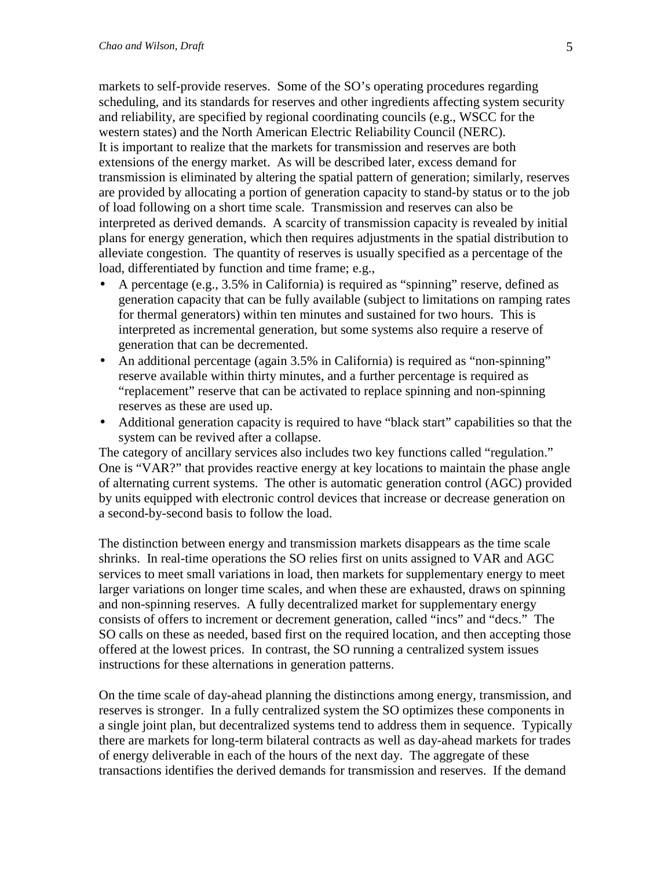markets to self-provide reserves. Some of the SO's operating procedures regarding scheduling, and its standards for reserves and other ingredients affecting system security and reliability, are specified by regional coordinating councils (e.g., WSCC for the western states) and the North American Electric Reliability Council (NERC). It is important to realize that the markets for transmission and reserves are both extensions of the energy market. As will be described later, excess demand for transmission is eliminated by altering the spatial pattern of generation; similarly, reserves are provided by allocating a portion of generation capacity to stand-by status or to the job of load following on a short time scale. Transmission and reserves can also be interpreted as derived demands. A scarcity of transmission capacity is revealed by initial plans for energy generation, which then requires adjustments in the spatial distribution to alleviate congestion. The quantity of reserves is usually specified as a percentage of the load, differentiated by function and time frame; e.g.,

- A percentage (e.g., 3.5% in California) is required as "spinning" reserve, defined as generation capacity that can be fully available (subject to limitations on ramping rates for thermal generators) within ten minutes and sustained for two hours. This is interpreted as incremental generation, but some systems also require a reserve of generation that can be decremented.
- An additional percentage (again 3.5% in California) is required as "non-spinning" reserve available within thirty minutes, and a further percentage is required as "replacement" reserve that can be activated to replace spinning and non-spinning reserves as these are used up.
- Additional generation capacity is required to have "black start" capabilities so that the system can be revived after a collapse.

The category of ancillary services also includes two key functions called "regulation." One is "VAR?" that provides reactive energy at key locations to maintain the phase angle of alternating current systems. The other is automatic generation control (AGC) provided by units equipped with electronic control devices that increase or decrease generation on a second-by-second basis to follow the load.

The distinction between energy and transmission markets disappears as the time scale shrinks. In real-time operations the SO relies first on units assigned to VAR and AGC services to meet small variations in load, then markets for supplementary energy to meet larger variations on longer time scales, and when these are exhausted, draws on spinning and non-spinning reserves. A fully decentralized market for supplementary energy consists of offers to increment or decrement generation, called "incs" and "decs." The SO calls on these as needed, based first on the required location, and then accepting those offered at the lowest prices. In contrast, the SO running a centralized system issues instructions for these alternations in generation patterns.

On the time scale of day-ahead planning the distinctions among energy, transmission, and reserves is stronger. In a fully centralized system the SO optimizes these components in a single joint plan, but decentralized systems tend to address them in sequence. Typically there are markets for long-term bilateral contracts as well as day-ahead markets for trades of energy deliverable in each of the hours of the next day. The aggregate of these transactions identifies the derived demands for transmission and reserves. If the demand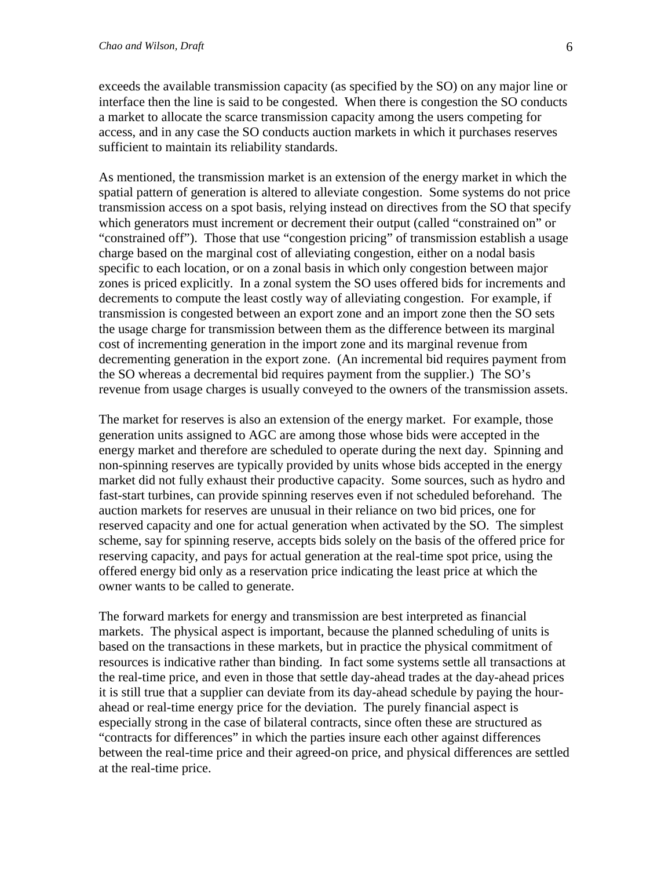exceeds the available transmission capacity (as specified by the SO) on any major line or interface then the line is said to be congested. When there is congestion the SO conducts a market to allocate the scarce transmission capacity among the users competing for access, and in any case the SO conducts auction markets in which it purchases reserves sufficient to maintain its reliability standards.

As mentioned, the transmission market is an extension of the energy market in which the spatial pattern of generation is altered to alleviate congestion. Some systems do not price transmission access on a spot basis, relying instead on directives from the SO that specify which generators must increment or decrement their output (called "constrained on" or "constrained off"). Those that use "congestion pricing" of transmission establish a usage charge based on the marginal cost of alleviating congestion, either on a nodal basis specific to each location, or on a zonal basis in which only congestion between major zones is priced explicitly. In a zonal system the SO uses offered bids for increments and decrements to compute the least costly way of alleviating congestion. For example, if transmission is congested between an export zone and an import zone then the SO sets the usage charge for transmission between them as the difference between its marginal cost of incrementing generation in the import zone and its marginal revenue from decrementing generation in the export zone. (An incremental bid requires payment from the SO whereas a decremental bid requires payment from the supplier.) The SO's revenue from usage charges is usually conveyed to the owners of the transmission assets.

The market for reserves is also an extension of the energy market. For example, those generation units assigned to AGC are among those whose bids were accepted in the energy market and therefore are scheduled to operate during the next day. Spinning and non-spinning reserves are typically provided by units whose bids accepted in the energy market did not fully exhaust their productive capacity. Some sources, such as hydro and fast-start turbines, can provide spinning reserves even if not scheduled beforehand. The auction markets for reserves are unusual in their reliance on two bid prices, one for reserved capacity and one for actual generation when activated by the SO. The simplest scheme, say for spinning reserve, accepts bids solely on the basis of the offered price for reserving capacity, and pays for actual generation at the real-time spot price, using the offered energy bid only as a reservation price indicating the least price at which the owner wants to be called to generate.

The forward markets for energy and transmission are best interpreted as financial markets. The physical aspect is important, because the planned scheduling of units is based on the transactions in these markets, but in practice the physical commitment of resources is indicative rather than binding. In fact some systems settle all transactions at the real-time price, and even in those that settle day-ahead trades at the day-ahead prices it is still true that a supplier can deviate from its day-ahead schedule by paying the hourahead or real-time energy price for the deviation. The purely financial aspect is especially strong in the case of bilateral contracts, since often these are structured as "contracts for differences" in which the parties insure each other against differences between the real-time price and their agreed-on price, and physical differences are settled at the real-time price.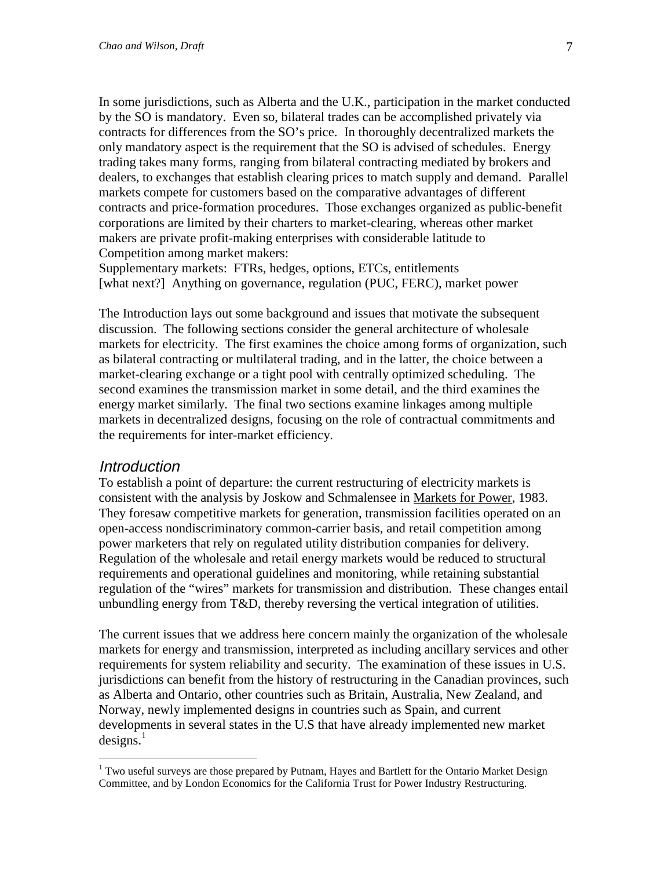In some jurisdictions, such as Alberta and the U.K., participation in the market conducted by the SO is mandatory. Even so, bilateral trades can be accomplished privately via contracts for differences from the SO's price. In thoroughly decentralized markets the only mandatory aspect is the requirement that the SO is advised of schedules. Energy trading takes many forms, ranging from bilateral contracting mediated by brokers and dealers, to exchanges that establish clearing prices to match supply and demand. Parallel markets compete for customers based on the comparative advantages of different contracts and price-formation procedures. Those exchanges organized as public-benefit corporations are limited by their charters to market-clearing, whereas other market makers are private profit-making enterprises with considerable latitude to Competition among market makers:

Supplementary markets: FTRs, hedges, options, ETCs, entitlements [what next?] Anything on governance, regulation (PUC, FERC), market power

The Introduction lays out some background and issues that motivate the subsequent discussion. The following sections consider the general architecture of wholesale markets for electricity. The first examines the choice among forms of organization, such as bilateral contracting or multilateral trading, and in the latter, the choice between a market-clearing exchange or a tight pool with centrally optimized scheduling. The second examines the transmission market in some detail, and the third examines the energy market similarly. The final two sections examine linkages among multiple markets in decentralized designs, focusing on the role of contractual commitments and the requirements for inter-market efficiency.

#### **Introduction**

To establish a point of departure: the current restructuring of electricity markets is consistent with the analysis by Joskow and Schmalensee in Markets for Power, 1983. They foresaw competitive markets for generation, transmission facilities operated on an open-access nondiscriminatory common-carrier basis, and retail competition among power marketers that rely on regulated utility distribution companies for delivery. Regulation of the wholesale and retail energy markets would be reduced to structural requirements and operational guidelines and monitoring, while retaining substantial regulation of the "wires" markets for transmission and distribution. These changes entail unbundling energy from T&D, thereby reversing the vertical integration of utilities.

The current issues that we address here concern mainly the organization of the wholesale markets for energy and transmission, interpreted as including ancillary services and other requirements for system reliability and security. The examination of these issues in U.S. jurisdictions can benefit from the history of restructuring in the Canadian provinces, such as Alberta and Ontario, other countries such as Britain, Australia, New Zealand, and Norway, newly implemented designs in countries such as Spain, and current developments in several states in the U.S that have already implemented new market  $designs.<sup>1</sup>$ 

<sup>&</sup>lt;sup>1</sup> Two useful surveys are those prepared by Putnam, Hayes and Bartlett for the Ontario Market Design Committee, and by London Economics for the California Trust for Power Industry Restructuring.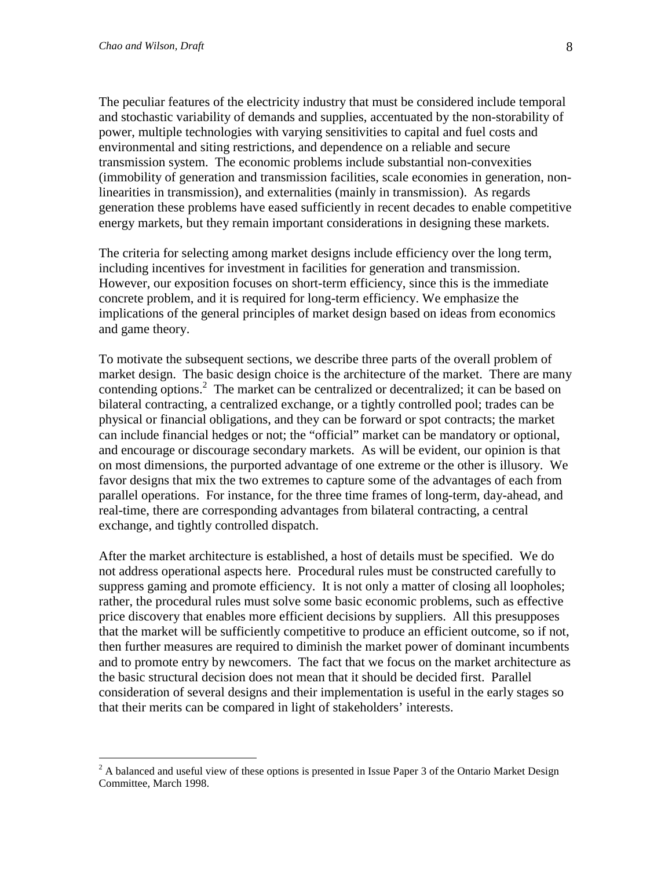The peculiar features of the electricity industry that must be considered include temporal and stochastic variability of demands and supplies, accentuated by the non-storability of power, multiple technologies with varying sensitivities to capital and fuel costs and environmental and siting restrictions, and dependence on a reliable and secure transmission system. The economic problems include substantial non-convexities (immobility of generation and transmission facilities, scale economies in generation, nonlinearities in transmission), and externalities (mainly in transmission). As regards generation these problems have eased sufficiently in recent decades to enable competitive energy markets, but they remain important considerations in designing these markets.

The criteria for selecting among market designs include efficiency over the long term, including incentives for investment in facilities for generation and transmission. However, our exposition focuses on short-term efficiency, since this is the immediate concrete problem, and it is required for long-term efficiency. We emphasize the implications of the general principles of market design based on ideas from economics and game theory.

To motivate the subsequent sections, we describe three parts of the overall problem of market design. The basic design choice is the architecture of the market. There are many contending options.<sup>2</sup> The market can be centralized or decentralized; it can be based on bilateral contracting, a centralized exchange, or a tightly controlled pool; trades can be physical or financial obligations, and they can be forward or spot contracts; the market can include financial hedges or not; the "official" market can be mandatory or optional, and encourage or discourage secondary markets. As will be evident, our opinion is that on most dimensions, the purported advantage of one extreme or the other is illusory. We favor designs that mix the two extremes to capture some of the advantages of each from parallel operations. For instance, for the three time frames of long-term, day-ahead, and real-time, there are corresponding advantages from bilateral contracting, a central exchange, and tightly controlled dispatch.

After the market architecture is established, a host of details must be specified. We do not address operational aspects here. Procedural rules must be constructed carefully to suppress gaming and promote efficiency. It is not only a matter of closing all loopholes; rather, the procedural rules must solve some basic economic problems, such as effective price discovery that enables more efficient decisions by suppliers. All this presupposes that the market will be sufficiently competitive to produce an efficient outcome, so if not, then further measures are required to diminish the market power of dominant incumbents and to promote entry by newcomers. The fact that we focus on the market architecture as the basic structural decision does not mean that it should be decided first. Parallel consideration of several designs and their implementation is useful in the early stages so that their merits can be compared in light of stakeholders' interests.

<sup>&</sup>lt;sup>2</sup> A balanced and useful view of these options is presented in Issue Paper 3 of the Ontario Market Design Committee, March 1998.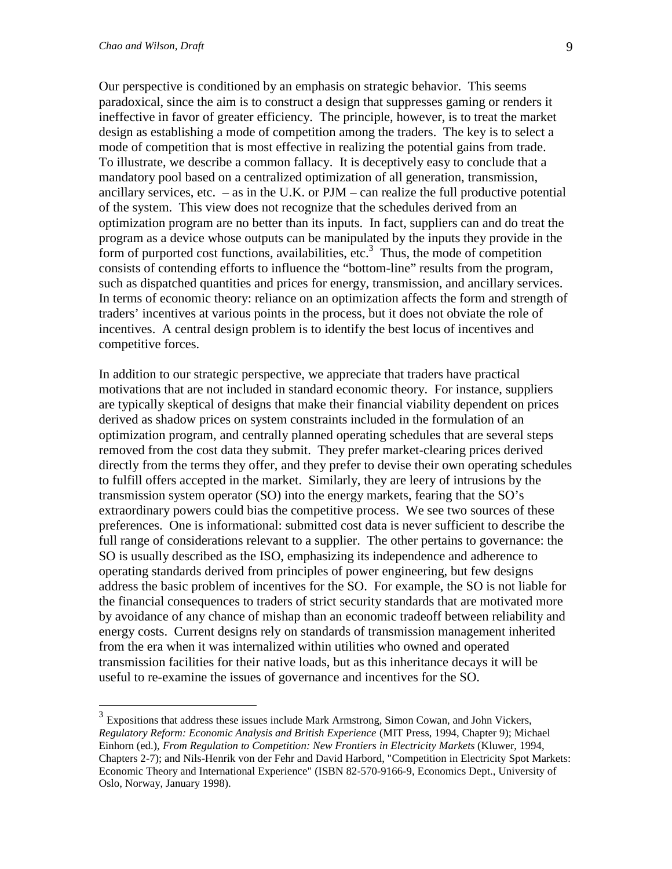Our perspective is conditioned by an emphasis on strategic behavior. This seems paradoxical, since the aim is to construct a design that suppresses gaming or renders it ineffective in favor of greater efficiency. The principle, however, is to treat the market design as establishing a mode of competition among the traders. The key is to select a mode of competition that is most effective in realizing the potential gains from trade. To illustrate, we describe a common fallacy. It is deceptively easy to conclude that a mandatory pool based on a centralized optimization of all generation, transmission, ancillary services, etc.  $-$  as in the U.K. or PJM – can realize the full productive potential of the system. This view does not recognize that the schedules derived from an optimization program are no better than its inputs. In fact, suppliers can and do treat the program as a device whose outputs can be manipulated by the inputs they provide in the form of purported cost functions, availabilities, etc.<sup>3</sup> Thus, the mode of competition consists of contending efforts to influence the "bottom-line" results from the program, such as dispatched quantities and prices for energy, transmission, and ancillary services. In terms of economic theory: reliance on an optimization affects the form and strength of traders' incentives at various points in the process, but it does not obviate the role of incentives. A central design problem is to identify the best locus of incentives and competitive forces.

In addition to our strategic perspective, we appreciate that traders have practical motivations that are not included in standard economic theory. For instance, suppliers are typically skeptical of designs that make their financial viability dependent on prices derived as shadow prices on system constraints included in the formulation of an optimization program, and centrally planned operating schedules that are several steps removed from the cost data they submit. They prefer market-clearing prices derived directly from the terms they offer, and they prefer to devise their own operating schedules to fulfill offers accepted in the market. Similarly, they are leery of intrusions by the transmission system operator (SO) into the energy markets, fearing that the SO's extraordinary powers could bias the competitive process. We see two sources of these preferences. One is informational: submitted cost data is never sufficient to describe the full range of considerations relevant to a supplier. The other pertains to governance: the SO is usually described as the ISO, emphasizing its independence and adherence to operating standards derived from principles of power engineering, but few designs address the basic problem of incentives for the SO. For example, the SO is not liable for the financial consequences to traders of strict security standards that are motivated more by avoidance of any chance of mishap than an economic tradeoff between reliability and energy costs. Current designs rely on standards of transmission management inherited from the era when it was internalized within utilities who owned and operated transmission facilities for their native loads, but as this inheritance decays it will be useful to re-examine the issues of governance and incentives for the SO.

<sup>&</sup>lt;sup>3</sup> Expositions that address these issues include Mark Armstrong, Simon Cowan, and John Vickers, *Regulatory Reform: Economic Analysis and British Experience* (MIT Press, 1994, Chapter 9); Michael Einhorn (ed.), *From Regulation to Competition: New Frontiers in Electricity Markets* (Kluwer, 1994, Chapters 2-7); and Nils-Henrik von der Fehr and David Harbord, "Competition in Electricity Spot Markets: Economic Theory and International Experience" (ISBN 82-570-9166-9, Economics Dept., University of Oslo, Norway, January 1998).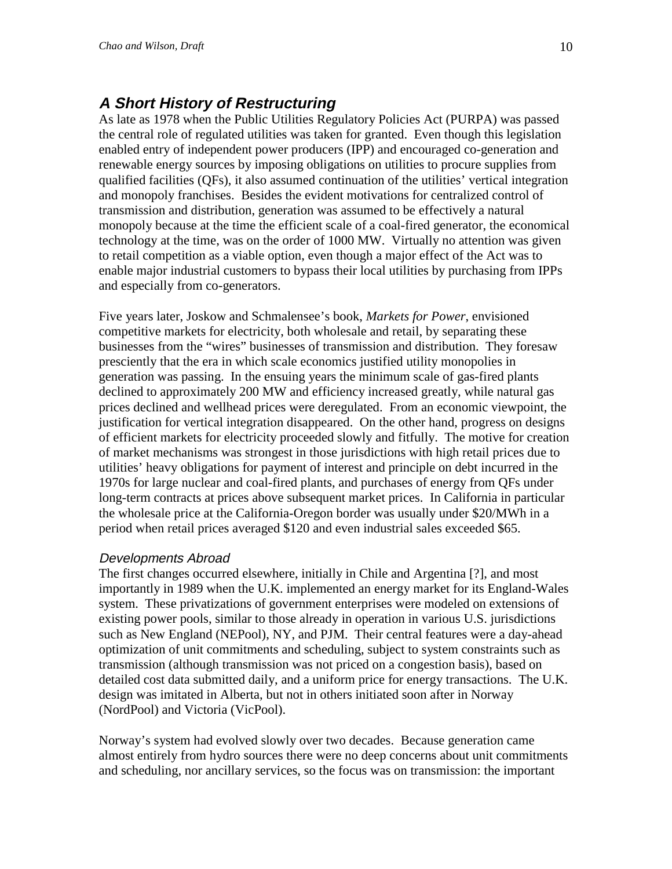## **A Short History of Restructuring**

As late as 1978 when the Public Utilities Regulatory Policies Act (PURPA) was passed the central role of regulated utilities was taken for granted. Even though this legislation enabled entry of independent power producers (IPP) and encouraged co-generation and renewable energy sources by imposing obligations on utilities to procure supplies from qualified facilities (QFs), it also assumed continuation of the utilities' vertical integration and monopoly franchises. Besides the evident motivations for centralized control of transmission and distribution, generation was assumed to be effectively a natural monopoly because at the time the efficient scale of a coal-fired generator, the economical technology at the time, was on the order of 1000 MW. Virtually no attention was given to retail competition as a viable option, even though a major effect of the Act was to enable major industrial customers to bypass their local utilities by purchasing from IPPs and especially from co-generators.

Five years later, Joskow and Schmalensee's book, *Markets for Power*, envisioned competitive markets for electricity, both wholesale and retail, by separating these businesses from the "wires" businesses of transmission and distribution. They foresaw presciently that the era in which scale economics justified utility monopolies in generation was passing. In the ensuing years the minimum scale of gas-fired plants declined to approximately 200 MW and efficiency increased greatly, while natural gas prices declined and wellhead prices were deregulated. From an economic viewpoint, the justification for vertical integration disappeared. On the other hand, progress on designs of efficient markets for electricity proceeded slowly and fitfully. The motive for creation of market mechanisms was strongest in those jurisdictions with high retail prices due to utilities' heavy obligations for payment of interest and principle on debt incurred in the 1970s for large nuclear and coal-fired plants, and purchases of energy from QFs under long-term contracts at prices above subsequent market prices. In California in particular the wholesale price at the California-Oregon border was usually under \$20/MWh in a period when retail prices averaged \$120 and even industrial sales exceeded \$65.

#### Developments Abroad

The first changes occurred elsewhere, initially in Chile and Argentina [?], and most importantly in 1989 when the U.K. implemented an energy market for its England-Wales system. These privatizations of government enterprises were modeled on extensions of existing power pools, similar to those already in operation in various U.S. jurisdictions such as New England (NEPool), NY, and PJM. Their central features were a day-ahead optimization of unit commitments and scheduling, subject to system constraints such as transmission (although transmission was not priced on a congestion basis), based on detailed cost data submitted daily, and a uniform price for energy transactions. The U.K. design was imitated in Alberta, but not in others initiated soon after in Norway (NordPool) and Victoria (VicPool).

Norway's system had evolved slowly over two decades. Because generation came almost entirely from hydro sources there were no deep concerns about unit commitments and scheduling, nor ancillary services, so the focus was on transmission: the important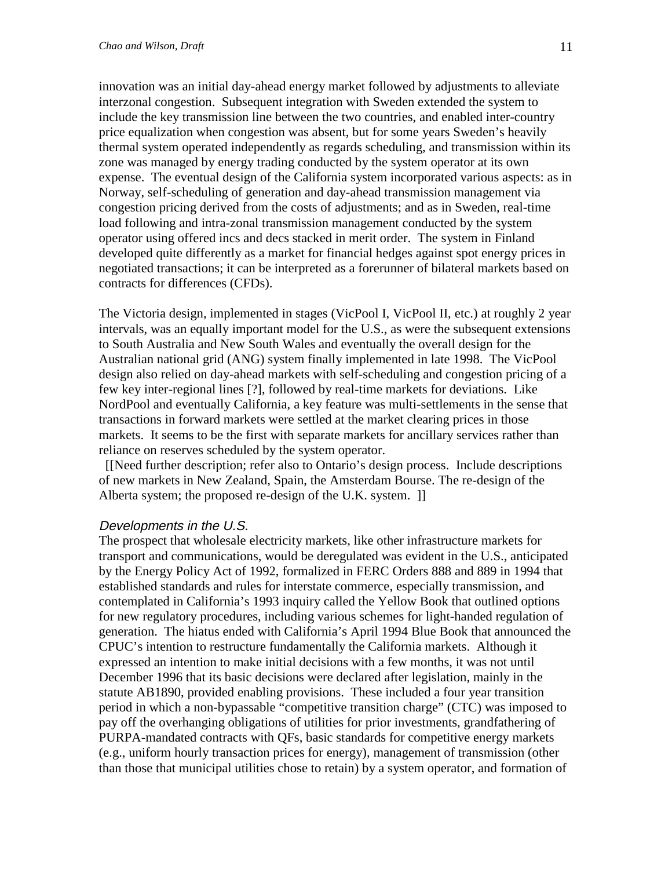innovation was an initial day-ahead energy market followed by adjustments to alleviate interzonal congestion. Subsequent integration with Sweden extended the system to include the key transmission line between the two countries, and enabled inter-country price equalization when congestion was absent, but for some years Sweden's heavily thermal system operated independently as regards scheduling, and transmission within its zone was managed by energy trading conducted by the system operator at its own expense. The eventual design of the California system incorporated various aspects: as in Norway, self-scheduling of generation and day-ahead transmission management via congestion pricing derived from the costs of adjustments; and as in Sweden, real-time load following and intra-zonal transmission management conducted by the system operator using offered incs and decs stacked in merit order. The system in Finland developed quite differently as a market for financial hedges against spot energy prices in negotiated transactions; it can be interpreted as a forerunner of bilateral markets based on contracts for differences (CFDs).

The Victoria design, implemented in stages (VicPool I, VicPool II, etc.) at roughly 2 year intervals, was an equally important model for the U.S., as were the subsequent extensions to South Australia and New South Wales and eventually the overall design for the Australian national grid (ANG) system finally implemented in late 1998. The VicPool design also relied on day-ahead markets with self-scheduling and congestion pricing of a few key inter-regional lines [?], followed by real-time markets for deviations. Like NordPool and eventually California, a key feature was multi-settlements in the sense that transactions in forward markets were settled at the market clearing prices in those markets. It seems to be the first with separate markets for ancillary services rather than reliance on reserves scheduled by the system operator.

 [[Need further description; refer also to Ontario's design process. Include descriptions of new markets in New Zealand, Spain, the Amsterdam Bourse. The re-design of the Alberta system; the proposed re-design of the U.K. system. 1

#### Developments in the U.S.

The prospect that wholesale electricity markets, like other infrastructure markets for transport and communications, would be deregulated was evident in the U.S., anticipated by the Energy Policy Act of 1992, formalized in FERC Orders 888 and 889 in 1994 that established standards and rules for interstate commerce, especially transmission, and contemplated in California's 1993 inquiry called the Yellow Book that outlined options for new regulatory procedures, including various schemes for light-handed regulation of generation. The hiatus ended with California's April 1994 Blue Book that announced the CPUC's intention to restructure fundamentally the California markets. Although it expressed an intention to make initial decisions with a few months, it was not until December 1996 that its basic decisions were declared after legislation, mainly in the statute AB1890, provided enabling provisions. These included a four year transition period in which a non-bypassable "competitive transition charge" (CTC) was imposed to pay off the overhanging obligations of utilities for prior investments, grandfathering of PURPA-mandated contracts with QFs, basic standards for competitive energy markets (e.g., uniform hourly transaction prices for energy), management of transmission (other than those that municipal utilities chose to retain) by a system operator, and formation of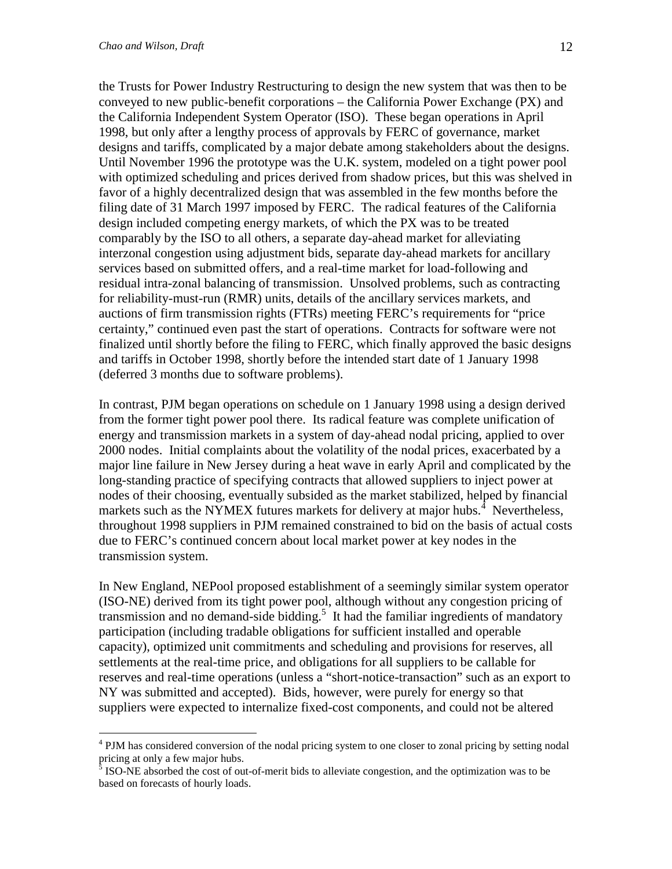the Trusts for Power Industry Restructuring to design the new system that was then to be conveyed to new public-benefit corporations – the California Power Exchange (PX) and the California Independent System Operator (ISO). These began operations in April 1998, but only after a lengthy process of approvals by FERC of governance, market designs and tariffs, complicated by a major debate among stakeholders about the designs. Until November 1996 the prototype was the U.K. system, modeled on a tight power pool with optimized scheduling and prices derived from shadow prices, but this was shelved in favor of a highly decentralized design that was assembled in the few months before the filing date of 31 March 1997 imposed by FERC. The radical features of the California design included competing energy markets, of which the PX was to be treated comparably by the ISO to all others, a separate day-ahead market for alleviating interzonal congestion using adjustment bids, separate day-ahead markets for ancillary services based on submitted offers, and a real-time market for load-following and residual intra-zonal balancing of transmission. Unsolved problems, such as contracting for reliability-must-run (RMR) units, details of the ancillary services markets, and auctions of firm transmission rights (FTRs) meeting FERC's requirements for "price certainty," continued even past the start of operations. Contracts for software were not finalized until shortly before the filing to FERC, which finally approved the basic designs and tariffs in October 1998, shortly before the intended start date of 1 January 1998 (deferred 3 months due to software problems).

In contrast, PJM began operations on schedule on 1 January 1998 using a design derived from the former tight power pool there. Its radical feature was complete unification of energy and transmission markets in a system of day-ahead nodal pricing, applied to over 2000 nodes. Initial complaints about the volatility of the nodal prices, exacerbated by a major line failure in New Jersey during a heat wave in early April and complicated by the long-standing practice of specifying contracts that allowed suppliers to inject power at nodes of their choosing, eventually subsided as the market stabilized, helped by financial markets such as the NYMEX futures markets for delivery at major hubs. $4$  Nevertheless, throughout 1998 suppliers in PJM remained constrained to bid on the basis of actual costs due to FERC's continued concern about local market power at key nodes in the transmission system.

In New England, NEPool proposed establishment of a seemingly similar system operator (ISO-NE) derived from its tight power pool, although without any congestion pricing of transmission and no demand-side bidding.<sup>5</sup> It had the familiar ingredients of mandatory participation (including tradable obligations for sufficient installed and operable capacity), optimized unit commitments and scheduling and provisions for reserves, all settlements at the real-time price, and obligations for all suppliers to be callable for reserves and real-time operations (unless a "short-notice-transaction" such as an export to NY was submitted and accepted). Bids, however, were purely for energy so that suppliers were expected to internalize fixed-cost components, and could not be altered

<sup>&</sup>lt;sup>4</sup> PJM has considered conversion of the nodal pricing system to one closer to zonal pricing by setting nodal pricing at only a few major hubs.<br><sup>5</sup> ISO-NE absorbed the cost of out-of-merit bids to alleviate congestion, and the optimization was to be

based on forecasts of hourly loads.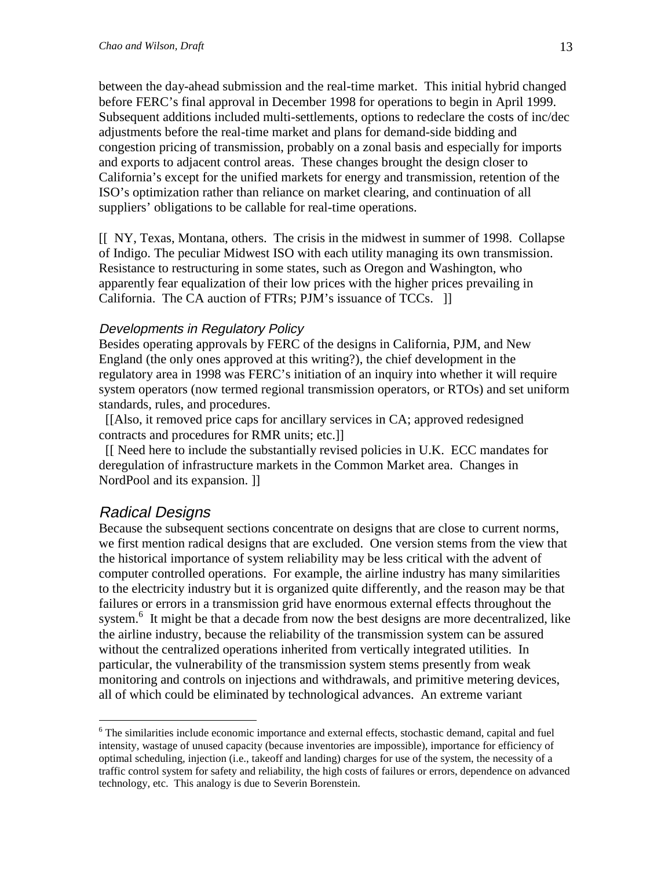between the day-ahead submission and the real-time market. This initial hybrid changed before FERC's final approval in December 1998 for operations to begin in April 1999. Subsequent additions included multi-settlements, options to redeclare the costs of inc/dec adjustments before the real-time market and plans for demand-side bidding and congestion pricing of transmission, probably on a zonal basis and especially for imports and exports to adjacent control areas. These changes brought the design closer to California's except for the unified markets for energy and transmission, retention of the ISO's optimization rather than reliance on market clearing, and continuation of all suppliers' obligations to be callable for real-time operations.

[[ NY, Texas, Montana, others. The crisis in the midwest in summer of 1998. Collapse of Indigo. The peculiar Midwest ISO with each utility managing its own transmission. Resistance to restructuring in some states, such as Oregon and Washington, who apparently fear equalization of their low prices with the higher prices prevailing in California. The CA auction of FTRs; PJM's issuance of TCCs. [1]

#### Developments in Regulatory Policy

Besides operating approvals by FERC of the designs in California, PJM, and New England (the only ones approved at this writing?), the chief development in the regulatory area in 1998 was FERC's initiation of an inquiry into whether it will require system operators (now termed regional transmission operators, or RTOs) and set uniform standards, rules, and procedures.

 [[Also, it removed price caps for ancillary services in CA; approved redesigned contracts and procedures for RMR units; etc.]]

 [[ Need here to include the substantially revised policies in U.K. ECC mandates for deregulation of infrastructure markets in the Common Market area. Changes in NordPool and its expansion. ]]

## Radical Designs

Because the subsequent sections concentrate on designs that are close to current norms, we first mention radical designs that are excluded. One version stems from the view that the historical importance of system reliability may be less critical with the advent of computer controlled operations. For example, the airline industry has many similarities to the electricity industry but it is organized quite differently, and the reason may be that failures or errors in a transmission grid have enormous external effects throughout the system.<sup>6</sup> It might be that a decade from now the best designs are more decentralized, like the airline industry, because the reliability of the transmission system can be assured without the centralized operations inherited from vertically integrated utilities. In particular, the vulnerability of the transmission system stems presently from weak monitoring and controls on injections and withdrawals, and primitive metering devices, all of which could be eliminated by technological advances. An extreme variant

<sup>&</sup>lt;sup>6</sup> The similarities include economic importance and external effects, stochastic demand, capital and fuel intensity, wastage of unused capacity (because inventories are impossible), importance for efficiency of optimal scheduling, injection (i.e., takeoff and landing) charges for use of the system, the necessity of a traffic control system for safety and reliability, the high costs of failures or errors, dependence on advanced technology, etc. This analogy is due to Severin Borenstein.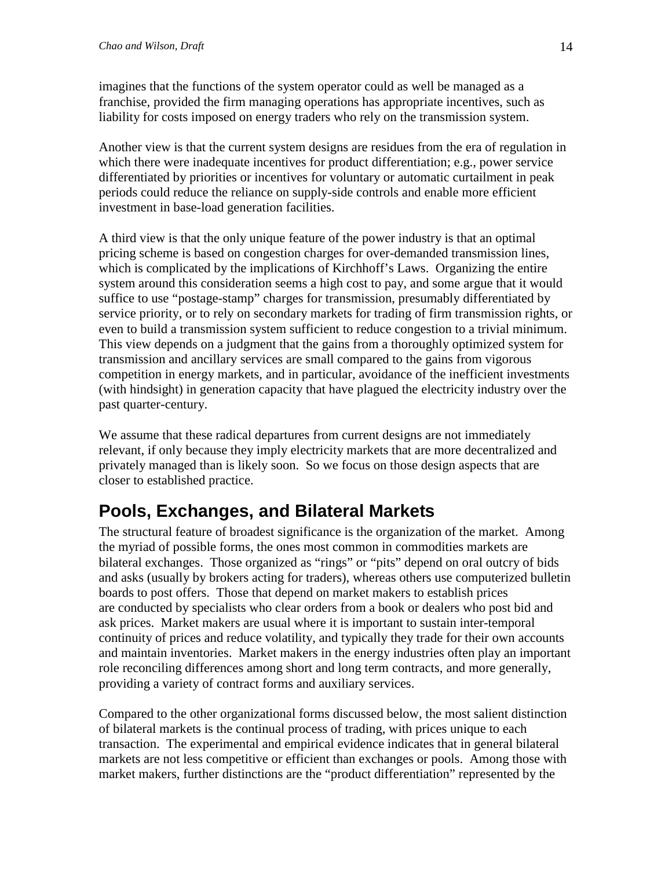imagines that the functions of the system operator could as well be managed as a franchise, provided the firm managing operations has appropriate incentives, such as liability for costs imposed on energy traders who rely on the transmission system.

Another view is that the current system designs are residues from the era of regulation in which there were inadequate incentives for product differentiation; e.g., power service differentiated by priorities or incentives for voluntary or automatic curtailment in peak periods could reduce the reliance on supply-side controls and enable more efficient investment in base-load generation facilities.

A third view is that the only unique feature of the power industry is that an optimal pricing scheme is based on congestion charges for over-demanded transmission lines, which is complicated by the implications of Kirchhoff's Laws. Organizing the entire system around this consideration seems a high cost to pay, and some argue that it would suffice to use "postage-stamp" charges for transmission, presumably differentiated by service priority, or to rely on secondary markets for trading of firm transmission rights, or even to build a transmission system sufficient to reduce congestion to a trivial minimum. This view depends on a judgment that the gains from a thoroughly optimized system for transmission and ancillary services are small compared to the gains from vigorous competition in energy markets, and in particular, avoidance of the inefficient investments (with hindsight) in generation capacity that have plagued the electricity industry over the past quarter-century.

We assume that these radical departures from current designs are not immediately relevant, if only because they imply electricity markets that are more decentralized and privately managed than is likely soon. So we focus on those design aspects that are closer to established practice.

# **Pools, Exchanges, and Bilateral Markets**

The structural feature of broadest significance is the organization of the market. Among the myriad of possible forms, the ones most common in commodities markets are bilateral exchanges. Those organized as "rings" or "pits" depend on oral outcry of bids and asks (usually by brokers acting for traders), whereas others use computerized bulletin boards to post offers. Those that depend on market makers to establish prices are conducted by specialists who clear orders from a book or dealers who post bid and ask prices. Market makers are usual where it is important to sustain inter-temporal continuity of prices and reduce volatility, and typically they trade for their own accounts and maintain inventories. Market makers in the energy industries often play an important role reconciling differences among short and long term contracts, and more generally, providing a variety of contract forms and auxiliary services.

Compared to the other organizational forms discussed below, the most salient distinction of bilateral markets is the continual process of trading, with prices unique to each transaction. The experimental and empirical evidence indicates that in general bilateral markets are not less competitive or efficient than exchanges or pools. Among those with market makers, further distinctions are the "product differentiation" represented by the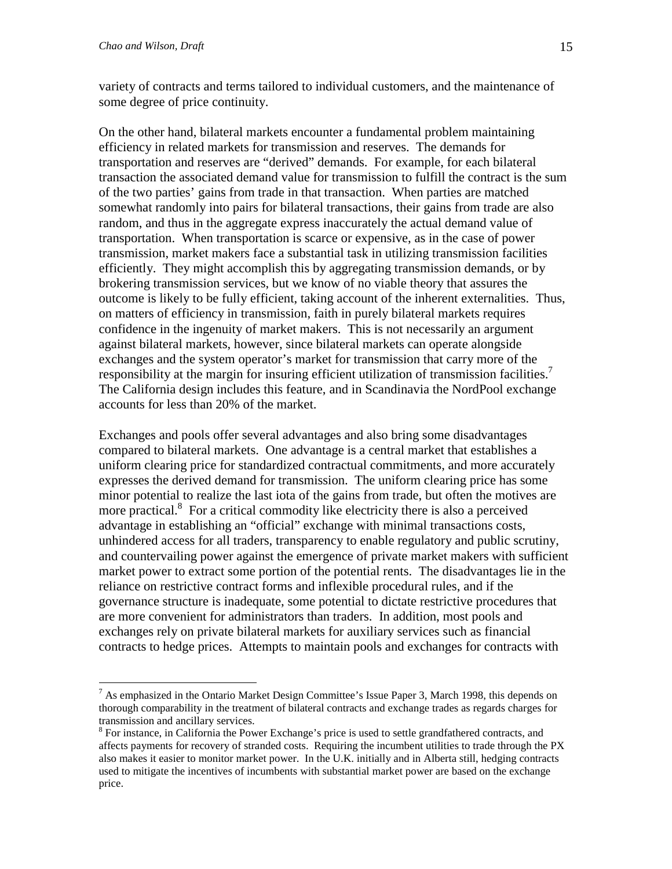variety of contracts and terms tailored to individual customers, and the maintenance of some degree of price continuity.

On the other hand, bilateral markets encounter a fundamental problem maintaining efficiency in related markets for transmission and reserves. The demands for transportation and reserves are "derived" demands. For example, for each bilateral transaction the associated demand value for transmission to fulfill the contract is the sum of the two parties' gains from trade in that transaction. When parties are matched somewhat randomly into pairs for bilateral transactions, their gains from trade are also random, and thus in the aggregate express inaccurately the actual demand value of transportation. When transportation is scarce or expensive, as in the case of power transmission, market makers face a substantial task in utilizing transmission facilities efficiently. They might accomplish this by aggregating transmission demands, or by brokering transmission services, but we know of no viable theory that assures the outcome is likely to be fully efficient, taking account of the inherent externalities. Thus, on matters of efficiency in transmission, faith in purely bilateral markets requires confidence in the ingenuity of market makers. This is not necessarily an argument against bilateral markets, however, since bilateral markets can operate alongside exchanges and the system operator's market for transmission that carry more of the responsibility at the margin for insuring efficient utilization of transmission facilities.<sup>7</sup> The California design includes this feature, and in Scandinavia the NordPool exchange accounts for less than 20% of the market.

Exchanges and pools offer several advantages and also bring some disadvantages compared to bilateral markets. One advantage is a central market that establishes a uniform clearing price for standardized contractual commitments, and more accurately expresses the derived demand for transmission. The uniform clearing price has some minor potential to realize the last iota of the gains from trade, but often the motives are more practical.<sup>8</sup> For a critical commodity like electricity there is also a perceived advantage in establishing an "official" exchange with minimal transactions costs, unhindered access for all traders, transparency to enable regulatory and public scrutiny, and countervailing power against the emergence of private market makers with sufficient market power to extract some portion of the potential rents. The disadvantages lie in the reliance on restrictive contract forms and inflexible procedural rules, and if the governance structure is inadequate, some potential to dictate restrictive procedures that are more convenient for administrators than traders. In addition, most pools and exchanges rely on private bilateral markets for auxiliary services such as financial contracts to hedge prices. Attempts to maintain pools and exchanges for contracts with

 $<sup>7</sup>$  As emphasized in the Ontario Market Design Committee's Issue Paper 3, March 1998, this depends on</sup> thorough comparability in the treatment of bilateral contracts and exchange trades as regards charges for transmission and ancillary services.

<sup>&</sup>lt;sup>8</sup> For instance, in California the Power Exchange's price is used to settle grandfathered contracts, and affects payments for recovery of stranded costs. Requiring the incumbent utilities to trade through the PX also makes it easier to monitor market power. In the U.K. initially and in Alberta still, hedging contracts used to mitigate the incentives of incumbents with substantial market power are based on the exchange price.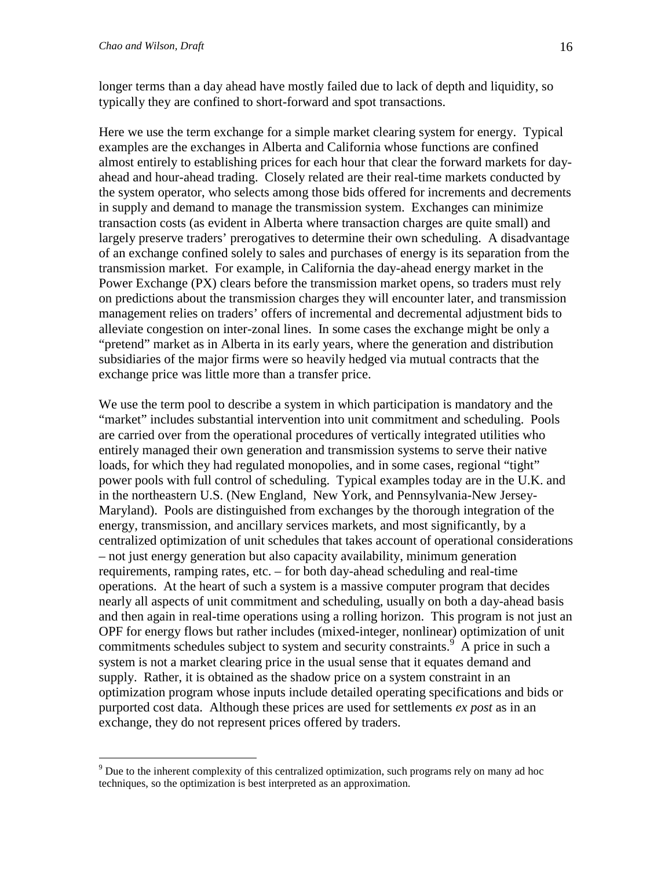longer terms than a day ahead have mostly failed due to lack of depth and liquidity, so typically they are confined to short-forward and spot transactions.

Here we use the term exchange for a simple market clearing system for energy. Typical examples are the exchanges in Alberta and California whose functions are confined almost entirely to establishing prices for each hour that clear the forward markets for dayahead and hour-ahead trading. Closely related are their real-time markets conducted by the system operator, who selects among those bids offered for increments and decrements in supply and demand to manage the transmission system. Exchanges can minimize transaction costs (as evident in Alberta where transaction charges are quite small) and largely preserve traders' prerogatives to determine their own scheduling. A disadvantage of an exchange confined solely to sales and purchases of energy is its separation from the transmission market. For example, in California the day-ahead energy market in the Power Exchange (PX) clears before the transmission market opens, so traders must rely on predictions about the transmission charges they will encounter later, and transmission management relies on traders' offers of incremental and decremental adjustment bids to alleviate congestion on inter-zonal lines. In some cases the exchange might be only a "pretend" market as in Alberta in its early years, where the generation and distribution subsidiaries of the major firms were so heavily hedged via mutual contracts that the exchange price was little more than a transfer price.

We use the term pool to describe a system in which participation is mandatory and the "market" includes substantial intervention into unit commitment and scheduling. Pools are carried over from the operational procedures of vertically integrated utilities who entirely managed their own generation and transmission systems to serve their native loads, for which they had regulated monopolies, and in some cases, regional "tight" power pools with full control of scheduling. Typical examples today are in the U.K. and in the northeastern U.S. (New England, New York, and Pennsylvania-New Jersey-Maryland). Pools are distinguished from exchanges by the thorough integration of the energy, transmission, and ancillary services markets, and most significantly, by a centralized optimization of unit schedules that takes account of operational considerations – not just energy generation but also capacity availability, minimum generation requirements, ramping rates, etc. – for both day-ahead scheduling and real-time operations. At the heart of such a system is a massive computer program that decides nearly all aspects of unit commitment and scheduling, usually on both a day-ahead basis and then again in real-time operations using a rolling horizon. This program is not just an OPF for energy flows but rather includes (mixed-integer, nonlinear) optimization of unit commitments schedules subject to system and security constraints.  $9 \overline{A}$  price in such a system is not a market clearing price in the usual sense that it equates demand and supply. Rather, it is obtained as the shadow price on a system constraint in an optimization program whose inputs include detailed operating specifications and bids or purported cost data. Although these prices are used for settlements *ex post* as in an exchange, they do not represent prices offered by traders.

<sup>&</sup>lt;sup>9</sup><br>
<sup>9</sup> Due to the inherent complexity of this centralized optimization, such programs rely on many ad hoc techniques, so the optimization is best interpreted as an approximation.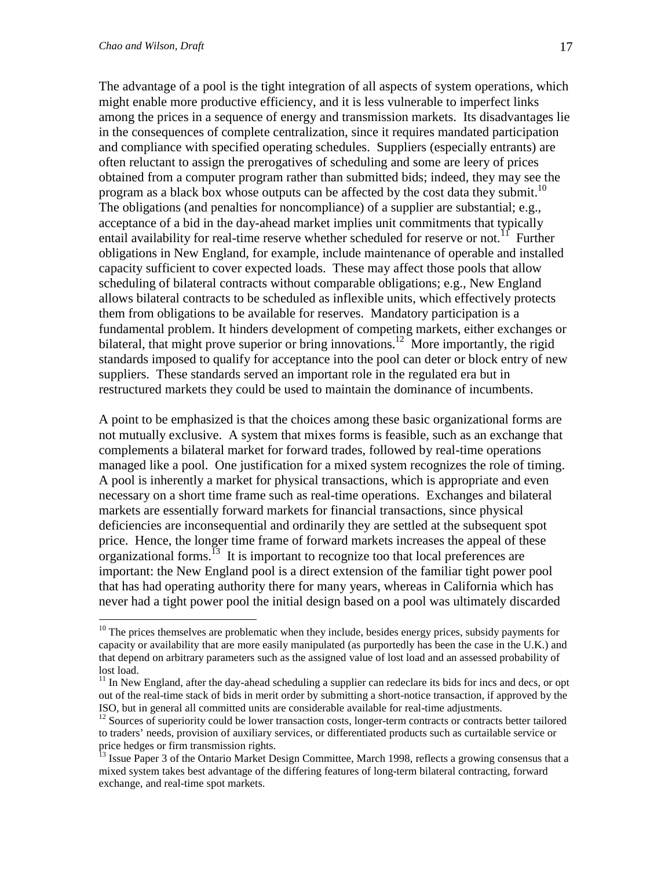The advantage of a pool is the tight integration of all aspects of system operations, which might enable more productive efficiency, and it is less vulnerable to imperfect links among the prices in a sequence of energy and transmission markets. Its disadvantages lie in the consequences of complete centralization, since it requires mandated participation and compliance with specified operating schedules. Suppliers (especially entrants) are often reluctant to assign the prerogatives of scheduling and some are leery of prices obtained from a computer program rather than submitted bids; indeed, they may see the program as a black box whose outputs can be affected by the cost data they submit.<sup>10</sup> The obligations (and penalties for noncompliance) of a supplier are substantial; e.g., acceptance of a bid in the day-ahead market implies unit commitments that typically entail availability for real-time reserve whether scheduled for reserve or not.<sup>11</sup> Further obligations in New England, for example, include maintenance of operable and installed capacity sufficient to cover expected loads. These may affect those pools that allow scheduling of bilateral contracts without comparable obligations; e.g., New England allows bilateral contracts to be scheduled as inflexible units, which effectively protects them from obligations to be available for reserves. Mandatory participation is a fundamental problem. It hinders development of competing markets, either exchanges or bilateral, that might prove superior or bring innovations.<sup>12</sup> More importantly, the rigid standards imposed to qualify for acceptance into the pool can deter or block entry of new suppliers. These standards served an important role in the regulated era but in restructured markets they could be used to maintain the dominance of incumbents.

A point to be emphasized is that the choices among these basic organizational forms are not mutually exclusive. A system that mixes forms is feasible, such as an exchange that complements a bilateral market for forward trades, followed by real-time operations managed like a pool. One justification for a mixed system recognizes the role of timing. A pool is inherently a market for physical transactions, which is appropriate and even necessary on a short time frame such as real-time operations. Exchanges and bilateral markets are essentially forward markets for financial transactions, since physical deficiencies are inconsequential and ordinarily they are settled at the subsequent spot price. Hence, the longer time frame of forward markets increases the appeal of these organizational forms.<sup>13</sup> It is important to recognize too that local preferences are important: the New England pool is a direct extension of the familiar tight power pool that has had operating authority there for many years, whereas in California which has never had a tight power pool the initial design based on a pool was ultimately discarded

<sup>&</sup>lt;sup>10</sup> The prices themselves are problematic when they include, besides energy prices, subsidy payments for capacity or availability that are more easily manipulated (as purportedly has been the case in the U.K.) and that depend on arbitrary parameters such as the assigned value of lost load and an assessed probability of lost load.

 $11$  In New England, after the day-ahead scheduling a supplier can redeclare its bids for incs and decs, or opt out of the real-time stack of bids in merit order by submitting a short-notice transaction, if approved by the ISO, but in general all committed units are considerable available for real-time adjustments.

<sup>&</sup>lt;sup>12</sup> Sources of superiority could be lower transaction costs, longer-term contracts or contracts better tailored to traders' needs, provision of auxiliary services, or differentiated products such as curtailable service or price hedges or firm transmission rights.

<sup>&</sup>lt;sup>13</sup> Issue Paper 3 of the Ontario Market Design Committee, March 1998, reflects a growing consensus that a mixed system takes best advantage of the differing features of long-term bilateral contracting, forward exchange, and real-time spot markets.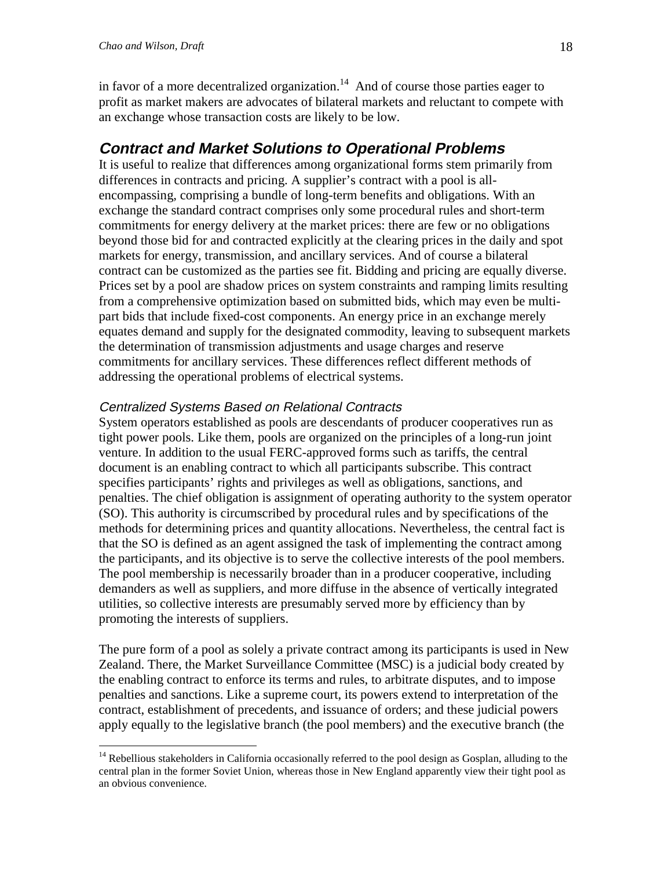in favor of a more decentralized organization.<sup>14</sup> And of course those parties eager to profit as market makers are advocates of bilateral markets and reluctant to compete with an exchange whose transaction costs are likely to be low.

## **Contract and Market Solutions to Operational Problems**

It is useful to realize that differences among organizational forms stem primarily from differences in contracts and pricing. A supplier's contract with a pool is allencompassing, comprising a bundle of long-term benefits and obligations. With an exchange the standard contract comprises only some procedural rules and short-term commitments for energy delivery at the market prices: there are few or no obligations beyond those bid for and contracted explicitly at the clearing prices in the daily and spot markets for energy, transmission, and ancillary services. And of course a bilateral contract can be customized as the parties see fit. Bidding and pricing are equally diverse. Prices set by a pool are shadow prices on system constraints and ramping limits resulting from a comprehensive optimization based on submitted bids, which may even be multipart bids that include fixed-cost components. An energy price in an exchange merely equates demand and supply for the designated commodity, leaving to subsequent markets the determination of transmission adjustments and usage charges and reserve commitments for ancillary services. These differences reflect different methods of addressing the operational problems of electrical systems.

#### Centralized Systems Based on Relational Contracts

System operators established as pools are descendants of producer cooperatives run as tight power pools. Like them, pools are organized on the principles of a long-run joint venture. In addition to the usual FERC-approved forms such as tariffs, the central document is an enabling contract to which all participants subscribe. This contract specifies participants' rights and privileges as well as obligations, sanctions, and penalties. The chief obligation is assignment of operating authority to the system operator (SO). This authority is circumscribed by procedural rules and by specifications of the methods for determining prices and quantity allocations. Nevertheless, the central fact is that the SO is defined as an agent assigned the task of implementing the contract among the participants, and its objective is to serve the collective interests of the pool members. The pool membership is necessarily broader than in a producer cooperative, including demanders as well as suppliers, and more diffuse in the absence of vertically integrated utilities, so collective interests are presumably served more by efficiency than by promoting the interests of suppliers.

The pure form of a pool as solely a private contract among its participants is used in New Zealand. There, the Market Surveillance Committee (MSC) is a judicial body created by the enabling contract to enforce its terms and rules, to arbitrate disputes, and to impose penalties and sanctions. Like a supreme court, its powers extend to interpretation of the contract, establishment of precedents, and issuance of orders; and these judicial powers apply equally to the legislative branch (the pool members) and the executive branch (the

<sup>&</sup>lt;sup>14</sup> Rebellious stakeholders in California occasionally referred to the pool design as Gosplan, alluding to the central plan in the former Soviet Union, whereas those in New England apparently view their tight pool as an obvious convenience.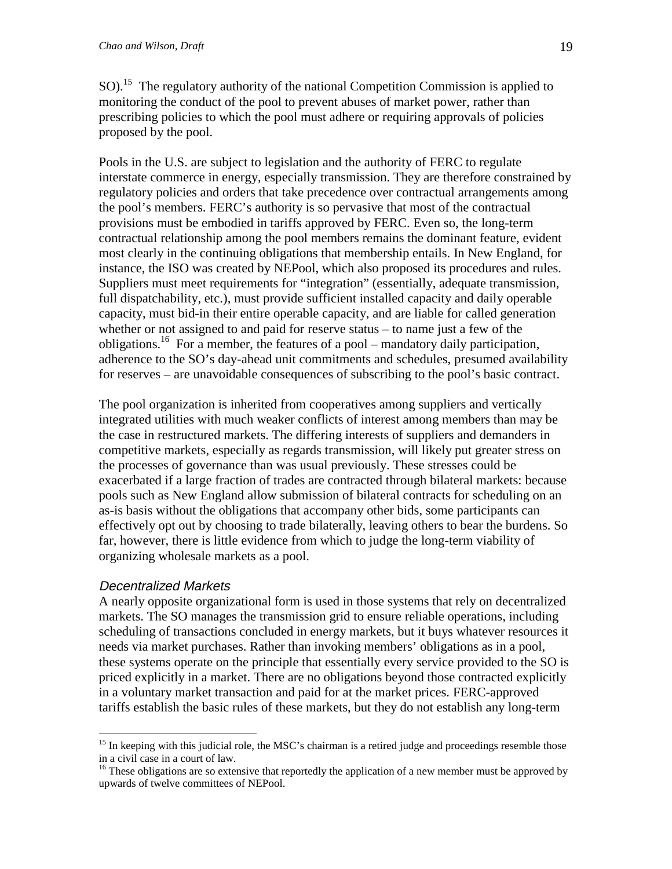SO).15 The regulatory authority of the national Competition Commission is applied to monitoring the conduct of the pool to prevent abuses of market power, rather than prescribing policies to which the pool must adhere or requiring approvals of policies proposed by the pool.

Pools in the U.S. are subject to legislation and the authority of FERC to regulate interstate commerce in energy, especially transmission. They are therefore constrained by regulatory policies and orders that take precedence over contractual arrangements among the pool's members. FERC's authority is so pervasive that most of the contractual provisions must be embodied in tariffs approved by FERC. Even so, the long-term contractual relationship among the pool members remains the dominant feature, evident most clearly in the continuing obligations that membership entails. In New England, for instance, the ISO was created by NEPool, which also proposed its procedures and rules. Suppliers must meet requirements for "integration" (essentially, adequate transmission, full dispatchability, etc.), must provide sufficient installed capacity and daily operable capacity, must bid-in their entire operable capacity, and are liable for called generation whether or not assigned to and paid for reserve status – to name just a few of the obligations.<sup>16</sup> For a member, the features of a pool – mandatory daily participation, adherence to the SO's day-ahead unit commitments and schedules, presumed availability for reserves – are unavoidable consequences of subscribing to the pool's basic contract.

The pool organization is inherited from cooperatives among suppliers and vertically integrated utilities with much weaker conflicts of interest among members than may be the case in restructured markets. The differing interests of suppliers and demanders in competitive markets, especially as regards transmission, will likely put greater stress on the processes of governance than was usual previously. These stresses could be exacerbated if a large fraction of trades are contracted through bilateral markets: because pools such as New England allow submission of bilateral contracts for scheduling on an as-is basis without the obligations that accompany other bids, some participants can effectively opt out by choosing to trade bilaterally, leaving others to bear the burdens. So far, however, there is little evidence from which to judge the long-term viability of organizing wholesale markets as a pool.

#### Decentralized Markets

 $\overline{a}$ 

A nearly opposite organizational form is used in those systems that rely on decentralized markets. The SO manages the transmission grid to ensure reliable operations, including scheduling of transactions concluded in energy markets, but it buys whatever resources it needs via market purchases. Rather than invoking members' obligations as in a pool, these systems operate on the principle that essentially every service provided to the SO is priced explicitly in a market. There are no obligations beyond those contracted explicitly in a voluntary market transaction and paid for at the market prices. FERC-approved tariffs establish the basic rules of these markets, but they do not establish any long-term

 $15$  In keeping with this judicial role, the MSC's chairman is a retired judge and proceedings resemble those in a civil case in a court of law.

<sup>&</sup>lt;sup>16</sup> These obligations are so extensive that reportedly the application of a new member must be approved by upwards of twelve committees of NEPool.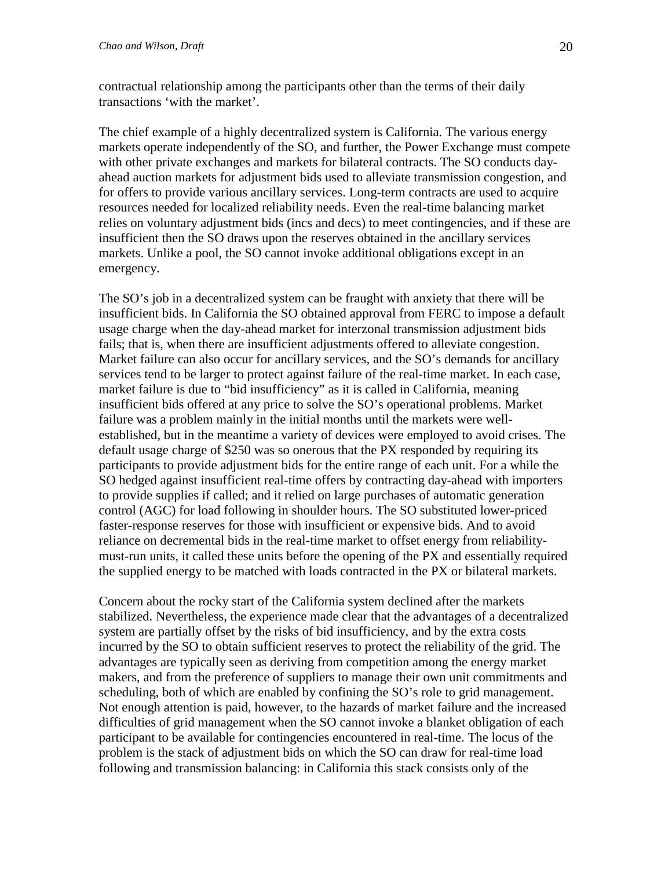contractual relationship among the participants other than the terms of their daily transactions 'with the market'.

The chief example of a highly decentralized system is California. The various energy markets operate independently of the SO, and further, the Power Exchange must compete with other private exchanges and markets for bilateral contracts. The SO conducts dayahead auction markets for adjustment bids used to alleviate transmission congestion, and for offers to provide various ancillary services. Long-term contracts are used to acquire resources needed for localized reliability needs. Even the real-time balancing market relies on voluntary adjustment bids (incs and decs) to meet contingencies, and if these are insufficient then the SO draws upon the reserves obtained in the ancillary services markets. Unlike a pool, the SO cannot invoke additional obligations except in an emergency.

The SO's job in a decentralized system can be fraught with anxiety that there will be insufficient bids. In California the SO obtained approval from FERC to impose a default usage charge when the day-ahead market for interzonal transmission adjustment bids fails; that is, when there are insufficient adjustments offered to alleviate congestion. Market failure can also occur for ancillary services, and the SO's demands for ancillary services tend to be larger to protect against failure of the real-time market. In each case, market failure is due to "bid insufficiency" as it is called in California, meaning insufficient bids offered at any price to solve the SO's operational problems. Market failure was a problem mainly in the initial months until the markets were wellestablished, but in the meantime a variety of devices were employed to avoid crises. The default usage charge of \$250 was so onerous that the PX responded by requiring its participants to provide adjustment bids for the entire range of each unit. For a while the SO hedged against insufficient real-time offers by contracting day-ahead with importers to provide supplies if called; and it relied on large purchases of automatic generation control (AGC) for load following in shoulder hours. The SO substituted lower-priced faster-response reserves for those with insufficient or expensive bids. And to avoid reliance on decremental bids in the real-time market to offset energy from reliabilitymust-run units, it called these units before the opening of the PX and essentially required the supplied energy to be matched with loads contracted in the PX or bilateral markets.

Concern about the rocky start of the California system declined after the markets stabilized. Nevertheless, the experience made clear that the advantages of a decentralized system are partially offset by the risks of bid insufficiency, and by the extra costs incurred by the SO to obtain sufficient reserves to protect the reliability of the grid. The advantages are typically seen as deriving from competition among the energy market makers, and from the preference of suppliers to manage their own unit commitments and scheduling, both of which are enabled by confining the SO's role to grid management. Not enough attention is paid, however, to the hazards of market failure and the increased difficulties of grid management when the SO cannot invoke a blanket obligation of each participant to be available for contingencies encountered in real-time. The locus of the problem is the stack of adjustment bids on which the SO can draw for real-time load following and transmission balancing: in California this stack consists only of the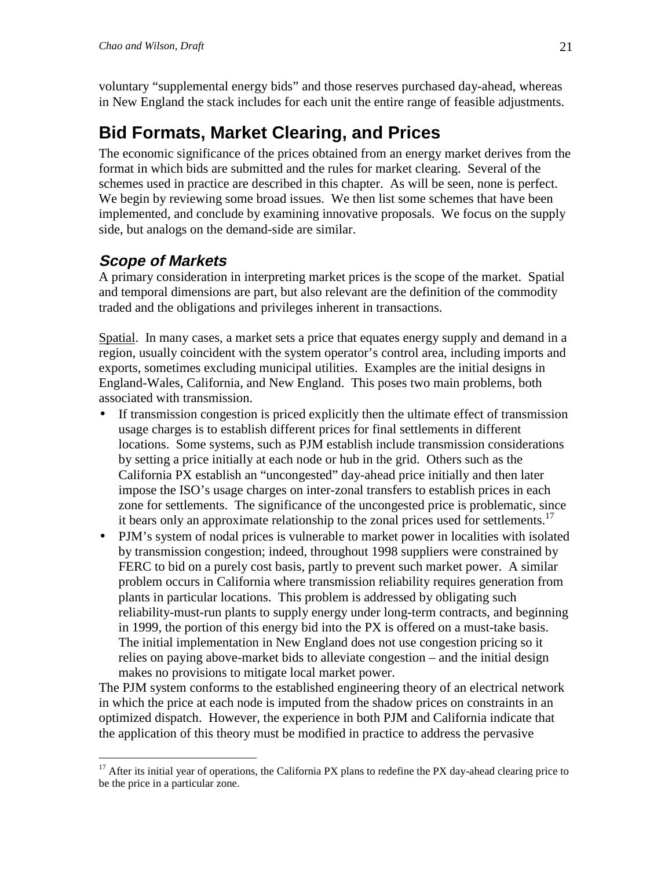voluntary "supplemental energy bids" and those reserves purchased day-ahead, whereas in New England the stack includes for each unit the entire range of feasible adjustments.

# **Bid Formats, Market Clearing, and Prices**

The economic significance of the prices obtained from an energy market derives from the format in which bids are submitted and the rules for market clearing. Several of the schemes used in practice are described in this chapter. As will be seen, none is perfect. We begin by reviewing some broad issues. We then list some schemes that have been implemented, and conclude by examining innovative proposals. We focus on the supply side, but analogs on the demand-side are similar.

# **Scope of Markets**

A primary consideration in interpreting market prices is the scope of the market. Spatial and temporal dimensions are part, but also relevant are the definition of the commodity traded and the obligations and privileges inherent in transactions.

Spatial. In many cases, a market sets a price that equates energy supply and demand in a region, usually coincident with the system operator's control area, including imports and exports, sometimes excluding municipal utilities. Examples are the initial designs in England-Wales, California, and New England. This poses two main problems, both associated with transmission.

- If transmission congestion is priced explicitly then the ultimate effect of transmission usage charges is to establish different prices for final settlements in different locations. Some systems, such as PJM establish include transmission considerations by setting a price initially at each node or hub in the grid. Others such as the California PX establish an "uncongested" day-ahead price initially and then later impose the ISO's usage charges on inter-zonal transfers to establish prices in each zone for settlements. The significance of the uncongested price is problematic, since it bears only an approximate relationship to the zonal prices used for settlements.<sup>17</sup>
- PJM's system of nodal prices is vulnerable to market power in localities with isolated by transmission congestion; indeed, throughout 1998 suppliers were constrained by FERC to bid on a purely cost basis, partly to prevent such market power. A similar problem occurs in California where transmission reliability requires generation from plants in particular locations. This problem is addressed by obligating such reliability-must-run plants to supply energy under long-term contracts, and beginning in 1999, the portion of this energy bid into the PX is offered on a must-take basis. The initial implementation in New England does not use congestion pricing so it relies on paying above-market bids to alleviate congestion – and the initial design makes no provisions to mitigate local market power.

The PJM system conforms to the established engineering theory of an electrical network in which the price at each node is imputed from the shadow prices on constraints in an optimized dispatch. However, the experience in both PJM and California indicate that the application of this theory must be modified in practice to address the pervasive

 $\overline{a}$  $17$  After its initial year of operations, the California PX plans to redefine the PX day-ahead clearing price to be the price in a particular zone.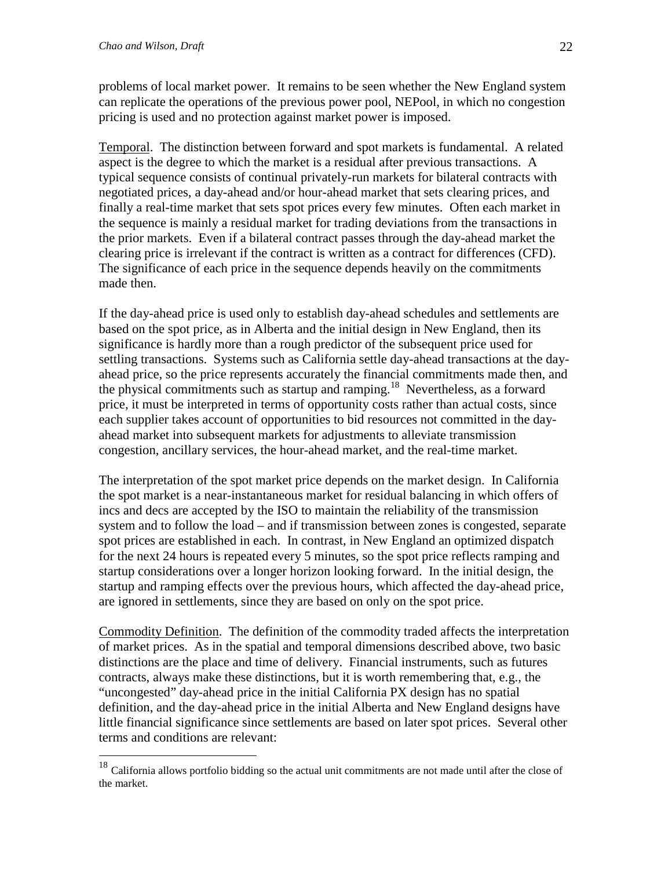problems of local market power. It remains to be seen whether the New England system can replicate the operations of the previous power pool, NEPool, in which no congestion pricing is used and no protection against market power is imposed.

Temporal. The distinction between forward and spot markets is fundamental. A related aspect is the degree to which the market is a residual after previous transactions. A typical sequence consists of continual privately-run markets for bilateral contracts with negotiated prices, a day-ahead and/or hour-ahead market that sets clearing prices, and finally a real-time market that sets spot prices every few minutes. Often each market in the sequence is mainly a residual market for trading deviations from the transactions in the prior markets. Even if a bilateral contract passes through the day-ahead market the clearing price is irrelevant if the contract is written as a contract for differences (CFD). The significance of each price in the sequence depends heavily on the commitments made then.

If the day-ahead price is used only to establish day-ahead schedules and settlements are based on the spot price, as in Alberta and the initial design in New England, then its significance is hardly more than a rough predictor of the subsequent price used for settling transactions. Systems such as California settle day-ahead transactions at the dayahead price, so the price represents accurately the financial commitments made then, and the physical commitments such as startup and ramping.18 Nevertheless, as a forward price, it must be interpreted in terms of opportunity costs rather than actual costs, since each supplier takes account of opportunities to bid resources not committed in the dayahead market into subsequent markets for adjustments to alleviate transmission congestion, ancillary services, the hour-ahead market, and the real-time market.

The interpretation of the spot market price depends on the market design. In California the spot market is a near-instantaneous market for residual balancing in which offers of incs and decs are accepted by the ISO to maintain the reliability of the transmission system and to follow the load – and if transmission between zones is congested, separate spot prices are established in each. In contrast, in New England an optimized dispatch for the next 24 hours is repeated every 5 minutes, so the spot price reflects ramping and startup considerations over a longer horizon looking forward. In the initial design, the startup and ramping effects over the previous hours, which affected the day-ahead price, are ignored in settlements, since they are based on only on the spot price.

Commodity Definition. The definition of the commodity traded affects the interpretation of market prices. As in the spatial and temporal dimensions described above, two basic distinctions are the place and time of delivery. Financial instruments, such as futures contracts, always make these distinctions, but it is worth remembering that, e.g., the "uncongested" day-ahead price in the initial California PX design has no spatial definition, and the day-ahead price in the initial Alberta and New England designs have little financial significance since settlements are based on later spot prices. Several other terms and conditions are relevant:

<sup>&</sup>lt;sup>18</sup> California allows portfolio bidding so the actual unit commitments are not made until after the close of the market.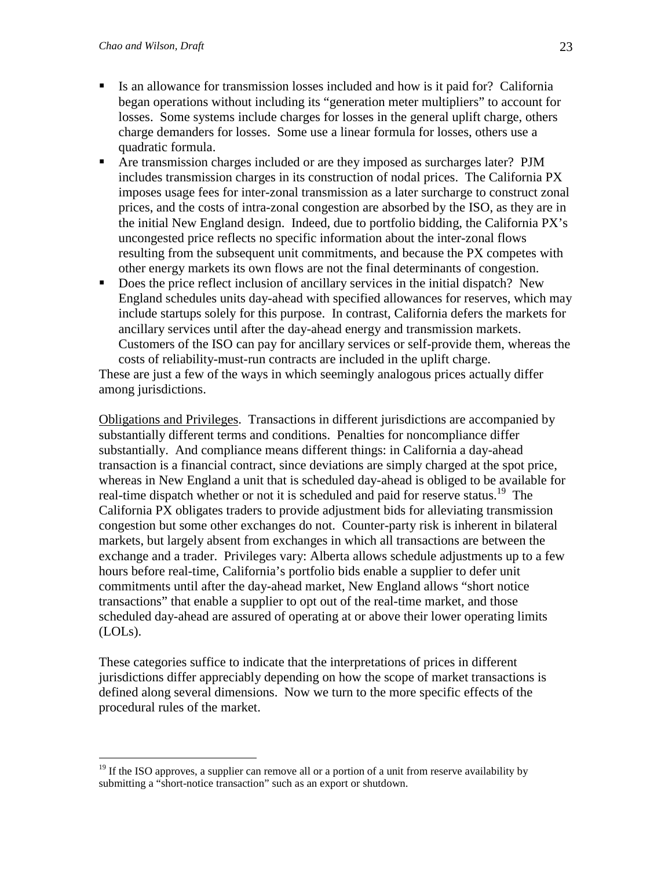- Is an allowance for transmission losses included and how is it paid for? California began operations without including its "generation meter multipliers" to account for losses. Some systems include charges for losses in the general uplift charge, others charge demanders for losses. Some use a linear formula for losses, others use a quadratic formula.
- Are transmission charges included or are they imposed as surcharges later? PJM includes transmission charges in its construction of nodal prices. The California PX imposes usage fees for inter-zonal transmission as a later surcharge to construct zonal prices, and the costs of intra-zonal congestion are absorbed by the ISO, as they are in the initial New England design. Indeed, due to portfolio bidding, the California PX's uncongested price reflects no specific information about the inter-zonal flows resulting from the subsequent unit commitments, and because the PX competes with other energy markets its own flows are not the final determinants of congestion.
- Does the price reflect inclusion of ancillary services in the initial dispatch? New England schedules units day-ahead with specified allowances for reserves, which may include startups solely for this purpose. In contrast, California defers the markets for ancillary services until after the day-ahead energy and transmission markets. Customers of the ISO can pay for ancillary services or self-provide them, whereas the costs of reliability-must-run contracts are included in the uplift charge.

These are just a few of the ways in which seemingly analogous prices actually differ among jurisdictions.

Obligations and Privileges. Transactions in different jurisdictions are accompanied by substantially different terms and conditions. Penalties for noncompliance differ substantially. And compliance means different things: in California a day-ahead transaction is a financial contract, since deviations are simply charged at the spot price, whereas in New England a unit that is scheduled day-ahead is obliged to be available for real-time dispatch whether or not it is scheduled and paid for reserve status.<sup>19</sup> The California PX obligates traders to provide adjustment bids for alleviating transmission congestion but some other exchanges do not. Counter-party risk is inherent in bilateral markets, but largely absent from exchanges in which all transactions are between the exchange and a trader. Privileges vary: Alberta allows schedule adjustments up to a few hours before real-time, California's portfolio bids enable a supplier to defer unit commitments until after the day-ahead market, New England allows "short notice transactions" that enable a supplier to opt out of the real-time market, and those scheduled day-ahead are assured of operating at or above their lower operating limits (LOLs).

These categories suffice to indicate that the interpretations of prices in different jurisdictions differ appreciably depending on how the scope of market transactions is defined along several dimensions. Now we turn to the more specific effects of the procedural rules of the market.

 $19$  If the ISO approves, a supplier can remove all or a portion of a unit from reserve availability by submitting a "short-notice transaction" such as an export or shutdown.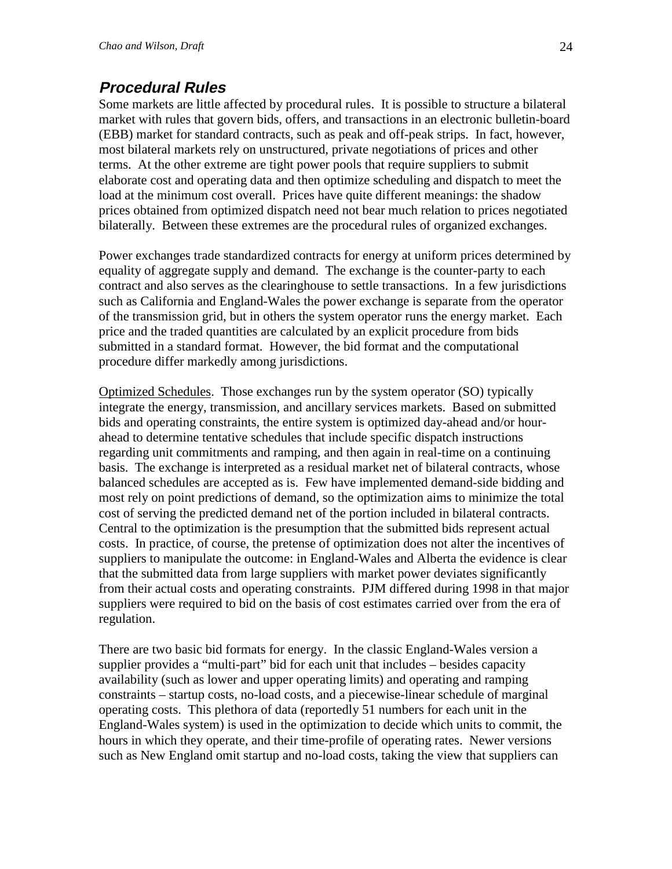#### **Procedural Rules**

Some markets are little affected by procedural rules. It is possible to structure a bilateral market with rules that govern bids, offers, and transactions in an electronic bulletin-board (EBB) market for standard contracts, such as peak and off-peak strips. In fact, however, most bilateral markets rely on unstructured, private negotiations of prices and other terms. At the other extreme are tight power pools that require suppliers to submit elaborate cost and operating data and then optimize scheduling and dispatch to meet the load at the minimum cost overall. Prices have quite different meanings: the shadow prices obtained from optimized dispatch need not bear much relation to prices negotiated bilaterally. Between these extremes are the procedural rules of organized exchanges.

Power exchanges trade standardized contracts for energy at uniform prices determined by equality of aggregate supply and demand. The exchange is the counter-party to each contract and also serves as the clearinghouse to settle transactions. In a few jurisdictions such as California and England-Wales the power exchange is separate from the operator of the transmission grid, but in others the system operator runs the energy market. Each price and the traded quantities are calculated by an explicit procedure from bids submitted in a standard format. However, the bid format and the computational procedure differ markedly among jurisdictions.

Optimized Schedules. Those exchanges run by the system operator (SO) typically integrate the energy, transmission, and ancillary services markets. Based on submitted bids and operating constraints, the entire system is optimized day-ahead and/or hourahead to determine tentative schedules that include specific dispatch instructions regarding unit commitments and ramping, and then again in real-time on a continuing basis. The exchange is interpreted as a residual market net of bilateral contracts, whose balanced schedules are accepted as is. Few have implemented demand-side bidding and most rely on point predictions of demand, so the optimization aims to minimize the total cost of serving the predicted demand net of the portion included in bilateral contracts. Central to the optimization is the presumption that the submitted bids represent actual costs. In practice, of course, the pretense of optimization does not alter the incentives of suppliers to manipulate the outcome: in England-Wales and Alberta the evidence is clear that the submitted data from large suppliers with market power deviates significantly from their actual costs and operating constraints. PJM differed during 1998 in that major suppliers were required to bid on the basis of cost estimates carried over from the era of regulation.

There are two basic bid formats for energy. In the classic England-Wales version a supplier provides a "multi-part" bid for each unit that includes – besides capacity availability (such as lower and upper operating limits) and operating and ramping constraints – startup costs, no-load costs, and a piecewise-linear schedule of marginal operating costs. This plethora of data (reportedly 51 numbers for each unit in the England-Wales system) is used in the optimization to decide which units to commit, the hours in which they operate, and their time-profile of operating rates. Newer versions such as New England omit startup and no-load costs, taking the view that suppliers can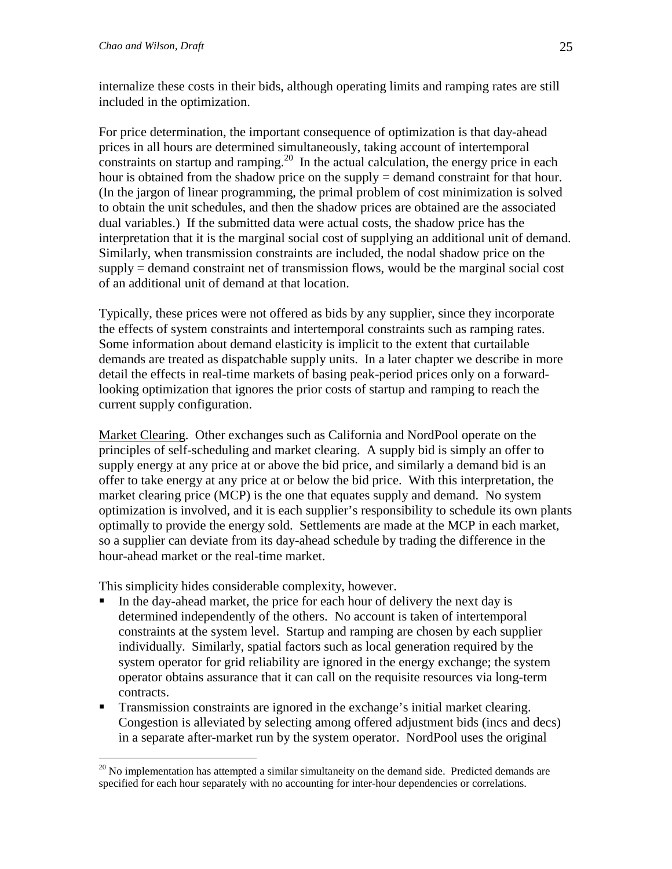internalize these costs in their bids, although operating limits and ramping rates are still included in the optimization.

For price determination, the important consequence of optimization is that day-ahead prices in all hours are determined simultaneously, taking account of intertemporal constraints on startup and ramping.<sup>20</sup> In the actual calculation, the energy price in each hour is obtained from the shadow price on the supply = demand constraint for that hour. (In the jargon of linear programming, the primal problem of cost minimization is solved to obtain the unit schedules, and then the shadow prices are obtained are the associated dual variables.) If the submitted data were actual costs, the shadow price has the interpretation that it is the marginal social cost of supplying an additional unit of demand. Similarly, when transmission constraints are included, the nodal shadow price on the supply = demand constraint net of transmission flows, would be the marginal social cost of an additional unit of demand at that location.

Typically, these prices were not offered as bids by any supplier, since they incorporate the effects of system constraints and intertemporal constraints such as ramping rates. Some information about demand elasticity is implicit to the extent that curtailable demands are treated as dispatchable supply units. In a later chapter we describe in more detail the effects in real-time markets of basing peak-period prices only on a forwardlooking optimization that ignores the prior costs of startup and ramping to reach the current supply configuration.

Market Clearing. Other exchanges such as California and NordPool operate on the principles of self-scheduling and market clearing. A supply bid is simply an offer to supply energy at any price at or above the bid price, and similarly a demand bid is an offer to take energy at any price at or below the bid price. With this interpretation, the market clearing price (MCP) is the one that equates supply and demand. No system optimization is involved, and it is each supplier's responsibility to schedule its own plants optimally to provide the energy sold. Settlements are made at the MCP in each market, so a supplier can deviate from its day-ahead schedule by trading the difference in the hour-ahead market or the real-time market.

This simplicity hides considerable complexity, however.

- In the day-ahead market, the price for each hour of delivery the next day is determined independently of the others. No account is taken of intertemporal constraints at the system level. Startup and ramping are chosen by each supplier individually. Similarly, spatial factors such as local generation required by the system operator for grid reliability are ignored in the energy exchange; the system operator obtains assurance that it can call on the requisite resources via long-term contracts.
- Transmission constraints are ignored in the exchange's initial market clearing. Congestion is alleviated by selecting among offered adjustment bids (incs and decs) in a separate after-market run by the system operator. NordPool uses the original

 $\overline{a}$  $20$  No implementation has attempted a similar simultaneity on the demand side. Predicted demands are specified for each hour separately with no accounting for inter-hour dependencies or correlations.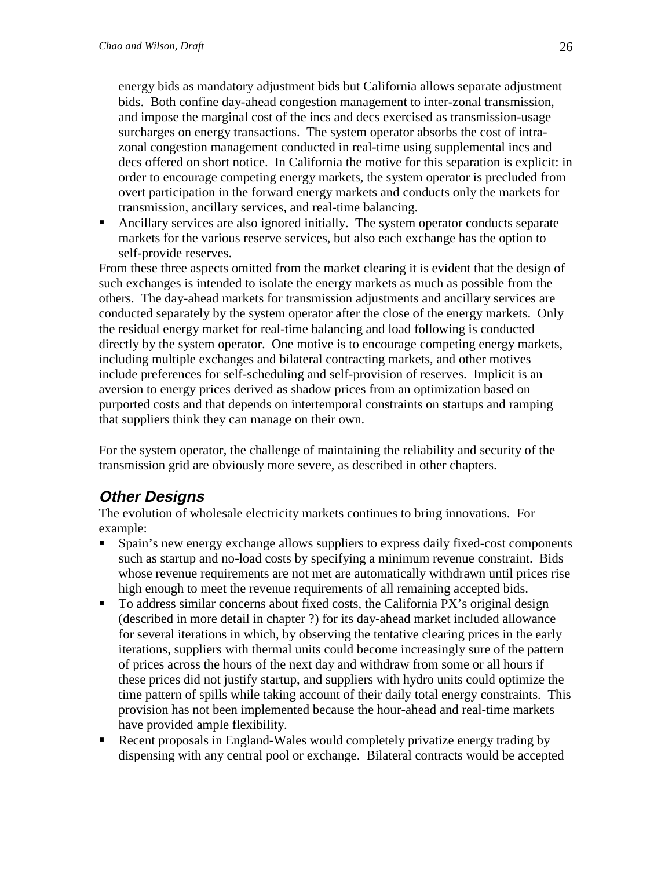energy bids as mandatory adjustment bids but California allows separate adjustment bids. Both confine day-ahead congestion management to inter-zonal transmission, and impose the marginal cost of the incs and decs exercised as transmission-usage surcharges on energy transactions. The system operator absorbs the cost of intrazonal congestion management conducted in real-time using supplemental incs and decs offered on short notice. In California the motive for this separation is explicit: in order to encourage competing energy markets, the system operator is precluded from overt participation in the forward energy markets and conducts only the markets for transmission, ancillary services, and real-time balancing.

 Ancillary services are also ignored initially. The system operator conducts separate markets for the various reserve services, but also each exchange has the option to self-provide reserves.

From these three aspects omitted from the market clearing it is evident that the design of such exchanges is intended to isolate the energy markets as much as possible from the others. The day-ahead markets for transmission adjustments and ancillary services are conducted separately by the system operator after the close of the energy markets. Only the residual energy market for real-time balancing and load following is conducted directly by the system operator. One motive is to encourage competing energy markets, including multiple exchanges and bilateral contracting markets, and other motives include preferences for self-scheduling and self-provision of reserves. Implicit is an aversion to energy prices derived as shadow prices from an optimization based on purported costs and that depends on intertemporal constraints on startups and ramping that suppliers think they can manage on their own.

For the system operator, the challenge of maintaining the reliability and security of the transmission grid are obviously more severe, as described in other chapters.

# **Other Designs**

The evolution of wholesale electricity markets continues to bring innovations. For example:

- Spain's new energy exchange allows suppliers to express daily fixed-cost components such as startup and no-load costs by specifying a minimum revenue constraint. Bids whose revenue requirements are not met are automatically withdrawn until prices rise high enough to meet the revenue requirements of all remaining accepted bids.
- To address similar concerns about fixed costs, the California PX's original design (described in more detail in chapter ?) for its day-ahead market included allowance for several iterations in which, by observing the tentative clearing prices in the early iterations, suppliers with thermal units could become increasingly sure of the pattern of prices across the hours of the next day and withdraw from some or all hours if these prices did not justify startup, and suppliers with hydro units could optimize the time pattern of spills while taking account of their daily total energy constraints. This provision has not been implemented because the hour-ahead and real-time markets have provided ample flexibility.
- Recent proposals in England-Wales would completely privatize energy trading by dispensing with any central pool or exchange. Bilateral contracts would be accepted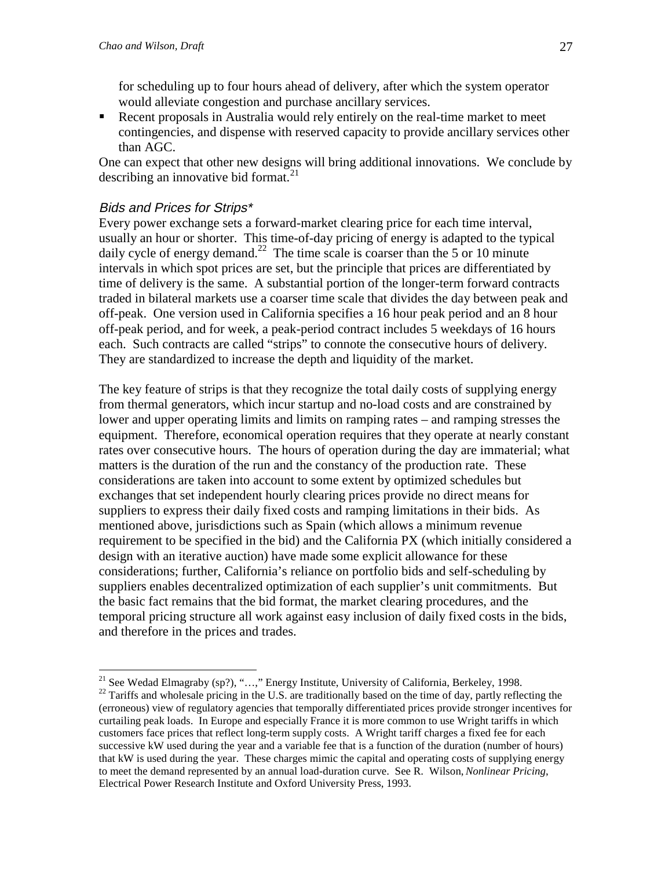for scheduling up to four hours ahead of delivery, after which the system operator would alleviate congestion and purchase ancillary services.

 Recent proposals in Australia would rely entirely on the real-time market to meet contingencies, and dispense with reserved capacity to provide ancillary services other than AGC.

One can expect that other new designs will bring additional innovations. We conclude by describing an innovative bid format.<sup>21</sup>

#### Bids and Prices for Strips\*

Every power exchange sets a forward-market clearing price for each time interval, usually an hour or shorter. This time-of-day pricing of energy is adapted to the typical daily cycle of energy demand.<sup>22</sup> The time scale is coarser than the 5 or 10 minute intervals in which spot prices are set, but the principle that prices are differentiated by time of delivery is the same. A substantial portion of the longer-term forward contracts traded in bilateral markets use a coarser time scale that divides the day between peak and off-peak. One version used in California specifies a 16 hour peak period and an 8 hour off-peak period, and for week, a peak-period contract includes 5 weekdays of 16 hours each. Such contracts are called "strips" to connote the consecutive hours of delivery. They are standardized to increase the depth and liquidity of the market.

The key feature of strips is that they recognize the total daily costs of supplying energy from thermal generators, which incur startup and no-load costs and are constrained by lower and upper operating limits and limits on ramping rates – and ramping stresses the equipment. Therefore, economical operation requires that they operate at nearly constant rates over consecutive hours. The hours of operation during the day are immaterial; what matters is the duration of the run and the constancy of the production rate. These considerations are taken into account to some extent by optimized schedules but exchanges that set independent hourly clearing prices provide no direct means for suppliers to express their daily fixed costs and ramping limitations in their bids. As mentioned above, jurisdictions such as Spain (which allows a minimum revenue requirement to be specified in the bid) and the California PX (which initially considered a design with an iterative auction) have made some explicit allowance for these considerations; further, California's reliance on portfolio bids and self-scheduling by suppliers enables decentralized optimization of each supplier's unit commitments. But the basic fact remains that the bid format, the market clearing procedures, and the temporal pricing structure all work against easy inclusion of daily fixed costs in the bids, and therefore in the prices and trades.

<sup>&</sup>lt;sup>21</sup> See Wedad Elmagraby (sp?), "...," Energy Institute, University of California, Berkeley, 1998.  $^{22}$  Tariffs and wholesale pricing in the U.S. are traditionally based on the time of day, partly reflecting the (erroneous) view of regulatory agencies that temporally differentiated prices provide stronger incentives for curtailing peak loads. In Europe and especially France it is more common to use Wright tariffs in which customers face prices that reflect long-term supply costs. A Wright tariff charges a fixed fee for each successive kW used during the year and a variable fee that is a function of the duration (number of hours) that kW is used during the year. These charges mimic the capital and operating costs of supplying energy to meet the demand represented by an annual load-duration curve. See R. Wilson, *Nonlinear Pricing*, Electrical Power Research Institute and Oxford University Press, 1993.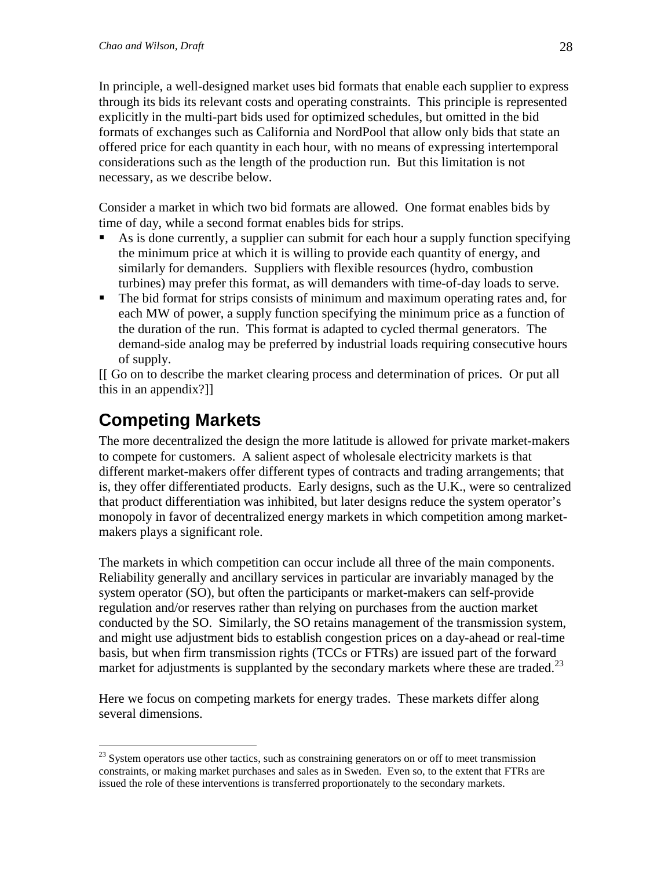In principle, a well-designed market uses bid formats that enable each supplier to express through its bids its relevant costs and operating constraints. This principle is represented explicitly in the multi-part bids used for optimized schedules, but omitted in the bid formats of exchanges such as California and NordPool that allow only bids that state an offered price for each quantity in each hour, with no means of expressing intertemporal considerations such as the length of the production run. But this limitation is not necessary, as we describe below.

Consider a market in which two bid formats are allowed. One format enables bids by time of day, while a second format enables bids for strips.

- As is done currently, a supplier can submit for each hour a supply function specifying the minimum price at which it is willing to provide each quantity of energy, and similarly for demanders. Suppliers with flexible resources (hydro, combustion turbines) may prefer this format, as will demanders with time-of-day loads to serve.
- The bid format for strips consists of minimum and maximum operating rates and, for each MW of power, a supply function specifying the minimum price as a function of the duration of the run. This format is adapted to cycled thermal generators. The demand-side analog may be preferred by industrial loads requiring consecutive hours of supply.

[[ Go on to describe the market clearing process and determination of prices. Or put all this in an appendix?]]

# **Competing Markets**

The more decentralized the design the more latitude is allowed for private market-makers to compete for customers. A salient aspect of wholesale electricity markets is that different market-makers offer different types of contracts and trading arrangements; that is, they offer differentiated products. Early designs, such as the U.K., were so centralized that product differentiation was inhibited, but later designs reduce the system operator's monopoly in favor of decentralized energy markets in which competition among marketmakers plays a significant role.

The markets in which competition can occur include all three of the main components. Reliability generally and ancillary services in particular are invariably managed by the system operator (SO), but often the participants or market-makers can self-provide regulation and/or reserves rather than relying on purchases from the auction market conducted by the SO. Similarly, the SO retains management of the transmission system, and might use adjustment bids to establish congestion prices on a day-ahead or real-time basis, but when firm transmission rights (TCCs or FTRs) are issued part of the forward market for adjustments is supplanted by the secondary markets where these are traded.<sup>23</sup>

Here we focus on competing markets for energy trades. These markets differ along several dimensions.

 $\overline{a}$  $23$  System operators use other tactics, such as constraining generators on or off to meet transmission constraints, or making market purchases and sales as in Sweden. Even so, to the extent that FTRs are issued the role of these interventions is transferred proportionately to the secondary markets.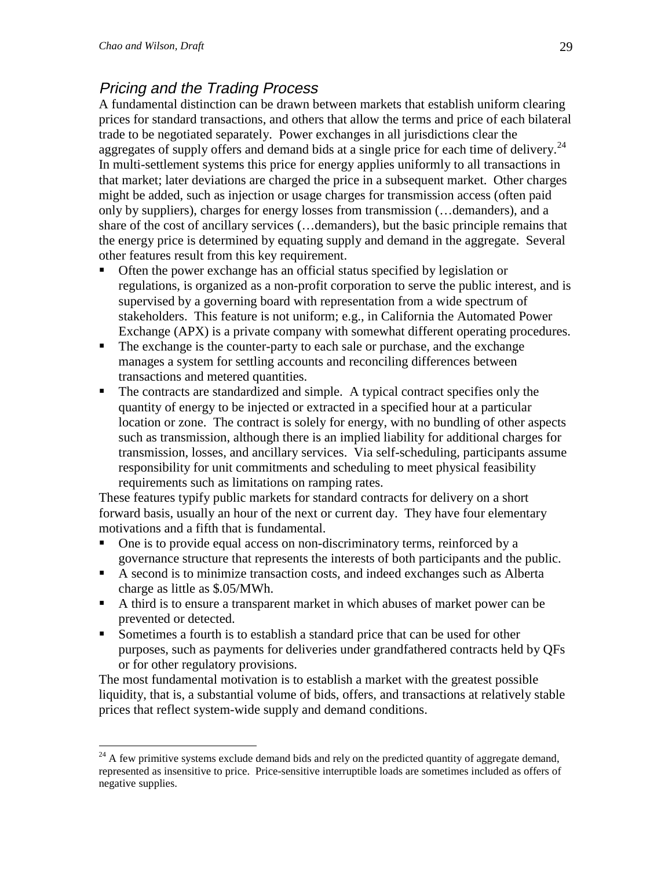## Pricing and the Trading Process

A fundamental distinction can be drawn between markets that establish uniform clearing prices for standard transactions, and others that allow the terms and price of each bilateral trade to be negotiated separately. Power exchanges in all jurisdictions clear the aggregates of supply offers and demand bids at a single price for each time of delivery.<sup>24</sup> In multi-settlement systems this price for energy applies uniformly to all transactions in that market; later deviations are charged the price in a subsequent market. Other charges might be added, such as injection or usage charges for transmission access (often paid only by suppliers), charges for energy losses from transmission (…demanders), and a share of the cost of ancillary services (…demanders), but the basic principle remains that the energy price is determined by equating supply and demand in the aggregate. Several other features result from this key requirement.

- Often the power exchange has an official status specified by legislation or regulations, is organized as a non-profit corporation to serve the public interest, and is supervised by a governing board with representation from a wide spectrum of stakeholders. This feature is not uniform; e.g., in California the Automated Power Exchange (APX) is a private company with somewhat different operating procedures.
- The exchange is the counter-party to each sale or purchase, and the exchange manages a system for settling accounts and reconciling differences between transactions and metered quantities.
- The contracts are standardized and simple. A typical contract specifies only the quantity of energy to be injected or extracted in a specified hour at a particular location or zone. The contract is solely for energy, with no bundling of other aspects such as transmission, although there is an implied liability for additional charges for transmission, losses, and ancillary services. Via self-scheduling, participants assume responsibility for unit commitments and scheduling to meet physical feasibility requirements such as limitations on ramping rates.

These features typify public markets for standard contracts for delivery on a short forward basis, usually an hour of the next or current day. They have four elementary motivations and a fifth that is fundamental.

- One is to provide equal access on non-discriminatory terms, reinforced by a governance structure that represents the interests of both participants and the public.
- A second is to minimize transaction costs, and indeed exchanges such as Alberta charge as little as \$.05/MWh.
- A third is to ensure a transparent market in which abuses of market power can be prevented or detected.
- Sometimes a fourth is to establish a standard price that can be used for other purposes, such as payments for deliveries under grandfathered contracts held by QFs or for other regulatory provisions.

The most fundamental motivation is to establish a market with the greatest possible liquidity, that is, a substantial volume of bids, offers, and transactions at relatively stable prices that reflect system-wide supply and demand conditions.

 $24$  A few primitive systems exclude demand bids and rely on the predicted quantity of aggregate demand, represented as insensitive to price. Price-sensitive interruptible loads are sometimes included as offers of negative supplies.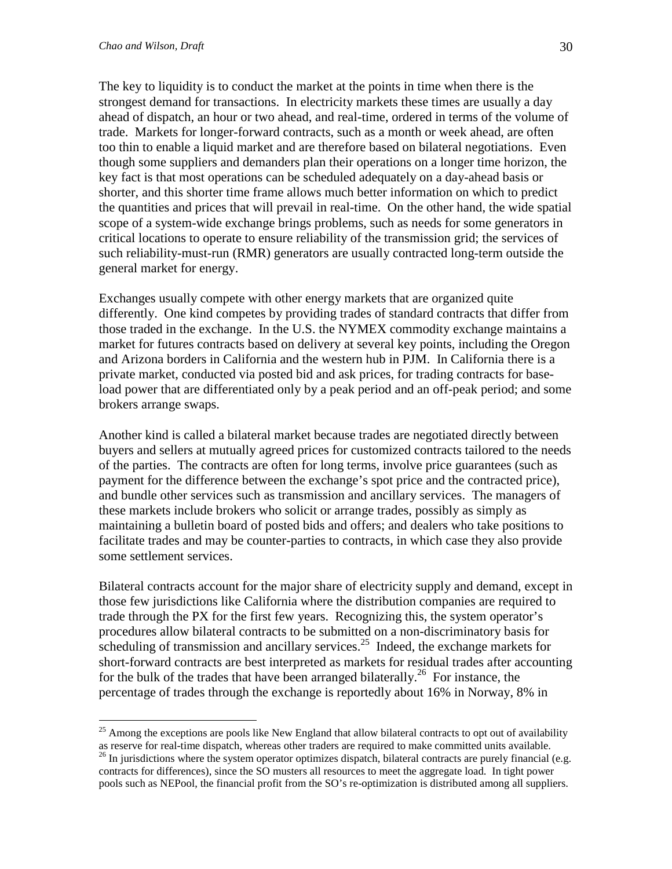The key to liquidity is to conduct the market at the points in time when there is the strongest demand for transactions. In electricity markets these times are usually a day ahead of dispatch, an hour or two ahead, and real-time, ordered in terms of the volume of trade. Markets for longer-forward contracts, such as a month or week ahead, are often too thin to enable a liquid market and are therefore based on bilateral negotiations. Even though some suppliers and demanders plan their operations on a longer time horizon, the key fact is that most operations can be scheduled adequately on a day-ahead basis or shorter, and this shorter time frame allows much better information on which to predict the quantities and prices that will prevail in real-time. On the other hand, the wide spatial scope of a system-wide exchange brings problems, such as needs for some generators in critical locations to operate to ensure reliability of the transmission grid; the services of such reliability-must-run (RMR) generators are usually contracted long-term outside the general market for energy.

Exchanges usually compete with other energy markets that are organized quite differently. One kind competes by providing trades of standard contracts that differ from those traded in the exchange. In the U.S. the NYMEX commodity exchange maintains a market for futures contracts based on delivery at several key points, including the Oregon and Arizona borders in California and the western hub in PJM. In California there is a private market, conducted via posted bid and ask prices, for trading contracts for baseload power that are differentiated only by a peak period and an off-peak period; and some brokers arrange swaps.

Another kind is called a bilateral market because trades are negotiated directly between buyers and sellers at mutually agreed prices for customized contracts tailored to the needs of the parties. The contracts are often for long terms, involve price guarantees (such as payment for the difference between the exchange's spot price and the contracted price), and bundle other services such as transmission and ancillary services. The managers of these markets include brokers who solicit or arrange trades, possibly as simply as maintaining a bulletin board of posted bids and offers; and dealers who take positions to facilitate trades and may be counter-parties to contracts, in which case they also provide some settlement services.

Bilateral contracts account for the major share of electricity supply and demand, except in those few jurisdictions like California where the distribution companies are required to trade through the PX for the first few years. Recognizing this, the system operator's procedures allow bilateral contracts to be submitted on a non-discriminatory basis for scheduling of transmission and ancillary services.<sup>25</sup> Indeed, the exchange markets for short-forward contracts are best interpreted as markets for residual trades after accounting for the bulk of the trades that have been arranged bilaterally.<sup>26</sup> For instance, the percentage of trades through the exchange is reportedly about 16% in Norway, 8% in

<sup>&</sup>lt;sup>25</sup> Among the exceptions are pools like New England that allow bilateral contracts to opt out of availability as reserve for real-time dispatch, whereas other traders are required to make committed units available. <sup>26</sup> In jurisdictions where the system operator optimizes dispatch, bilateral contracts are purely financial (e.g.

contracts for differences), since the SO musters all resources to meet the aggregate load. In tight power pools such as NEPool, the financial profit from the SO's re-optimization is distributed among all suppliers.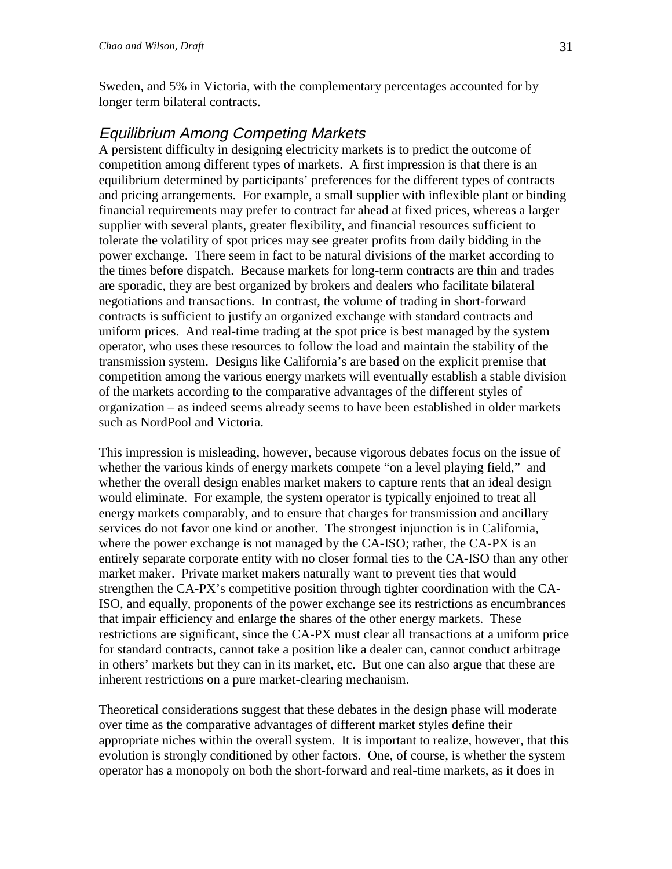Sweden, and 5% in Victoria, with the complementary percentages accounted for by longer term bilateral contracts.

## Equilibrium Among Competing Markets

A persistent difficulty in designing electricity markets is to predict the outcome of competition among different types of markets. A first impression is that there is an equilibrium determined by participants' preferences for the different types of contracts and pricing arrangements. For example, a small supplier with inflexible plant or binding financial requirements may prefer to contract far ahead at fixed prices, whereas a larger supplier with several plants, greater flexibility, and financial resources sufficient to tolerate the volatility of spot prices may see greater profits from daily bidding in the power exchange. There seem in fact to be natural divisions of the market according to the times before dispatch. Because markets for long-term contracts are thin and trades are sporadic, they are best organized by brokers and dealers who facilitate bilateral negotiations and transactions. In contrast, the volume of trading in short-forward contracts is sufficient to justify an organized exchange with standard contracts and uniform prices. And real-time trading at the spot price is best managed by the system operator, who uses these resources to follow the load and maintain the stability of the transmission system. Designs like California's are based on the explicit premise that competition among the various energy markets will eventually establish a stable division of the markets according to the comparative advantages of the different styles of organization – as indeed seems already seems to have been established in older markets such as NordPool and Victoria.

This impression is misleading, however, because vigorous debates focus on the issue of whether the various kinds of energy markets compete "on a level playing field," and whether the overall design enables market makers to capture rents that an ideal design would eliminate. For example, the system operator is typically enjoined to treat all energy markets comparably, and to ensure that charges for transmission and ancillary services do not favor one kind or another. The strongest injunction is in California, where the power exchange is not managed by the CA-ISO; rather, the CA-PX is an entirely separate corporate entity with no closer formal ties to the CA-ISO than any other market maker. Private market makers naturally want to prevent ties that would strengthen the CA-PX's competitive position through tighter coordination with the CA-ISO, and equally, proponents of the power exchange see its restrictions as encumbrances that impair efficiency and enlarge the shares of the other energy markets. These restrictions are significant, since the CA-PX must clear all transactions at a uniform price for standard contracts, cannot take a position like a dealer can, cannot conduct arbitrage in others' markets but they can in its market, etc. But one can also argue that these are inherent restrictions on a pure market-clearing mechanism.

Theoretical considerations suggest that these debates in the design phase will moderate over time as the comparative advantages of different market styles define their appropriate niches within the overall system. It is important to realize, however, that this evolution is strongly conditioned by other factors. One, of course, is whether the system operator has a monopoly on both the short-forward and real-time markets, as it does in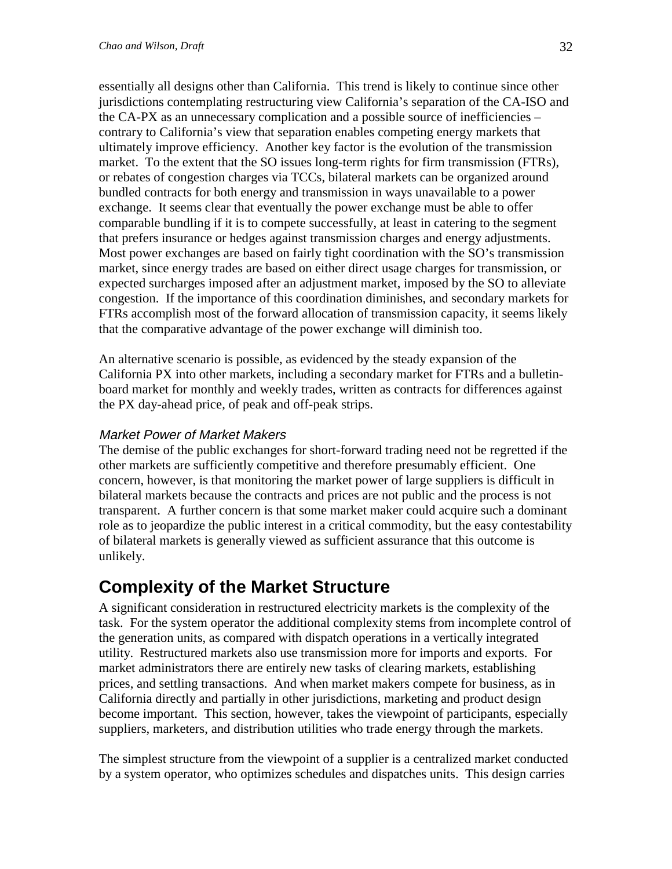essentially all designs other than California. This trend is likely to continue since other jurisdictions contemplating restructuring view California's separation of the CA-ISO and the CA-PX as an unnecessary complication and a possible source of inefficiencies – contrary to California's view that separation enables competing energy markets that ultimately improve efficiency. Another key factor is the evolution of the transmission market. To the extent that the SO issues long-term rights for firm transmission (FTRs), or rebates of congestion charges via TCCs, bilateral markets can be organized around bundled contracts for both energy and transmission in ways unavailable to a power exchange. It seems clear that eventually the power exchange must be able to offer comparable bundling if it is to compete successfully, at least in catering to the segment that prefers insurance or hedges against transmission charges and energy adjustments. Most power exchanges are based on fairly tight coordination with the SO's transmission market, since energy trades are based on either direct usage charges for transmission, or expected surcharges imposed after an adjustment market, imposed by the SO to alleviate congestion. If the importance of this coordination diminishes, and secondary markets for FTRs accomplish most of the forward allocation of transmission capacity, it seems likely that the comparative advantage of the power exchange will diminish too.

An alternative scenario is possible, as evidenced by the steady expansion of the California PX into other markets, including a secondary market for FTRs and a bulletinboard market for monthly and weekly trades, written as contracts for differences against the PX day-ahead price, of peak and off-peak strips.

#### Market Power of Market Makers

The demise of the public exchanges for short-forward trading need not be regretted if the other markets are sufficiently competitive and therefore presumably efficient. One concern, however, is that monitoring the market power of large suppliers is difficult in bilateral markets because the contracts and prices are not public and the process is not transparent. A further concern is that some market maker could acquire such a dominant role as to jeopardize the public interest in a critical commodity, but the easy contestability of bilateral markets is generally viewed as sufficient assurance that this outcome is unlikely.

# **Complexity of the Market Structure**

A significant consideration in restructured electricity markets is the complexity of the task. For the system operator the additional complexity stems from incomplete control of the generation units, as compared with dispatch operations in a vertically integrated utility. Restructured markets also use transmission more for imports and exports. For market administrators there are entirely new tasks of clearing markets, establishing prices, and settling transactions. And when market makers compete for business, as in California directly and partially in other jurisdictions, marketing and product design become important. This section, however, takes the viewpoint of participants, especially suppliers, marketers, and distribution utilities who trade energy through the markets.

The simplest structure from the viewpoint of a supplier is a centralized market conducted by a system operator, who optimizes schedules and dispatches units. This design carries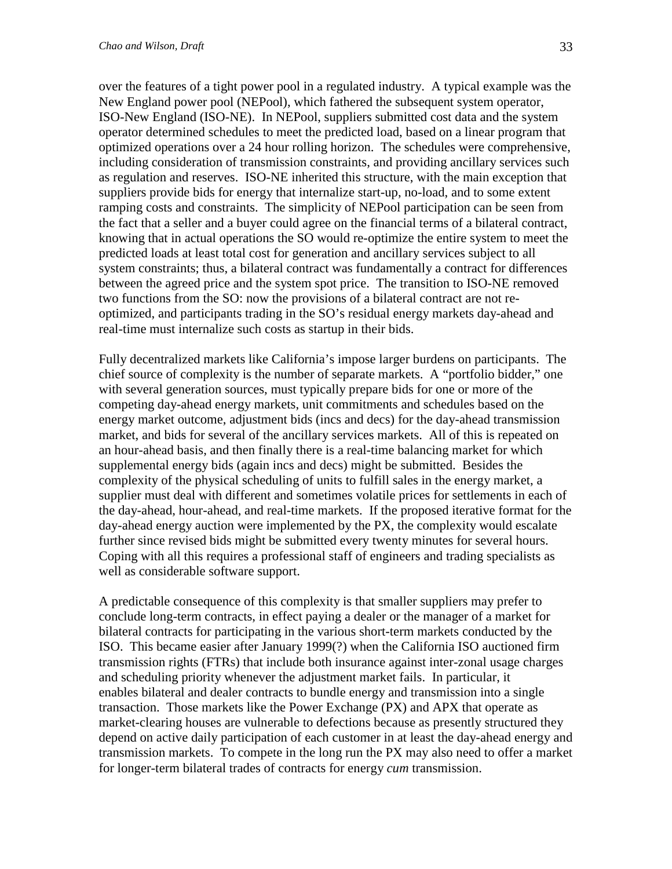over the features of a tight power pool in a regulated industry. A typical example was the New England power pool (NEPool), which fathered the subsequent system operator, ISO-New England (ISO-NE). In NEPool, suppliers submitted cost data and the system operator determined schedules to meet the predicted load, based on a linear program that optimized operations over a 24 hour rolling horizon. The schedules were comprehensive, including consideration of transmission constraints, and providing ancillary services such as regulation and reserves. ISO-NE inherited this structure, with the main exception that suppliers provide bids for energy that internalize start-up, no-load, and to some extent ramping costs and constraints. The simplicity of NEPool participation can be seen from the fact that a seller and a buyer could agree on the financial terms of a bilateral contract, knowing that in actual operations the SO would re-optimize the entire system to meet the predicted loads at least total cost for generation and ancillary services subject to all system constraints; thus, a bilateral contract was fundamentally a contract for differences between the agreed price and the system spot price. The transition to ISO-NE removed two functions from the SO: now the provisions of a bilateral contract are not reoptimized, and participants trading in the SO's residual energy markets day-ahead and real-time must internalize such costs as startup in their bids.

Fully decentralized markets like California's impose larger burdens on participants. The chief source of complexity is the number of separate markets. A "portfolio bidder," one with several generation sources, must typically prepare bids for one or more of the competing day-ahead energy markets, unit commitments and schedules based on the energy market outcome, adjustment bids (incs and decs) for the day-ahead transmission market, and bids for several of the ancillary services markets. All of this is repeated on an hour-ahead basis, and then finally there is a real-time balancing market for which supplemental energy bids (again incs and decs) might be submitted. Besides the complexity of the physical scheduling of units to fulfill sales in the energy market, a supplier must deal with different and sometimes volatile prices for settlements in each of the day-ahead, hour-ahead, and real-time markets. If the proposed iterative format for the day-ahead energy auction were implemented by the PX, the complexity would escalate further since revised bids might be submitted every twenty minutes for several hours. Coping with all this requires a professional staff of engineers and trading specialists as well as considerable software support.

A predictable consequence of this complexity is that smaller suppliers may prefer to conclude long-term contracts, in effect paying a dealer or the manager of a market for bilateral contracts for participating in the various short-term markets conducted by the ISO. This became easier after January 1999(?) when the California ISO auctioned firm transmission rights (FTRs) that include both insurance against inter-zonal usage charges and scheduling priority whenever the adjustment market fails. In particular, it enables bilateral and dealer contracts to bundle energy and transmission into a single transaction. Those markets like the Power Exchange (PX) and APX that operate as market-clearing houses are vulnerable to defections because as presently structured they depend on active daily participation of each customer in at least the day-ahead energy and transmission markets. To compete in the long run the PX may also need to offer a market for longer-term bilateral trades of contracts for energy *cum* transmission.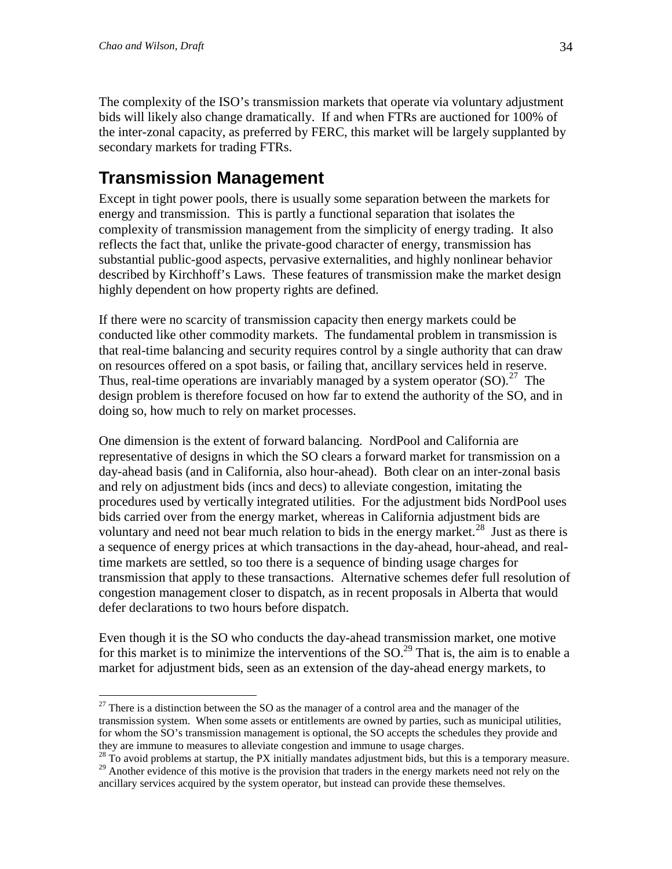The complexity of the ISO's transmission markets that operate via voluntary adjustment bids will likely also change dramatically. If and when FTRs are auctioned for 100% of the inter-zonal capacity, as preferred by FERC, this market will be largely supplanted by secondary markets for trading FTRs.

# **Transmission Management**

Except in tight power pools, there is usually some separation between the markets for energy and transmission. This is partly a functional separation that isolates the complexity of transmission management from the simplicity of energy trading. It also reflects the fact that, unlike the private-good character of energy, transmission has substantial public-good aspects, pervasive externalities, and highly nonlinear behavior described by Kirchhoff's Laws. These features of transmission make the market design highly dependent on how property rights are defined.

If there were no scarcity of transmission capacity then energy markets could be conducted like other commodity markets. The fundamental problem in transmission is that real-time balancing and security requires control by a single authority that can draw on resources offered on a spot basis, or failing that, ancillary services held in reserve. Thus, real-time operations are invariably managed by a system operator  $(SO)^{27}$  The design problem is therefore focused on how far to extend the authority of the SO, and in doing so, how much to rely on market processes.

One dimension is the extent of forward balancing. NordPool and California are representative of designs in which the SO clears a forward market for transmission on a day-ahead basis (and in California, also hour-ahead). Both clear on an inter-zonal basis and rely on adjustment bids (incs and decs) to alleviate congestion, imitating the procedures used by vertically integrated utilities. For the adjustment bids NordPool uses bids carried over from the energy market, whereas in California adjustment bids are voluntary and need not bear much relation to bids in the energy market.<sup>28</sup> Just as there is a sequence of energy prices at which transactions in the day-ahead, hour-ahead, and realtime markets are settled, so too there is a sequence of binding usage charges for transmission that apply to these transactions. Alternative schemes defer full resolution of congestion management closer to dispatch, as in recent proposals in Alberta that would defer declarations to two hours before dispatch.

Even though it is the SO who conducts the day-ahead transmission market, one motive for this market is to minimize the interventions of the  $SO<sup>29</sup>$  That is, the aim is to enable a market for adjustment bids, seen as an extension of the day-ahead energy markets, to

 $27$  There is a distinction between the SO as the manager of a control area and the manager of the transmission system. When some assets or entitlements are owned by parties, such as municipal utilities, for whom the SO's transmission management is optional, the SO accepts the schedules they provide and they are immune to measures to alleviate congestion and immune to usage charges.

 $28$  To avoid problems at startup, the PX initially mandates adjustment bids, but this is a temporary measure. <sup>29</sup> Another evidence of this motive is the provision that traders in the energy markets need not rely on the ancillary services acquired by the system operator, but instead can provide these themselves.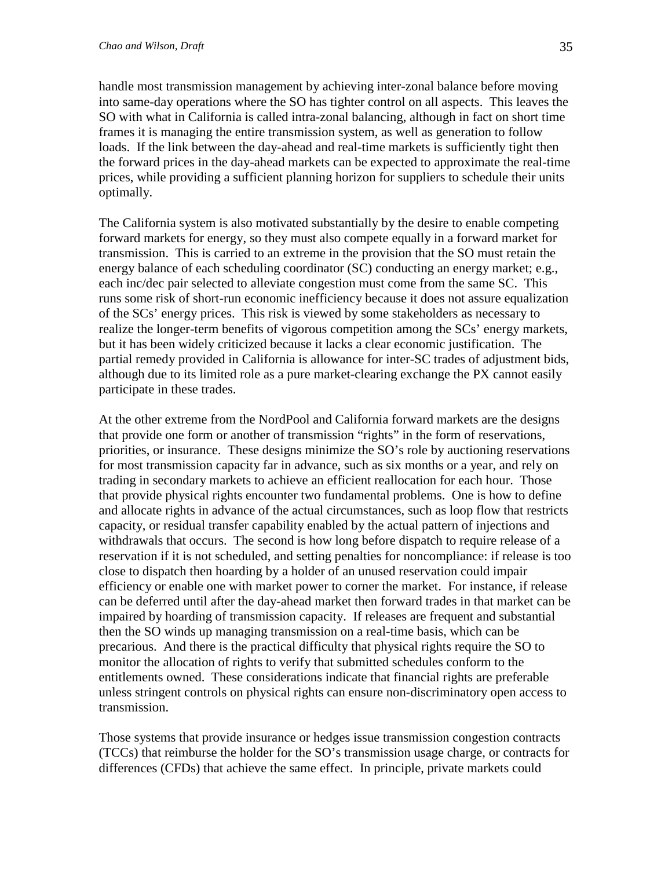handle most transmission management by achieving inter-zonal balance before moving into same-day operations where the SO has tighter control on all aspects. This leaves the SO with what in California is called intra-zonal balancing, although in fact on short time frames it is managing the entire transmission system, as well as generation to follow loads. If the link between the day-ahead and real-time markets is sufficiently tight then the forward prices in the day-ahead markets can be expected to approximate the real-time prices, while providing a sufficient planning horizon for suppliers to schedule their units optimally.

The California system is also motivated substantially by the desire to enable competing forward markets for energy, so they must also compete equally in a forward market for transmission. This is carried to an extreme in the provision that the SO must retain the energy balance of each scheduling coordinator (SC) conducting an energy market; e.g., each inc/dec pair selected to alleviate congestion must come from the same SC. This runs some risk of short-run economic inefficiency because it does not assure equalization of the SCs' energy prices. This risk is viewed by some stakeholders as necessary to realize the longer-term benefits of vigorous competition among the SCs' energy markets, but it has been widely criticized because it lacks a clear economic justification. The partial remedy provided in California is allowance for inter-SC trades of adjustment bids, although due to its limited role as a pure market-clearing exchange the PX cannot easily participate in these trades.

At the other extreme from the NordPool and California forward markets are the designs that provide one form or another of transmission "rights" in the form of reservations, priorities, or insurance. These designs minimize the SO's role by auctioning reservations for most transmission capacity far in advance, such as six months or a year, and rely on trading in secondary markets to achieve an efficient reallocation for each hour. Those that provide physical rights encounter two fundamental problems. One is how to define and allocate rights in advance of the actual circumstances, such as loop flow that restricts capacity, or residual transfer capability enabled by the actual pattern of injections and withdrawals that occurs. The second is how long before dispatch to require release of a reservation if it is not scheduled, and setting penalties for noncompliance: if release is too close to dispatch then hoarding by a holder of an unused reservation could impair efficiency or enable one with market power to corner the market. For instance, if release can be deferred until after the day-ahead market then forward trades in that market can be impaired by hoarding of transmission capacity. If releases are frequent and substantial then the SO winds up managing transmission on a real-time basis, which can be precarious. And there is the practical difficulty that physical rights require the SO to monitor the allocation of rights to verify that submitted schedules conform to the entitlements owned. These considerations indicate that financial rights are preferable unless stringent controls on physical rights can ensure non-discriminatory open access to transmission.

Those systems that provide insurance or hedges issue transmission congestion contracts (TCCs) that reimburse the holder for the SO's transmission usage charge, or contracts for differences (CFDs) that achieve the same effect. In principle, private markets could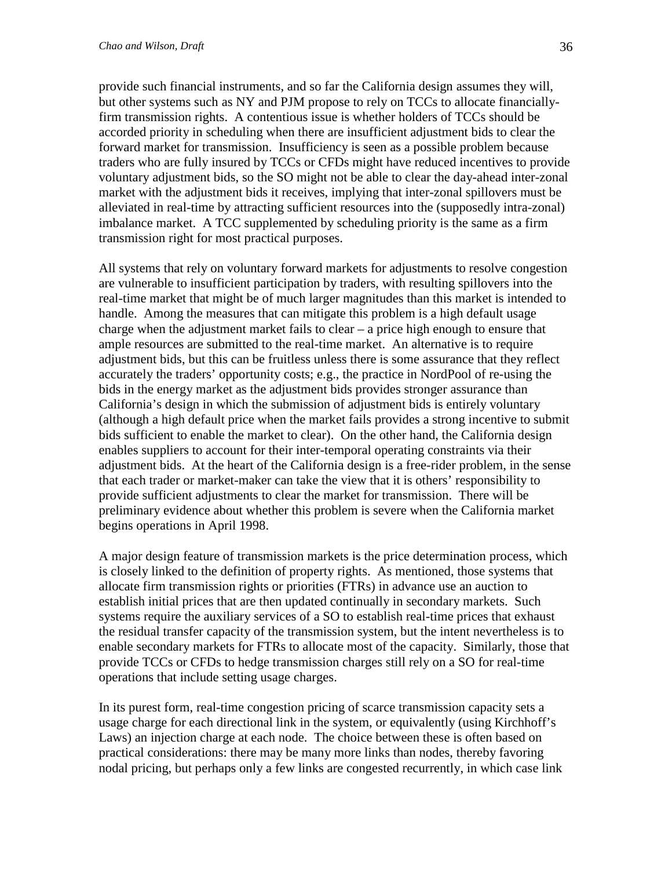provide such financial instruments, and so far the California design assumes they will, but other systems such as NY and PJM propose to rely on TCCs to allocate financiallyfirm transmission rights. A contentious issue is whether holders of TCCs should be accorded priority in scheduling when there are insufficient adjustment bids to clear the forward market for transmission. Insufficiency is seen as a possible problem because traders who are fully insured by TCCs or CFDs might have reduced incentives to provide voluntary adjustment bids, so the SO might not be able to clear the day-ahead inter-zonal market with the adjustment bids it receives, implying that inter-zonal spillovers must be alleviated in real-time by attracting sufficient resources into the (supposedly intra-zonal) imbalance market. A TCC supplemented by scheduling priority is the same as a firm transmission right for most practical purposes.

All systems that rely on voluntary forward markets for adjustments to resolve congestion are vulnerable to insufficient participation by traders, with resulting spillovers into the real-time market that might be of much larger magnitudes than this market is intended to handle. Among the measures that can mitigate this problem is a high default usage charge when the adjustment market fails to clear – a price high enough to ensure that ample resources are submitted to the real-time market. An alternative is to require adjustment bids, but this can be fruitless unless there is some assurance that they reflect accurately the traders' opportunity costs; e.g., the practice in NordPool of re-using the bids in the energy market as the adjustment bids provides stronger assurance than California's design in which the submission of adjustment bids is entirely voluntary (although a high default price when the market fails provides a strong incentive to submit bids sufficient to enable the market to clear). On the other hand, the California design enables suppliers to account for their inter-temporal operating constraints via their adjustment bids. At the heart of the California design is a free-rider problem, in the sense that each trader or market-maker can take the view that it is others' responsibility to provide sufficient adjustments to clear the market for transmission. There will be preliminary evidence about whether this problem is severe when the California market begins operations in April 1998.

A major design feature of transmission markets is the price determination process, which is closely linked to the definition of property rights. As mentioned, those systems that allocate firm transmission rights or priorities (FTRs) in advance use an auction to establish initial prices that are then updated continually in secondary markets. Such systems require the auxiliary services of a SO to establish real-time prices that exhaust the residual transfer capacity of the transmission system, but the intent nevertheless is to enable secondary markets for FTRs to allocate most of the capacity. Similarly, those that provide TCCs or CFDs to hedge transmission charges still rely on a SO for real-time operations that include setting usage charges.

In its purest form, real-time congestion pricing of scarce transmission capacity sets a usage charge for each directional link in the system, or equivalently (using Kirchhoff's Laws) an injection charge at each node. The choice between these is often based on practical considerations: there may be many more links than nodes, thereby favoring nodal pricing, but perhaps only a few links are congested recurrently, in which case link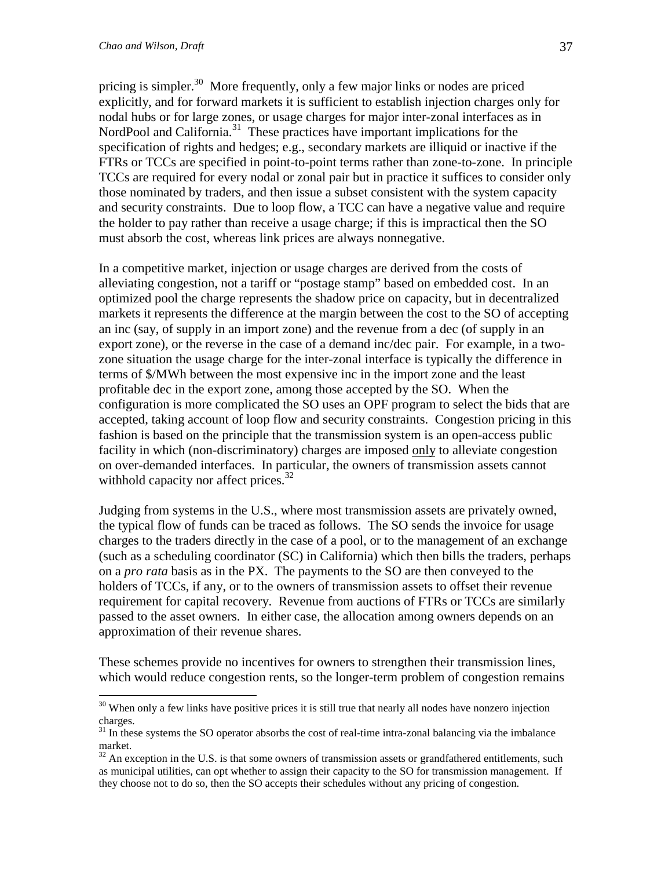pricing is simpler.<sup>30</sup> More frequently, only a few major links or nodes are priced explicitly, and for forward markets it is sufficient to establish injection charges only for nodal hubs or for large zones, or usage charges for major inter-zonal interfaces as in NordPool and California.<sup>31</sup> These practices have important implications for the specification of rights and hedges; e.g., secondary markets are illiquid or inactive if the FTRs or TCCs are specified in point-to-point terms rather than zone-to-zone. In principle TCCs are required for every nodal or zonal pair but in practice it suffices to consider only those nominated by traders, and then issue a subset consistent with the system capacity and security constraints. Due to loop flow, a TCC can have a negative value and require the holder to pay rather than receive a usage charge; if this is impractical then the SO must absorb the cost, whereas link prices are always nonnegative.

In a competitive market, injection or usage charges are derived from the costs of alleviating congestion, not a tariff or "postage stamp" based on embedded cost. In an optimized pool the charge represents the shadow price on capacity, but in decentralized markets it represents the difference at the margin between the cost to the SO of accepting an inc (say, of supply in an import zone) and the revenue from a dec (of supply in an export zone), or the reverse in the case of a demand inc/dec pair. For example, in a twozone situation the usage charge for the inter-zonal interface is typically the difference in terms of \$/MWh between the most expensive inc in the import zone and the least profitable dec in the export zone, among those accepted by the SO. When the configuration is more complicated the SO uses an OPF program to select the bids that are accepted, taking account of loop flow and security constraints. Congestion pricing in this fashion is based on the principle that the transmission system is an open-access public facility in which (non-discriminatory) charges are imposed only to alleviate congestion on over-demanded interfaces. In particular, the owners of transmission assets cannot withhold capacity nor affect prices.<sup>32</sup>

Judging from systems in the U.S., where most transmission assets are privately owned, the typical flow of funds can be traced as follows. The SO sends the invoice for usage charges to the traders directly in the case of a pool, or to the management of an exchange (such as a scheduling coordinator (SC) in California) which then bills the traders, perhaps on a *pro rata* basis as in the PX. The payments to the SO are then conveyed to the holders of TCCs, if any, or to the owners of transmission assets to offset their revenue requirement for capital recovery. Revenue from auctions of FTRs or TCCs are similarly passed to the asset owners. In either case, the allocation among owners depends on an approximation of their revenue shares.

These schemes provide no incentives for owners to strengthen their transmission lines, which would reduce congestion rents, so the longer-term problem of congestion remains

 $30$  When only a few links have positive prices it is still true that nearly all nodes have nonzero injection charges.

 $31$  In these systems the SO operator absorbs the cost of real-time intra-zonal balancing via the imbalance market.

 $32$  An exception in the U.S. is that some owners of transmission assets or grandfathered entitlements, such as municipal utilities, can opt whether to assign their capacity to the SO for transmission management. If they choose not to do so, then the SO accepts their schedules without any pricing of congestion.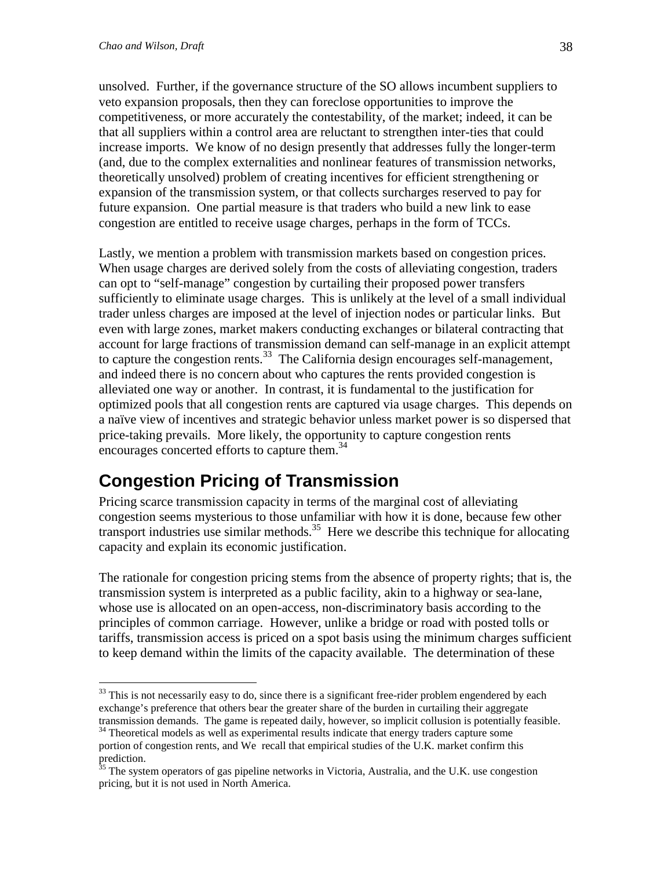unsolved. Further, if the governance structure of the SO allows incumbent suppliers to veto expansion proposals, then they can foreclose opportunities to improve the competitiveness, or more accurately the contestability, of the market; indeed, it can be that all suppliers within a control area are reluctant to strengthen inter-ties that could increase imports. We know of no design presently that addresses fully the longer-term (and, due to the complex externalities and nonlinear features of transmission networks, theoretically unsolved) problem of creating incentives for efficient strengthening or expansion of the transmission system, or that collects surcharges reserved to pay for future expansion. One partial measure is that traders who build a new link to ease congestion are entitled to receive usage charges, perhaps in the form of TCCs.

Lastly, we mention a problem with transmission markets based on congestion prices. When usage charges are derived solely from the costs of alleviating congestion, traders can opt to "self-manage" congestion by curtailing their proposed power transfers sufficiently to eliminate usage charges. This is unlikely at the level of a small individual trader unless charges are imposed at the level of injection nodes or particular links. But even with large zones, market makers conducting exchanges or bilateral contracting that account for large fractions of transmission demand can self-manage in an explicit attempt to capture the congestion rents.<sup>33</sup> The California design encourages self-management, and indeed there is no concern about who captures the rents provided congestion is alleviated one way or another. In contrast, it is fundamental to the justification for optimized pools that all congestion rents are captured via usage charges. This depends on a naïve view of incentives and strategic behavior unless market power is so dispersed that price-taking prevails. More likely, the opportunity to capture congestion rents encourages concerted efforts to capture them.<sup>34</sup>

## **Congestion Pricing of Transmission**

Pricing scarce transmission capacity in terms of the marginal cost of alleviating congestion seems mysterious to those unfamiliar with how it is done, because few other transport industries use similar methods.<sup>35</sup> Here we describe this technique for allocating capacity and explain its economic justification.

The rationale for congestion pricing stems from the absence of property rights; that is, the transmission system is interpreted as a public facility, akin to a highway or sea-lane, whose use is allocated on an open-access, non-discriminatory basis according to the principles of common carriage. However, unlike a bridge or road with posted tolls or tariffs, transmission access is priced on a spot basis using the minimum charges sufficient to keep demand within the limits of the capacity available. The determination of these

 $\overline{a}$  $33$  This is not necessarily easy to do, since there is a significant free-rider problem engendered by each exchange's preference that others bear the greater share of the burden in curtailing their aggregate transmission demands. The game is repeated daily, however, so implicit collusion is potentially feasible.

<sup>&</sup>lt;sup>34</sup> Theoretical models as well as experimental results indicate that energy traders capture some portion of congestion rents, and We recall that empirical studies of the U.K. market confirm this prediction.

<sup>&</sup>lt;sup>35</sup> The system operators of gas pipeline networks in Victoria, Australia, and the U.K. use congestion pricing, but it is not used in North America.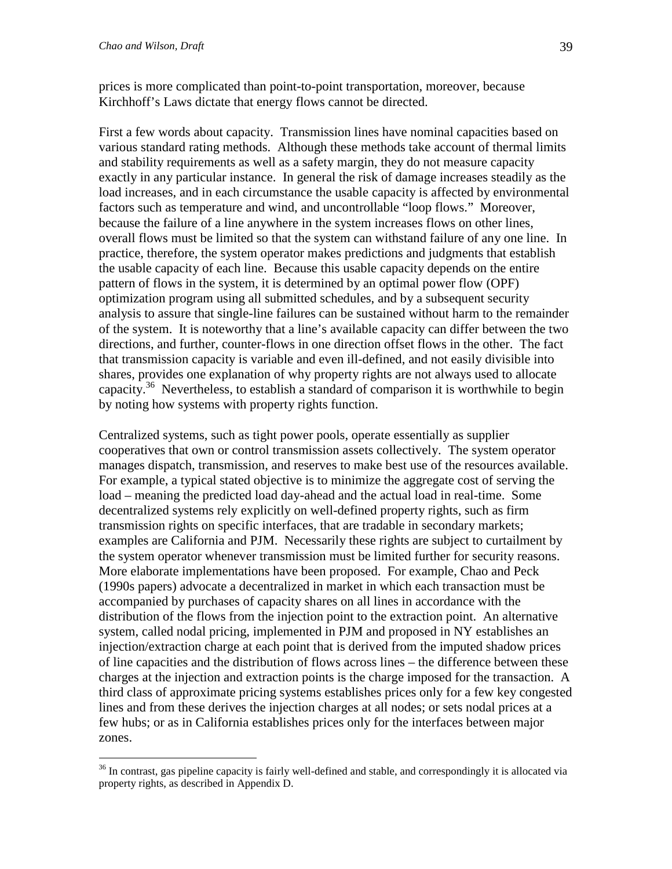prices is more complicated than point-to-point transportation, moreover, because Kirchhoff's Laws dictate that energy flows cannot be directed.

First a few words about capacity. Transmission lines have nominal capacities based on various standard rating methods. Although these methods take account of thermal limits and stability requirements as well as a safety margin, they do not measure capacity exactly in any particular instance. In general the risk of damage increases steadily as the load increases, and in each circumstance the usable capacity is affected by environmental factors such as temperature and wind, and uncontrollable "loop flows." Moreover, because the failure of a line anywhere in the system increases flows on other lines, overall flows must be limited so that the system can withstand failure of any one line. In practice, therefore, the system operator makes predictions and judgments that establish the usable capacity of each line. Because this usable capacity depends on the entire pattern of flows in the system, it is determined by an optimal power flow (OPF) optimization program using all submitted schedules, and by a subsequent security analysis to assure that single-line failures can be sustained without harm to the remainder of the system. It is noteworthy that a line's available capacity can differ between the two directions, and further, counter-flows in one direction offset flows in the other. The fact that transmission capacity is variable and even ill-defined, and not easily divisible into shares, provides one explanation of why property rights are not always used to allocate capacity.<sup>36</sup> Nevertheless, to establish a standard of comparison it is worthwhile to begin by noting how systems with property rights function.

Centralized systems, such as tight power pools, operate essentially as supplier cooperatives that own or control transmission assets collectively. The system operator manages dispatch, transmission, and reserves to make best use of the resources available. For example, a typical stated objective is to minimize the aggregate cost of serving the load – meaning the predicted load day-ahead and the actual load in real-time. Some decentralized systems rely explicitly on well-defined property rights, such as firm transmission rights on specific interfaces, that are tradable in secondary markets; examples are California and PJM. Necessarily these rights are subject to curtailment by the system operator whenever transmission must be limited further for security reasons. More elaborate implementations have been proposed. For example, Chao and Peck (1990s papers) advocate a decentralized in market in which each transaction must be accompanied by purchases of capacity shares on all lines in accordance with the distribution of the flows from the injection point to the extraction point. An alternative system, called nodal pricing, implemented in PJM and proposed in NY establishes an injection/extraction charge at each point that is derived from the imputed shadow prices of line capacities and the distribution of flows across lines – the difference between these charges at the injection and extraction points is the charge imposed for the transaction. A third class of approximate pricing systems establishes prices only for a few key congested lines and from these derives the injection charges at all nodes; or sets nodal prices at a few hubs; or as in California establishes prices only for the interfaces between major zones.

 $36$  In contrast, gas pipeline capacity is fairly well-defined and stable, and correspondingly it is allocated via property rights, as described in Appendix D.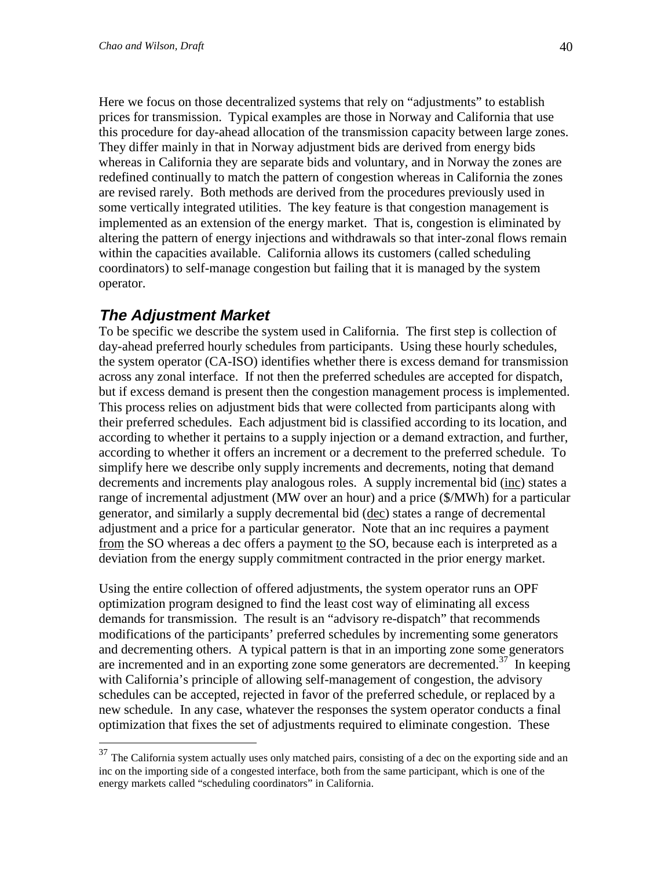Here we focus on those decentralized systems that rely on "adjustments" to establish prices for transmission. Typical examples are those in Norway and California that use this procedure for day-ahead allocation of the transmission capacity between large zones. They differ mainly in that in Norway adjustment bids are derived from energy bids whereas in California they are separate bids and voluntary, and in Norway the zones are redefined continually to match the pattern of congestion whereas in California the zones are revised rarely. Both methods are derived from the procedures previously used in some vertically integrated utilities. The key feature is that congestion management is implemented as an extension of the energy market. That is, congestion is eliminated by altering the pattern of energy injections and withdrawals so that inter-zonal flows remain within the capacities available. California allows its customers (called scheduling coordinators) to self-manage congestion but failing that it is managed by the system operator.

### **The Adjustment Market**

 $\overline{a}$ 

To be specific we describe the system used in California. The first step is collection of day-ahead preferred hourly schedules from participants. Using these hourly schedules, the system operator (CA-ISO) identifies whether there is excess demand for transmission across any zonal interface. If not then the preferred schedules are accepted for dispatch, but if excess demand is present then the congestion management process is implemented. This process relies on adjustment bids that were collected from participants along with their preferred schedules. Each adjustment bid is classified according to its location, and according to whether it pertains to a supply injection or a demand extraction, and further, according to whether it offers an increment or a decrement to the preferred schedule. To simplify here we describe only supply increments and decrements, noting that demand decrements and increments play analogous roles. A supply incremental bid (inc) states a range of incremental adjustment (MW over an hour) and a price (\$/MWh) for a particular generator, and similarly a supply decremental bid (dec) states a range of decremental adjustment and a price for a particular generator. Note that an inc requires a payment from the SO whereas a dec offers a payment to the SO, because each is interpreted as a deviation from the energy supply commitment contracted in the prior energy market.

Using the entire collection of offered adjustments, the system operator runs an OPF optimization program designed to find the least cost way of eliminating all excess demands for transmission. The result is an "advisory re-dispatch" that recommends modifications of the participants' preferred schedules by incrementing some generators and decrementing others. A typical pattern is that in an importing zone some generators are incremented and in an exporting zone some generators are decremented.<sup>37</sup> In keeping with California's principle of allowing self-management of congestion, the advisory schedules can be accepted, rejected in favor of the preferred schedule, or replaced by a new schedule. In any case, whatever the responses the system operator conducts a final optimization that fixes the set of adjustments required to eliminate congestion. These

 $37$  The California system actually uses only matched pairs, consisting of a dec on the exporting side and an inc on the importing side of a congested interface, both from the same participant, which is one of the energy markets called "scheduling coordinators" in California.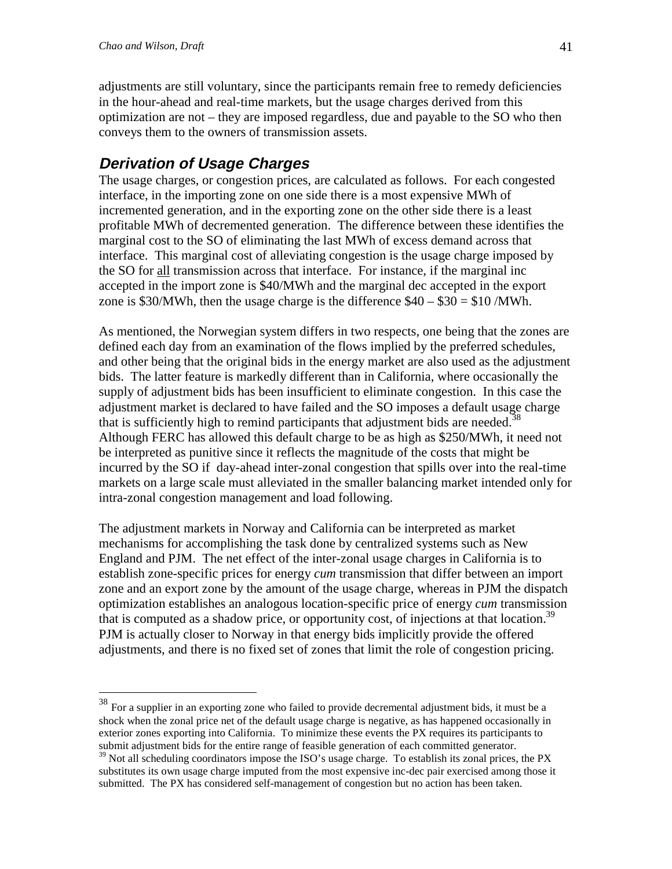adjustments are still voluntary, since the participants remain free to remedy deficiencies in the hour-ahead and real-time markets, but the usage charges derived from this optimization are not – they are imposed regardless, due and payable to the SO who then conveys them to the owners of transmission assets.

### **Derivation of Usage Charges**

The usage charges, or congestion prices, are calculated as follows. For each congested interface, in the importing zone on one side there is a most expensive MWh of incremented generation, and in the exporting zone on the other side there is a least profitable MWh of decremented generation. The difference between these identifies the marginal cost to the SO of eliminating the last MWh of excess demand across that interface. This marginal cost of alleviating congestion is the usage charge imposed by the SO for all transmission across that interface. For instance, if the marginal inc accepted in the import zone is \$40/MWh and the marginal dec accepted in the export zone is \$30/MWh, then the usage charge is the difference  $$40 - $30 = $10$  /MWh.

As mentioned, the Norwegian system differs in two respects, one being that the zones are defined each day from an examination of the flows implied by the preferred schedules, and other being that the original bids in the energy market are also used as the adjustment bids. The latter feature is markedly different than in California, where occasionally the supply of adjustment bids has been insufficient to eliminate congestion. In this case the adjustment market is declared to have failed and the SO imposes a default usage charge that is sufficiently high to remind participants that adjustment bids are needed.<sup>38</sup> Although FERC has allowed this default charge to be as high as \$250/MWh, it need not be interpreted as punitive since it reflects the magnitude of the costs that might be incurred by the SO if day-ahead inter-zonal congestion that spills over into the real-time markets on a large scale must alleviated in the smaller balancing market intended only for intra-zonal congestion management and load following.

The adjustment markets in Norway and California can be interpreted as market mechanisms for accomplishing the task done by centralized systems such as New England and PJM. The net effect of the inter-zonal usage charges in California is to establish zone-specific prices for energy *cum* transmission that differ between an import zone and an export zone by the amount of the usage charge, whereas in PJM the dispatch optimization establishes an analogous location-specific price of energy *cum* transmission that is computed as a shadow price, or opportunity cost, of injections at that location.<sup>39</sup> PJM is actually closer to Norway in that energy bids implicitly provide the offered adjustments, and there is no fixed set of zones that limit the role of congestion pricing.

<sup>&</sup>lt;sup>38</sup> For a supplier in an exporting zone who failed to provide decremental adjustment bids, it must be a shock when the zonal price net of the default usage charge is negative, as has happened occasionally in exterior zones exporting into California. To minimize these events the PX requires its participants to submit adjustment bids for the entire range of feasible generation of each committed generator.

<sup>&</sup>lt;sup>39</sup> Not all scheduling coordinators impose the ISO's usage charge. To establish its zonal prices, the PX substitutes its own usage charge imputed from the most expensive inc-dec pair exercised among those it submitted. The PX has considered self-management of congestion but no action has been taken.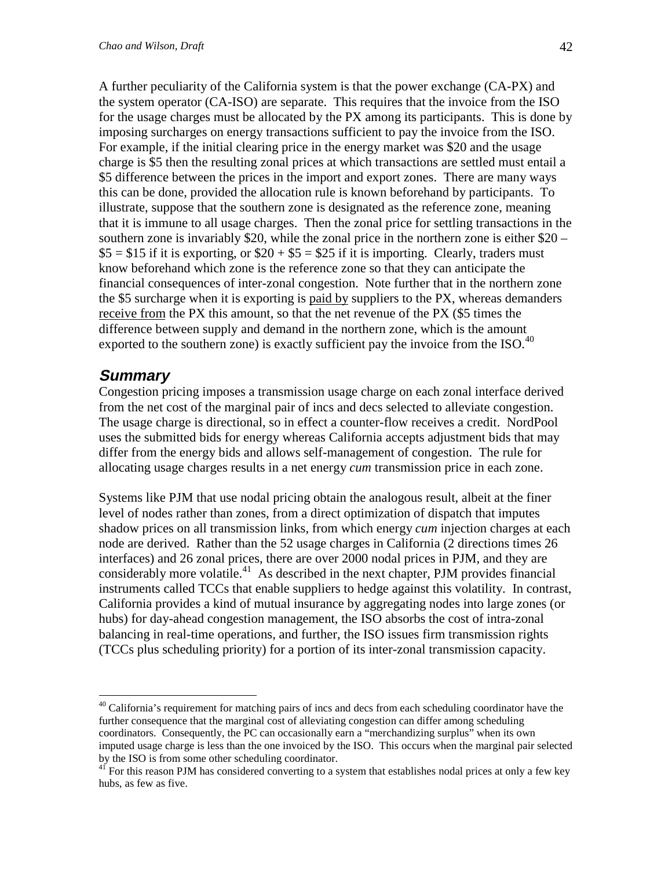A further peculiarity of the California system is that the power exchange (CA-PX) and the system operator (CA-ISO) are separate. This requires that the invoice from the ISO for the usage charges must be allocated by the PX among its participants. This is done by imposing surcharges on energy transactions sufficient to pay the invoice from the ISO. For example, if the initial clearing price in the energy market was \$20 and the usage charge is \$5 then the resulting zonal prices at which transactions are settled must entail a \$5 difference between the prices in the import and export zones. There are many ways this can be done, provided the allocation rule is known beforehand by participants. To illustrate, suppose that the southern zone is designated as the reference zone, meaning that it is immune to all usage charges. Then the zonal price for settling transactions in the southern zone is invariably \$20, while the zonal price in the northern zone is either \$20 –  $$5 = $15$  if it is exporting, or  $$20 + $5 = $25$  if it is importing. Clearly, traders must know beforehand which zone is the reference zone so that they can anticipate the financial consequences of inter-zonal congestion. Note further that in the northern zone the \$5 surcharge when it is exporting is paid by suppliers to the PX, whereas demanders receive from the PX this amount, so that the net revenue of the PX (\$5 times the difference between supply and demand in the northern zone, which is the amount exported to the southern zone) is exactly sufficient pay the invoice from the ISO.<sup>40</sup>

#### **Summary**

 $\overline{a}$ 

Congestion pricing imposes a transmission usage charge on each zonal interface derived from the net cost of the marginal pair of incs and decs selected to alleviate congestion. The usage charge is directional, so in effect a counter-flow receives a credit. NordPool uses the submitted bids for energy whereas California accepts adjustment bids that may differ from the energy bids and allows self-management of congestion. The rule for allocating usage charges results in a net energy *cum* transmission price in each zone.

Systems like PJM that use nodal pricing obtain the analogous result, albeit at the finer level of nodes rather than zones, from a direct optimization of dispatch that imputes shadow prices on all transmission links, from which energy *cum* injection charges at each node are derived. Rather than the 52 usage charges in California (2 directions times 26 interfaces) and 26 zonal prices, there are over 2000 nodal prices in PJM, and they are considerably more volatile.<sup>41</sup> As described in the next chapter, PJM provides financial instruments called TCCs that enable suppliers to hedge against this volatility. In contrast, California provides a kind of mutual insurance by aggregating nodes into large zones (or hubs) for day-ahead congestion management, the ISO absorbs the cost of intra-zonal balancing in real-time operations, and further, the ISO issues firm transmission rights (TCCs plus scheduling priority) for a portion of its inter-zonal transmission capacity.

<sup>&</sup>lt;sup>40</sup> California's requirement for matching pairs of incs and decs from each scheduling coordinator have the further consequence that the marginal cost of alleviating congestion can differ among scheduling coordinators. Consequently, the PC can occasionally earn a "merchandizing surplus" when its own imputed usage charge is less than the one invoiced by the ISO. This occurs when the marginal pair selected by the ISO is from some other scheduling coordinator.

<sup>&</sup>lt;sup>41</sup> For this reason PJM has considered converting to a system that establishes nodal prices at only a few key hubs, as few as five.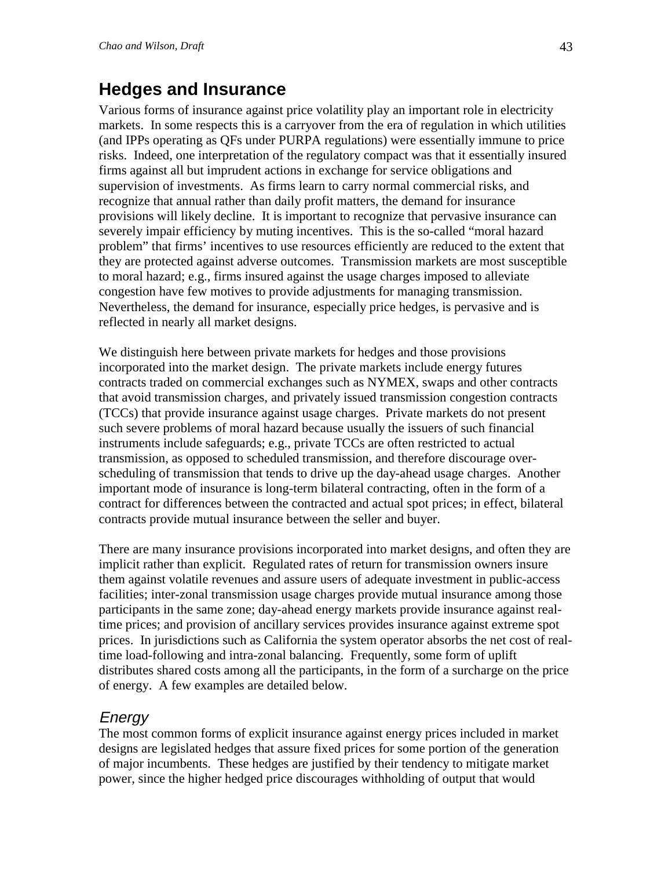## **Hedges and Insurance**

Various forms of insurance against price volatility play an important role in electricity markets. In some respects this is a carryover from the era of regulation in which utilities (and IPPs operating as QFs under PURPA regulations) were essentially immune to price risks. Indeed, one interpretation of the regulatory compact was that it essentially insured firms against all but imprudent actions in exchange for service obligations and supervision of investments. As firms learn to carry normal commercial risks, and recognize that annual rather than daily profit matters, the demand for insurance provisions will likely decline. It is important to recognize that pervasive insurance can severely impair efficiency by muting incentives. This is the so-called "moral hazard problem" that firms' incentives to use resources efficiently are reduced to the extent that they are protected against adverse outcomes. Transmission markets are most susceptible to moral hazard; e.g., firms insured against the usage charges imposed to alleviate congestion have few motives to provide adjustments for managing transmission. Nevertheless, the demand for insurance, especially price hedges, is pervasive and is reflected in nearly all market designs.

We distinguish here between private markets for hedges and those provisions incorporated into the market design. The private markets include energy futures contracts traded on commercial exchanges such as NYMEX, swaps and other contracts that avoid transmission charges, and privately issued transmission congestion contracts (TCCs) that provide insurance against usage charges. Private markets do not present such severe problems of moral hazard because usually the issuers of such financial instruments include safeguards; e.g., private TCCs are often restricted to actual transmission, as opposed to scheduled transmission, and therefore discourage overscheduling of transmission that tends to drive up the day-ahead usage charges. Another important mode of insurance is long-term bilateral contracting, often in the form of a contract for differences between the contracted and actual spot prices; in effect, bilateral contracts provide mutual insurance between the seller and buyer.

There are many insurance provisions incorporated into market designs, and often they are implicit rather than explicit. Regulated rates of return for transmission owners insure them against volatile revenues and assure users of adequate investment in public-access facilities; inter-zonal transmission usage charges provide mutual insurance among those participants in the same zone; day-ahead energy markets provide insurance against realtime prices; and provision of ancillary services provides insurance against extreme spot prices. In jurisdictions such as California the system operator absorbs the net cost of realtime load-following and intra-zonal balancing. Frequently, some form of uplift distributes shared costs among all the participants, in the form of a surcharge on the price of energy. A few examples are detailed below.

### Energy

The most common forms of explicit insurance against energy prices included in market designs are legislated hedges that assure fixed prices for some portion of the generation of major incumbents. These hedges are justified by their tendency to mitigate market power, since the higher hedged price discourages withholding of output that would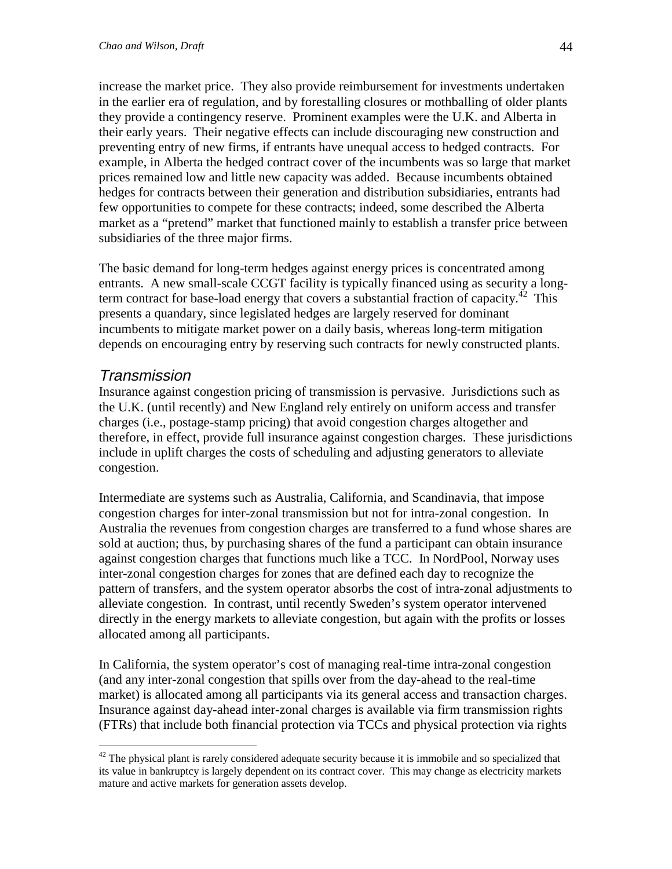increase the market price. They also provide reimbursement for investments undertaken in the earlier era of regulation, and by forestalling closures or mothballing of older plants they provide a contingency reserve. Prominent examples were the U.K. and Alberta in their early years. Their negative effects can include discouraging new construction and preventing entry of new firms, if entrants have unequal access to hedged contracts. For example, in Alberta the hedged contract cover of the incumbents was so large that market prices remained low and little new capacity was added. Because incumbents obtained hedges for contracts between their generation and distribution subsidiaries, entrants had few opportunities to compete for these contracts; indeed, some described the Alberta market as a "pretend" market that functioned mainly to establish a transfer price between subsidiaries of the three major firms.

The basic demand for long-term hedges against energy prices is concentrated among entrants. A new small-scale CCGT facility is typically financed using as security a longterm contract for base-load energy that covers a substantial fraction of capacity.<sup>42</sup> This presents a quandary, since legislated hedges are largely reserved for dominant incumbents to mitigate market power on a daily basis, whereas long-term mitigation depends on encouraging entry by reserving such contracts for newly constructed plants.

#### Transmission

 $\overline{a}$ 

Insurance against congestion pricing of transmission is pervasive. Jurisdictions such as the U.K. (until recently) and New England rely entirely on uniform access and transfer charges (i.e., postage-stamp pricing) that avoid congestion charges altogether and therefore, in effect, provide full insurance against congestion charges. These jurisdictions include in uplift charges the costs of scheduling and adjusting generators to alleviate congestion.

Intermediate are systems such as Australia, California, and Scandinavia, that impose congestion charges for inter-zonal transmission but not for intra-zonal congestion. In Australia the revenues from congestion charges are transferred to a fund whose shares are sold at auction; thus, by purchasing shares of the fund a participant can obtain insurance against congestion charges that functions much like a TCC. In NordPool, Norway uses inter-zonal congestion charges for zones that are defined each day to recognize the pattern of transfers, and the system operator absorbs the cost of intra-zonal adjustments to alleviate congestion. In contrast, until recently Sweden's system operator intervened directly in the energy markets to alleviate congestion, but again with the profits or losses allocated among all participants.

In California, the system operator's cost of managing real-time intra-zonal congestion (and any inter-zonal congestion that spills over from the day-ahead to the real-time market) is allocated among all participants via its general access and transaction charges. Insurance against day-ahead inter-zonal charges is available via firm transmission rights (FTRs) that include both financial protection via TCCs and physical protection via rights

 $42$  The physical plant is rarely considered adequate security because it is immobile and so specialized that its value in bankruptcy is largely dependent on its contract cover. This may change as electricity markets mature and active markets for generation assets develop.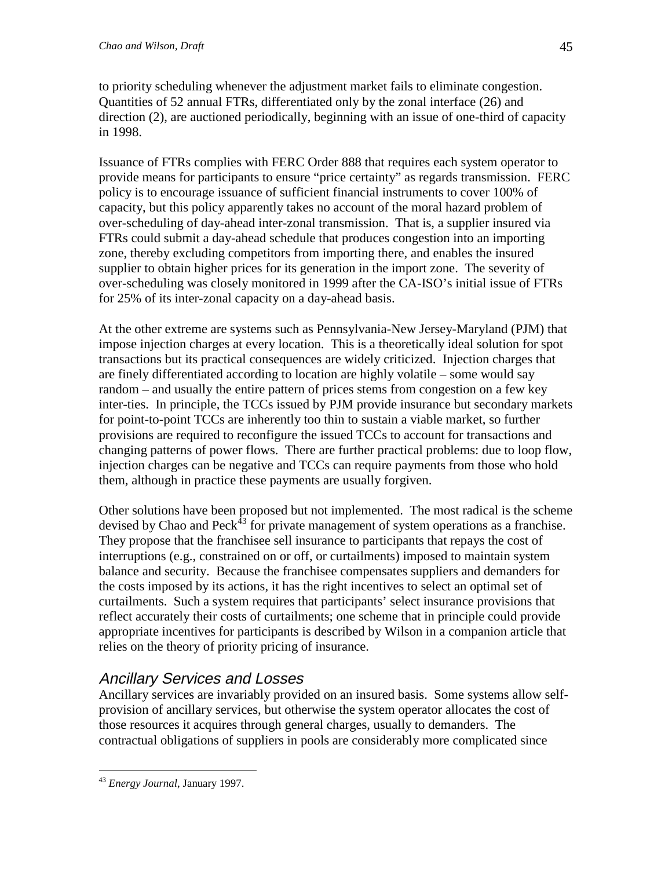to priority scheduling whenever the adjustment market fails to eliminate congestion. Quantities of 52 annual FTRs, differentiated only by the zonal interface (26) and direction (2), are auctioned periodically, beginning with an issue of one-third of capacity in 1998.

Issuance of FTRs complies with FERC Order 888 that requires each system operator to provide means for participants to ensure "price certainty" as regards transmission. FERC policy is to encourage issuance of sufficient financial instruments to cover 100% of capacity, but this policy apparently takes no account of the moral hazard problem of over-scheduling of day-ahead inter-zonal transmission. That is, a supplier insured via FTRs could submit a day-ahead schedule that produces congestion into an importing zone, thereby excluding competitors from importing there, and enables the insured supplier to obtain higher prices for its generation in the import zone. The severity of over-scheduling was closely monitored in 1999 after the CA-ISO's initial issue of FTRs for 25% of its inter-zonal capacity on a day-ahead basis.

At the other extreme are systems such as Pennsylvania-New Jersey-Maryland (PJM) that impose injection charges at every location. This is a theoretically ideal solution for spot transactions but its practical consequences are widely criticized. Injection charges that are finely differentiated according to location are highly volatile – some would say random – and usually the entire pattern of prices stems from congestion on a few key inter-ties. In principle, the TCCs issued by PJM provide insurance but secondary markets for point-to-point TCCs are inherently too thin to sustain a viable market, so further provisions are required to reconfigure the issued TCCs to account for transactions and changing patterns of power flows. There are further practical problems: due to loop flow, injection charges can be negative and TCCs can require payments from those who hold them, although in practice these payments are usually forgiven.

Other solutions have been proposed but not implemented. The most radical is the scheme devised by Chao and Peck<sup>43</sup> for private management of system operations as a franchise. They propose that the franchisee sell insurance to participants that repays the cost of interruptions (e.g., constrained on or off, or curtailments) imposed to maintain system balance and security. Because the franchisee compensates suppliers and demanders for the costs imposed by its actions, it has the right incentives to select an optimal set of curtailments. Such a system requires that participants' select insurance provisions that reflect accurately their costs of curtailments; one scheme that in principle could provide appropriate incentives for participants is described by Wilson in a companion article that relies on the theory of priority pricing of insurance.

### Ancillary Services and Losses

Ancillary services are invariably provided on an insured basis. Some systems allow selfprovision of ancillary services, but otherwise the system operator allocates the cost of those resources it acquires through general charges, usually to demanders. The contractual obligations of suppliers in pools are considerably more complicated since

 $\overline{a}$ 

<sup>43</sup> *Energy Journal*, January 1997.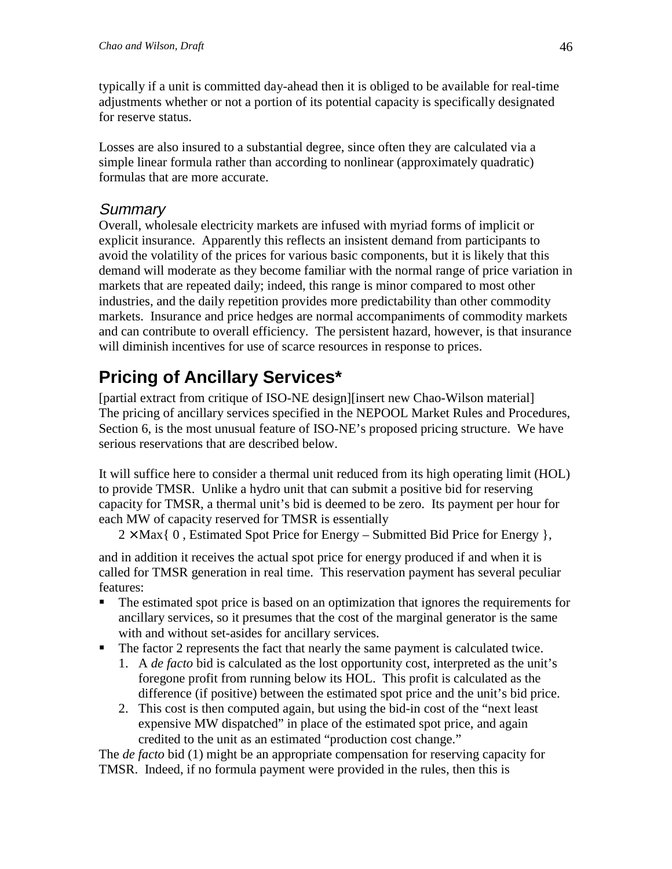typically if a unit is committed day-ahead then it is obliged to be available for real-time adjustments whether or not a portion of its potential capacity is specifically designated for reserve status.

Losses are also insured to a substantial degree, since often they are calculated via a simple linear formula rather than according to nonlinear (approximately quadratic) formulas that are more accurate.

### **Summary**

Overall, wholesale electricity markets are infused with myriad forms of implicit or explicit insurance. Apparently this reflects an insistent demand from participants to avoid the volatility of the prices for various basic components, but it is likely that this demand will moderate as they become familiar with the normal range of price variation in markets that are repeated daily; indeed, this range is minor compared to most other industries, and the daily repetition provides more predictability than other commodity markets. Insurance and price hedges are normal accompaniments of commodity markets and can contribute to overall efficiency. The persistent hazard, however, is that insurance will diminish incentives for use of scarce resources in response to prices.

# **Pricing of Ancillary Services\***

[partial extract from critique of ISO-NE design][insert new Chao-Wilson material] The pricing of ancillary services specified in the NEPOOL Market Rules and Procedures, Section 6, is the most unusual feature of ISO-NE's proposed pricing structure. We have serious reservations that are described below.

It will suffice here to consider a thermal unit reduced from its high operating limit (HOL) to provide TMSR. Unlike a hydro unit that can submit a positive bid for reserving capacity for TMSR, a thermal unit's bid is deemed to be zero. Its payment per hour for each MW of capacity reserved for TMSR is essentially

 $2 \times$  Max { 0, Estimated Spot Price for Energy – Submitted Bid Price for Energy },

and in addition it receives the actual spot price for energy produced if and when it is called for TMSR generation in real time. This reservation payment has several peculiar features:

- The estimated spot price is based on an optimization that ignores the requirements for ancillary services, so it presumes that the cost of the marginal generator is the same with and without set-asides for ancillary services.
- The factor 2 represents the fact that nearly the same payment is calculated twice.
	- 1. A *de facto* bid is calculated as the lost opportunity cost, interpreted as the unit's foregone profit from running below its HOL. This profit is calculated as the difference (if positive) between the estimated spot price and the unit's bid price.
	- 2. This cost is then computed again, but using the bid-in cost of the "next least expensive MW dispatched" in place of the estimated spot price, and again credited to the unit as an estimated "production cost change."

The *de facto* bid (1) might be an appropriate compensation for reserving capacity for TMSR. Indeed, if no formula payment were provided in the rules, then this is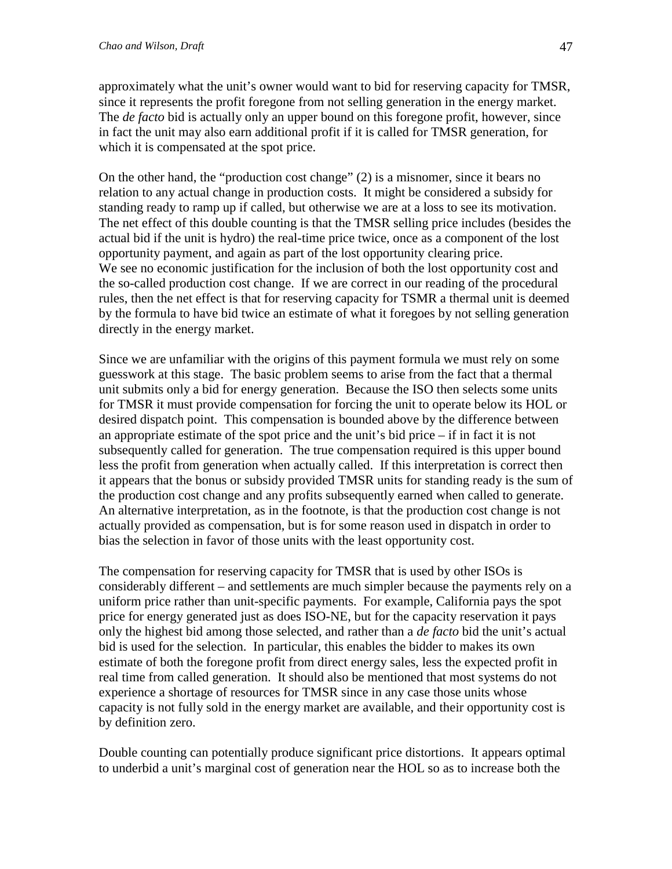approximately what the unit's owner would want to bid for reserving capacity for TMSR, since it represents the profit foregone from not selling generation in the energy market. The *de facto* bid is actually only an upper bound on this foregone profit, however, since in fact the unit may also earn additional profit if it is called for TMSR generation, for which it is compensated at the spot price.

On the other hand, the "production cost change" (2) is a misnomer, since it bears no relation to any actual change in production costs. It might be considered a subsidy for standing ready to ramp up if called, but otherwise we are at a loss to see its motivation. The net effect of this double counting is that the TMSR selling price includes (besides the actual bid if the unit is hydro) the real-time price twice, once as a component of the lost opportunity payment, and again as part of the lost opportunity clearing price. We see no economic justification for the inclusion of both the lost opportunity cost and the so-called production cost change. If we are correct in our reading of the procedural rules, then the net effect is that for reserving capacity for TSMR a thermal unit is deemed by the formula to have bid twice an estimate of what it foregoes by not selling generation directly in the energy market.

Since we are unfamiliar with the origins of this payment formula we must rely on some guesswork at this stage. The basic problem seems to arise from the fact that a thermal unit submits only a bid for energy generation. Because the ISO then selects some units for TMSR it must provide compensation for forcing the unit to operate below its HOL or desired dispatch point. This compensation is bounded above by the difference between an appropriate estimate of the spot price and the unit's bid price – if in fact it is not subsequently called for generation. The true compensation required is this upper bound less the profit from generation when actually called. If this interpretation is correct then it appears that the bonus or subsidy provided TMSR units for standing ready is the sum of the production cost change and any profits subsequently earned when called to generate. An alternative interpretation, as in the footnote, is that the production cost change is not actually provided as compensation, but is for some reason used in dispatch in order to bias the selection in favor of those units with the least opportunity cost.

The compensation for reserving capacity for TMSR that is used by other ISOs is considerably different – and settlements are much simpler because the payments rely on a uniform price rather than unit-specific payments. For example, California pays the spot price for energy generated just as does ISO-NE, but for the capacity reservation it pays only the highest bid among those selected, and rather than a *de facto* bid the unit's actual bid is used for the selection. In particular, this enables the bidder to makes its own estimate of both the foregone profit from direct energy sales, less the expected profit in real time from called generation. It should also be mentioned that most systems do not experience a shortage of resources for TMSR since in any case those units whose capacity is not fully sold in the energy market are available, and their opportunity cost is by definition zero.

Double counting can potentially produce significant price distortions. It appears optimal to underbid a unit's marginal cost of generation near the HOL so as to increase both the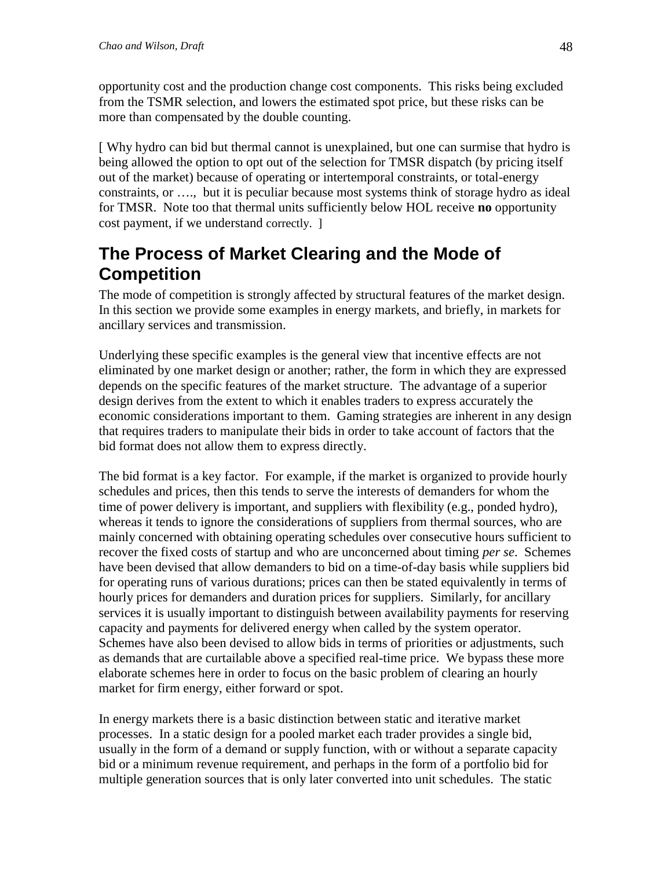opportunity cost and the production change cost components. This risks being excluded from the TSMR selection, and lowers the estimated spot price, but these risks can be more than compensated by the double counting.

[ Why hydro can bid but thermal cannot is unexplained, but one can surmise that hydro is being allowed the option to opt out of the selection for TMSR dispatch (by pricing itself out of the market) because of operating or intertemporal constraints, or total-energy constraints, or …., but it is peculiar because most systems think of storage hydro as ideal for TMSR. Note too that thermal units sufficiently below HOL receive **no** opportunity cost payment, if we understand correctly. ]

## **The Process of Market Clearing and the Mode of Competition**

The mode of competition is strongly affected by structural features of the market design. In this section we provide some examples in energy markets, and briefly, in markets for ancillary services and transmission.

Underlying these specific examples is the general view that incentive effects are not eliminated by one market design or another; rather, the form in which they are expressed depends on the specific features of the market structure. The advantage of a superior design derives from the extent to which it enables traders to express accurately the economic considerations important to them. Gaming strategies are inherent in any design that requires traders to manipulate their bids in order to take account of factors that the bid format does not allow them to express directly.

The bid format is a key factor. For example, if the market is organized to provide hourly schedules and prices, then this tends to serve the interests of demanders for whom the time of power delivery is important, and suppliers with flexibility (e.g., ponded hydro), whereas it tends to ignore the considerations of suppliers from thermal sources, who are mainly concerned with obtaining operating schedules over consecutive hours sufficient to recover the fixed costs of startup and who are unconcerned about timing *per se*. Schemes have been devised that allow demanders to bid on a time-of-day basis while suppliers bid for operating runs of various durations; prices can then be stated equivalently in terms of hourly prices for demanders and duration prices for suppliers. Similarly, for ancillary services it is usually important to distinguish between availability payments for reserving capacity and payments for delivered energy when called by the system operator. Schemes have also been devised to allow bids in terms of priorities or adjustments, such as demands that are curtailable above a specified real-time price. We bypass these more elaborate schemes here in order to focus on the basic problem of clearing an hourly market for firm energy, either forward or spot.

In energy markets there is a basic distinction between static and iterative market processes. In a static design for a pooled market each trader provides a single bid, usually in the form of a demand or supply function, with or without a separate capacity bid or a minimum revenue requirement, and perhaps in the form of a portfolio bid for multiple generation sources that is only later converted into unit schedules. The static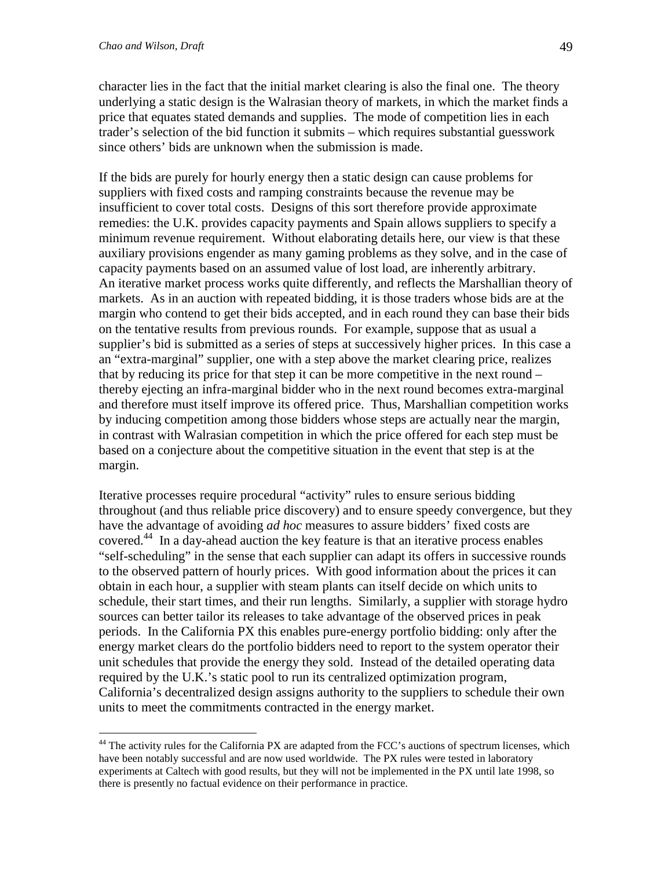character lies in the fact that the initial market clearing is also the final one. The theory underlying a static design is the Walrasian theory of markets, in which the market finds a price that equates stated demands and supplies. The mode of competition lies in each trader's selection of the bid function it submits – which requires substantial guesswork since others' bids are unknown when the submission is made.

If the bids are purely for hourly energy then a static design can cause problems for suppliers with fixed costs and ramping constraints because the revenue may be insufficient to cover total costs. Designs of this sort therefore provide approximate remedies: the U.K. provides capacity payments and Spain allows suppliers to specify a minimum revenue requirement. Without elaborating details here, our view is that these auxiliary provisions engender as many gaming problems as they solve, and in the case of capacity payments based on an assumed value of lost load, are inherently arbitrary. An iterative market process works quite differently, and reflects the Marshallian theory of markets. As in an auction with repeated bidding, it is those traders whose bids are at the margin who contend to get their bids accepted, and in each round they can base their bids on the tentative results from previous rounds. For example, suppose that as usual a supplier's bid is submitted as a series of steps at successively higher prices. In this case a an "extra-marginal" supplier, one with a step above the market clearing price, realizes that by reducing its price for that step it can be more competitive in the next round – thereby ejecting an infra-marginal bidder who in the next round becomes extra-marginal and therefore must itself improve its offered price. Thus, Marshallian competition works by inducing competition among those bidders whose steps are actually near the margin, in contrast with Walrasian competition in which the price offered for each step must be based on a conjecture about the competitive situation in the event that step is at the margin.

Iterative processes require procedural "activity" rules to ensure serious bidding throughout (and thus reliable price discovery) and to ensure speedy convergence, but they have the advantage of avoiding *ad hoc* measures to assure bidders' fixed costs are covered.<sup>44</sup> In a day-ahead auction the key feature is that an iterative process enables "self-scheduling" in the sense that each supplier can adapt its offers in successive rounds to the observed pattern of hourly prices. With good information about the prices it can obtain in each hour, a supplier with steam plants can itself decide on which units to schedule, their start times, and their run lengths. Similarly, a supplier with storage hydro sources can better tailor its releases to take advantage of the observed prices in peak periods. In the California PX this enables pure-energy portfolio bidding: only after the energy market clears do the portfolio bidders need to report to the system operator their unit schedules that provide the energy they sold. Instead of the detailed operating data required by the U.K.'s static pool to run its centralized optimization program, California's decentralized design assigns authority to the suppliers to schedule their own units to meet the commitments contracted in the energy market.

<sup>&</sup>lt;sup>44</sup> The activity rules for the California PX are adapted from the FCC's auctions of spectrum licenses, which have been notably successful and are now used worldwide. The PX rules were tested in laboratory experiments at Caltech with good results, but they will not be implemented in the PX until late 1998, so there is presently no factual evidence on their performance in practice.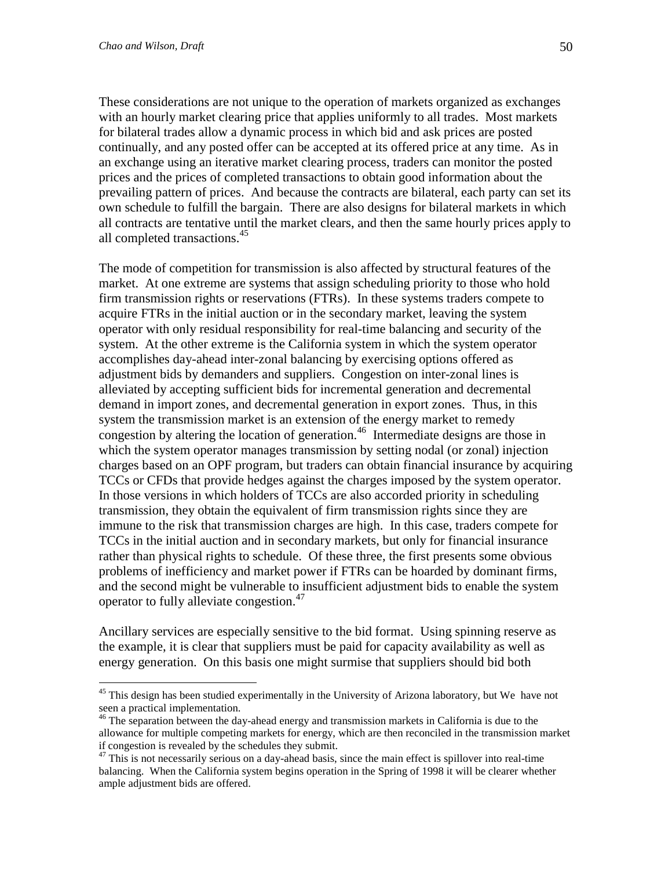These considerations are not unique to the operation of markets organized as exchanges with an hourly market clearing price that applies uniformly to all trades. Most markets for bilateral trades allow a dynamic process in which bid and ask prices are posted continually, and any posted offer can be accepted at its offered price at any time. As in an exchange using an iterative market clearing process, traders can monitor the posted prices and the prices of completed transactions to obtain good information about the prevailing pattern of prices. And because the contracts are bilateral, each party can set its own schedule to fulfill the bargain. There are also designs for bilateral markets in which all contracts are tentative until the market clears, and then the same hourly prices apply to all completed transactions.<sup>45</sup>

The mode of competition for transmission is also affected by structural features of the market. At one extreme are systems that assign scheduling priority to those who hold firm transmission rights or reservations (FTRs). In these systems traders compete to acquire FTRs in the initial auction or in the secondary market, leaving the system operator with only residual responsibility for real-time balancing and security of the system. At the other extreme is the California system in which the system operator accomplishes day-ahead inter-zonal balancing by exercising options offered as adjustment bids by demanders and suppliers. Congestion on inter-zonal lines is alleviated by accepting sufficient bids for incremental generation and decremental demand in import zones, and decremental generation in export zones. Thus, in this system the transmission market is an extension of the energy market to remedy congestion by altering the location of generation.<sup>46</sup> Intermediate designs are those in which the system operator manages transmission by setting nodal (or zonal) injection charges based on an OPF program, but traders can obtain financial insurance by acquiring TCCs or CFDs that provide hedges against the charges imposed by the system operator. In those versions in which holders of TCCs are also accorded priority in scheduling transmission, they obtain the equivalent of firm transmission rights since they are immune to the risk that transmission charges are high. In this case, traders compete for TCCs in the initial auction and in secondary markets, but only for financial insurance rather than physical rights to schedule. Of these three, the first presents some obvious problems of inefficiency and market power if FTRs can be hoarded by dominant firms, and the second might be vulnerable to insufficient adjustment bids to enable the system operator to fully alleviate congestion.<sup>47</sup>

Ancillary services are especially sensitive to the bid format. Using spinning reserve as the example, it is clear that suppliers must be paid for capacity availability as well as energy generation. On this basis one might surmise that suppliers should bid both

<sup>&</sup>lt;sup>45</sup> This design has been studied experimentally in the University of Arizona laboratory, but We have not seen a practical implementation.

<sup>&</sup>lt;sup>46</sup> The separation between the day-ahead energy and transmission markets in California is due to the allowance for multiple competing markets for energy, which are then reconciled in the transmission market if congestion is revealed by the schedules they submit.

 $47$  This is not necessarily serious on a day-ahead basis, since the main effect is spillover into real-time balancing. When the California system begins operation in the Spring of 1998 it will be clearer whether ample adjustment bids are offered.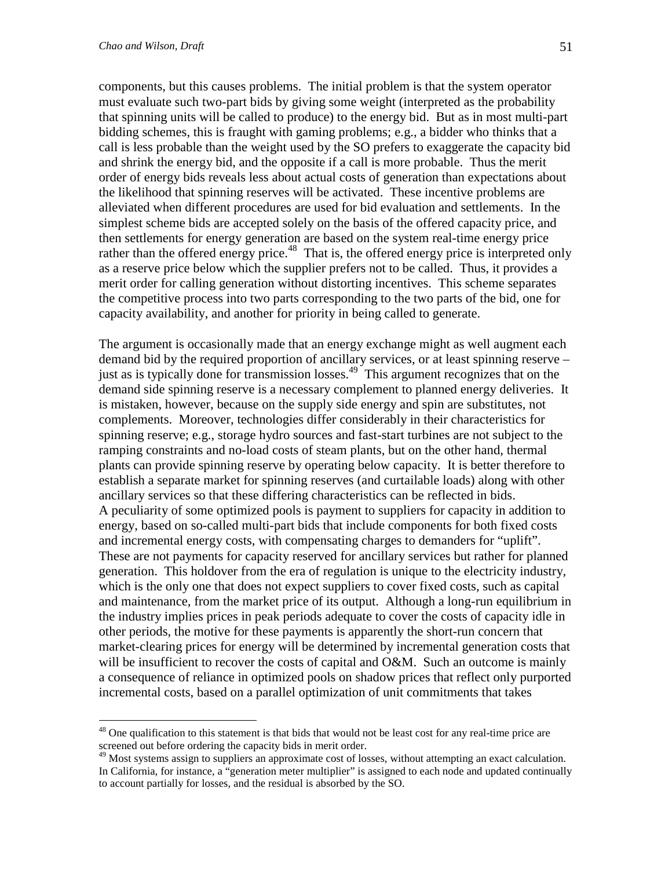components, but this causes problems. The initial problem is that the system operator must evaluate such two-part bids by giving some weight (interpreted as the probability that spinning units will be called to produce) to the energy bid. But as in most multi-part bidding schemes, this is fraught with gaming problems; e.g., a bidder who thinks that a call is less probable than the weight used by the SO prefers to exaggerate the capacity bid and shrink the energy bid, and the opposite if a call is more probable. Thus the merit order of energy bids reveals less about actual costs of generation than expectations about the likelihood that spinning reserves will be activated. These incentive problems are alleviated when different procedures are used for bid evaluation and settlements. In the simplest scheme bids are accepted solely on the basis of the offered capacity price, and then settlements for energy generation are based on the system real-time energy price rather than the offered energy price.<sup>48</sup> That is, the offered energy price is interpreted only as a reserve price below which the supplier prefers not to be called. Thus, it provides a merit order for calling generation without distorting incentives. This scheme separates the competitive process into two parts corresponding to the two parts of the bid, one for capacity availability, and another for priority in being called to generate.

The argument is occasionally made that an energy exchange might as well augment each demand bid by the required proportion of ancillary services, or at least spinning reserve – just as is typically done for transmission losses.<sup>49</sup> This argument recognizes that on the demand side spinning reserve is a necessary complement to planned energy deliveries. It is mistaken, however, because on the supply side energy and spin are substitutes, not complements. Moreover, technologies differ considerably in their characteristics for spinning reserve; e.g., storage hydro sources and fast-start turbines are not subject to the ramping constraints and no-load costs of steam plants, but on the other hand, thermal plants can provide spinning reserve by operating below capacity. It is better therefore to establish a separate market for spinning reserves (and curtailable loads) along with other ancillary services so that these differing characteristics can be reflected in bids. A peculiarity of some optimized pools is payment to suppliers for capacity in addition to energy, based on so-called multi-part bids that include components for both fixed costs and incremental energy costs, with compensating charges to demanders for "uplift". These are not payments for capacity reserved for ancillary services but rather for planned generation. This holdover from the era of regulation is unique to the electricity industry, which is the only one that does not expect suppliers to cover fixed costs, such as capital and maintenance, from the market price of its output. Although a long-run equilibrium in the industry implies prices in peak periods adequate to cover the costs of capacity idle in other periods, the motive for these payments is apparently the short-run concern that market-clearing prices for energy will be determined by incremental generation costs that will be insufficient to recover the costs of capital and O&M. Such an outcome is mainly a consequence of reliance in optimized pools on shadow prices that reflect only purported incremental costs, based on a parallel optimization of unit commitments that takes

<sup>&</sup>lt;sup>48</sup> One qualification to this statement is that bids that would not be least cost for any real-time price are screened out before ordering the capacity bids in merit order.

<sup>&</sup>lt;sup>49</sup> Most systems assign to suppliers an approximate cost of losses, without attempting an exact calculation. In California, for instance, a "generation meter multiplier" is assigned to each node and updated continually to account partially for losses, and the residual is absorbed by the SO.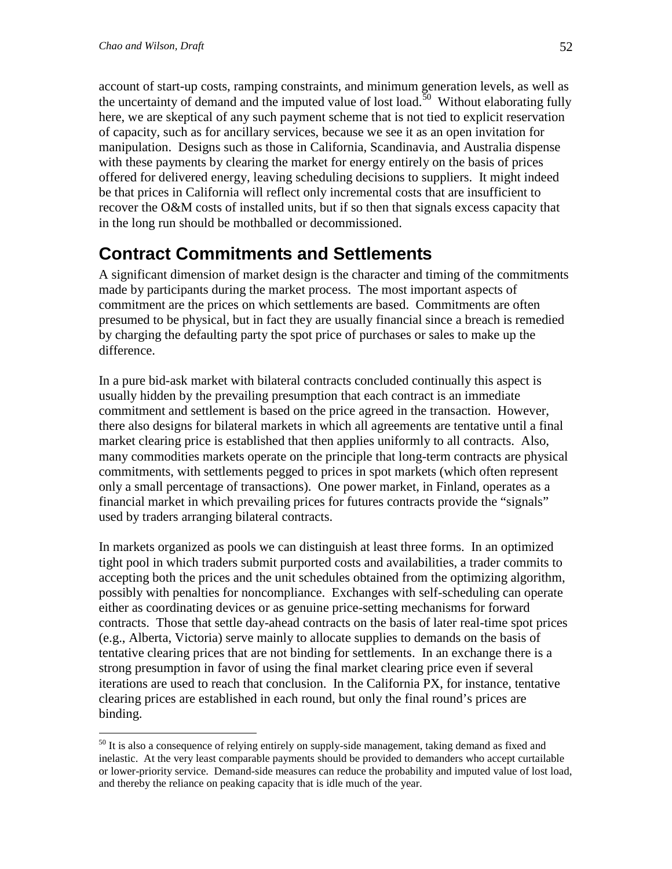account of start-up costs, ramping constraints, and minimum generation levels, as well as the uncertainty of demand and the imputed value of lost load.<sup>50</sup> Without elaborating fully here, we are skeptical of any such payment scheme that is not tied to explicit reservation of capacity, such as for ancillary services, because we see it as an open invitation for manipulation. Designs such as those in California, Scandinavia, and Australia dispense with these payments by clearing the market for energy entirely on the basis of prices offered for delivered energy, leaving scheduling decisions to suppliers. It might indeed be that prices in California will reflect only incremental costs that are insufficient to recover the O&M costs of installed units, but if so then that signals excess capacity that in the long run should be mothballed or decommissioned.

## **Contract Commitments and Settlements**

A significant dimension of market design is the character and timing of the commitments made by participants during the market process. The most important aspects of commitment are the prices on which settlements are based. Commitments are often presumed to be physical, but in fact they are usually financial since a breach is remedied by charging the defaulting party the spot price of purchases or sales to make up the difference.

In a pure bid-ask market with bilateral contracts concluded continually this aspect is usually hidden by the prevailing presumption that each contract is an immediate commitment and settlement is based on the price agreed in the transaction. However, there also designs for bilateral markets in which all agreements are tentative until a final market clearing price is established that then applies uniformly to all contracts. Also, many commodities markets operate on the principle that long-term contracts are physical commitments, with settlements pegged to prices in spot markets (which often represent only a small percentage of transactions). One power market, in Finland, operates as a financial market in which prevailing prices for futures contracts provide the "signals" used by traders arranging bilateral contracts.

In markets organized as pools we can distinguish at least three forms. In an optimized tight pool in which traders submit purported costs and availabilities, a trader commits to accepting both the prices and the unit schedules obtained from the optimizing algorithm, possibly with penalties for noncompliance. Exchanges with self-scheduling can operate either as coordinating devices or as genuine price-setting mechanisms for forward contracts. Those that settle day-ahead contracts on the basis of later real-time spot prices (e.g., Alberta, Victoria) serve mainly to allocate supplies to demands on the basis of tentative clearing prices that are not binding for settlements. In an exchange there is a strong presumption in favor of using the final market clearing price even if several iterations are used to reach that conclusion. In the California PX, for instance, tentative clearing prices are established in each round, but only the final round's prices are binding.

 $50$  It is also a consequence of relying entirely on supply-side management, taking demand as fixed and inelastic. At the very least comparable payments should be provided to demanders who accept curtailable or lower-priority service. Demand-side measures can reduce the probability and imputed value of lost load, and thereby the reliance on peaking capacity that is idle much of the year.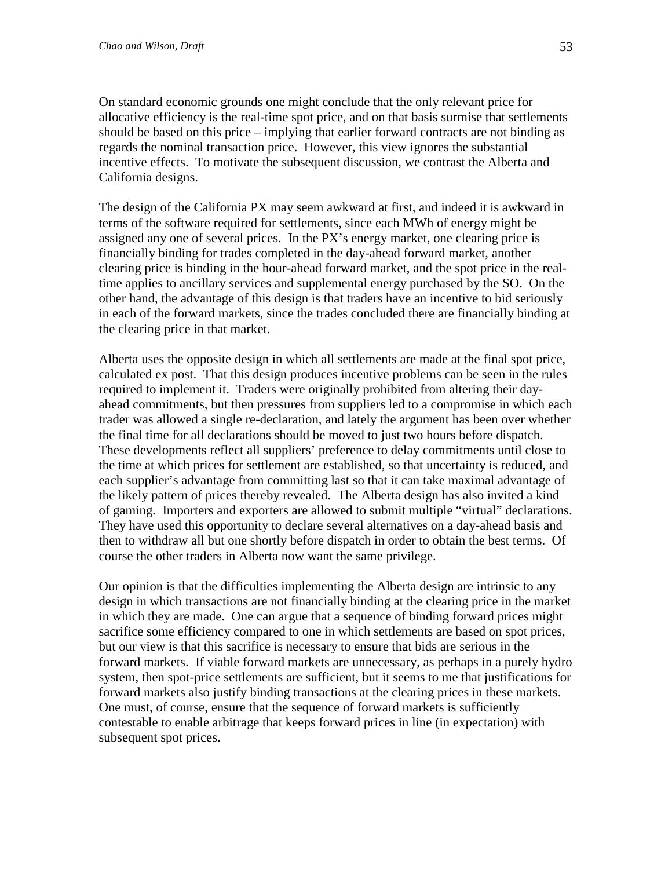On standard economic grounds one might conclude that the only relevant price for allocative efficiency is the real-time spot price, and on that basis surmise that settlements should be based on this price – implying that earlier forward contracts are not binding as regards the nominal transaction price. However, this view ignores the substantial incentive effects. To motivate the subsequent discussion, we contrast the Alberta and California designs.

The design of the California PX may seem awkward at first, and indeed it is awkward in terms of the software required for settlements, since each MWh of energy might be assigned any one of several prices. In the PX's energy market, one clearing price is financially binding for trades completed in the day-ahead forward market, another clearing price is binding in the hour-ahead forward market, and the spot price in the realtime applies to ancillary services and supplemental energy purchased by the SO. On the other hand, the advantage of this design is that traders have an incentive to bid seriously in each of the forward markets, since the trades concluded there are financially binding at the clearing price in that market.

Alberta uses the opposite design in which all settlements are made at the final spot price, calculated ex post. That this design produces incentive problems can be seen in the rules required to implement it. Traders were originally prohibited from altering their dayahead commitments, but then pressures from suppliers led to a compromise in which each trader was allowed a single re-declaration, and lately the argument has been over whether the final time for all declarations should be moved to just two hours before dispatch. These developments reflect all suppliers' preference to delay commitments until close to the time at which prices for settlement are established, so that uncertainty is reduced, and each supplier's advantage from committing last so that it can take maximal advantage of the likely pattern of prices thereby revealed. The Alberta design has also invited a kind of gaming. Importers and exporters are allowed to submit multiple "virtual" declarations. They have used this opportunity to declare several alternatives on a day-ahead basis and then to withdraw all but one shortly before dispatch in order to obtain the best terms. Of course the other traders in Alberta now want the same privilege.

Our opinion is that the difficulties implementing the Alberta design are intrinsic to any design in which transactions are not financially binding at the clearing price in the market in which they are made. One can argue that a sequence of binding forward prices might sacrifice some efficiency compared to one in which settlements are based on spot prices, but our view is that this sacrifice is necessary to ensure that bids are serious in the forward markets. If viable forward markets are unnecessary, as perhaps in a purely hydro system, then spot-price settlements are sufficient, but it seems to me that justifications for forward markets also justify binding transactions at the clearing prices in these markets. One must, of course, ensure that the sequence of forward markets is sufficiently contestable to enable arbitrage that keeps forward prices in line (in expectation) with subsequent spot prices.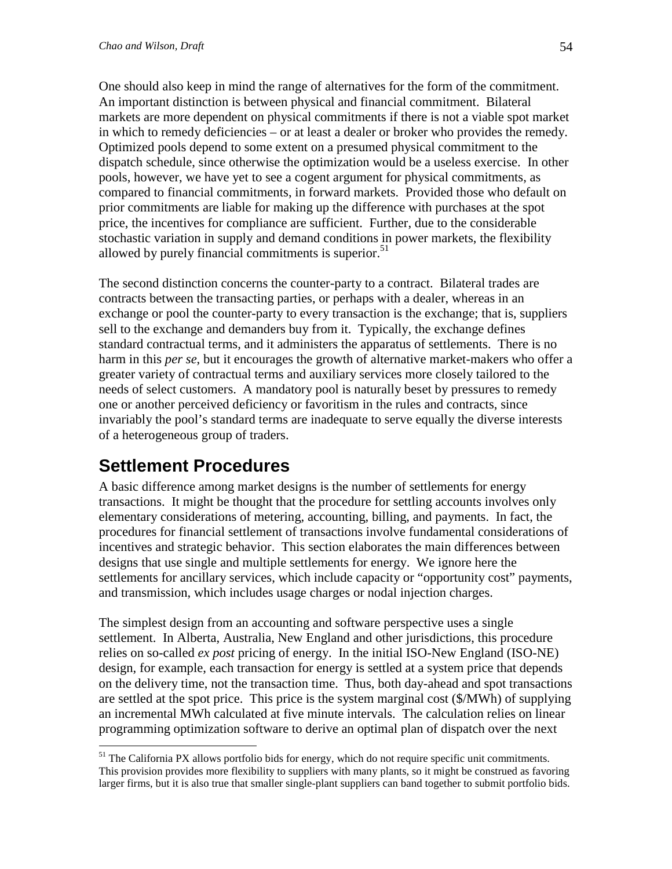One should also keep in mind the range of alternatives for the form of the commitment. An important distinction is between physical and financial commitment. Bilateral markets are more dependent on physical commitments if there is not a viable spot market in which to remedy deficiencies – or at least a dealer or broker who provides the remedy. Optimized pools depend to some extent on a presumed physical commitment to the dispatch schedule, since otherwise the optimization would be a useless exercise. In other pools, however, we have yet to see a cogent argument for physical commitments, as compared to financial commitments, in forward markets. Provided those who default on prior commitments are liable for making up the difference with purchases at the spot price, the incentives for compliance are sufficient. Further, due to the considerable stochastic variation in supply and demand conditions in power markets, the flexibility allowed by purely financial commitments is superior. $51$ 

The second distinction concerns the counter-party to a contract. Bilateral trades are contracts between the transacting parties, or perhaps with a dealer, whereas in an exchange or pool the counter-party to every transaction is the exchange; that is, suppliers sell to the exchange and demanders buy from it. Typically, the exchange defines standard contractual terms, and it administers the apparatus of settlements. There is no harm in this *per se*, but it encourages the growth of alternative market-makers who offer a greater variety of contractual terms and auxiliary services more closely tailored to the needs of select customers. A mandatory pool is naturally beset by pressures to remedy one or another perceived deficiency or favoritism in the rules and contracts, since invariably the pool's standard terms are inadequate to serve equally the diverse interests of a heterogeneous group of traders.

## **Settlement Procedures**

A basic difference among market designs is the number of settlements for energy transactions. It might be thought that the procedure for settling accounts involves only elementary considerations of metering, accounting, billing, and payments. In fact, the procedures for financial settlement of transactions involve fundamental considerations of incentives and strategic behavior. This section elaborates the main differences between designs that use single and multiple settlements for energy. We ignore here the settlements for ancillary services, which include capacity or "opportunity cost" payments, and transmission, which includes usage charges or nodal injection charges.

The simplest design from an accounting and software perspective uses a single settlement. In Alberta, Australia, New England and other jurisdictions, this procedure relies on so-called *ex post* pricing of energy. In the initial ISO-New England (ISO-NE) design, for example, each transaction for energy is settled at a system price that depends on the delivery time, not the transaction time. Thus, both day-ahead and spot transactions are settled at the spot price. This price is the system marginal cost (\$/MWh) of supplying an incremental MWh calculated at five minute intervals. The calculation relies on linear programming optimization software to derive an optimal plan of dispatch over the next

 $\overline{a}$  $<sup>51</sup>$  The California PX allows portfolio bids for energy, which do not require specific unit commitments.</sup> This provision provides more flexibility to suppliers with many plants, so it might be construed as favoring larger firms, but it is also true that smaller single-plant suppliers can band together to submit portfolio bids.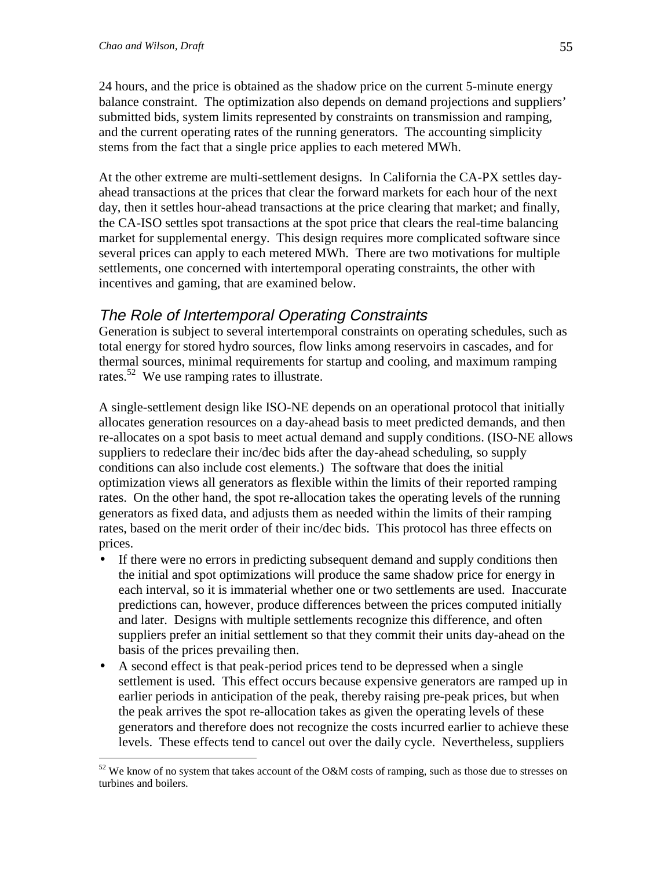24 hours, and the price is obtained as the shadow price on the current 5-minute energy balance constraint. The optimization also depends on demand projections and suppliers' submitted bids, system limits represented by constraints on transmission and ramping, and the current operating rates of the running generators. The accounting simplicity stems from the fact that a single price applies to each metered MWh.

At the other extreme are multi-settlement designs. In California the CA-PX settles dayahead transactions at the prices that clear the forward markets for each hour of the next day, then it settles hour-ahead transactions at the price clearing that market; and finally, the CA-ISO settles spot transactions at the spot price that clears the real-time balancing market for supplemental energy. This design requires more complicated software since several prices can apply to each metered MWh. There are two motivations for multiple settlements, one concerned with intertemporal operating constraints, the other with incentives and gaming, that are examined below.

### The Role of Intertemporal Operating Constraints

Generation is subject to several intertemporal constraints on operating schedules, such as total energy for stored hydro sources, flow links among reservoirs in cascades, and for thermal sources, minimal requirements for startup and cooling, and maximum ramping rates.<sup>52</sup> We use ramping rates to illustrate.

A single-settlement design like ISO-NE depends on an operational protocol that initially allocates generation resources on a day-ahead basis to meet predicted demands, and then re-allocates on a spot basis to meet actual demand and supply conditions. (ISO-NE allows suppliers to redeclare their inc/dec bids after the day-ahead scheduling, so supply conditions can also include cost elements.) The software that does the initial optimization views all generators as flexible within the limits of their reported ramping rates. On the other hand, the spot re-allocation takes the operating levels of the running generators as fixed data, and adjusts them as needed within the limits of their ramping rates, based on the merit order of their inc/dec bids. This protocol has three effects on prices.

- If there were no errors in predicting subsequent demand and supply conditions then the initial and spot optimizations will produce the same shadow price for energy in each interval, so it is immaterial whether one or two settlements are used. Inaccurate predictions can, however, produce differences between the prices computed initially and later. Designs with multiple settlements recognize this difference, and often suppliers prefer an initial settlement so that they commit their units day-ahead on the basis of the prices prevailing then.
- A second effect is that peak-period prices tend to be depressed when a single settlement is used. This effect occurs because expensive generators are ramped up in earlier periods in anticipation of the peak, thereby raising pre-peak prices, but when the peak arrives the spot re-allocation takes as given the operating levels of these generators and therefore does not recognize the costs incurred earlier to achieve these levels. These effects tend to cancel out over the daily cycle. Nevertheless, suppliers

 $\overline{a}$  $52$  We know of no system that takes account of the O&M costs of ramping, such as those due to stresses on turbines and boilers.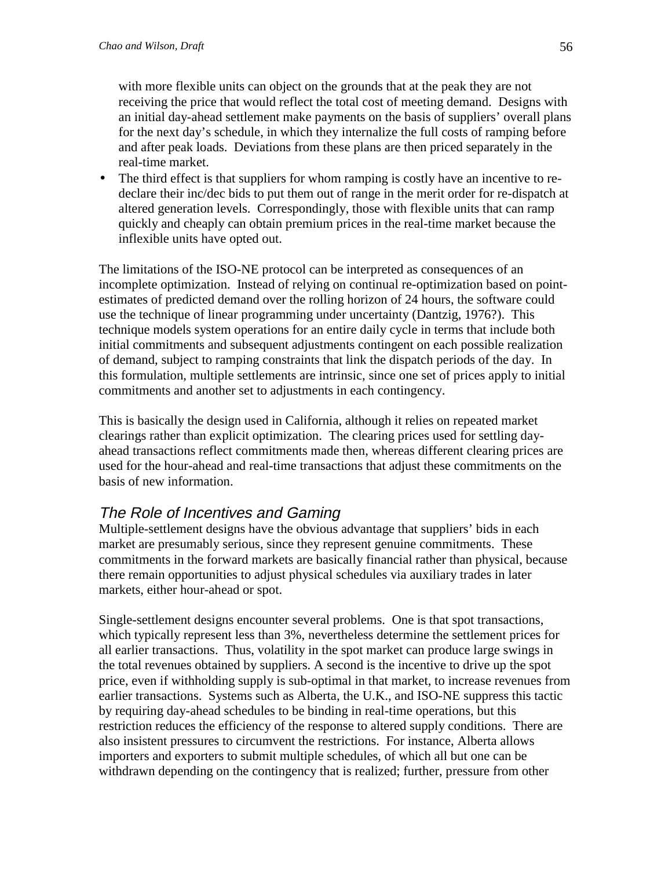with more flexible units can object on the grounds that at the peak they are not receiving the price that would reflect the total cost of meeting demand. Designs with an initial day-ahead settlement make payments on the basis of suppliers' overall plans for the next day's schedule, in which they internalize the full costs of ramping before and after peak loads. Deviations from these plans are then priced separately in the real-time market.

• The third effect is that suppliers for whom ramping is costly have an incentive to redeclare their inc/dec bids to put them out of range in the merit order for re-dispatch at altered generation levels. Correspondingly, those with flexible units that can ramp quickly and cheaply can obtain premium prices in the real-time market because the inflexible units have opted out.

The limitations of the ISO-NE protocol can be interpreted as consequences of an incomplete optimization. Instead of relying on continual re-optimization based on pointestimates of predicted demand over the rolling horizon of 24 hours, the software could use the technique of linear programming under uncertainty (Dantzig, 1976?). This technique models system operations for an entire daily cycle in terms that include both initial commitments and subsequent adjustments contingent on each possible realization of demand, subject to ramping constraints that link the dispatch periods of the day. In this formulation, multiple settlements are intrinsic, since one set of prices apply to initial commitments and another set to adjustments in each contingency.

This is basically the design used in California, although it relies on repeated market clearings rather than explicit optimization. The clearing prices used for settling dayahead transactions reflect commitments made then, whereas different clearing prices are used for the hour-ahead and real-time transactions that adjust these commitments on the basis of new information.

### The Role of Incentives and Gaming

Multiple-settlement designs have the obvious advantage that suppliers' bids in each market are presumably serious, since they represent genuine commitments. These commitments in the forward markets are basically financial rather than physical, because there remain opportunities to adjust physical schedules via auxiliary trades in later markets, either hour-ahead or spot.

Single-settlement designs encounter several problems. One is that spot transactions, which typically represent less than 3%, nevertheless determine the settlement prices for all earlier transactions. Thus, volatility in the spot market can produce large swings in the total revenues obtained by suppliers. A second is the incentive to drive up the spot price, even if withholding supply is sub-optimal in that market, to increase revenues from earlier transactions. Systems such as Alberta, the U.K., and ISO-NE suppress this tactic by requiring day-ahead schedules to be binding in real-time operations, but this restriction reduces the efficiency of the response to altered supply conditions. There are also insistent pressures to circumvent the restrictions. For instance, Alberta allows importers and exporters to submit multiple schedules, of which all but one can be withdrawn depending on the contingency that is realized; further, pressure from other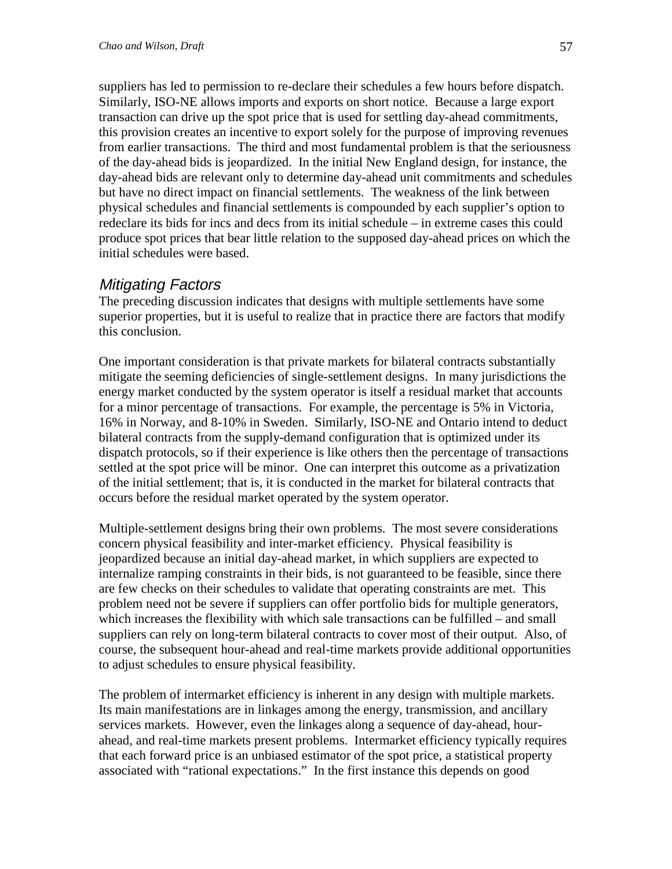suppliers has led to permission to re-declare their schedules a few hours before dispatch. Similarly, ISO-NE allows imports and exports on short notice. Because a large export transaction can drive up the spot price that is used for settling day-ahead commitments, this provision creates an incentive to export solely for the purpose of improving revenues from earlier transactions. The third and most fundamental problem is that the seriousness of the day-ahead bids is jeopardized. In the initial New England design, for instance, the day-ahead bids are relevant only to determine day-ahead unit commitments and schedules but have no direct impact on financial settlements. The weakness of the link between physical schedules and financial settlements is compounded by each supplier's option to redeclare its bids for incs and decs from its initial schedule – in extreme cases this could produce spot prices that bear little relation to the supposed day-ahead prices on which the initial schedules were based.

### Mitigating Factors

The preceding discussion indicates that designs with multiple settlements have some superior properties, but it is useful to realize that in practice there are factors that modify this conclusion.

One important consideration is that private markets for bilateral contracts substantially mitigate the seeming deficiencies of single-settlement designs. In many jurisdictions the energy market conducted by the system operator is itself a residual market that accounts for a minor percentage of transactions. For example, the percentage is 5% in Victoria, 16% in Norway, and 8-10% in Sweden. Similarly, ISO-NE and Ontario intend to deduct bilateral contracts from the supply-demand configuration that is optimized under its dispatch protocols, so if their experience is like others then the percentage of transactions settled at the spot price will be minor. One can interpret this outcome as a privatization of the initial settlement; that is, it is conducted in the market for bilateral contracts that occurs before the residual market operated by the system operator.

Multiple-settlement designs bring their own problems. The most severe considerations concern physical feasibility and inter-market efficiency. Physical feasibility is jeopardized because an initial day-ahead market, in which suppliers are expected to internalize ramping constraints in their bids, is not guaranteed to be feasible, since there are few checks on their schedules to validate that operating constraints are met. This problem need not be severe if suppliers can offer portfolio bids for multiple generators, which increases the flexibility with which sale transactions can be fulfilled – and small suppliers can rely on long-term bilateral contracts to cover most of their output. Also, of course, the subsequent hour-ahead and real-time markets provide additional opportunities to adjust schedules to ensure physical feasibility.

The problem of intermarket efficiency is inherent in any design with multiple markets. Its main manifestations are in linkages among the energy, transmission, and ancillary services markets. However, even the linkages along a sequence of day-ahead, hourahead, and real-time markets present problems. Intermarket efficiency typically requires that each forward price is an unbiased estimator of the spot price, a statistical property associated with "rational expectations." In the first instance this depends on good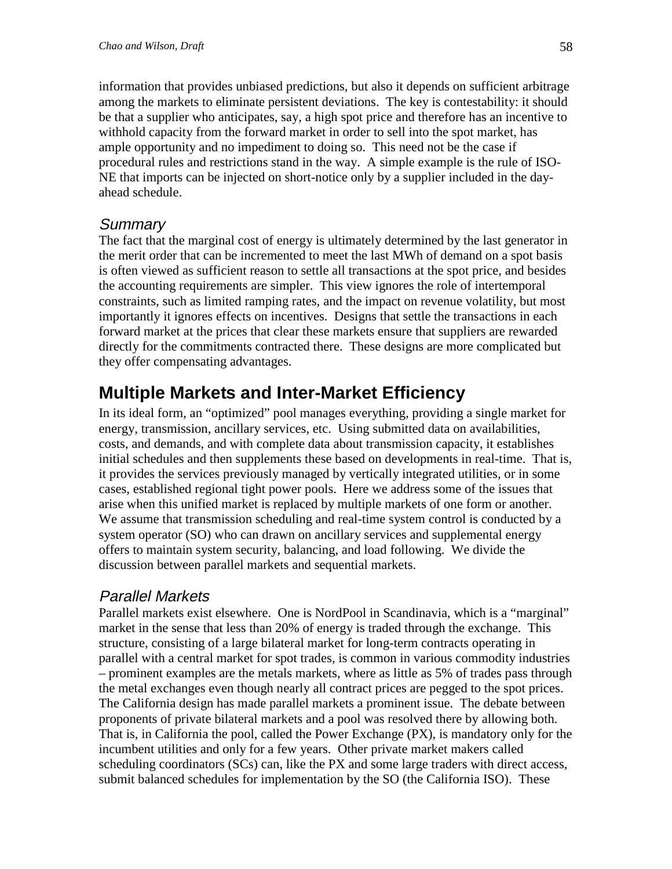information that provides unbiased predictions, but also it depends on sufficient arbitrage among the markets to eliminate persistent deviations. The key is contestability: it should be that a supplier who anticipates, say, a high spot price and therefore has an incentive to withhold capacity from the forward market in order to sell into the spot market, has ample opportunity and no impediment to doing so. This need not be the case if procedural rules and restrictions stand in the way. A simple example is the rule of ISO-NE that imports can be injected on short-notice only by a supplier included in the dayahead schedule.

#### Summary

The fact that the marginal cost of energy is ultimately determined by the last generator in the merit order that can be incremented to meet the last MWh of demand on a spot basis is often viewed as sufficient reason to settle all transactions at the spot price, and besides the accounting requirements are simpler. This view ignores the role of intertemporal constraints, such as limited ramping rates, and the impact on revenue volatility, but most importantly it ignores effects on incentives. Designs that settle the transactions in each forward market at the prices that clear these markets ensure that suppliers are rewarded directly for the commitments contracted there. These designs are more complicated but they offer compensating advantages.

## **Multiple Markets and Inter-Market Efficiency**

In its ideal form, an "optimized" pool manages everything, providing a single market for energy, transmission, ancillary services, etc. Using submitted data on availabilities, costs, and demands, and with complete data about transmission capacity, it establishes initial schedules and then supplements these based on developments in real-time. That is, it provides the services previously managed by vertically integrated utilities, or in some cases, established regional tight power pools. Here we address some of the issues that arise when this unified market is replaced by multiple markets of one form or another. We assume that transmission scheduling and real-time system control is conducted by a system operator (SO) who can drawn on ancillary services and supplemental energy offers to maintain system security, balancing, and load following. We divide the discussion between parallel markets and sequential markets.

### Parallel Markets

Parallel markets exist elsewhere. One is NordPool in Scandinavia, which is a "marginal" market in the sense that less than 20% of energy is traded through the exchange. This structure, consisting of a large bilateral market for long-term contracts operating in parallel with a central market for spot trades, is common in various commodity industries – prominent examples are the metals markets, where as little as 5% of trades pass through the metal exchanges even though nearly all contract prices are pegged to the spot prices. The California design has made parallel markets a prominent issue. The debate between proponents of private bilateral markets and a pool was resolved there by allowing both. That is, in California the pool, called the Power Exchange (PX), is mandatory only for the incumbent utilities and only for a few years. Other private market makers called scheduling coordinators (SCs) can, like the PX and some large traders with direct access, submit balanced schedules for implementation by the SO (the California ISO). These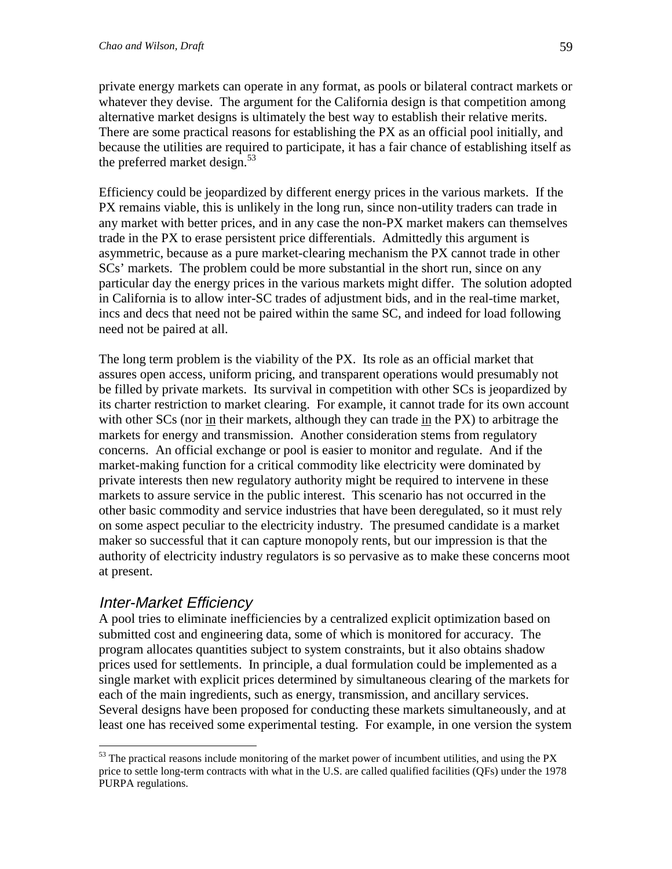private energy markets can operate in any format, as pools or bilateral contract markets or whatever they devise. The argument for the California design is that competition among alternative market designs is ultimately the best way to establish their relative merits. There are some practical reasons for establishing the PX as an official pool initially, and because the utilities are required to participate, it has a fair chance of establishing itself as the preferred market design. $53$ 

Efficiency could be jeopardized by different energy prices in the various markets. If the PX remains viable, this is unlikely in the long run, since non-utility traders can trade in any market with better prices, and in any case the non-PX market makers can themselves trade in the PX to erase persistent price differentials. Admittedly this argument is asymmetric, because as a pure market-clearing mechanism the PX cannot trade in other SCs' markets. The problem could be more substantial in the short run, since on any particular day the energy prices in the various markets might differ. The solution adopted in California is to allow inter-SC trades of adjustment bids, and in the real-time market, incs and decs that need not be paired within the same SC, and indeed for load following need not be paired at all.

The long term problem is the viability of the PX. Its role as an official market that assures open access, uniform pricing, and transparent operations would presumably not be filled by private markets. Its survival in competition with other SCs is jeopardized by its charter restriction to market clearing. For example, it cannot trade for its own account with other SCs (nor in their markets, although they can trade in the PX) to arbitrage the markets for energy and transmission. Another consideration stems from regulatory concerns. An official exchange or pool is easier to monitor and regulate. And if the market-making function for a critical commodity like electricity were dominated by private interests then new regulatory authority might be required to intervene in these markets to assure service in the public interest. This scenario has not occurred in the other basic commodity and service industries that have been deregulated, so it must rely on some aspect peculiar to the electricity industry. The presumed candidate is a market maker so successful that it can capture monopoly rents, but our impression is that the authority of electricity industry regulators is so pervasive as to make these concerns moot at present.

### Inter-Market Efficiency

 $\overline{a}$ 

A pool tries to eliminate inefficiencies by a centralized explicit optimization based on submitted cost and engineering data, some of which is monitored for accuracy. The program allocates quantities subject to system constraints, but it also obtains shadow prices used for settlements. In principle, a dual formulation could be implemented as a single market with explicit prices determined by simultaneous clearing of the markets for each of the main ingredients, such as energy, transmission, and ancillary services. Several designs have been proposed for conducting these markets simultaneously, and at least one has received some experimental testing. For example, in one version the system

 $53$  The practical reasons include monitoring of the market power of incumbent utilities, and using the PX price to settle long-term contracts with what in the U.S. are called qualified facilities (QFs) under the 1978 PURPA regulations.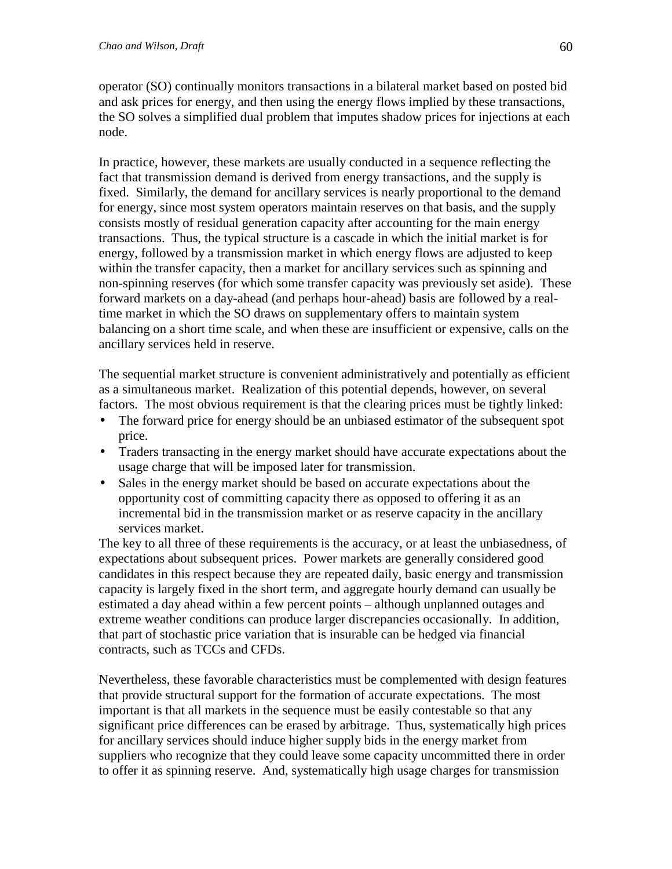operator (SO) continually monitors transactions in a bilateral market based on posted bid and ask prices for energy, and then using the energy flows implied by these transactions, the SO solves a simplified dual problem that imputes shadow prices for injections at each node.

In practice, however, these markets are usually conducted in a sequence reflecting the fact that transmission demand is derived from energy transactions, and the supply is fixed. Similarly, the demand for ancillary services is nearly proportional to the demand for energy, since most system operators maintain reserves on that basis, and the supply consists mostly of residual generation capacity after accounting for the main energy transactions. Thus, the typical structure is a cascade in which the initial market is for energy, followed by a transmission market in which energy flows are adjusted to keep within the transfer capacity, then a market for ancillary services such as spinning and non-spinning reserves (for which some transfer capacity was previously set aside). These forward markets on a day-ahead (and perhaps hour-ahead) basis are followed by a realtime market in which the SO draws on supplementary offers to maintain system balancing on a short time scale, and when these are insufficient or expensive, calls on the ancillary services held in reserve.

The sequential market structure is convenient administratively and potentially as efficient as a simultaneous market. Realization of this potential depends, however, on several factors. The most obvious requirement is that the clearing prices must be tightly linked:

- The forward price for energy should be an unbiased estimator of the subsequent spot price.
- Traders transacting in the energy market should have accurate expectations about the usage charge that will be imposed later for transmission.
- Sales in the energy market should be based on accurate expectations about the opportunity cost of committing capacity there as opposed to offering it as an incremental bid in the transmission market or as reserve capacity in the ancillary services market.

The key to all three of these requirements is the accuracy, or at least the unbiasedness, of expectations about subsequent prices. Power markets are generally considered good candidates in this respect because they are repeated daily, basic energy and transmission capacity is largely fixed in the short term, and aggregate hourly demand can usually be estimated a day ahead within a few percent points – although unplanned outages and extreme weather conditions can produce larger discrepancies occasionally. In addition, that part of stochastic price variation that is insurable can be hedged via financial contracts, such as TCCs and CFDs.

Nevertheless, these favorable characteristics must be complemented with design features that provide structural support for the formation of accurate expectations. The most important is that all markets in the sequence must be easily contestable so that any significant price differences can be erased by arbitrage. Thus, systematically high prices for ancillary services should induce higher supply bids in the energy market from suppliers who recognize that they could leave some capacity uncommitted there in order to offer it as spinning reserve. And, systematically high usage charges for transmission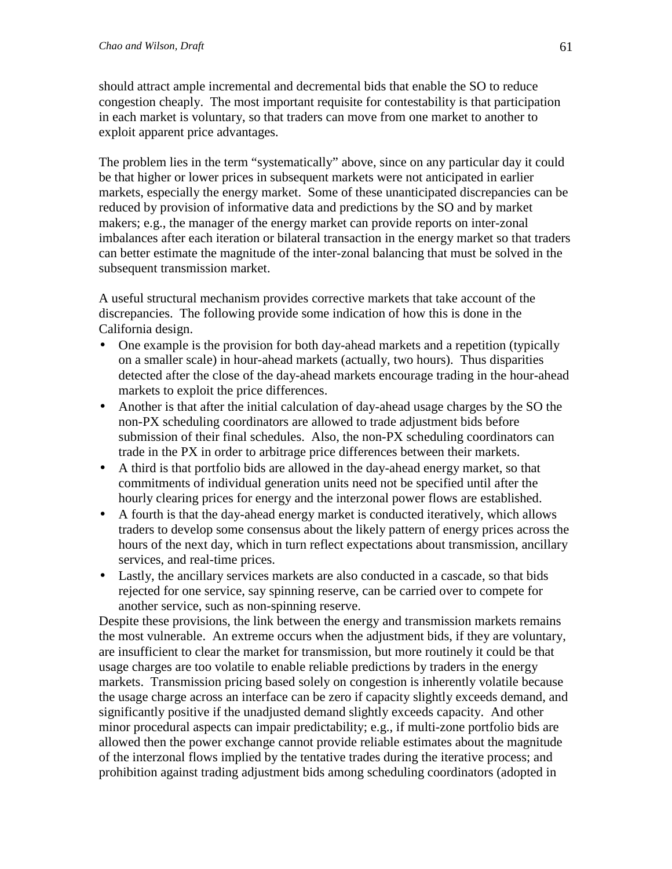should attract ample incremental and decremental bids that enable the SO to reduce congestion cheaply. The most important requisite for contestability is that participation in each market is voluntary, so that traders can move from one market to another to exploit apparent price advantages.

The problem lies in the term "systematically" above, since on any particular day it could be that higher or lower prices in subsequent markets were not anticipated in earlier markets, especially the energy market. Some of these unanticipated discrepancies can be reduced by provision of informative data and predictions by the SO and by market makers; e.g., the manager of the energy market can provide reports on inter-zonal imbalances after each iteration or bilateral transaction in the energy market so that traders can better estimate the magnitude of the inter-zonal balancing that must be solved in the subsequent transmission market.

A useful structural mechanism provides corrective markets that take account of the discrepancies. The following provide some indication of how this is done in the California design.

- One example is the provision for both day-ahead markets and a repetition (typically on a smaller scale) in hour-ahead markets (actually, two hours). Thus disparities detected after the close of the day-ahead markets encourage trading in the hour-ahead markets to exploit the price differences.
- Another is that after the initial calculation of day-ahead usage charges by the SO the non-PX scheduling coordinators are allowed to trade adjustment bids before submission of their final schedules. Also, the non-PX scheduling coordinators can trade in the PX in order to arbitrage price differences between their markets.
- A third is that portfolio bids are allowed in the day-ahead energy market, so that commitments of individual generation units need not be specified until after the hourly clearing prices for energy and the interzonal power flows are established.
- A fourth is that the day-ahead energy market is conducted iteratively, which allows traders to develop some consensus about the likely pattern of energy prices across the hours of the next day, which in turn reflect expectations about transmission, ancillary services, and real-time prices.
- Lastly, the ancillary services markets are also conducted in a cascade, so that bids rejected for one service, say spinning reserve, can be carried over to compete for another service, such as non-spinning reserve.

Despite these provisions, the link between the energy and transmission markets remains the most vulnerable. An extreme occurs when the adjustment bids, if they are voluntary, are insufficient to clear the market for transmission, but more routinely it could be that usage charges are too volatile to enable reliable predictions by traders in the energy markets. Transmission pricing based solely on congestion is inherently volatile because the usage charge across an interface can be zero if capacity slightly exceeds demand, and significantly positive if the unadjusted demand slightly exceeds capacity. And other minor procedural aspects can impair predictability; e.g., if multi-zone portfolio bids are allowed then the power exchange cannot provide reliable estimates about the magnitude of the interzonal flows implied by the tentative trades during the iterative process; and prohibition against trading adjustment bids among scheduling coordinators (adopted in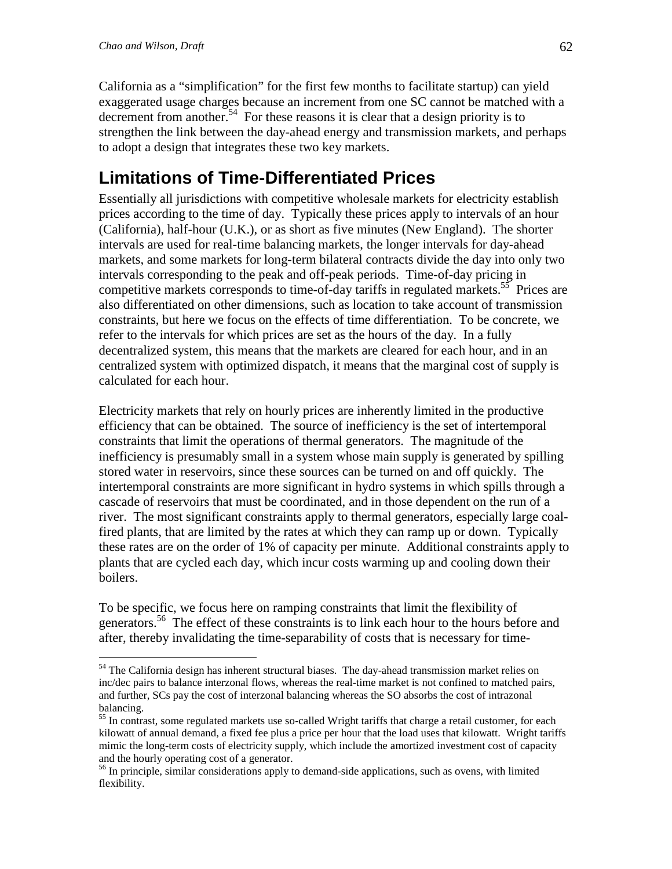California as a "simplification" for the first few months to facilitate startup) can yield exaggerated usage charges because an increment from one SC cannot be matched with a decrement from another.<sup>54</sup> For these reasons it is clear that a design priority is to strengthen the link between the day-ahead energy and transmission markets, and perhaps to adopt a design that integrates these two key markets.

## **Limitations of Time-Differentiated Prices**

Essentially all jurisdictions with competitive wholesale markets for electricity establish prices according to the time of day. Typically these prices apply to intervals of an hour (California), half-hour (U.K.), or as short as five minutes (New England). The shorter intervals are used for real-time balancing markets, the longer intervals for day-ahead markets, and some markets for long-term bilateral contracts divide the day into only two intervals corresponding to the peak and off-peak periods. Time-of-day pricing in competitive markets corresponds to time-of-day tariffs in regulated markets.<sup>55</sup> Prices are also differentiated on other dimensions, such as location to take account of transmission constraints, but here we focus on the effects of time differentiation. To be concrete, we refer to the intervals for which prices are set as the hours of the day. In a fully decentralized system, this means that the markets are cleared for each hour, and in an centralized system with optimized dispatch, it means that the marginal cost of supply is calculated for each hour.

Electricity markets that rely on hourly prices are inherently limited in the productive efficiency that can be obtained. The source of inefficiency is the set of intertemporal constraints that limit the operations of thermal generators. The magnitude of the inefficiency is presumably small in a system whose main supply is generated by spilling stored water in reservoirs, since these sources can be turned on and off quickly. The intertemporal constraints are more significant in hydro systems in which spills through a cascade of reservoirs that must be coordinated, and in those dependent on the run of a river. The most significant constraints apply to thermal generators, especially large coalfired plants, that are limited by the rates at which they can ramp up or down. Typically these rates are on the order of 1% of capacity per minute. Additional constraints apply to plants that are cycled each day, which incur costs warming up and cooling down their boilers.

To be specific, we focus here on ramping constraints that limit the flexibility of generators.<sup>56</sup> The effect of these constraints is to link each hour to the hours before and after, thereby invalidating the time-separability of costs that is necessary for time-

 $<sup>54</sup>$  The California design has inherent structural biases. The day-ahead transmission market relies on</sup> inc/dec pairs to balance interzonal flows, whereas the real-time market is not confined to matched pairs, and further, SCs pay the cost of interzonal balancing whereas the SO absorbs the cost of intrazonal balancing.

<sup>&</sup>lt;sup>55</sup> In contrast, some regulated markets use so-called Wright tariffs that charge a retail customer, for each kilowatt of annual demand, a fixed fee plus a price per hour that the load uses that kilowatt. Wright tariffs mimic the long-term costs of electricity supply, which include the amortized investment cost of capacity and the hourly operating cost of a generator.

<sup>&</sup>lt;sup>56</sup> In principle, similar considerations apply to demand-side applications, such as ovens, with limited flexibility.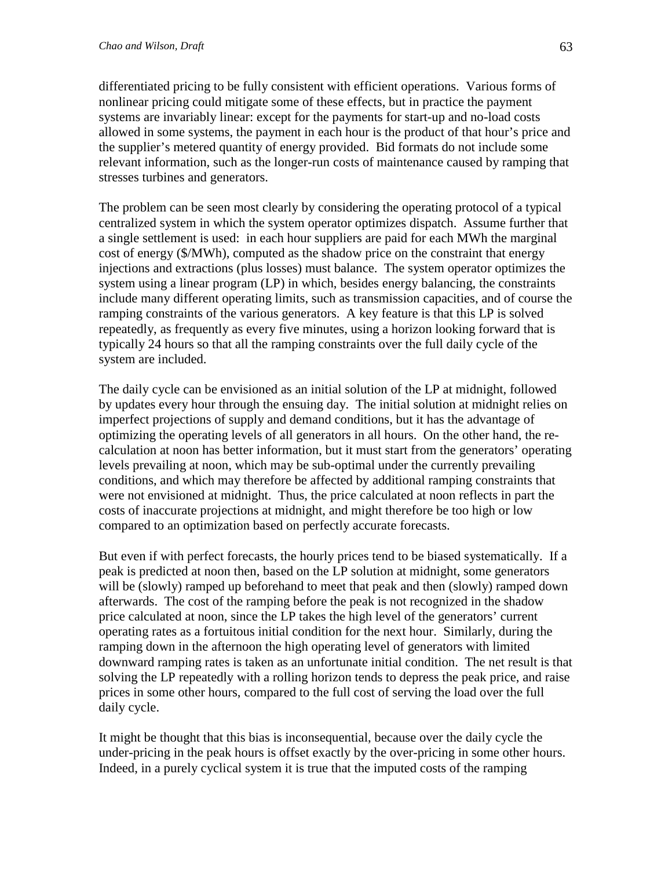differentiated pricing to be fully consistent with efficient operations. Various forms of nonlinear pricing could mitigate some of these effects, but in practice the payment systems are invariably linear: except for the payments for start-up and no-load costs allowed in some systems, the payment in each hour is the product of that hour's price and the supplier's metered quantity of energy provided. Bid formats do not include some relevant information, such as the longer-run costs of maintenance caused by ramping that stresses turbines and generators.

The problem can be seen most clearly by considering the operating protocol of a typical centralized system in which the system operator optimizes dispatch. Assume further that a single settlement is used: in each hour suppliers are paid for each MWh the marginal cost of energy (\$/MWh), computed as the shadow price on the constraint that energy injections and extractions (plus losses) must balance. The system operator optimizes the system using a linear program (LP) in which, besides energy balancing, the constraints include many different operating limits, such as transmission capacities, and of course the ramping constraints of the various generators. A key feature is that this LP is solved repeatedly, as frequently as every five minutes, using a horizon looking forward that is typically 24 hours so that all the ramping constraints over the full daily cycle of the system are included.

The daily cycle can be envisioned as an initial solution of the LP at midnight, followed by updates every hour through the ensuing day. The initial solution at midnight relies on imperfect projections of supply and demand conditions, but it has the advantage of optimizing the operating levels of all generators in all hours. On the other hand, the recalculation at noon has better information, but it must start from the generators' operating levels prevailing at noon, which may be sub-optimal under the currently prevailing conditions, and which may therefore be affected by additional ramping constraints that were not envisioned at midnight. Thus, the price calculated at noon reflects in part the costs of inaccurate projections at midnight, and might therefore be too high or low compared to an optimization based on perfectly accurate forecasts.

But even if with perfect forecasts, the hourly prices tend to be biased systematically. If a peak is predicted at noon then, based on the LP solution at midnight, some generators will be (slowly) ramped up beforehand to meet that peak and then (slowly) ramped down afterwards. The cost of the ramping before the peak is not recognized in the shadow price calculated at noon, since the LP takes the high level of the generators' current operating rates as a fortuitous initial condition for the next hour. Similarly, during the ramping down in the afternoon the high operating level of generators with limited downward ramping rates is taken as an unfortunate initial condition. The net result is that solving the LP repeatedly with a rolling horizon tends to depress the peak price, and raise prices in some other hours, compared to the full cost of serving the load over the full daily cycle.

It might be thought that this bias is inconsequential, because over the daily cycle the under-pricing in the peak hours is offset exactly by the over-pricing in some other hours. Indeed, in a purely cyclical system it is true that the imputed costs of the ramping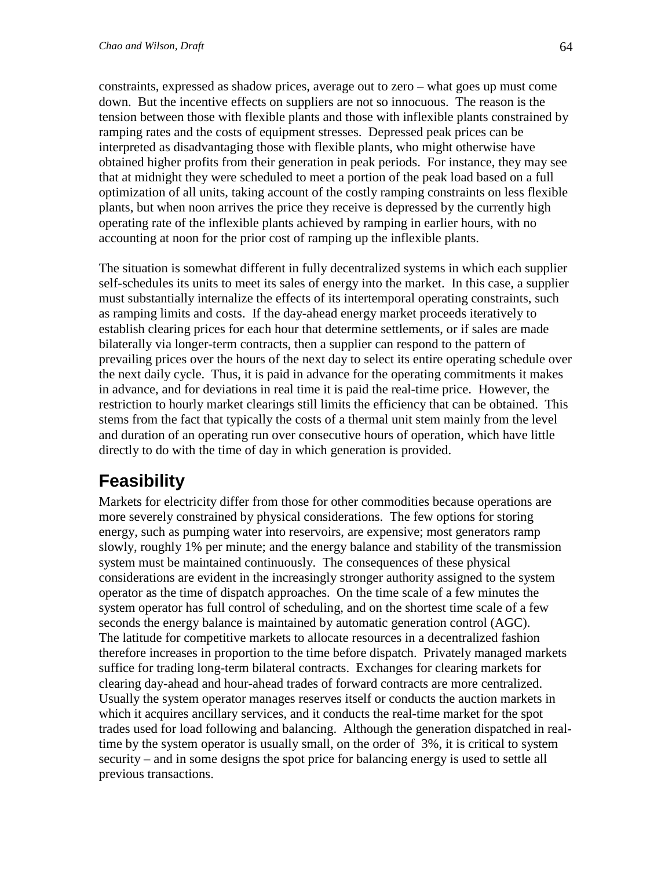constraints, expressed as shadow prices, average out to zero – what goes up must come down. But the incentive effects on suppliers are not so innocuous. The reason is the tension between those with flexible plants and those with inflexible plants constrained by ramping rates and the costs of equipment stresses. Depressed peak prices can be interpreted as disadvantaging those with flexible plants, who might otherwise have obtained higher profits from their generation in peak periods. For instance, they may see that at midnight they were scheduled to meet a portion of the peak load based on a full optimization of all units, taking account of the costly ramping constraints on less flexible plants, but when noon arrives the price they receive is depressed by the currently high operating rate of the inflexible plants achieved by ramping in earlier hours, with no accounting at noon for the prior cost of ramping up the inflexible plants.

The situation is somewhat different in fully decentralized systems in which each supplier self-schedules its units to meet its sales of energy into the market. In this case, a supplier must substantially internalize the effects of its intertemporal operating constraints, such as ramping limits and costs. If the day-ahead energy market proceeds iteratively to establish clearing prices for each hour that determine settlements, or if sales are made bilaterally via longer-term contracts, then a supplier can respond to the pattern of prevailing prices over the hours of the next day to select its entire operating schedule over the next daily cycle. Thus, it is paid in advance for the operating commitments it makes in advance, and for deviations in real time it is paid the real-time price. However, the restriction to hourly market clearings still limits the efficiency that can be obtained. This stems from the fact that typically the costs of a thermal unit stem mainly from the level and duration of an operating run over consecutive hours of operation, which have little directly to do with the time of day in which generation is provided.

## **Feasibility**

Markets for electricity differ from those for other commodities because operations are more severely constrained by physical considerations. The few options for storing energy, such as pumping water into reservoirs, are expensive; most generators ramp slowly, roughly 1% per minute; and the energy balance and stability of the transmission system must be maintained continuously. The consequences of these physical considerations are evident in the increasingly stronger authority assigned to the system operator as the time of dispatch approaches. On the time scale of a few minutes the system operator has full control of scheduling, and on the shortest time scale of a few seconds the energy balance is maintained by automatic generation control (AGC). The latitude for competitive markets to allocate resources in a decentralized fashion therefore increases in proportion to the time before dispatch. Privately managed markets suffice for trading long-term bilateral contracts. Exchanges for clearing markets for clearing day-ahead and hour-ahead trades of forward contracts are more centralized. Usually the system operator manages reserves itself or conducts the auction markets in which it acquires ancillary services, and it conducts the real-time market for the spot trades used for load following and balancing. Although the generation dispatched in realtime by the system operator is usually small, on the order of 3%, it is critical to system security – and in some designs the spot price for balancing energy is used to settle all previous transactions.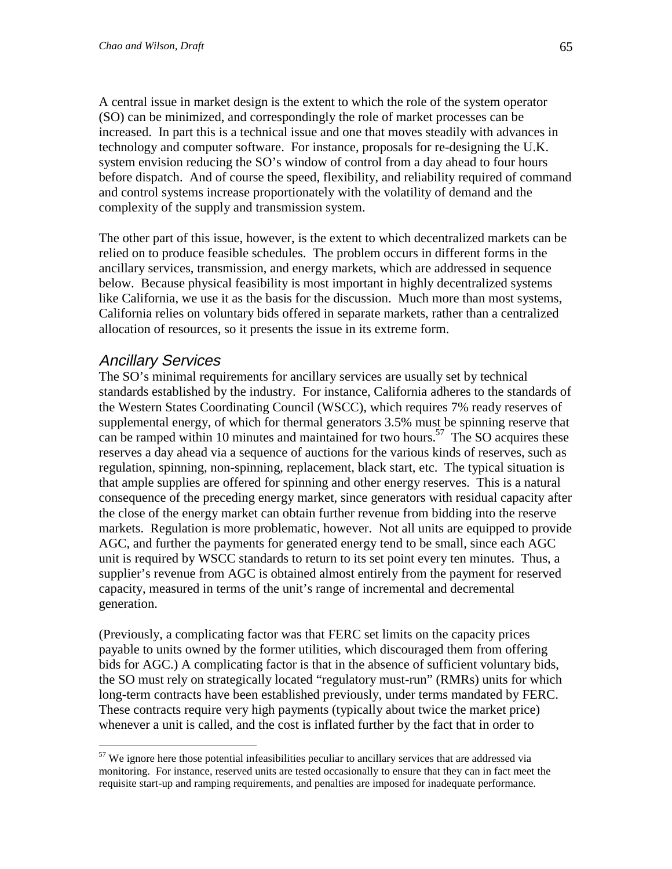A central issue in market design is the extent to which the role of the system operator (SO) can be minimized, and correspondingly the role of market processes can be increased. In part this is a technical issue and one that moves steadily with advances in technology and computer software. For instance, proposals for re-designing the U.K. system envision reducing the SO's window of control from a day ahead to four hours before dispatch. And of course the speed, flexibility, and reliability required of command and control systems increase proportionately with the volatility of demand and the complexity of the supply and transmission system.

The other part of this issue, however, is the extent to which decentralized markets can be relied on to produce feasible schedules. The problem occurs in different forms in the ancillary services, transmission, and energy markets, which are addressed in sequence below. Because physical feasibility is most important in highly decentralized systems like California, we use it as the basis for the discussion. Much more than most systems, California relies on voluntary bids offered in separate markets, rather than a centralized allocation of resources, so it presents the issue in its extreme form.

#### Ancillary Services

 $\overline{a}$ 

The SO's minimal requirements for ancillary services are usually set by technical standards established by the industry. For instance, California adheres to the standards of the Western States Coordinating Council (WSCC), which requires 7% ready reserves of supplemental energy, of which for thermal generators 3.5% must be spinning reserve that can be ramped within 10 minutes and maintained for two hours.<sup>57</sup> The SO acquires these reserves a day ahead via a sequence of auctions for the various kinds of reserves, such as regulation, spinning, non-spinning, replacement, black start, etc. The typical situation is that ample supplies are offered for spinning and other energy reserves. This is a natural consequence of the preceding energy market, since generators with residual capacity after the close of the energy market can obtain further revenue from bidding into the reserve markets. Regulation is more problematic, however. Not all units are equipped to provide AGC, and further the payments for generated energy tend to be small, since each AGC unit is required by WSCC standards to return to its set point every ten minutes. Thus, a supplier's revenue from AGC is obtained almost entirely from the payment for reserved capacity, measured in terms of the unit's range of incremental and decremental generation.

(Previously, a complicating factor was that FERC set limits on the capacity prices payable to units owned by the former utilities, which discouraged them from offering bids for AGC.) A complicating factor is that in the absence of sufficient voluntary bids, the SO must rely on strategically located "regulatory must-run" (RMRs) units for which long-term contracts have been established previously, under terms mandated by FERC. These contracts require very high payments (typically about twice the market price) whenever a unit is called, and the cost is inflated further by the fact that in order to

 $57$  We ignore here those potential infeasibilities peculiar to ancillary services that are addressed via monitoring. For instance, reserved units are tested occasionally to ensure that they can in fact meet the requisite start-up and ramping requirements, and penalties are imposed for inadequate performance.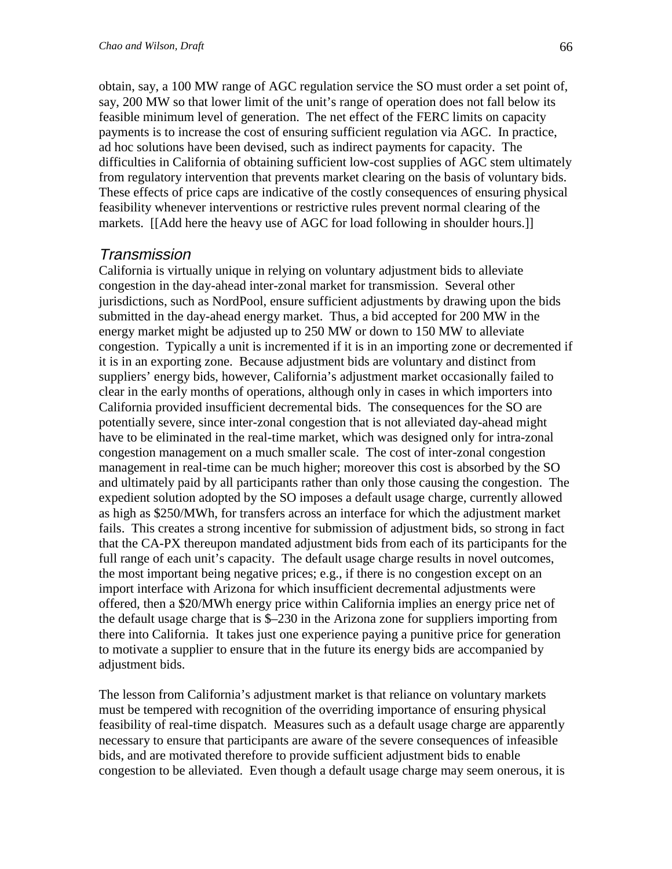obtain, say, a 100 MW range of AGC regulation service the SO must order a set point of, say, 200 MW so that lower limit of the unit's range of operation does not fall below its feasible minimum level of generation. The net effect of the FERC limits on capacity payments is to increase the cost of ensuring sufficient regulation via AGC. In practice, ad hoc solutions have been devised, such as indirect payments for capacity. The difficulties in California of obtaining sufficient low-cost supplies of AGC stem ultimately from regulatory intervention that prevents market clearing on the basis of voluntary bids. These effects of price caps are indicative of the costly consequences of ensuring physical feasibility whenever interventions or restrictive rules prevent normal clearing of the markets. [[Add here the heavy use of AGC for load following in shoulder hours.]]

#### Transmission

California is virtually unique in relying on voluntary adjustment bids to alleviate congestion in the day-ahead inter-zonal market for transmission. Several other jurisdictions, such as NordPool, ensure sufficient adjustments by drawing upon the bids submitted in the day-ahead energy market. Thus, a bid accepted for 200 MW in the energy market might be adjusted up to 250 MW or down to 150 MW to alleviate congestion. Typically a unit is incremented if it is in an importing zone or decremented if it is in an exporting zone. Because adjustment bids are voluntary and distinct from suppliers' energy bids, however, California's adjustment market occasionally failed to clear in the early months of operations, although only in cases in which importers into California provided insufficient decremental bids. The consequences for the SO are potentially severe, since inter-zonal congestion that is not alleviated day-ahead might have to be eliminated in the real-time market, which was designed only for intra-zonal congestion management on a much smaller scale. The cost of inter-zonal congestion management in real-time can be much higher; moreover this cost is absorbed by the SO and ultimately paid by all participants rather than only those causing the congestion. The expedient solution adopted by the SO imposes a default usage charge, currently allowed as high as \$250/MWh, for transfers across an interface for which the adjustment market fails. This creates a strong incentive for submission of adjustment bids, so strong in fact that the CA-PX thereupon mandated adjustment bids from each of its participants for the full range of each unit's capacity. The default usage charge results in novel outcomes, the most important being negative prices; e.g., if there is no congestion except on an import interface with Arizona for which insufficient decremental adjustments were offered, then a \$20/MWh energy price within California implies an energy price net of the default usage charge that is \$–230 in the Arizona zone for suppliers importing from there into California. It takes just one experience paying a punitive price for generation to motivate a supplier to ensure that in the future its energy bids are accompanied by adjustment bids.

The lesson from California's adjustment market is that reliance on voluntary markets must be tempered with recognition of the overriding importance of ensuring physical feasibility of real-time dispatch. Measures such as a default usage charge are apparently necessary to ensure that participants are aware of the severe consequences of infeasible bids, and are motivated therefore to provide sufficient adjustment bids to enable congestion to be alleviated. Even though a default usage charge may seem onerous, it is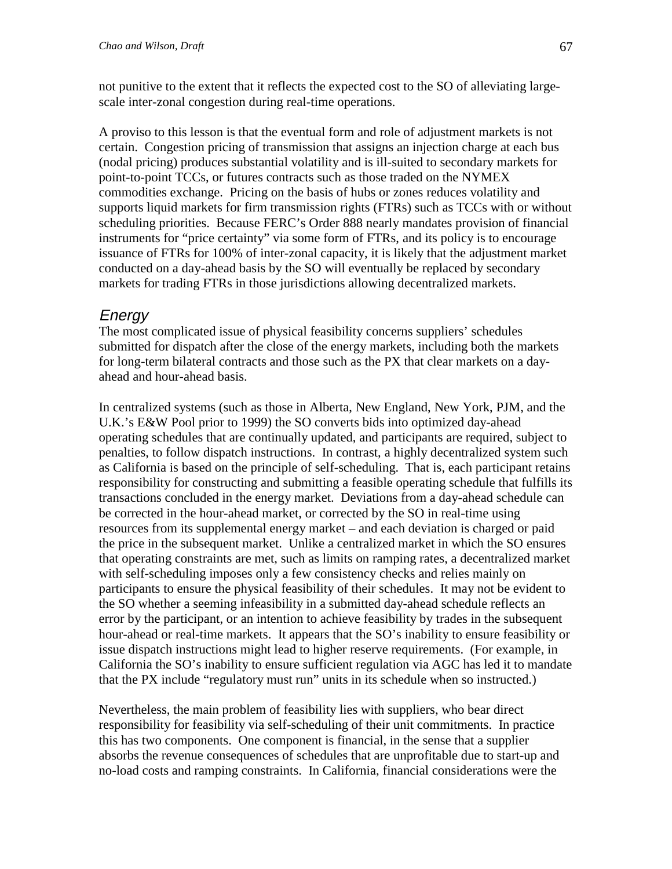not punitive to the extent that it reflects the expected cost to the SO of alleviating largescale inter-zonal congestion during real-time operations.

A proviso to this lesson is that the eventual form and role of adjustment markets is not certain. Congestion pricing of transmission that assigns an injection charge at each bus (nodal pricing) produces substantial volatility and is ill-suited to secondary markets for point-to-point TCCs, or futures contracts such as those traded on the NYMEX commodities exchange. Pricing on the basis of hubs or zones reduces volatility and supports liquid markets for firm transmission rights (FTRs) such as TCCs with or without scheduling priorities. Because FERC's Order 888 nearly mandates provision of financial instruments for "price certainty" via some form of FTRs, and its policy is to encourage issuance of FTRs for 100% of inter-zonal capacity, it is likely that the adjustment market conducted on a day-ahead basis by the SO will eventually be replaced by secondary markets for trading FTRs in those jurisdictions allowing decentralized markets.

### **Energy**

The most complicated issue of physical feasibility concerns suppliers' schedules submitted for dispatch after the close of the energy markets, including both the markets for long-term bilateral contracts and those such as the PX that clear markets on a dayahead and hour-ahead basis.

In centralized systems (such as those in Alberta, New England, New York, PJM, and the U.K.'s E&W Pool prior to 1999) the SO converts bids into optimized day-ahead operating schedules that are continually updated, and participants are required, subject to penalties, to follow dispatch instructions. In contrast, a highly decentralized system such as California is based on the principle of self-scheduling. That is, each participant retains responsibility for constructing and submitting a feasible operating schedule that fulfills its transactions concluded in the energy market. Deviations from a day-ahead schedule can be corrected in the hour-ahead market, or corrected by the SO in real-time using resources from its supplemental energy market – and each deviation is charged or paid the price in the subsequent market. Unlike a centralized market in which the SO ensures that operating constraints are met, such as limits on ramping rates, a decentralized market with self-scheduling imposes only a few consistency checks and relies mainly on participants to ensure the physical feasibility of their schedules. It may not be evident to the SO whether a seeming infeasibility in a submitted day-ahead schedule reflects an error by the participant, or an intention to achieve feasibility by trades in the subsequent hour-ahead or real-time markets. It appears that the SO's inability to ensure feasibility or issue dispatch instructions might lead to higher reserve requirements. (For example, in California the SO's inability to ensure sufficient regulation via AGC has led it to mandate that the PX include "regulatory must run" units in its schedule when so instructed.)

Nevertheless, the main problem of feasibility lies with suppliers, who bear direct responsibility for feasibility via self-scheduling of their unit commitments. In practice this has two components. One component is financial, in the sense that a supplier absorbs the revenue consequences of schedules that are unprofitable due to start-up and no-load costs and ramping constraints. In California, financial considerations were the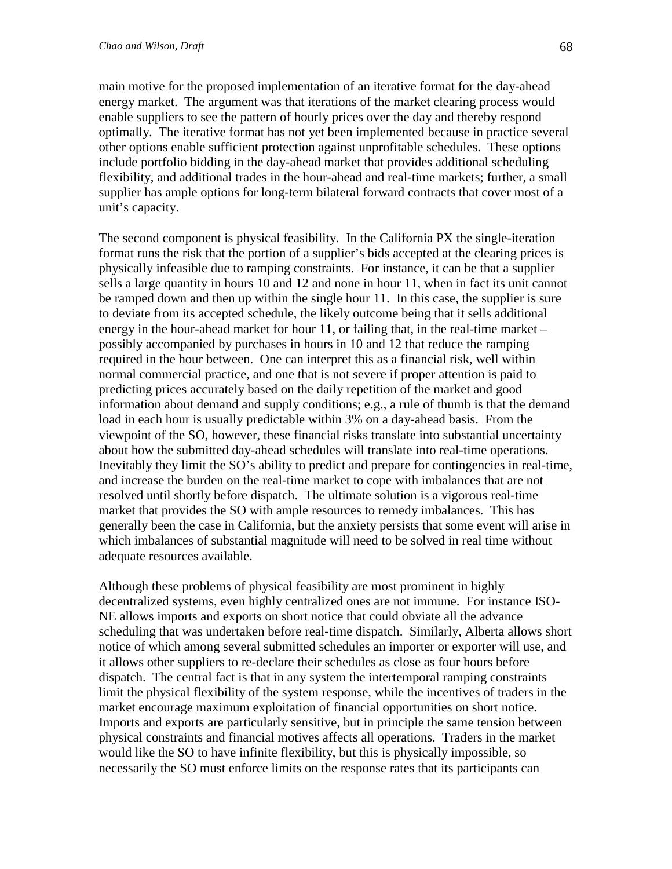main motive for the proposed implementation of an iterative format for the day-ahead energy market. The argument was that iterations of the market clearing process would enable suppliers to see the pattern of hourly prices over the day and thereby respond optimally. The iterative format has not yet been implemented because in practice several other options enable sufficient protection against unprofitable schedules. These options include portfolio bidding in the day-ahead market that provides additional scheduling flexibility, and additional trades in the hour-ahead and real-time markets; further, a small supplier has ample options for long-term bilateral forward contracts that cover most of a unit's capacity.

The second component is physical feasibility. In the California PX the single-iteration format runs the risk that the portion of a supplier's bids accepted at the clearing prices is physically infeasible due to ramping constraints. For instance, it can be that a supplier sells a large quantity in hours 10 and 12 and none in hour 11, when in fact its unit cannot be ramped down and then up within the single hour 11. In this case, the supplier is sure to deviate from its accepted schedule, the likely outcome being that it sells additional energy in the hour-ahead market for hour 11, or failing that, in the real-time market – possibly accompanied by purchases in hours in 10 and 12 that reduce the ramping required in the hour between. One can interpret this as a financial risk, well within normal commercial practice, and one that is not severe if proper attention is paid to predicting prices accurately based on the daily repetition of the market and good information about demand and supply conditions; e.g., a rule of thumb is that the demand load in each hour is usually predictable within 3% on a day-ahead basis. From the viewpoint of the SO, however, these financial risks translate into substantial uncertainty about how the submitted day-ahead schedules will translate into real-time operations. Inevitably they limit the SO's ability to predict and prepare for contingencies in real-time, and increase the burden on the real-time market to cope with imbalances that are not resolved until shortly before dispatch. The ultimate solution is a vigorous real-time market that provides the SO with ample resources to remedy imbalances. This has generally been the case in California, but the anxiety persists that some event will arise in which imbalances of substantial magnitude will need to be solved in real time without adequate resources available.

Although these problems of physical feasibility are most prominent in highly decentralized systems, even highly centralized ones are not immune. For instance ISO-NE allows imports and exports on short notice that could obviate all the advance scheduling that was undertaken before real-time dispatch. Similarly, Alberta allows short notice of which among several submitted schedules an importer or exporter will use, and it allows other suppliers to re-declare their schedules as close as four hours before dispatch. The central fact is that in any system the intertemporal ramping constraints limit the physical flexibility of the system response, while the incentives of traders in the market encourage maximum exploitation of financial opportunities on short notice. Imports and exports are particularly sensitive, but in principle the same tension between physical constraints and financial motives affects all operations. Traders in the market would like the SO to have infinite flexibility, but this is physically impossible, so necessarily the SO must enforce limits on the response rates that its participants can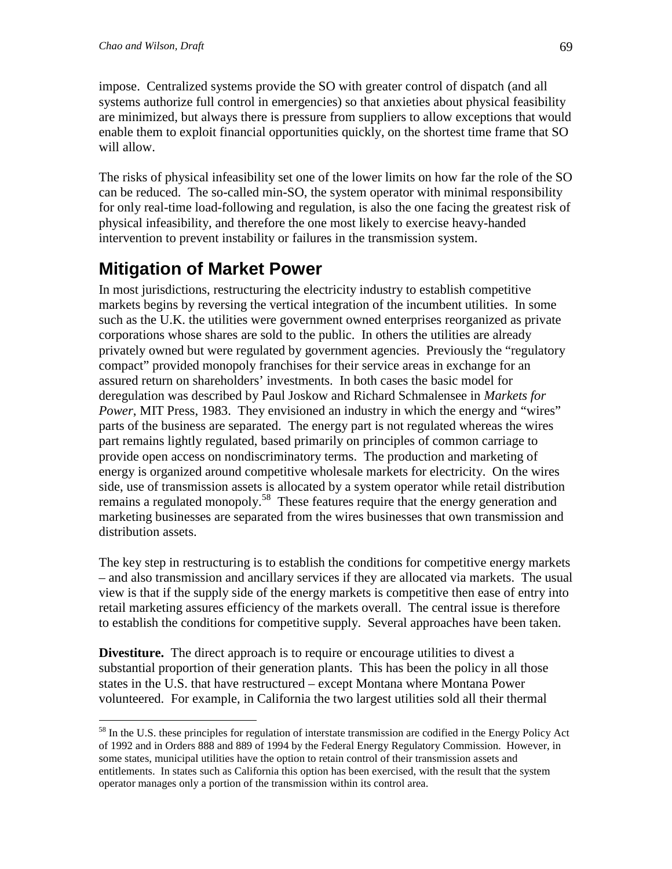impose. Centralized systems provide the SO with greater control of dispatch (and all systems authorize full control in emergencies) so that anxieties about physical feasibility are minimized, but always there is pressure from suppliers to allow exceptions that would enable them to exploit financial opportunities quickly, on the shortest time frame that SO will allow.

The risks of physical infeasibility set one of the lower limits on how far the role of the SO can be reduced. The so-called min-SO, the system operator with minimal responsibility for only real-time load-following and regulation, is also the one facing the greatest risk of physical infeasibility, and therefore the one most likely to exercise heavy-handed intervention to prevent instability or failures in the transmission system.

## **Mitigation of Market Power**

In most jurisdictions, restructuring the electricity industry to establish competitive markets begins by reversing the vertical integration of the incumbent utilities. In some such as the U.K. the utilities were government owned enterprises reorganized as private corporations whose shares are sold to the public. In others the utilities are already privately owned but were regulated by government agencies. Previously the "regulatory compact" provided monopoly franchises for their service areas in exchange for an assured return on shareholders' investments. In both cases the basic model for deregulation was described by Paul Joskow and Richard Schmalensee in *Markets for Power*, MIT Press, 1983. They envisioned an industry in which the energy and "wires" parts of the business are separated. The energy part is not regulated whereas the wires part remains lightly regulated, based primarily on principles of common carriage to provide open access on nondiscriminatory terms. The production and marketing of energy is organized around competitive wholesale markets for electricity. On the wires side, use of transmission assets is allocated by a system operator while retail distribution remains a regulated monopoly.<sup>58</sup> These features require that the energy generation and marketing businesses are separated from the wires businesses that own transmission and distribution assets.

The key step in restructuring is to establish the conditions for competitive energy markets – and also transmission and ancillary services if they are allocated via markets. The usual view is that if the supply side of the energy markets is competitive then ease of entry into retail marketing assures efficiency of the markets overall. The central issue is therefore to establish the conditions for competitive supply. Several approaches have been taken.

**Divestiture.** The direct approach is to require or encourage utilities to divest a substantial proportion of their generation plants. This has been the policy in all those states in the U.S. that have restructured – except Montana where Montana Power volunteered. For example, in California the two largest utilities sold all their thermal

<sup>&</sup>lt;sup>58</sup> In the U.S. these principles for regulation of interstate transmission are codified in the Energy Policy Act of 1992 and in Orders 888 and 889 of 1994 by the Federal Energy Regulatory Commission. However, in some states, municipal utilities have the option to retain control of their transmission assets and entitlements. In states such as California this option has been exercised, with the result that the system operator manages only a portion of the transmission within its control area.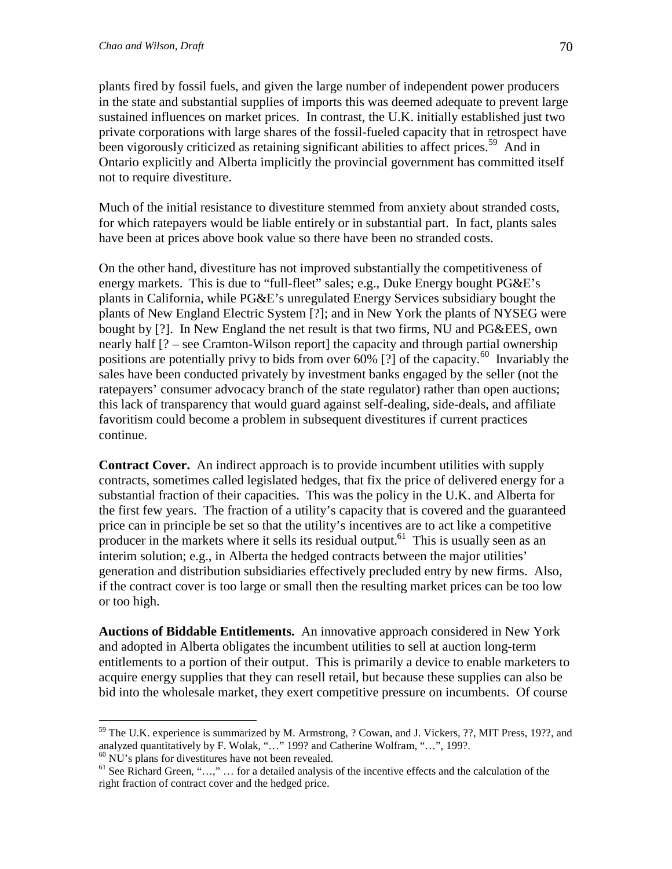plants fired by fossil fuels, and given the large number of independent power producers in the state and substantial supplies of imports this was deemed adequate to prevent large sustained influences on market prices. In contrast, the U.K. initially established just two private corporations with large shares of the fossil-fueled capacity that in retrospect have been vigorously criticized as retaining significant abilities to affect prices.<sup>59</sup> And in Ontario explicitly and Alberta implicitly the provincial government has committed itself not to require divestiture.

Much of the initial resistance to divestiture stemmed from anxiety about stranded costs, for which ratepayers would be liable entirely or in substantial part. In fact, plants sales have been at prices above book value so there have been no stranded costs.

On the other hand, divestiture has not improved substantially the competitiveness of energy markets. This is due to "full-fleet" sales; e.g., Duke Energy bought PG&E's plants in California, while PG&E's unregulated Energy Services subsidiary bought the plants of New England Electric System [?]; and in New York the plants of NYSEG were bought by [?]. In New England the net result is that two firms, NU and PG&EES, own nearly half [? – see Cramton-Wilson report] the capacity and through partial ownership positions are potentially privy to bids from over  $60\%$  [?] of the capacity.<sup>60</sup> Invariably the sales have been conducted privately by investment banks engaged by the seller (not the ratepayers' consumer advocacy branch of the state regulator) rather than open auctions; this lack of transparency that would guard against self-dealing, side-deals, and affiliate favoritism could become a problem in subsequent divestitures if current practices continue.

**Contract Cover.** An indirect approach is to provide incumbent utilities with supply contracts, sometimes called legislated hedges, that fix the price of delivered energy for a substantial fraction of their capacities. This was the policy in the U.K. and Alberta for the first few years. The fraction of a utility's capacity that is covered and the guaranteed price can in principle be set so that the utility's incentives are to act like a competitive producer in the markets where it sells its residual output.<sup>61</sup> This is usually seen as an interim solution; e.g., in Alberta the hedged contracts between the major utilities' generation and distribution subsidiaries effectively precluded entry by new firms. Also, if the contract cover is too large or small then the resulting market prices can be too low or too high.

**Auctions of Biddable Entitlements.** An innovative approach considered in New York and adopted in Alberta obligates the incumbent utilities to sell at auction long-term entitlements to a portion of their output. This is primarily a device to enable marketers to acquire energy supplies that they can resell retail, but because these supplies can also be bid into the wholesale market, they exert competitive pressure on incumbents. Of course

 $\overline{a}$ 

<sup>&</sup>lt;sup>59</sup> The U.K. experience is summarized by M. Armstrong, ? Cowan, and J. Vickers, ??, MIT Press, 19??, and analyzed quantitatively by F. Wolak, "…" 199? and Catherine Wolfram, "…", 199?. <sup>60</sup> NU's plans for divestitures have not been revealed.

 $61$  See Richard Green, "...," ... for a detailed analysis of the incentive effects and the calculation of the right fraction of contract cover and the hedged price.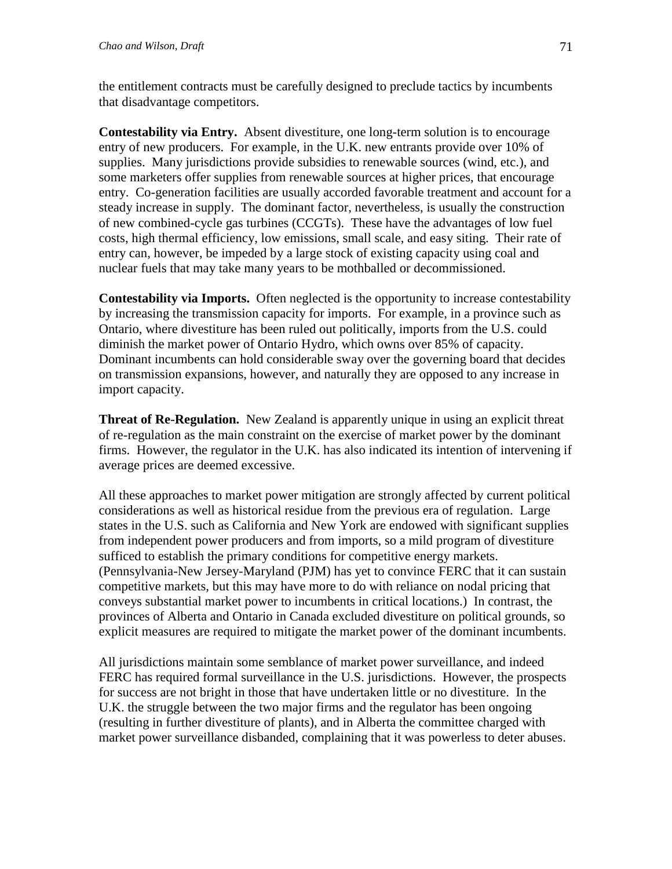the entitlement contracts must be carefully designed to preclude tactics by incumbents that disadvantage competitors.

**Contestability via Entry.** Absent divestiture, one long-term solution is to encourage entry of new producers. For example, in the U.K. new entrants provide over 10% of supplies. Many jurisdictions provide subsidies to renewable sources (wind, etc.), and some marketers offer supplies from renewable sources at higher prices, that encourage entry. Co-generation facilities are usually accorded favorable treatment and account for a steady increase in supply. The dominant factor, nevertheless, is usually the construction of new combined-cycle gas turbines (CCGTs). These have the advantages of low fuel costs, high thermal efficiency, low emissions, small scale, and easy siting. Their rate of entry can, however, be impeded by a large stock of existing capacity using coal and nuclear fuels that may take many years to be mothballed or decommissioned.

**Contestability via Imports.** Often neglected is the opportunity to increase contestability by increasing the transmission capacity for imports. For example, in a province such as Ontario, where divestiture has been ruled out politically, imports from the U.S. could diminish the market power of Ontario Hydro, which owns over 85% of capacity. Dominant incumbents can hold considerable sway over the governing board that decides on transmission expansions, however, and naturally they are opposed to any increase in import capacity.

**Threat of Re-Regulation.** New Zealand is apparently unique in using an explicit threat of re-regulation as the main constraint on the exercise of market power by the dominant firms. However, the regulator in the U.K. has also indicated its intention of intervening if average prices are deemed excessive.

All these approaches to market power mitigation are strongly affected by current political considerations as well as historical residue from the previous era of regulation. Large states in the U.S. such as California and New York are endowed with significant supplies from independent power producers and from imports, so a mild program of divestiture sufficed to establish the primary conditions for competitive energy markets. (Pennsylvania-New Jersey-Maryland (PJM) has yet to convince FERC that it can sustain competitive markets, but this may have more to do with reliance on nodal pricing that conveys substantial market power to incumbents in critical locations.) In contrast, the provinces of Alberta and Ontario in Canada excluded divestiture on political grounds, so explicit measures are required to mitigate the market power of the dominant incumbents.

All jurisdictions maintain some semblance of market power surveillance, and indeed FERC has required formal surveillance in the U.S. jurisdictions. However, the prospects for success are not bright in those that have undertaken little or no divestiture. In the U.K. the struggle between the two major firms and the regulator has been ongoing (resulting in further divestiture of plants), and in Alberta the committee charged with market power surveillance disbanded, complaining that it was powerless to deter abuses.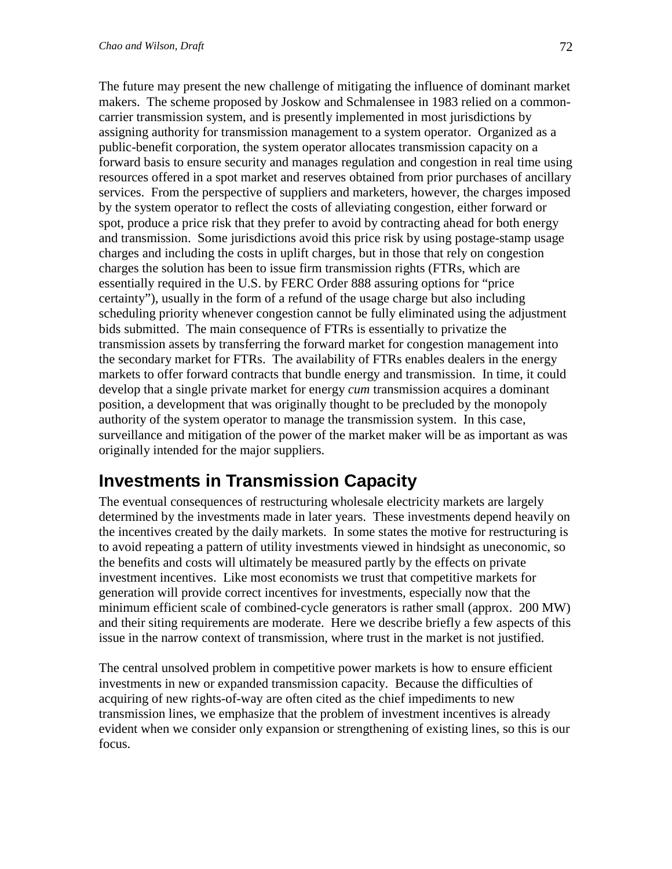The future may present the new challenge of mitigating the influence of dominant market makers. The scheme proposed by Joskow and Schmalensee in 1983 relied on a commoncarrier transmission system, and is presently implemented in most jurisdictions by assigning authority for transmission management to a system operator. Organized as a public-benefit corporation, the system operator allocates transmission capacity on a forward basis to ensure security and manages regulation and congestion in real time using resources offered in a spot market and reserves obtained from prior purchases of ancillary services. From the perspective of suppliers and marketers, however, the charges imposed by the system operator to reflect the costs of alleviating congestion, either forward or spot, produce a price risk that they prefer to avoid by contracting ahead for both energy and transmission. Some jurisdictions avoid this price risk by using postage-stamp usage charges and including the costs in uplift charges, but in those that rely on congestion charges the solution has been to issue firm transmission rights (FTRs, which are essentially required in the U.S. by FERC Order 888 assuring options for "price certainty"), usually in the form of a refund of the usage charge but also including scheduling priority whenever congestion cannot be fully eliminated using the adjustment bids submitted. The main consequence of FTRs is essentially to privatize the transmission assets by transferring the forward market for congestion management into the secondary market for FTRs. The availability of FTRs enables dealers in the energy markets to offer forward contracts that bundle energy and transmission. In time, it could develop that a single private market for energy *cum* transmission acquires a dominant position, a development that was originally thought to be precluded by the monopoly authority of the system operator to manage the transmission system. In this case, surveillance and mitigation of the power of the market maker will be as important as was originally intended for the major suppliers.

## **Investments in Transmission Capacity**

The eventual consequences of restructuring wholesale electricity markets are largely determined by the investments made in later years. These investments depend heavily on the incentives created by the daily markets. In some states the motive for restructuring is to avoid repeating a pattern of utility investments viewed in hindsight as uneconomic, so the benefits and costs will ultimately be measured partly by the effects on private investment incentives. Like most economists we trust that competitive markets for generation will provide correct incentives for investments, especially now that the minimum efficient scale of combined-cycle generators is rather small (approx. 200 MW) and their siting requirements are moderate. Here we describe briefly a few aspects of this issue in the narrow context of transmission, where trust in the market is not justified.

The central unsolved problem in competitive power markets is how to ensure efficient investments in new or expanded transmission capacity. Because the difficulties of acquiring of new rights-of-way are often cited as the chief impediments to new transmission lines, we emphasize that the problem of investment incentives is already evident when we consider only expansion or strengthening of existing lines, so this is our focus.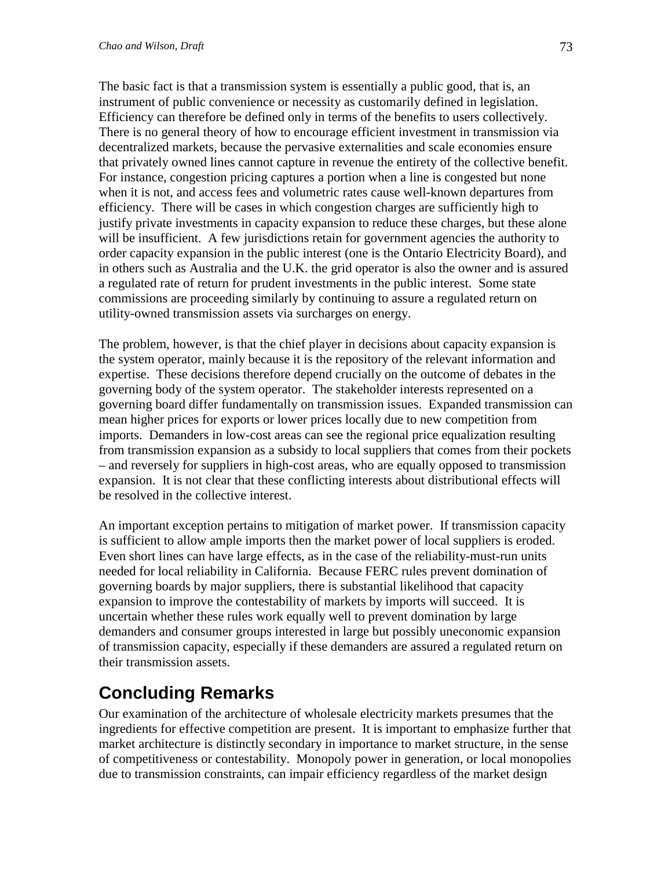The basic fact is that a transmission system is essentially a public good, that is, an instrument of public convenience or necessity as customarily defined in legislation. Efficiency can therefore be defined only in terms of the benefits to users collectively. There is no general theory of how to encourage efficient investment in transmission via decentralized markets, because the pervasive externalities and scale economies ensure that privately owned lines cannot capture in revenue the entirety of the collective benefit. For instance, congestion pricing captures a portion when a line is congested but none when it is not, and access fees and volumetric rates cause well-known departures from efficiency. There will be cases in which congestion charges are sufficiently high to justify private investments in capacity expansion to reduce these charges, but these alone will be insufficient. A few jurisdictions retain for government agencies the authority to order capacity expansion in the public interest (one is the Ontario Electricity Board), and in others such as Australia and the U.K. the grid operator is also the owner and is assured a regulated rate of return for prudent investments in the public interest. Some state commissions are proceeding similarly by continuing to assure a regulated return on utility-owned transmission assets via surcharges on energy.

The problem, however, is that the chief player in decisions about capacity expansion is the system operator, mainly because it is the repository of the relevant information and expertise. These decisions therefore depend crucially on the outcome of debates in the governing body of the system operator. The stakeholder interests represented on a governing board differ fundamentally on transmission issues. Expanded transmission can mean higher prices for exports or lower prices locally due to new competition from imports. Demanders in low-cost areas can see the regional price equalization resulting from transmission expansion as a subsidy to local suppliers that comes from their pockets – and reversely for suppliers in high-cost areas, who are equally opposed to transmission expansion. It is not clear that these conflicting interests about distributional effects will be resolved in the collective interest.

An important exception pertains to mitigation of market power. If transmission capacity is sufficient to allow ample imports then the market power of local suppliers is eroded. Even short lines can have large effects, as in the case of the reliability-must-run units needed for local reliability in California. Because FERC rules prevent domination of governing boards by major suppliers, there is substantial likelihood that capacity expansion to improve the contestability of markets by imports will succeed. It is uncertain whether these rules work equally well to prevent domination by large demanders and consumer groups interested in large but possibly uneconomic expansion of transmission capacity, especially if these demanders are assured a regulated return on their transmission assets.

## **Concluding Remarks**

Our examination of the architecture of wholesale electricity markets presumes that the ingredients for effective competition are present. It is important to emphasize further that market architecture is distinctly secondary in importance to market structure, in the sense of competitiveness or contestability. Monopoly power in generation, or local monopolies due to transmission constraints, can impair efficiency regardless of the market design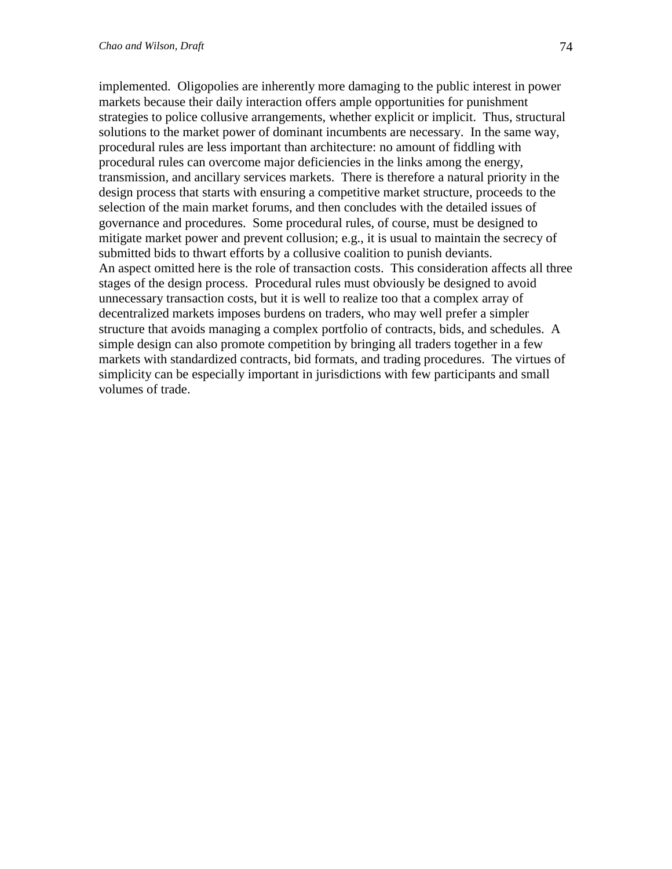implemented. Oligopolies are inherently more damaging to the public interest in power markets because their daily interaction offers ample opportunities for punishment strategies to police collusive arrangements, whether explicit or implicit. Thus, structural solutions to the market power of dominant incumbents are necessary. In the same way, procedural rules are less important than architecture: no amount of fiddling with procedural rules can overcome major deficiencies in the links among the energy, transmission, and ancillary services markets. There is therefore a natural priority in the design process that starts with ensuring a competitive market structure, proceeds to the selection of the main market forums, and then concludes with the detailed issues of governance and procedures. Some procedural rules, of course, must be designed to mitigate market power and prevent collusion; e.g., it is usual to maintain the secrecy of submitted bids to thwart efforts by a collusive coalition to punish deviants. An aspect omitted here is the role of transaction costs. This consideration affects all three stages of the design process. Procedural rules must obviously be designed to avoid unnecessary transaction costs, but it is well to realize too that a complex array of decentralized markets imposes burdens on traders, who may well prefer a simpler structure that avoids managing a complex portfolio of contracts, bids, and schedules. A simple design can also promote competition by bringing all traders together in a few markets with standardized contracts, bid formats, and trading procedures. The virtues of simplicity can be especially important in jurisdictions with few participants and small volumes of trade.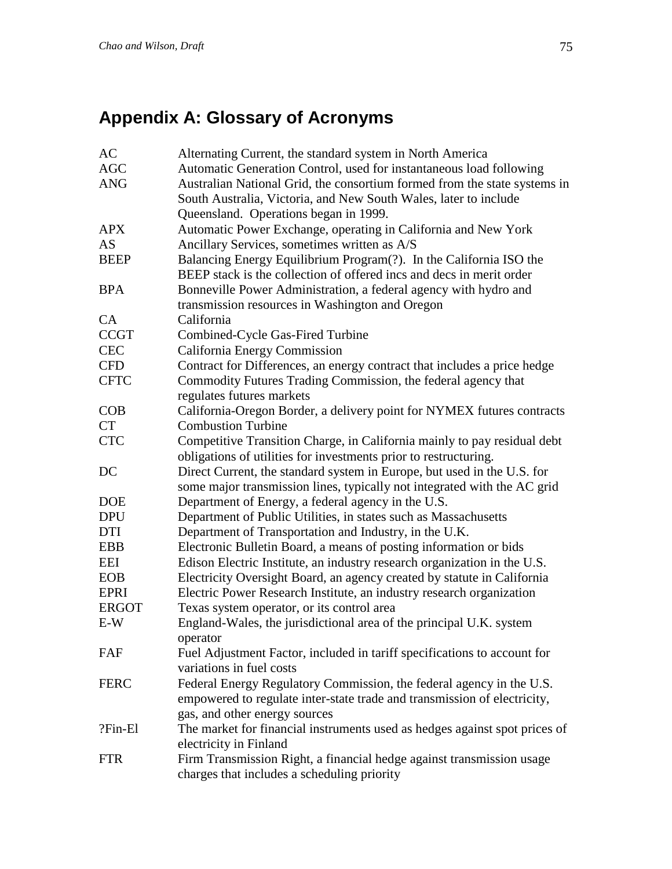# **Appendix A: Glossary of Acronyms**

| <b>AC</b>    | Alternating Current, the standard system in North America                  |
|--------------|----------------------------------------------------------------------------|
| <b>AGC</b>   | Automatic Generation Control, used for instantaneous load following        |
| <b>ANG</b>   | Australian National Grid, the consortium formed from the state systems in  |
|              | South Australia, Victoria, and New South Wales, later to include           |
|              | Queensland. Operations began in 1999.                                      |
| <b>APX</b>   | Automatic Power Exchange, operating in California and New York             |
| <b>AS</b>    | Ancillary Services, sometimes written as A/S                               |
| <b>BEEP</b>  | Balancing Energy Equilibrium Program(?). In the California ISO the         |
|              | BEEP stack is the collection of offered incs and decs in merit order       |
| <b>BPA</b>   | Bonneville Power Administration, a federal agency with hydro and           |
|              | transmission resources in Washington and Oregon                            |
| CA           | California                                                                 |
| <b>CCGT</b>  | Combined-Cycle Gas-Fired Turbine                                           |
| <b>CEC</b>   | California Energy Commission                                               |
| <b>CFD</b>   | Contract for Differences, an energy contract that includes a price hedge   |
| <b>CFTC</b>  | Commodity Futures Trading Commission, the federal agency that              |
|              | regulates futures markets                                                  |
| COB          | California-Oregon Border, a delivery point for NYMEX futures contracts     |
| <b>CT</b>    | <b>Combustion Turbine</b>                                                  |
| <b>CTC</b>   | Competitive Transition Charge, in California mainly to pay residual debt   |
|              | obligations of utilities for investments prior to restructuring.           |
| DC           | Direct Current, the standard system in Europe, but used in the U.S. for    |
|              | some major transmission lines, typically not integrated with the AC grid   |
| <b>DOE</b>   | Department of Energy, a federal agency in the U.S.                         |
| <b>DPU</b>   | Department of Public Utilities, in states such as Massachusetts            |
| <b>DTI</b>   | Department of Transportation and Industry, in the U.K.                     |
| <b>EBB</b>   | Electronic Bulletin Board, a means of posting information or bids          |
| EEI          | Edison Electric Institute, an industry research organization in the U.S.   |
| <b>EOB</b>   | Electricity Oversight Board, an agency created by statute in California    |
| <b>EPRI</b>  | Electric Power Research Institute, an industry research organization       |
| <b>ERGOT</b> | Texas system operator, or its control area                                 |
| $E-W$        | England-Wales, the jurisdictional area of the principal U.K. system        |
|              | operator                                                                   |
| FAF          | Fuel Adjustment Factor, included in tariff specifications to account for   |
|              | variations in fuel costs                                                   |
| <b>FERC</b>  | Federal Energy Regulatory Commission, the federal agency in the U.S.       |
|              | empowered to regulate inter-state trade and transmission of electricity,   |
|              | gas, and other energy sources                                              |
| ?Fin-El      | The market for financial instruments used as hedges against spot prices of |
|              | electricity in Finland                                                     |
| <b>FTR</b>   | Firm Transmission Right, a financial hedge against transmission usage      |
|              | charges that includes a scheduling priority                                |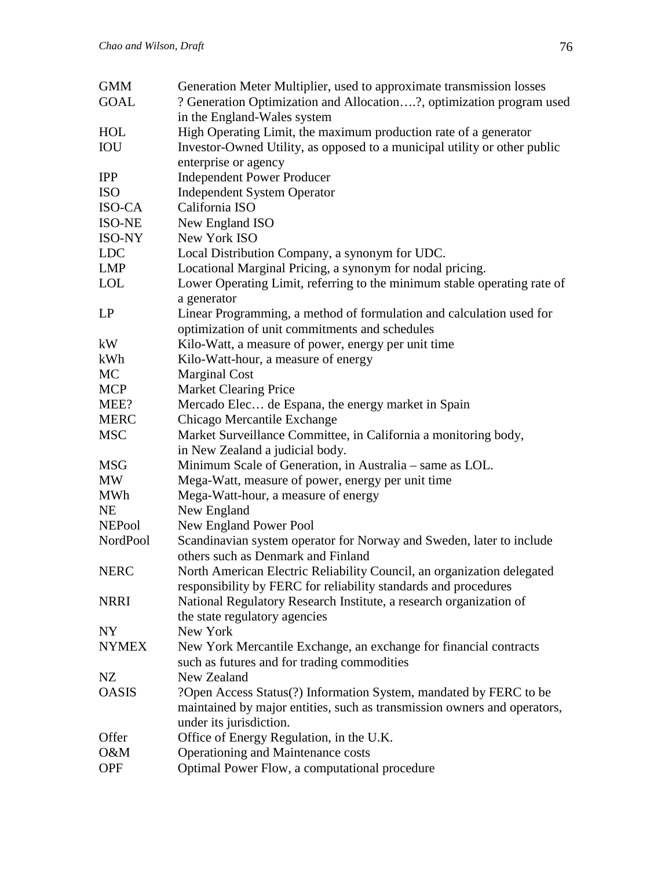| <b>GMM</b>    | Generation Meter Multiplier, used to approximate transmission losses      |
|---------------|---------------------------------------------------------------------------|
| <b>GOAL</b>   | ? Generation Optimization and Allocation?, optimization program used      |
|               | in the England-Wales system                                               |
| HOL           | High Operating Limit, the maximum production rate of a generator          |
| <b>IOU</b>    | Investor-Owned Utility, as opposed to a municipal utility or other public |
|               | enterprise or agency                                                      |
| <b>IPP</b>    | <b>Independent Power Producer</b>                                         |
| <b>ISO</b>    | <b>Independent System Operator</b>                                        |
| ISO-CA        | California ISO                                                            |
| <b>ISO-NE</b> | New England ISO                                                           |
| ISO-NY        | New York ISO                                                              |
| <b>LDC</b>    | Local Distribution Company, a synonym for UDC.                            |
| LMP           | Locational Marginal Pricing, a synonym for nodal pricing.                 |
| LOL           | Lower Operating Limit, referring to the minimum stable operating rate of  |
|               | a generator                                                               |
| LP            | Linear Programming, a method of formulation and calculation used for      |
|               | optimization of unit commitments and schedules                            |
| kW            | Kilo-Watt, a measure of power, energy per unit time                       |
| kWh           | Kilo-Watt-hour, a measure of energy                                       |
| MC            | <b>Marginal Cost</b>                                                      |
| <b>MCP</b>    | <b>Market Clearing Price</b>                                              |
| MEE?          | Mercado Elec de Espana, the energy market in Spain                        |
| <b>MERC</b>   | Chicago Mercantile Exchange                                               |
| <b>MSC</b>    | Market Surveillance Committee, in California a monitoring body,           |
|               | in New Zealand a judicial body.                                           |
| <b>MSG</b>    | Minimum Scale of Generation, in Australia - same as LOL.                  |
| <b>MW</b>     | Mega-Watt, measure of power, energy per unit time                         |
| <b>MWh</b>    | Mega-Watt-hour, a measure of energy                                       |
| <b>NE</b>     | New England                                                               |
| <b>NEPool</b> | New England Power Pool                                                    |
| NordPool      | Scandinavian system operator for Norway and Sweden, later to include      |
|               | others such as Denmark and Finland                                        |
| <b>NERC</b>   | North American Electric Reliability Council, an organization delegated    |
|               | responsibility by FERC for reliability standards and procedures           |
| <b>NRRI</b>   | National Regulatory Research Institute, a research organization of        |
|               | the state regulatory agencies                                             |
| NY            | New York                                                                  |
| <b>NYMEX</b>  | New York Mercantile Exchange, an exchange for financial contracts         |
|               | such as futures and for trading commodities                               |
| NZ            | New Zealand                                                               |
| <b>OASIS</b>  | ? Open Access Status(?) Information System, mandated by FERC to be        |
|               | maintained by major entities, such as transmission owners and operators,  |
|               | under its jurisdiction.                                                   |
| Offer         | Office of Energy Regulation, in the U.K.                                  |
| O&M           | Operationing and Maintenance costs                                        |
| <b>OPF</b>    | Optimal Power Flow, a computational procedure                             |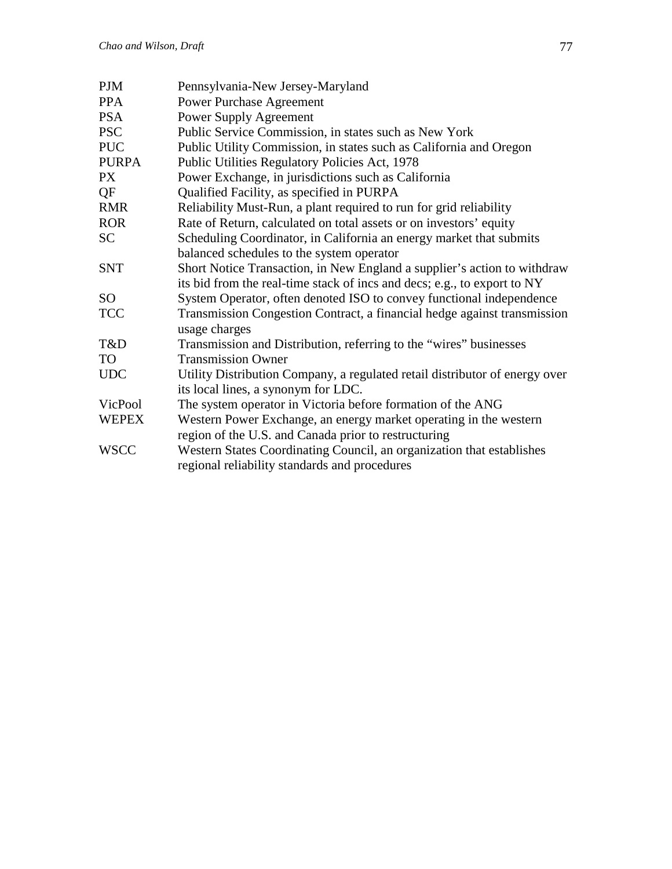| <b>PJM</b>   | Pennsylvania-New Jersey-Maryland                                                                                       |
|--------------|------------------------------------------------------------------------------------------------------------------------|
| <b>PPA</b>   | <b>Power Purchase Agreement</b>                                                                                        |
| <b>PSA</b>   | <b>Power Supply Agreement</b>                                                                                          |
| <b>PSC</b>   | Public Service Commission, in states such as New York                                                                  |
| <b>PUC</b>   | Public Utility Commission, in states such as California and Oregon                                                     |
| <b>PURPA</b> | Public Utilities Regulatory Policies Act, 1978                                                                         |
| <b>PX</b>    | Power Exchange, in jurisdictions such as California                                                                    |
| QF           | Qualified Facility, as specified in PURPA                                                                              |
| <b>RMR</b>   | Reliability Must-Run, a plant required to run for grid reliability                                                     |
| <b>ROR</b>   | Rate of Return, calculated on total assets or on investors' equity                                                     |
| <b>SC</b>    | Scheduling Coordinator, in California an energy market that submits                                                    |
|              | balanced schedules to the system operator                                                                              |
| <b>SNT</b>   | Short Notice Transaction, in New England a supplier's action to withdraw                                               |
|              | its bid from the real-time stack of incs and decs; e.g., to export to NY                                               |
| <b>SO</b>    | System Operator, often denoted ISO to convey functional independence                                                   |
| <b>TCC</b>   | Transmission Congestion Contract, a financial hedge against transmission                                               |
|              | usage charges                                                                                                          |
| T&D          | Transmission and Distribution, referring to the "wires" businesses                                                     |
| <b>TO</b>    | <b>Transmission Owner</b>                                                                                              |
| <b>UDC</b>   | Utility Distribution Company, a regulated retail distributor of energy over                                            |
|              | its local lines, a synonym for LDC.                                                                                    |
| VicPool      | The system operator in Victoria before formation of the ANG                                                            |
| <b>WEPEX</b> | Western Power Exchange, an energy market operating in the western                                                      |
|              | region of the U.S. and Canada prior to restructuring                                                                   |
| <b>WSCC</b>  | Western States Coordinating Council, an organization that establishes<br>regional reliability standards and procedures |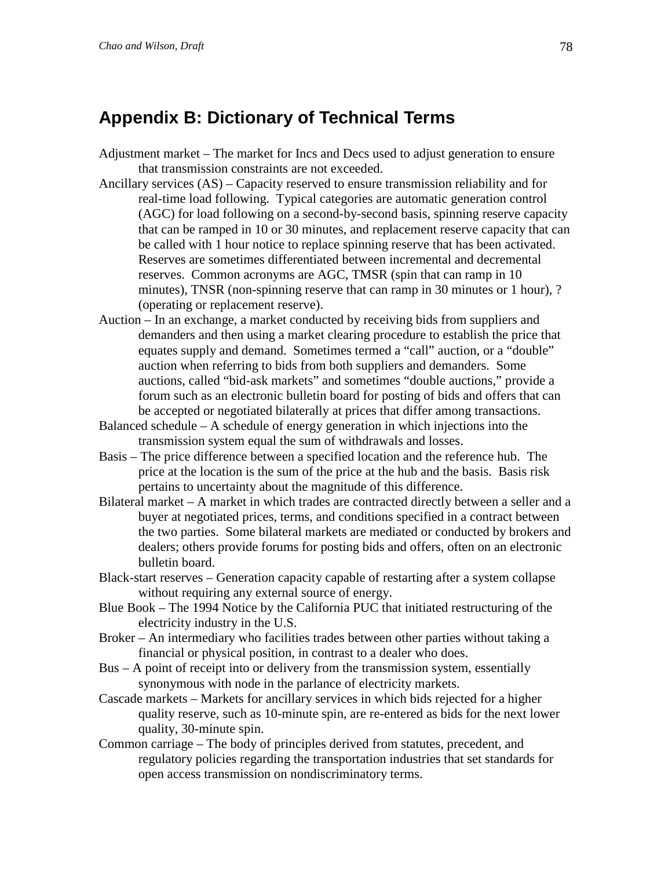## **Appendix B: Dictionary of Technical Terms**

- Adjustment market The market for Incs and Decs used to adjust generation to ensure that transmission constraints are not exceeded.
- Ancillary services (AS) Capacity reserved to ensure transmission reliability and for real-time load following. Typical categories are automatic generation control (AGC) for load following on a second-by-second basis, spinning reserve capacity that can be ramped in 10 or 30 minutes, and replacement reserve capacity that can be called with 1 hour notice to replace spinning reserve that has been activated. Reserves are sometimes differentiated between incremental and decremental reserves. Common acronyms are AGC, TMSR (spin that can ramp in 10 minutes), TNSR (non-spinning reserve that can ramp in 30 minutes or 1 hour), ? (operating or replacement reserve).
- Auction In an exchange, a market conducted by receiving bids from suppliers and demanders and then using a market clearing procedure to establish the price that equates supply and demand. Sometimes termed a "call" auction, or a "double" auction when referring to bids from both suppliers and demanders. Some auctions, called "bid-ask markets" and sometimes "double auctions," provide a forum such as an electronic bulletin board for posting of bids and offers that can be accepted or negotiated bilaterally at prices that differ among transactions.
- Balanced schedule A schedule of energy generation in which injections into the transmission system equal the sum of withdrawals and losses.
- Basis The price difference between a specified location and the reference hub. The price at the location is the sum of the price at the hub and the basis. Basis risk pertains to uncertainty about the magnitude of this difference.
- Bilateral market A market in which trades are contracted directly between a seller and a buyer at negotiated prices, terms, and conditions specified in a contract between the two parties. Some bilateral markets are mediated or conducted by brokers and dealers; others provide forums for posting bids and offers, often on an electronic bulletin board.
- Black-start reserves Generation capacity capable of restarting after a system collapse without requiring any external source of energy.
- Blue Book The 1994 Notice by the California PUC that initiated restructuring of the electricity industry in the U.S.
- Broker An intermediary who facilities trades between other parties without taking a financial or physical position, in contrast to a dealer who does.
- Bus A point of receipt into or delivery from the transmission system, essentially synonymous with node in the parlance of electricity markets.
- Cascade markets Markets for ancillary services in which bids rejected for a higher quality reserve, such as 10-minute spin, are re-entered as bids for the next lower quality, 30-minute spin.
- Common carriage The body of principles derived from statutes, precedent, and regulatory policies regarding the transportation industries that set standards for open access transmission on nondiscriminatory terms.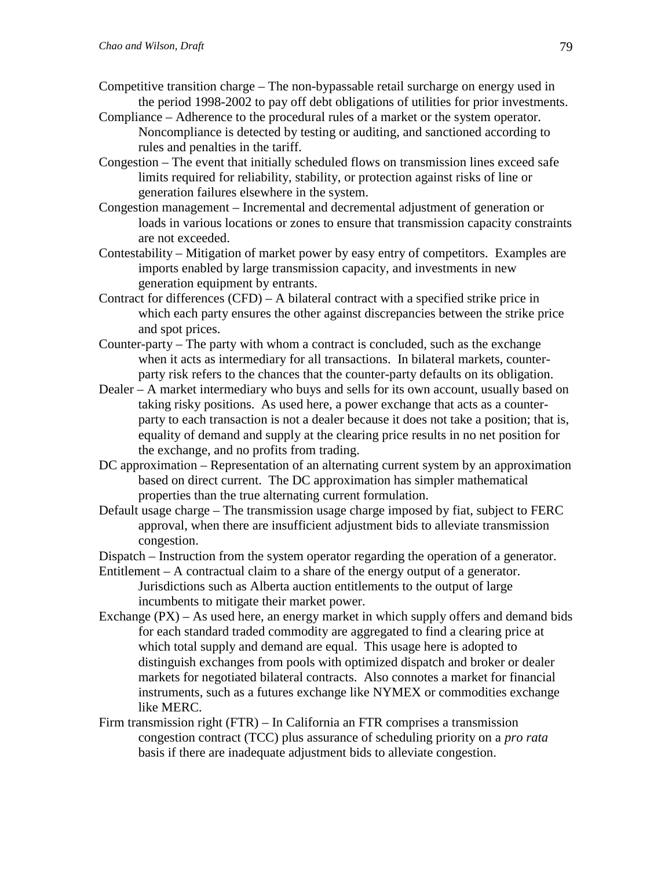- Competitive transition charge The non-bypassable retail surcharge on energy used in the period 1998-2002 to pay off debt obligations of utilities for prior investments.
- Compliance Adherence to the procedural rules of a market or the system operator. Noncompliance is detected by testing or auditing, and sanctioned according to rules and penalties in the tariff.
- Congestion The event that initially scheduled flows on transmission lines exceed safe limits required for reliability, stability, or protection against risks of line or generation failures elsewhere in the system.
- Congestion management Incremental and decremental adjustment of generation or loads in various locations or zones to ensure that transmission capacity constraints are not exceeded.
- Contestability Mitigation of market power by easy entry of competitors. Examples are imports enabled by large transmission capacity, and investments in new generation equipment by entrants.
- Contract for differences (CFD) A bilateral contract with a specified strike price in which each party ensures the other against discrepancies between the strike price and spot prices.
- Counter-party The party with whom a contract is concluded, such as the exchange when it acts as intermediary for all transactions. In bilateral markets, counterparty risk refers to the chances that the counter-party defaults on its obligation.
- Dealer A market intermediary who buys and sells for its own account, usually based on taking risky positions. As used here, a power exchange that acts as a counterparty to each transaction is not a dealer because it does not take a position; that is, equality of demand and supply at the clearing price results in no net position for the exchange, and no profits from trading.
- DC approximation Representation of an alternating current system by an approximation based on direct current. The DC approximation has simpler mathematical properties than the true alternating current formulation.
- Default usage charge The transmission usage charge imposed by fiat, subject to FERC approval, when there are insufficient adjustment bids to alleviate transmission congestion.
- Dispatch Instruction from the system operator regarding the operation of a generator.
- Entitlement A contractual claim to a share of the energy output of a generator. Jurisdictions such as Alberta auction entitlements to the output of large incumbents to mitigate their market power.
- Exchange  $(PX)$  As used here, an energy market in which supply offers and demand bids for each standard traded commodity are aggregated to find a clearing price at which total supply and demand are equal. This usage here is adopted to distinguish exchanges from pools with optimized dispatch and broker or dealer markets for negotiated bilateral contracts. Also connotes a market for financial instruments, such as a futures exchange like NYMEX or commodities exchange like MERC.
- Firm transmission right (FTR) In California an FTR comprises a transmission congestion contract (TCC) plus assurance of scheduling priority on a *pro rata* basis if there are inadequate adjustment bids to alleviate congestion.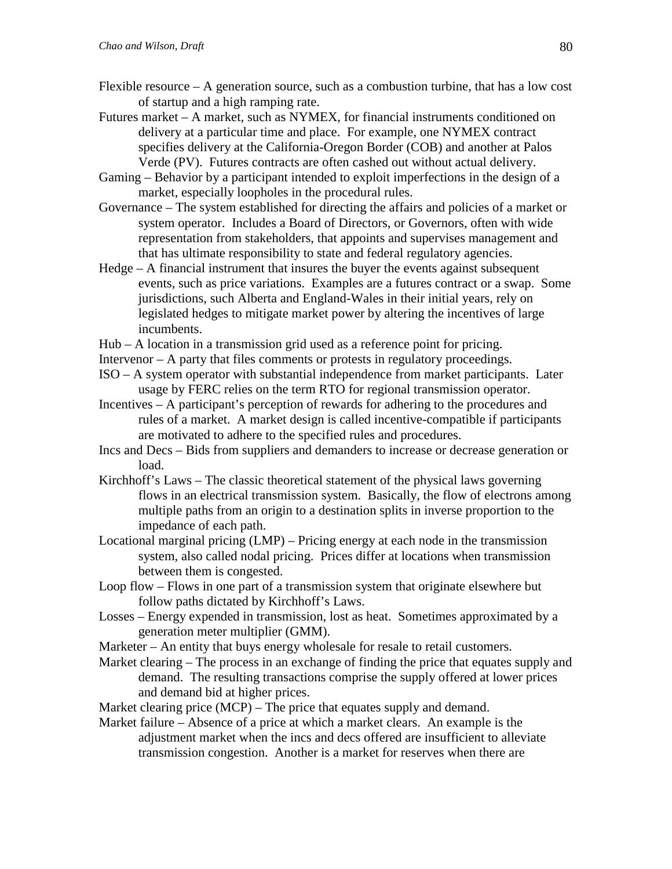- Flexible resource A generation source, such as a combustion turbine, that has a low cost of startup and a high ramping rate.
- Futures market A market, such as NYMEX, for financial instruments conditioned on delivery at a particular time and place. For example, one NYMEX contract specifies delivery at the California-Oregon Border (COB) and another at Palos Verde (PV). Futures contracts are often cashed out without actual delivery.
- Gaming Behavior by a participant intended to exploit imperfections in the design of a market, especially loopholes in the procedural rules.
- Governance The system established for directing the affairs and policies of a market or system operator. Includes a Board of Directors, or Governors, often with wide representation from stakeholders, that appoints and supervises management and that has ultimate responsibility to state and federal regulatory agencies.
- Hedge A financial instrument that insures the buyer the events against subsequent events, such as price variations. Examples are a futures contract or a swap. Some jurisdictions, such Alberta and England-Wales in their initial years, rely on legislated hedges to mitigate market power by altering the incentives of large incumbents.
- Hub A location in a transmission grid used as a reference point for pricing.
- Intervenor A party that files comments or protests in regulatory proceedings.
- ISO A system operator with substantial independence from market participants. Later usage by FERC relies on the term RTO for regional transmission operator.
- Incentives A participant's perception of rewards for adhering to the procedures and rules of a market. A market design is called incentive-compatible if participants are motivated to adhere to the specified rules and procedures.
- Incs and Decs Bids from suppliers and demanders to increase or decrease generation or load.
- Kirchhoff's Laws The classic theoretical statement of the physical laws governing flows in an electrical transmission system. Basically, the flow of electrons among multiple paths from an origin to a destination splits in inverse proportion to the impedance of each path.
- Locational marginal pricing (LMP) Pricing energy at each node in the transmission system, also called nodal pricing. Prices differ at locations when transmission between them is congested.
- Loop flow Flows in one part of a transmission system that originate elsewhere but follow paths dictated by Kirchhoff's Laws.
- Losses Energy expended in transmission, lost as heat. Sometimes approximated by a generation meter multiplier (GMM).
- Marketer An entity that buys energy wholesale for resale to retail customers.
- Market clearing The process in an exchange of finding the price that equates supply and demand. The resulting transactions comprise the supply offered at lower prices and demand bid at higher prices.
- Market clearing price (MCP) The price that equates supply and demand.
- Market failure Absence of a price at which a market clears. An example is the adjustment market when the incs and decs offered are insufficient to alleviate transmission congestion. Another is a market for reserves when there are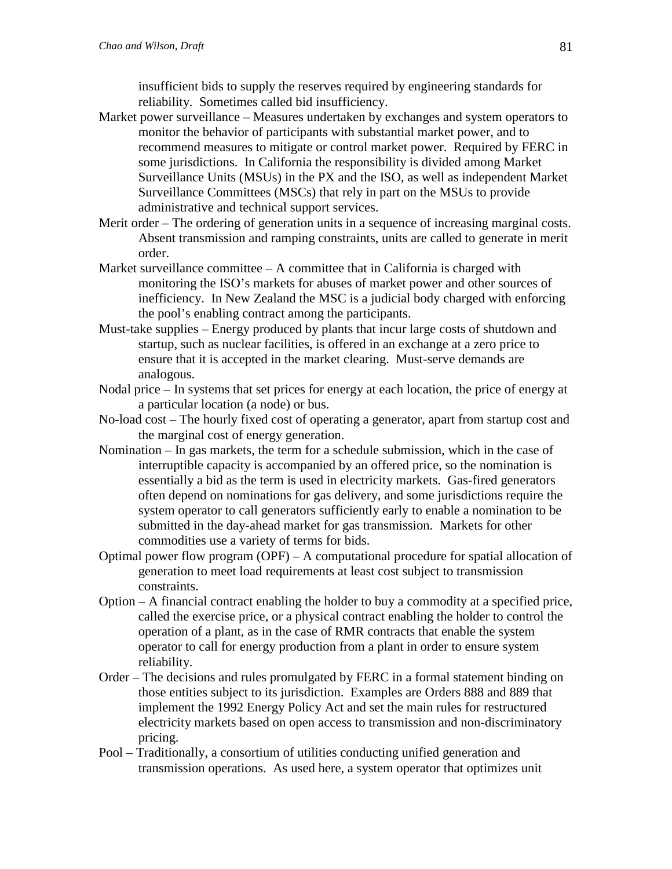insufficient bids to supply the reserves required by engineering standards for reliability. Sometimes called bid insufficiency.

- Market power surveillance Measures undertaken by exchanges and system operators to monitor the behavior of participants with substantial market power, and to recommend measures to mitigate or control market power. Required by FERC in some jurisdictions. In California the responsibility is divided among Market Surveillance Units (MSUs) in the PX and the ISO, as well as independent Market Surveillance Committees (MSCs) that rely in part on the MSUs to provide administrative and technical support services.
- Merit order The ordering of generation units in a sequence of increasing marginal costs. Absent transmission and ramping constraints, units are called to generate in merit order.
- Market surveillance committee  $-A$  committee that in California is charged with monitoring the ISO's markets for abuses of market power and other sources of inefficiency. In New Zealand the MSC is a judicial body charged with enforcing the pool's enabling contract among the participants.
- Must-take supplies Energy produced by plants that incur large costs of shutdown and startup, such as nuclear facilities, is offered in an exchange at a zero price to ensure that it is accepted in the market clearing. Must-serve demands are analogous.
- Nodal price In systems that set prices for energy at each location, the price of energy at a particular location (a node) or bus.
- No-load cost The hourly fixed cost of operating a generator, apart from startup cost and the marginal cost of energy generation.
- Nomination In gas markets, the term for a schedule submission, which in the case of interruptible capacity is accompanied by an offered price, so the nomination is essentially a bid as the term is used in electricity markets. Gas-fired generators often depend on nominations for gas delivery, and some jurisdictions require the system operator to call generators sufficiently early to enable a nomination to be submitted in the day-ahead market for gas transmission. Markets for other commodities use a variety of terms for bids.
- Optimal power flow program (OPF) A computational procedure for spatial allocation of generation to meet load requirements at least cost subject to transmission constraints.
- Option A financial contract enabling the holder to buy a commodity at a specified price, called the exercise price, or a physical contract enabling the holder to control the operation of a plant, as in the case of RMR contracts that enable the system operator to call for energy production from a plant in order to ensure system reliability.
- Order The decisions and rules promulgated by FERC in a formal statement binding on those entities subject to its jurisdiction. Examples are Orders 888 and 889 that implement the 1992 Energy Policy Act and set the main rules for restructured electricity markets based on open access to transmission and non-discriminatory pricing.
- Pool Traditionally, a consortium of utilities conducting unified generation and transmission operations. As used here, a system operator that optimizes unit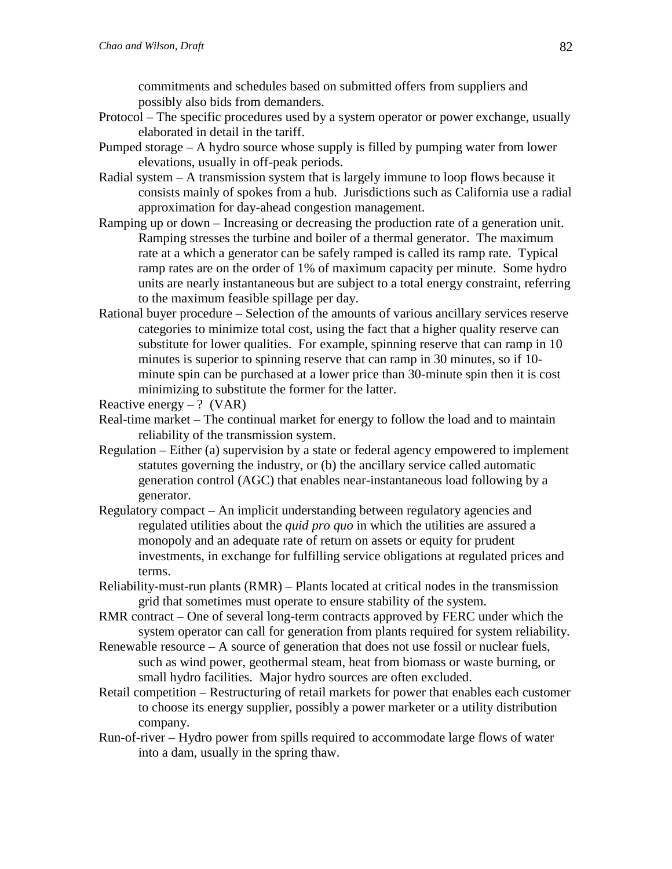commitments and schedules based on submitted offers from suppliers and possibly also bids from demanders.

- Protocol The specific procedures used by a system operator or power exchange, usually elaborated in detail in the tariff.
- Pumped storage A hydro source whose supply is filled by pumping water from lower elevations, usually in off-peak periods.
- Radial system A transmission system that is largely immune to loop flows because it consists mainly of spokes from a hub. Jurisdictions such as California use a radial approximation for day-ahead congestion management.
- Ramping up or down Increasing or decreasing the production rate of a generation unit. Ramping stresses the turbine and boiler of a thermal generator. The maximum rate at a which a generator can be safely ramped is called its ramp rate. Typical ramp rates are on the order of 1% of maximum capacity per minute. Some hydro units are nearly instantaneous but are subject to a total energy constraint, referring to the maximum feasible spillage per day.
- Rational buyer procedure Selection of the amounts of various ancillary services reserve categories to minimize total cost, using the fact that a higher quality reserve can substitute for lower qualities. For example, spinning reserve that can ramp in 10 minutes is superior to spinning reserve that can ramp in 30 minutes, so if 10 minute spin can be purchased at a lower price than 30-minute spin then it is cost minimizing to substitute the former for the latter.

Reactive energy  $-$  ? (VAR)

- Real-time market The continual market for energy to follow the load and to maintain reliability of the transmission system.
- Regulation Either (a) supervision by a state or federal agency empowered to implement statutes governing the industry, or (b) the ancillary service called automatic generation control (AGC) that enables near-instantaneous load following by a generator.
- Regulatory compact An implicit understanding between regulatory agencies and regulated utilities about the *quid pro quo* in which the utilities are assured a monopoly and an adequate rate of return on assets or equity for prudent investments, in exchange for fulfilling service obligations at regulated prices and terms.
- Reliability-must-run plants (RMR) Plants located at critical nodes in the transmission grid that sometimes must operate to ensure stability of the system.
- RMR contract One of several long-term contracts approved by FERC under which the system operator can call for generation from plants required for system reliability.
- Renewable resource  $A$  source of generation that does not use fossil or nuclear fuels, such as wind power, geothermal steam, heat from biomass or waste burning, or small hydro facilities. Major hydro sources are often excluded.
- Retail competition Restructuring of retail markets for power that enables each customer to choose its energy supplier, possibly a power marketer or a utility distribution company.
- Run-of-river Hydro power from spills required to accommodate large flows of water into a dam, usually in the spring thaw.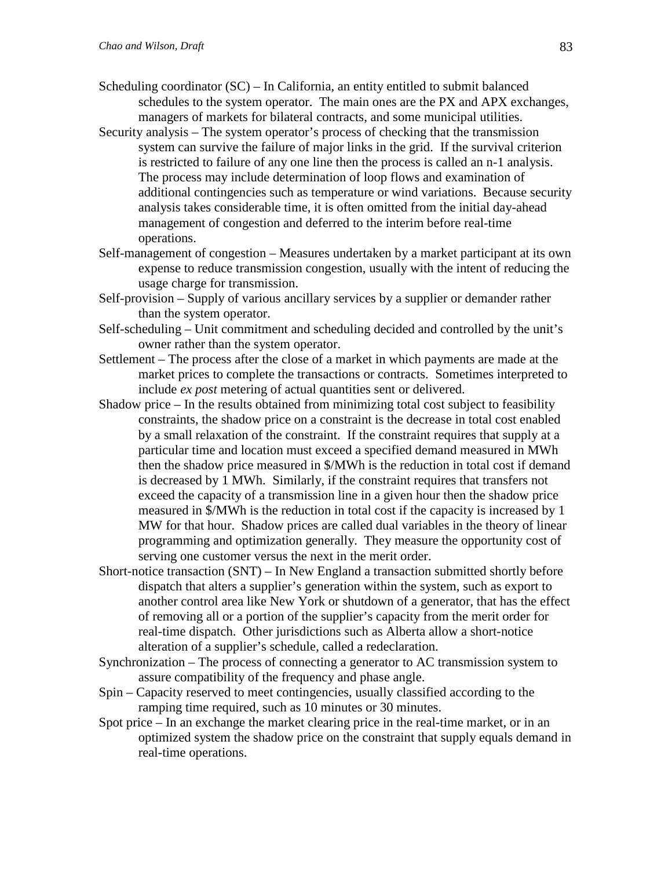- Scheduling coordinator (SC) In California, an entity entitled to submit balanced schedules to the system operator. The main ones are the PX and APX exchanges, managers of markets for bilateral contracts, and some municipal utilities.
- Security analysis The system operator's process of checking that the transmission system can survive the failure of major links in the grid. If the survival criterion is restricted to failure of any one line then the process is called an n-1 analysis. The process may include determination of loop flows and examination of additional contingencies such as temperature or wind variations. Because security analysis takes considerable time, it is often omitted from the initial day-ahead management of congestion and deferred to the interim before real-time operations.
- Self-management of congestion Measures undertaken by a market participant at its own expense to reduce transmission congestion, usually with the intent of reducing the usage charge for transmission.
- Self-provision Supply of various ancillary services by a supplier or demander rather than the system operator.
- Self-scheduling Unit commitment and scheduling decided and controlled by the unit's owner rather than the system operator.
- Settlement The process after the close of a market in which payments are made at the market prices to complete the transactions or contracts. Sometimes interpreted to include *ex post* metering of actual quantities sent or delivered.
- Shadow price In the results obtained from minimizing total cost subject to feasibility constraints, the shadow price on a constraint is the decrease in total cost enabled by a small relaxation of the constraint. If the constraint requires that supply at a particular time and location must exceed a specified demand measured in MWh then the shadow price measured in \$/MWh is the reduction in total cost if demand is decreased by 1 MWh. Similarly, if the constraint requires that transfers not exceed the capacity of a transmission line in a given hour then the shadow price measured in \$/MWh is the reduction in total cost if the capacity is increased by 1 MW for that hour. Shadow prices are called dual variables in the theory of linear programming and optimization generally. They measure the opportunity cost of serving one customer versus the next in the merit order.
- Short-notice transaction (SNT) In New England a transaction submitted shortly before dispatch that alters a supplier's generation within the system, such as export to another control area like New York or shutdown of a generator, that has the effect of removing all or a portion of the supplier's capacity from the merit order for real-time dispatch. Other jurisdictions such as Alberta allow a short-notice alteration of a supplier's schedule, called a redeclaration.
- Synchronization The process of connecting a generator to AC transmission system to assure compatibility of the frequency and phase angle.
- Spin Capacity reserved to meet contingencies, usually classified according to the ramping time required, such as 10 minutes or 30 minutes.
- Spot price In an exchange the market clearing price in the real-time market, or in an optimized system the shadow price on the constraint that supply equals demand in real-time operations.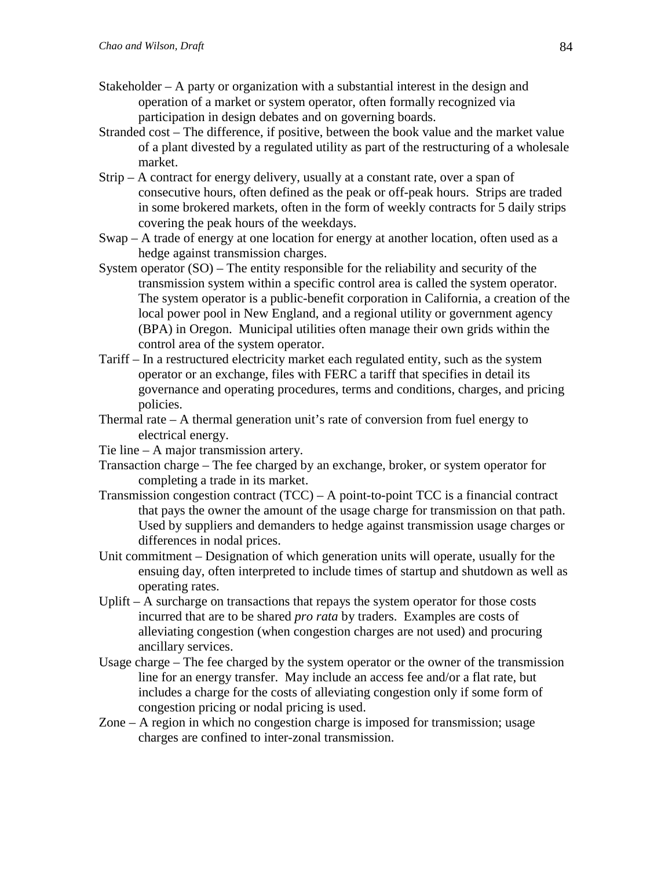- Stakeholder A party or organization with a substantial interest in the design and operation of a market or system operator, often formally recognized via participation in design debates and on governing boards.
- Stranded cost The difference, if positive, between the book value and the market value of a plant divested by a regulated utility as part of the restructuring of a wholesale market.
- $Strip A$  contract for energy delivery, usually at a constant rate, over a span of consecutive hours, often defined as the peak or off-peak hours. Strips are traded in some brokered markets, often in the form of weekly contracts for 5 daily strips covering the peak hours of the weekdays.
- Swap A trade of energy at one location for energy at another location, often used as a hedge against transmission charges.
- System operator (SO) The entity responsible for the reliability and security of the transmission system within a specific control area is called the system operator. The system operator is a public-benefit corporation in California, a creation of the local power pool in New England, and a regional utility or government agency (BPA) in Oregon. Municipal utilities often manage their own grids within the control area of the system operator.
- Tariff In a restructured electricity market each regulated entity, such as the system operator or an exchange, files with FERC a tariff that specifies in detail its governance and operating procedures, terms and conditions, charges, and pricing policies.
- Thermal rate A thermal generation unit's rate of conversion from fuel energy to electrical energy.
- Tie line A major transmission artery.
- Transaction charge The fee charged by an exchange, broker, or system operator for completing a trade in its market.
- Transmission congestion contract (TCC) A point-to-point TCC is a financial contract that pays the owner the amount of the usage charge for transmission on that path. Used by suppliers and demanders to hedge against transmission usage charges or differences in nodal prices.
- Unit commitment Designation of which generation units will operate, usually for the ensuing day, often interpreted to include times of startup and shutdown as well as operating rates.
- Uplift A surcharge on transactions that repays the system operator for those costs incurred that are to be shared *pro rata* by traders. Examples are costs of alleviating congestion (when congestion charges are not used) and procuring ancillary services.
- Usage charge The fee charged by the system operator or the owner of the transmission line for an energy transfer. May include an access fee and/or a flat rate, but includes a charge for the costs of alleviating congestion only if some form of congestion pricing or nodal pricing is used.
- Zone A region in which no congestion charge is imposed for transmission; usage charges are confined to inter-zonal transmission.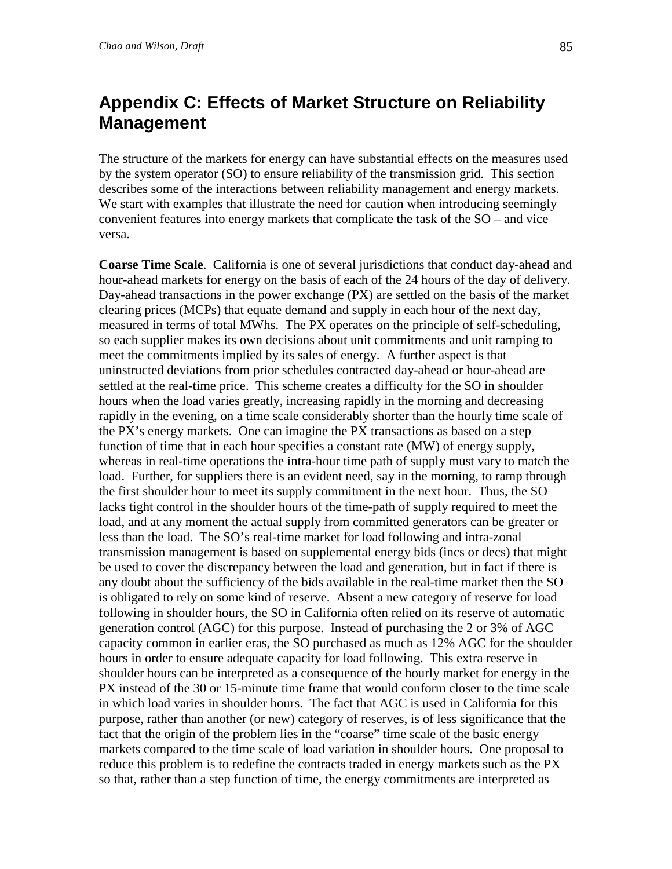## **Appendix C: Effects of Market Structure on Reliability Management**

The structure of the markets for energy can have substantial effects on the measures used by the system operator (SO) to ensure reliability of the transmission grid. This section describes some of the interactions between reliability management and energy markets. We start with examples that illustrate the need for caution when introducing seemingly convenient features into energy markets that complicate the task of the SO – and vice versa.

**Coarse Time Scale**. California is one of several jurisdictions that conduct day-ahead and hour-ahead markets for energy on the basis of each of the 24 hours of the day of delivery. Day-ahead transactions in the power exchange (PX) are settled on the basis of the market clearing prices (MCPs) that equate demand and supply in each hour of the next day, measured in terms of total MWhs. The PX operates on the principle of self-scheduling, so each supplier makes its own decisions about unit commitments and unit ramping to meet the commitments implied by its sales of energy. A further aspect is that uninstructed deviations from prior schedules contracted day-ahead or hour-ahead are settled at the real-time price. This scheme creates a difficulty for the SO in shoulder hours when the load varies greatly, increasing rapidly in the morning and decreasing rapidly in the evening, on a time scale considerably shorter than the hourly time scale of the PX's energy markets. One can imagine the PX transactions as based on a step function of time that in each hour specifies a constant rate (MW) of energy supply, whereas in real-time operations the intra-hour time path of supply must vary to match the load. Further, for suppliers there is an evident need, say in the morning, to ramp through the first shoulder hour to meet its supply commitment in the next hour. Thus, the SO lacks tight control in the shoulder hours of the time-path of supply required to meet the load, and at any moment the actual supply from committed generators can be greater or less than the load. The SO's real-time market for load following and intra-zonal transmission management is based on supplemental energy bids (incs or decs) that might be used to cover the discrepancy between the load and generation, but in fact if there is any doubt about the sufficiency of the bids available in the real-time market then the SO is obligated to rely on some kind of reserve. Absent a new category of reserve for load following in shoulder hours, the SO in California often relied on its reserve of automatic generation control (AGC) for this purpose. Instead of purchasing the 2 or 3% of AGC capacity common in earlier eras, the SO purchased as much as 12% AGC for the shoulder hours in order to ensure adequate capacity for load following. This extra reserve in shoulder hours can be interpreted as a consequence of the hourly market for energy in the PX instead of the 30 or 15-minute time frame that would conform closer to the time scale in which load varies in shoulder hours. The fact that AGC is used in California for this purpose, rather than another (or new) category of reserves, is of less significance that the fact that the origin of the problem lies in the "coarse" time scale of the basic energy markets compared to the time scale of load variation in shoulder hours. One proposal to reduce this problem is to redefine the contracts traded in energy markets such as the PX so that, rather than a step function of time, the energy commitments are interpreted as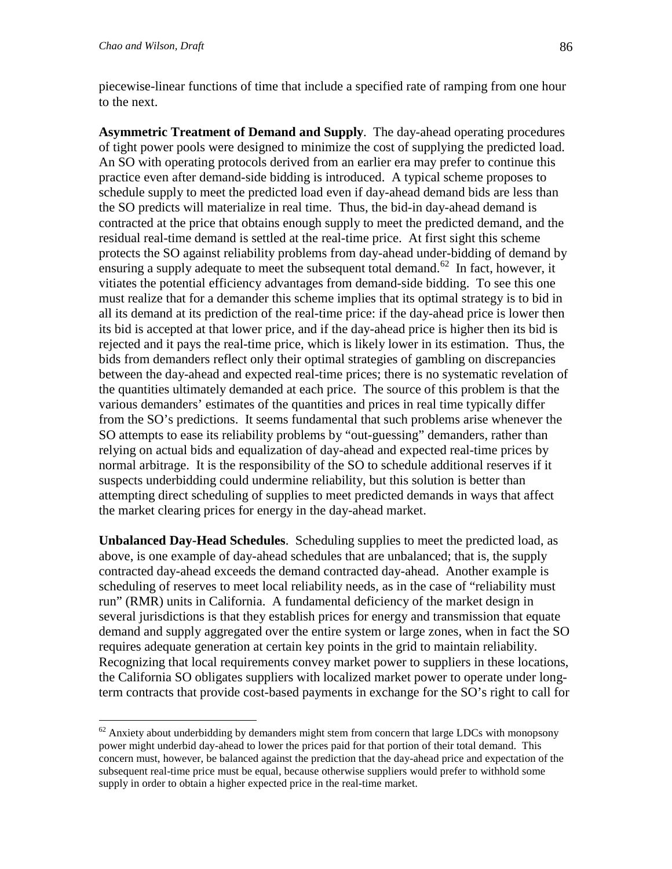piecewise-linear functions of time that include a specified rate of ramping from one hour to the next.

**Asymmetric Treatment of Demand and Supply**. The day-ahead operating procedures of tight power pools were designed to minimize the cost of supplying the predicted load. An SO with operating protocols derived from an earlier era may prefer to continue this practice even after demand-side bidding is introduced. A typical scheme proposes to schedule supply to meet the predicted load even if day-ahead demand bids are less than the SO predicts will materialize in real time. Thus, the bid-in day-ahead demand is contracted at the price that obtains enough supply to meet the predicted demand, and the residual real-time demand is settled at the real-time price. At first sight this scheme protects the SO against reliability problems from day-ahead under-bidding of demand by ensuring a supply adequate to meet the subsequent total demand.<sup>62</sup> In fact, however, it vitiates the potential efficiency advantages from demand-side bidding. To see this one must realize that for a demander this scheme implies that its optimal strategy is to bid in all its demand at its prediction of the real-time price: if the day-ahead price is lower then its bid is accepted at that lower price, and if the day-ahead price is higher then its bid is rejected and it pays the real-time price, which is likely lower in its estimation. Thus, the bids from demanders reflect only their optimal strategies of gambling on discrepancies between the day-ahead and expected real-time prices; there is no systematic revelation of the quantities ultimately demanded at each price. The source of this problem is that the various demanders' estimates of the quantities and prices in real time typically differ from the SO's predictions. It seems fundamental that such problems arise whenever the SO attempts to ease its reliability problems by "out-guessing" demanders, rather than relying on actual bids and equalization of day-ahead and expected real-time prices by normal arbitrage. It is the responsibility of the SO to schedule additional reserves if it suspects underbidding could undermine reliability, but this solution is better than attempting direct scheduling of supplies to meet predicted demands in ways that affect the market clearing prices for energy in the day-ahead market.

**Unbalanced Day-Head Schedules**. Scheduling supplies to meet the predicted load, as above, is one example of day-ahead schedules that are unbalanced; that is, the supply contracted day-ahead exceeds the demand contracted day-ahead. Another example is scheduling of reserves to meet local reliability needs, as in the case of "reliability must run" (RMR) units in California. A fundamental deficiency of the market design in several jurisdictions is that they establish prices for energy and transmission that equate demand and supply aggregated over the entire system or large zones, when in fact the SO requires adequate generation at certain key points in the grid to maintain reliability. Recognizing that local requirements convey market power to suppliers in these locations, the California SO obligates suppliers with localized market power to operate under longterm contracts that provide cost-based payments in exchange for the SO's right to call for

 $\overline{a}$  $62$  Anxiety about underbidding by demanders might stem from concern that large LDCs with monopsony power might underbid day-ahead to lower the prices paid for that portion of their total demand. This concern must, however, be balanced against the prediction that the day-ahead price and expectation of the subsequent real-time price must be equal, because otherwise suppliers would prefer to withhold some supply in order to obtain a higher expected price in the real-time market.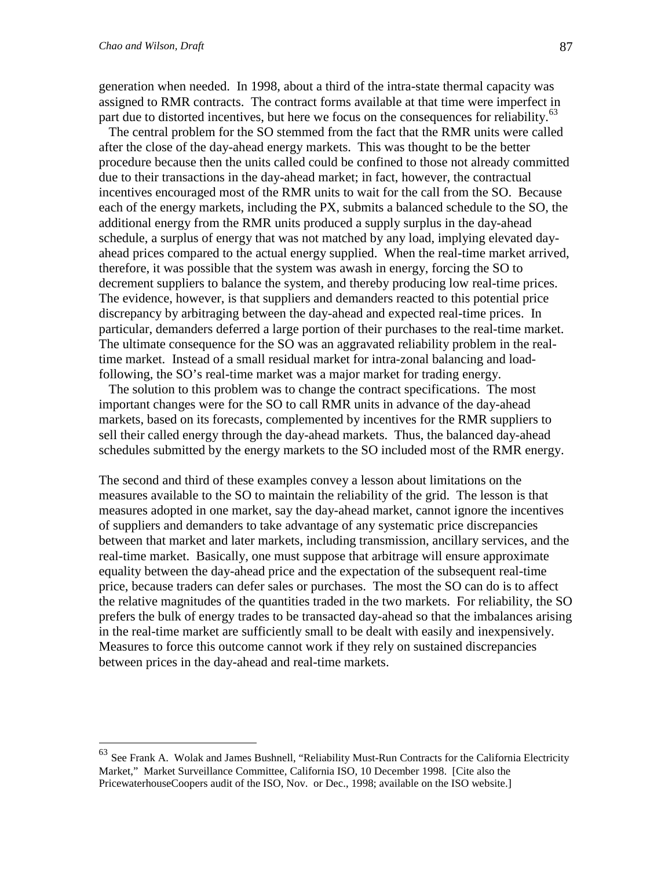$\overline{a}$ 

generation when needed. In 1998, about a third of the intra-state thermal capacity was assigned to RMR contracts. The contract forms available at that time were imperfect in part due to distorted incentives, but here we focus on the consequences for reliability.<sup>63</sup>

 The central problem for the SO stemmed from the fact that the RMR units were called after the close of the day-ahead energy markets. This was thought to be the better procedure because then the units called could be confined to those not already committed due to their transactions in the day-ahead market; in fact, however, the contractual incentives encouraged most of the RMR units to wait for the call from the SO. Because each of the energy markets, including the PX, submits a balanced schedule to the SO, the additional energy from the RMR units produced a supply surplus in the day-ahead schedule, a surplus of energy that was not matched by any load, implying elevated dayahead prices compared to the actual energy supplied. When the real-time market arrived, therefore, it was possible that the system was awash in energy, forcing the SO to decrement suppliers to balance the system, and thereby producing low real-time prices. The evidence, however, is that suppliers and demanders reacted to this potential price discrepancy by arbitraging between the day-ahead and expected real-time prices. In particular, demanders deferred a large portion of their purchases to the real-time market. The ultimate consequence for the SO was an aggravated reliability problem in the realtime market. Instead of a small residual market for intra-zonal balancing and loadfollowing, the SO's real-time market was a major market for trading energy.

 The solution to this problem was to change the contract specifications. The most important changes were for the SO to call RMR units in advance of the day-ahead markets, based on its forecasts, complemented by incentives for the RMR suppliers to sell their called energy through the day-ahead markets. Thus, the balanced day-ahead schedules submitted by the energy markets to the SO included most of the RMR energy.

The second and third of these examples convey a lesson about limitations on the measures available to the SO to maintain the reliability of the grid. The lesson is that measures adopted in one market, say the day-ahead market, cannot ignore the incentives of suppliers and demanders to take advantage of any systematic price discrepancies between that market and later markets, including transmission, ancillary services, and the real-time market. Basically, one must suppose that arbitrage will ensure approximate equality between the day-ahead price and the expectation of the subsequent real-time price, because traders can defer sales or purchases. The most the SO can do is to affect the relative magnitudes of the quantities traded in the two markets. For reliability, the SO prefers the bulk of energy trades to be transacted day-ahead so that the imbalances arising in the real-time market are sufficiently small to be dealt with easily and inexpensively. Measures to force this outcome cannot work if they rely on sustained discrepancies between prices in the day-ahead and real-time markets.

 $63$  See Frank A. Wolak and James Bushnell, "Reliability Must-Run Contracts for the California Electricity Market," Market Surveillance Committee, California ISO, 10 December 1998. [Cite also the PricewaterhouseCoopers audit of the ISO, Nov. or Dec., 1998; available on the ISO website.]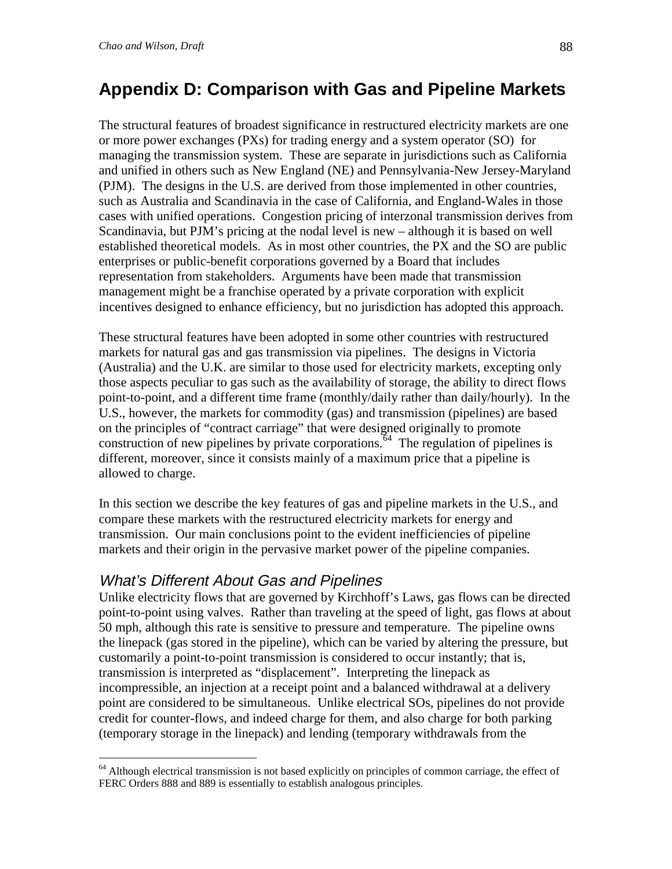## **Appendix D: Comparison with Gas and Pipeline Markets**

The structural features of broadest significance in restructured electricity markets are one or more power exchanges (PXs) for trading energy and a system operator (SO) for managing the transmission system. These are separate in jurisdictions such as California and unified in others such as New England (NE) and Pennsylvania-New Jersey-Maryland (PJM). The designs in the U.S. are derived from those implemented in other countries, such as Australia and Scandinavia in the case of California, and England-Wales in those cases with unified operations. Congestion pricing of interzonal transmission derives from Scandinavia, but PJM's pricing at the nodal level is new – although it is based on well established theoretical models. As in most other countries, the PX and the SO are public enterprises or public-benefit corporations governed by a Board that includes representation from stakeholders. Arguments have been made that transmission management might be a franchise operated by a private corporation with explicit incentives designed to enhance efficiency, but no jurisdiction has adopted this approach.

These structural features have been adopted in some other countries with restructured markets for natural gas and gas transmission via pipelines. The designs in Victoria (Australia) and the U.K. are similar to those used for electricity markets, excepting only those aspects peculiar to gas such as the availability of storage, the ability to direct flows point-to-point, and a different time frame (monthly/daily rather than daily/hourly). In the U.S., however, the markets for commodity (gas) and transmission (pipelines) are based on the principles of "contract carriage" that were designed originally to promote construction of new pipelines by private corporations.  $64$  The regulation of pipelines is different, moreover, since it consists mainly of a maximum price that a pipeline is allowed to charge.

In this section we describe the key features of gas and pipeline markets in the U.S., and compare these markets with the restructured electricity markets for energy and transmission. Our main conclusions point to the evident inefficiencies of pipeline markets and their origin in the pervasive market power of the pipeline companies.

## What's Different About Gas and Pipelines

Unlike electricity flows that are governed by Kirchhoff's Laws, gas flows can be directed point-to-point using valves. Rather than traveling at the speed of light, gas flows at about 50 mph, although this rate is sensitive to pressure and temperature. The pipeline owns the linepack (gas stored in the pipeline), which can be varied by altering the pressure, but customarily a point-to-point transmission is considered to occur instantly; that is, transmission is interpreted as "displacement". Interpreting the linepack as incompressible, an injection at a receipt point and a balanced withdrawal at a delivery point are considered to be simultaneous. Unlike electrical SOs, pipelines do not provide credit for counter-flows, and indeed charge for them, and also charge for both parking (temporary storage in the linepack) and lending (temporary withdrawals from the

 $\overline{a}$ <sup>64</sup> Although electrical transmission is not based explicitly on principles of common carriage, the effect of FERC Orders 888 and 889 is essentially to establish analogous principles.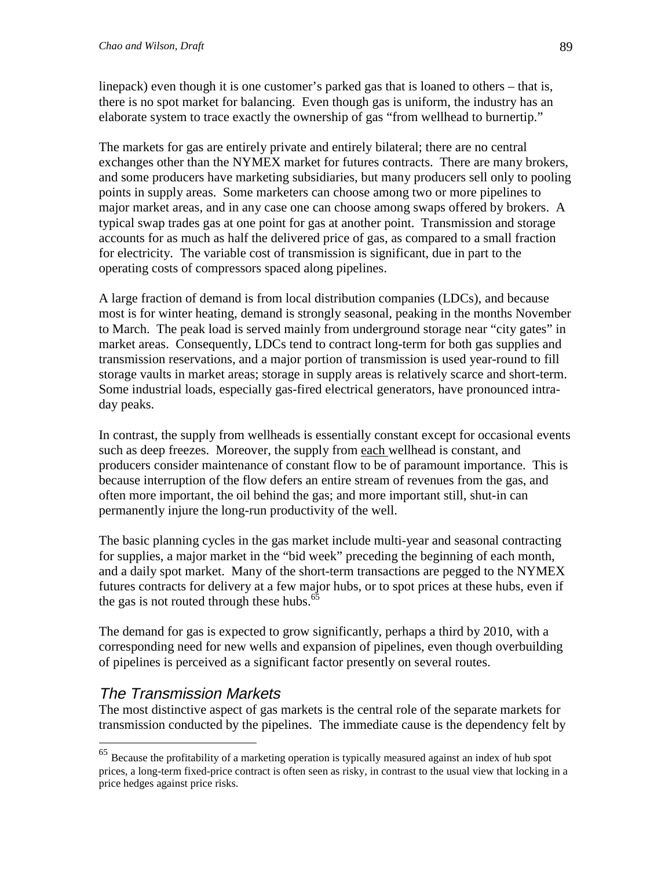linepack) even though it is one customer's parked gas that is loaned to others – that is, there is no spot market for balancing. Even though gas is uniform, the industry has an elaborate system to trace exactly the ownership of gas "from wellhead to burnertip."

The markets for gas are entirely private and entirely bilateral; there are no central exchanges other than the NYMEX market for futures contracts. There are many brokers, and some producers have marketing subsidiaries, but many producers sell only to pooling points in supply areas. Some marketers can choose among two or more pipelines to major market areas, and in any case one can choose among swaps offered by brokers. A typical swap trades gas at one point for gas at another point. Transmission and storage accounts for as much as half the delivered price of gas, as compared to a small fraction for electricity. The variable cost of transmission is significant, due in part to the operating costs of compressors spaced along pipelines.

A large fraction of demand is from local distribution companies (LDCs), and because most is for winter heating, demand is strongly seasonal, peaking in the months November to March. The peak load is served mainly from underground storage near "city gates" in market areas. Consequently, LDCs tend to contract long-term for both gas supplies and transmission reservations, and a major portion of transmission is used year-round to fill storage vaults in market areas; storage in supply areas is relatively scarce and short-term. Some industrial loads, especially gas-fired electrical generators, have pronounced intraday peaks.

In contrast, the supply from wellheads is essentially constant except for occasional events such as deep freezes. Moreover, the supply from each wellhead is constant, and producers consider maintenance of constant flow to be of paramount importance. This is because interruption of the flow defers an entire stream of revenues from the gas, and often more important, the oil behind the gas; and more important still, shut-in can permanently injure the long-run productivity of the well.

The basic planning cycles in the gas market include multi-year and seasonal contracting for supplies, a major market in the "bid week" preceding the beginning of each month, and a daily spot market. Many of the short-term transactions are pegged to the NYMEX futures contracts for delivery at a few major hubs, or to spot prices at these hubs, even if the gas is not routed through these hubs.<sup>65</sup>

The demand for gas is expected to grow significantly, perhaps a third by 2010, with a corresponding need for new wells and expansion of pipelines, even though overbuilding of pipelines is perceived as a significant factor presently on several routes.

## The Transmission Markets

 $\overline{a}$ 

The most distinctive aspect of gas markets is the central role of the separate markets for transmission conducted by the pipelines. The immediate cause is the dependency felt by

 $65$  Because the profitability of a marketing operation is typically measured against an index of hub spot prices, a long-term fixed-price contract is often seen as risky, in contrast to the usual view that locking in a price hedges against price risks.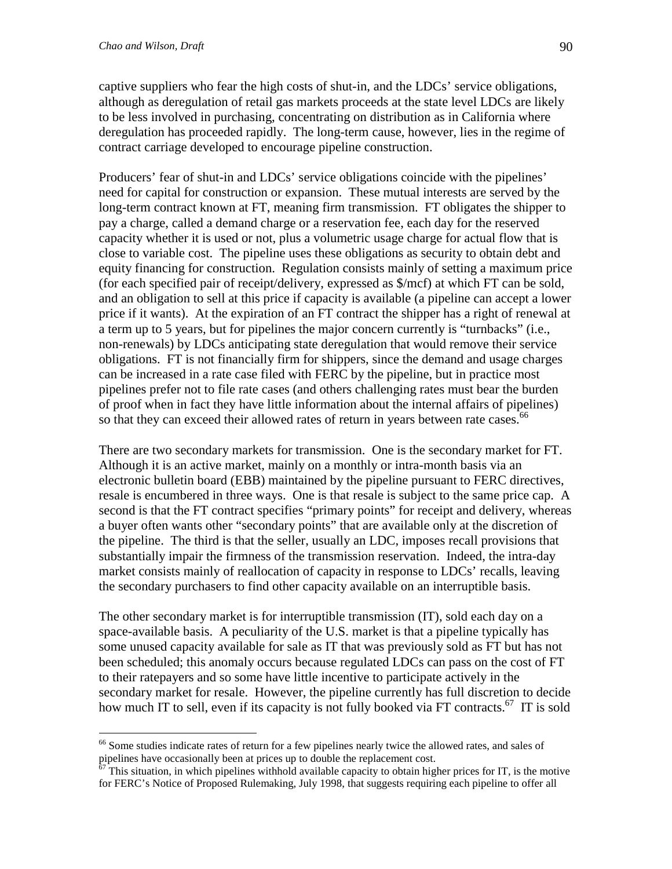$\overline{a}$ 

captive suppliers who fear the high costs of shut-in, and the LDCs' service obligations, although as deregulation of retail gas markets proceeds at the state level LDCs are likely to be less involved in purchasing, concentrating on distribution as in California where deregulation has proceeded rapidly. The long-term cause, however, lies in the regime of contract carriage developed to encourage pipeline construction.

Producers' fear of shut-in and LDCs' service obligations coincide with the pipelines' need for capital for construction or expansion. These mutual interests are served by the long-term contract known at FT, meaning firm transmission. FT obligates the shipper to pay a charge, called a demand charge or a reservation fee, each day for the reserved capacity whether it is used or not, plus a volumetric usage charge for actual flow that is close to variable cost. The pipeline uses these obligations as security to obtain debt and equity financing for construction. Regulation consists mainly of setting a maximum price (for each specified pair of receipt/delivery, expressed as \$/mcf) at which FT can be sold, and an obligation to sell at this price if capacity is available (a pipeline can accept a lower price if it wants). At the expiration of an FT contract the shipper has a right of renewal at a term up to 5 years, but for pipelines the major concern currently is "turnbacks" (i.e., non-renewals) by LDCs anticipating state deregulation that would remove their service obligations. FT is not financially firm for shippers, since the demand and usage charges can be increased in a rate case filed with FERC by the pipeline, but in practice most pipelines prefer not to file rate cases (and others challenging rates must bear the burden of proof when in fact they have little information about the internal affairs of pipelines) so that they can exceed their allowed rates of return in years between rate cases.<sup>66</sup>

There are two secondary markets for transmission. One is the secondary market for FT. Although it is an active market, mainly on a monthly or intra-month basis via an electronic bulletin board (EBB) maintained by the pipeline pursuant to FERC directives, resale is encumbered in three ways. One is that resale is subject to the same price cap. A second is that the FT contract specifies "primary points" for receipt and delivery, whereas a buyer often wants other "secondary points" that are available only at the discretion of the pipeline. The third is that the seller, usually an LDC, imposes recall provisions that substantially impair the firmness of the transmission reservation. Indeed, the intra-day market consists mainly of reallocation of capacity in response to LDCs' recalls, leaving the secondary purchasers to find other capacity available on an interruptible basis.

The other secondary market is for interruptible transmission (IT), sold each day on a space-available basis. A peculiarity of the U.S. market is that a pipeline typically has some unused capacity available for sale as IT that was previously sold as FT but has not been scheduled; this anomaly occurs because regulated LDCs can pass on the cost of FT to their ratepayers and so some have little incentive to participate actively in the secondary market for resale. However, the pipeline currently has full discretion to decide how much IT to sell, even if its capacity is not fully booked via FT contracts.<sup>67</sup> IT is sold

<sup>&</sup>lt;sup>66</sup> Some studies indicate rates of return for a few pipelines nearly twice the allowed rates, and sales of pipelines have occasionally been at prices up to double the replacement cost.

This situation, in which pipelines withhold available capacity to obtain higher prices for IT, is the motive for FERC's Notice of Proposed Rulemaking, July 1998, that suggests requiring each pipeline to offer all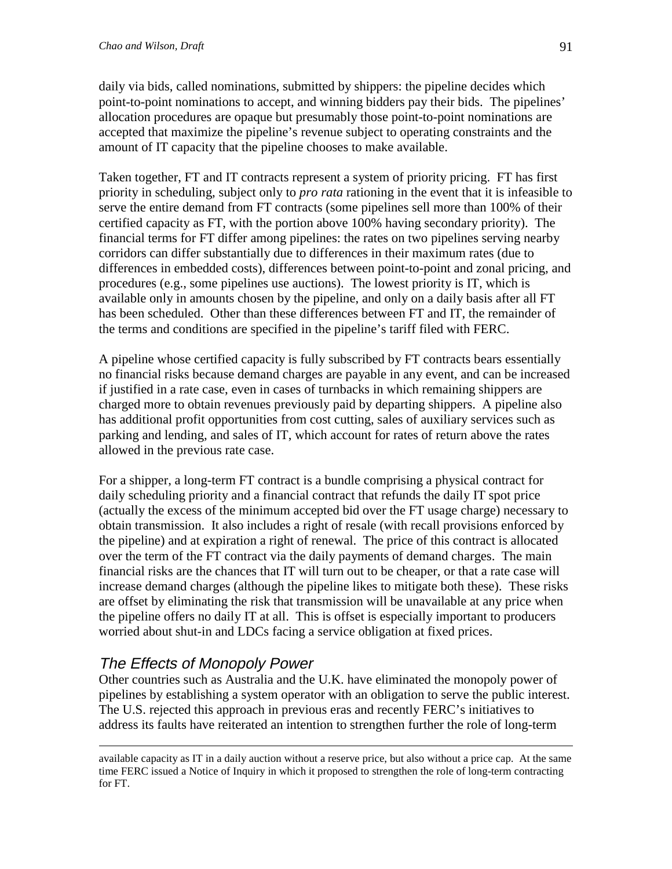daily via bids, called nominations, submitted by shippers: the pipeline decides which point-to-point nominations to accept, and winning bidders pay their bids. The pipelines' allocation procedures are opaque but presumably those point-to-point nominations are accepted that maximize the pipeline's revenue subject to operating constraints and the amount of IT capacity that the pipeline chooses to make available.

Taken together, FT and IT contracts represent a system of priority pricing. FT has first priority in scheduling, subject only to *pro rata* rationing in the event that it is infeasible to serve the entire demand from FT contracts (some pipelines sell more than 100% of their certified capacity as FT, with the portion above 100% having secondary priority). The financial terms for FT differ among pipelines: the rates on two pipelines serving nearby corridors can differ substantially due to differences in their maximum rates (due to differences in embedded costs), differences between point-to-point and zonal pricing, and procedures (e.g., some pipelines use auctions). The lowest priority is IT, which is available only in amounts chosen by the pipeline, and only on a daily basis after all FT has been scheduled. Other than these differences between FT and IT, the remainder of the terms and conditions are specified in the pipeline's tariff filed with FERC.

A pipeline whose certified capacity is fully subscribed by FT contracts bears essentially no financial risks because demand charges are payable in any event, and can be increased if justified in a rate case, even in cases of turnbacks in which remaining shippers are charged more to obtain revenues previously paid by departing shippers. A pipeline also has additional profit opportunities from cost cutting, sales of auxiliary services such as parking and lending, and sales of IT, which account for rates of return above the rates allowed in the previous rate case.

For a shipper, a long-term FT contract is a bundle comprising a physical contract for daily scheduling priority and a financial contract that refunds the daily IT spot price (actually the excess of the minimum accepted bid over the FT usage charge) necessary to obtain transmission. It also includes a right of resale (with recall provisions enforced by the pipeline) and at expiration a right of renewal. The price of this contract is allocated over the term of the FT contract via the daily payments of demand charges. The main financial risks are the chances that IT will turn out to be cheaper, or that a rate case will increase demand charges (although the pipeline likes to mitigate both these). These risks are offset by eliminating the risk that transmission will be unavailable at any price when the pipeline offers no daily IT at all. This is offset is especially important to producers worried about shut-in and LDCs facing a service obligation at fixed prices.

## The Effects of Monopoly Power

Other countries such as Australia and the U.K. have eliminated the monopoly power of pipelines by establishing a system operator with an obligation to serve the public interest. The U.S. rejected this approach in previous eras and recently FERC's initiatives to address its faults have reiterated an intention to strengthen further the role of long-term

available capacity as IT in a daily auction without a reserve price, but also without a price cap. At the same time FERC issued a Notice of Inquiry in which it proposed to strengthen the role of long-term contracting for FT.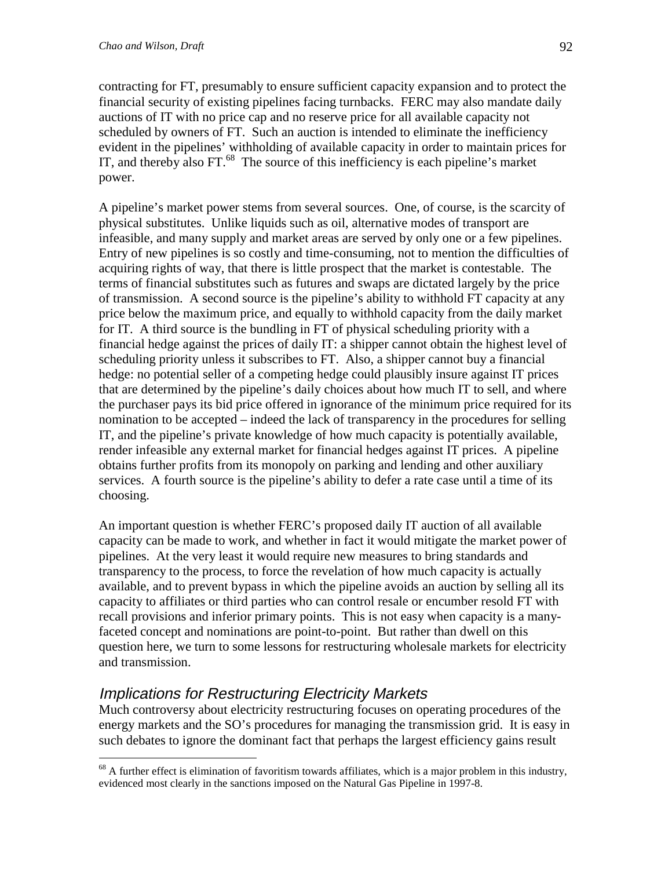contracting for FT, presumably to ensure sufficient capacity expansion and to protect the financial security of existing pipelines facing turnbacks. FERC may also mandate daily auctions of IT with no price cap and no reserve price for all available capacity not scheduled by owners of FT. Such an auction is intended to eliminate the inefficiency evident in the pipelines' withholding of available capacity in order to maintain prices for IT, and thereby also FT.<sup>68</sup> The source of this inefficiency is each pipeline's market power.

A pipeline's market power stems from several sources. One, of course, is the scarcity of physical substitutes. Unlike liquids such as oil, alternative modes of transport are infeasible, and many supply and market areas are served by only one or a few pipelines. Entry of new pipelines is so costly and time-consuming, not to mention the difficulties of acquiring rights of way, that there is little prospect that the market is contestable. The terms of financial substitutes such as futures and swaps are dictated largely by the price of transmission. A second source is the pipeline's ability to withhold FT capacity at any price below the maximum price, and equally to withhold capacity from the daily market for IT. A third source is the bundling in FT of physical scheduling priority with a financial hedge against the prices of daily IT: a shipper cannot obtain the highest level of scheduling priority unless it subscribes to FT. Also, a shipper cannot buy a financial hedge: no potential seller of a competing hedge could plausibly insure against IT prices that are determined by the pipeline's daily choices about how much IT to sell, and where the purchaser pays its bid price offered in ignorance of the minimum price required for its nomination to be accepted – indeed the lack of transparency in the procedures for selling IT, and the pipeline's private knowledge of how much capacity is potentially available, render infeasible any external market for financial hedges against IT prices. A pipeline obtains further profits from its monopoly on parking and lending and other auxiliary services. A fourth source is the pipeline's ability to defer a rate case until a time of its choosing.

An important question is whether FERC's proposed daily IT auction of all available capacity can be made to work, and whether in fact it would mitigate the market power of pipelines. At the very least it would require new measures to bring standards and transparency to the process, to force the revelation of how much capacity is actually available, and to prevent bypass in which the pipeline avoids an auction by selling all its capacity to affiliates or third parties who can control resale or encumber resold FT with recall provisions and inferior primary points. This is not easy when capacity is a manyfaceted concept and nominations are point-to-point. But rather than dwell on this question here, we turn to some lessons for restructuring wholesale markets for electricity and transmission.

## Implications for Restructuring Electricity Markets

Much controversy about electricity restructuring focuses on operating procedures of the energy markets and the SO's procedures for managing the transmission grid. It is easy in such debates to ignore the dominant fact that perhaps the largest efficiency gains result

 $\overline{a}$  $68$  A further effect is elimination of favoritism towards affiliates, which is a major problem in this industry, evidenced most clearly in the sanctions imposed on the Natural Gas Pipeline in 1997-8.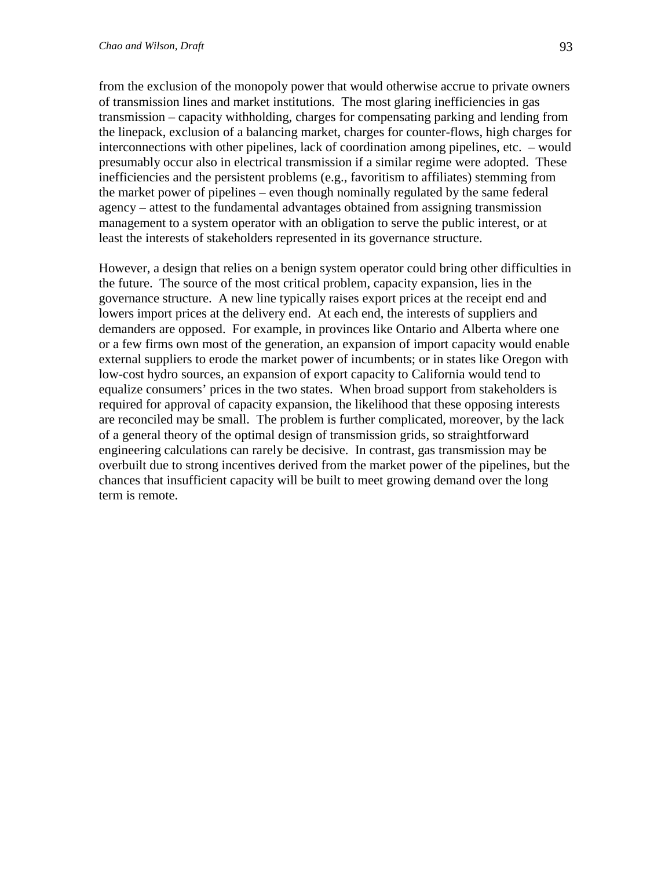from the exclusion of the monopoly power that would otherwise accrue to private owners of transmission lines and market institutions. The most glaring inefficiencies in gas transmission – capacity withholding, charges for compensating parking and lending from the linepack, exclusion of a balancing market, charges for counter-flows, high charges for interconnections with other pipelines, lack of coordination among pipelines, etc. – would presumably occur also in electrical transmission if a similar regime were adopted. These inefficiencies and the persistent problems (e.g., favoritism to affiliates) stemming from the market power of pipelines – even though nominally regulated by the same federal agency – attest to the fundamental advantages obtained from assigning transmission management to a system operator with an obligation to serve the public interest, or at least the interests of stakeholders represented in its governance structure.

However, a design that relies on a benign system operator could bring other difficulties in the future. The source of the most critical problem, capacity expansion, lies in the governance structure. A new line typically raises export prices at the receipt end and lowers import prices at the delivery end. At each end, the interests of suppliers and demanders are opposed. For example, in provinces like Ontario and Alberta where one or a few firms own most of the generation, an expansion of import capacity would enable external suppliers to erode the market power of incumbents; or in states like Oregon with low-cost hydro sources, an expansion of export capacity to California would tend to equalize consumers' prices in the two states. When broad support from stakeholders is required for approval of capacity expansion, the likelihood that these opposing interests are reconciled may be small. The problem is further complicated, moreover, by the lack of a general theory of the optimal design of transmission grids, so straightforward engineering calculations can rarely be decisive. In contrast, gas transmission may be overbuilt due to strong incentives derived from the market power of the pipelines, but the chances that insufficient capacity will be built to meet growing demand over the long term is remote.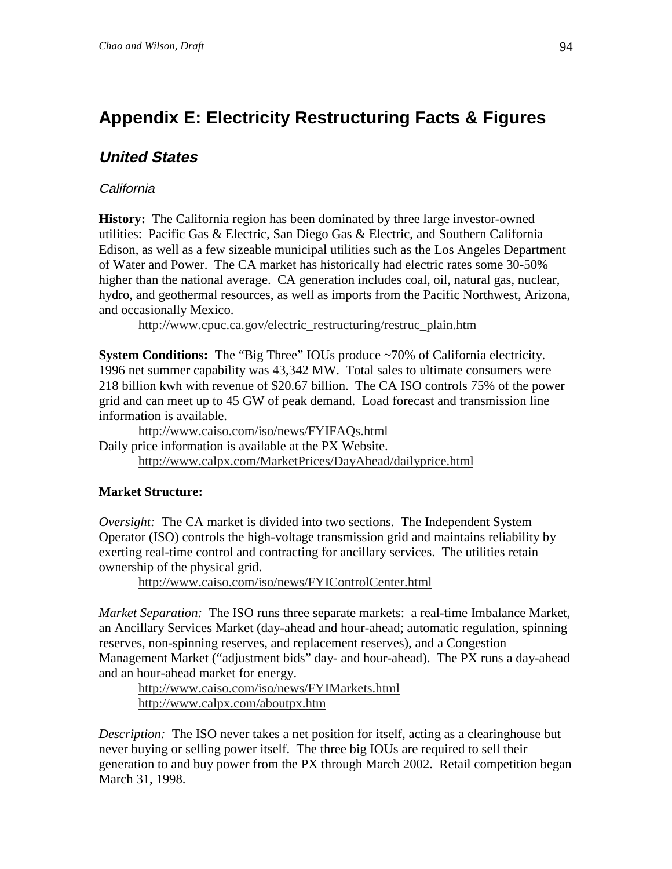## **Appendix E: Electricity Restructuring Facts & Figures**

## **United States**

#### California

**History:** The California region has been dominated by three large investor-owned utilities: Pacific Gas & Electric, San Diego Gas & Electric, and Southern California Edison, as well as a few sizeable municipal utilities such as the Los Angeles Department of Water and Power. The CA market has historically had electric rates some 30-50% higher than the national average. CA generation includes coal, oil, natural gas, nuclear, hydro, and geothermal resources, as well as imports from the Pacific Northwest, Arizona, and occasionally Mexico.

http://www.cpuc.ca.gov/electric\_restructuring/restruc\_plain.htm

**System Conditions:** The "Big Three" IOUs produce ~70% of California electricity. 1996 net summer capability was 43,342 MW. Total sales to ultimate consumers were 218 billion kwh with revenue of \$20.67 billion. The CA ISO controls 75% of the power grid and can meet up to 45 GW of peak demand. Load forecast and transmission line information is available.

http://www.caiso.com/iso/news/FYIFAQs.html

Daily price information is available at the PX Website.

http://www.calpx.com/MarketPrices/DayAhead/dailyprice.html

#### **Market Structure:**

*Oversight:* The CA market is divided into two sections. The Independent System Operator (ISO) controls the high-voltage transmission grid and maintains reliability by exerting real-time control and contracting for ancillary services. The utilities retain ownership of the physical grid.

http://www.caiso.com/iso/news/FYIControlCenter.html

*Market Separation:* The ISO runs three separate markets: a real-time Imbalance Market, an Ancillary Services Market (day-ahead and hour-ahead; automatic regulation, spinning reserves, non-spinning reserves, and replacement reserves), and a Congestion Management Market ("adjustment bids" day- and hour-ahead). The PX runs a day-ahead and an hour-ahead market for energy.

http://www.caiso.com/iso/news/FYIMarkets.html http://www.calpx.com/aboutpx.htm

*Description:* The ISO never takes a net position for itself, acting as a clearinghouse but never buying or selling power itself. The three big IOUs are required to sell their generation to and buy power from the PX through March 2002. Retail competition began March 31, 1998.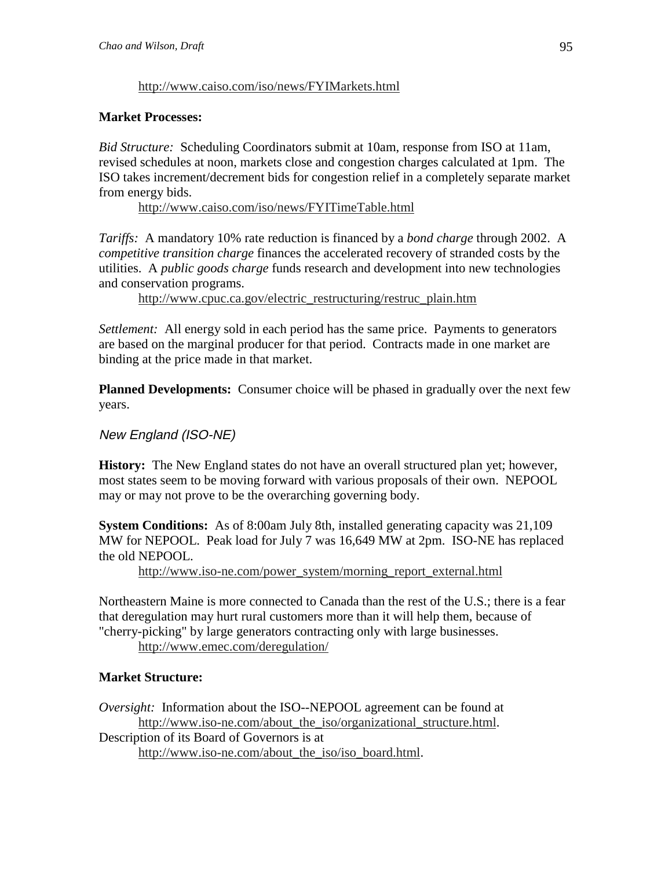http://www.caiso.com/iso/news/FYIMarkets.html

#### **Market Processes:**

*Bid Structure:* Scheduling Coordinators submit at 10am, response from ISO at 11am, revised schedules at noon, markets close and congestion charges calculated at 1pm. The ISO takes increment/decrement bids for congestion relief in a completely separate market from energy bids.

http://www.caiso.com/iso/news/FYITimeTable.html

*Tariffs:* A mandatory 10% rate reduction is financed by a *bond charge* through 2002. A *competitive transition charge* finances the accelerated recovery of stranded costs by the utilities. A *public goods charge* funds research and development into new technologies and conservation programs.

http://www.cpuc.ca.gov/electric\_restructuring/restruc\_plain.htm

*Settlement:* All energy sold in each period has the same price. Payments to generators are based on the marginal producer for that period. Contracts made in one market are binding at the price made in that market.

**Planned Developments:** Consumer choice will be phased in gradually over the next few years.

## New England (ISO-NE)

**History:** The New England states do not have an overall structured plan yet; however, most states seem to be moving forward with various proposals of their own. NEPOOL may or may not prove to be the overarching governing body.

**System Conditions:** As of 8:00am July 8th, installed generating capacity was 21,109 MW for NEPOOL. Peak load for July 7 was 16,649 MW at 2pm. ISO-NE has replaced the old NEPOOL.

http://www.iso-ne.com/power\_system/morning\_report\_external.html

Northeastern Maine is more connected to Canada than the rest of the U.S.; there is a fear that deregulation may hurt rural customers more than it will help them, because of "cherry-picking" by large generators contracting only with large businesses.

http://www.emec.com/deregulation/

### **Market Structure:**

*Oversight:* Information about the ISO--NEPOOL agreement can be found at http://www.iso-ne.com/about\_the\_iso/organizational\_structure.html. Description of its Board of Governors is at

http://www.iso-ne.com/about\_the\_iso/iso\_board.html.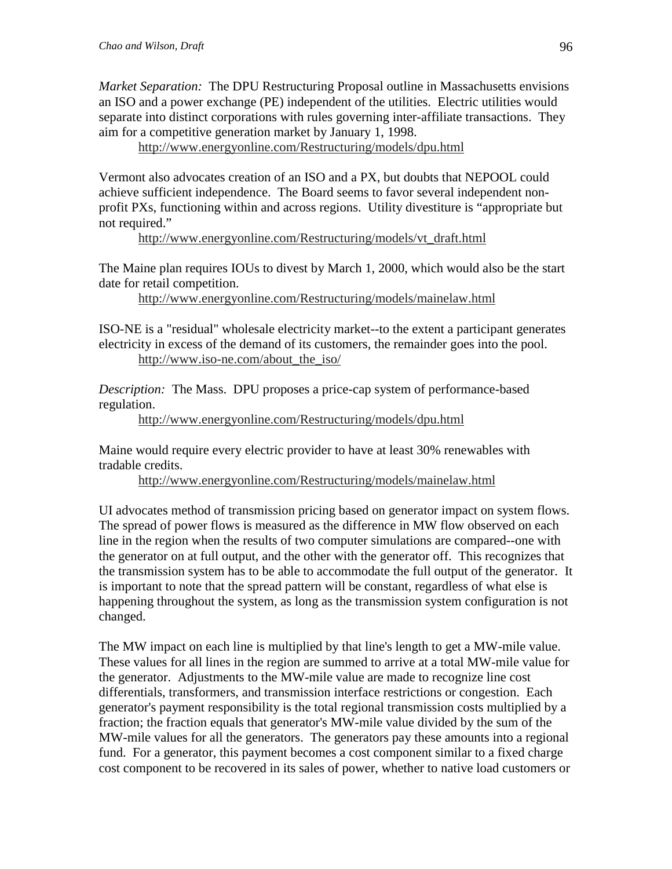*Market Separation:* The DPU Restructuring Proposal outline in Massachusetts envisions an ISO and a power exchange (PE) independent of the utilities. Electric utilities would separate into distinct corporations with rules governing inter-affiliate transactions. They aim for a competitive generation market by January 1, 1998.

http://www.energyonline.com/Restructuring/models/dpu.html

Vermont also advocates creation of an ISO and a PX, but doubts that NEPOOL could achieve sufficient independence. The Board seems to favor several independent nonprofit PXs, functioning within and across regions. Utility divestiture is "appropriate but not required."

http://www.energyonline.com/Restructuring/models/vt\_draft.html

The Maine plan requires IOUs to divest by March 1, 2000, which would also be the start date for retail competition.

http://www.energyonline.com/Restructuring/models/mainelaw.html

ISO-NE is a "residual" wholesale electricity market--to the extent a participant generates electricity in excess of the demand of its customers, the remainder goes into the pool. http://www.iso-ne.com/about\_the\_iso/

*Description:* The Mass. DPU proposes a price-cap system of performance-based regulation.

http://www.energyonline.com/Restructuring/models/dpu.html

Maine would require every electric provider to have at least 30% renewables with tradable credits.

http://www.energyonline.com/Restructuring/models/mainelaw.html

UI advocates method of transmission pricing based on generator impact on system flows. The spread of power flows is measured as the difference in MW flow observed on each line in the region when the results of two computer simulations are compared--one with the generator on at full output, and the other with the generator off. This recognizes that the transmission system has to be able to accommodate the full output of the generator. It is important to note that the spread pattern will be constant, regardless of what else is happening throughout the system, as long as the transmission system configuration is not changed.

The MW impact on each line is multiplied by that line's length to get a MW-mile value. These values for all lines in the region are summed to arrive at a total MW-mile value for the generator. Adjustments to the MW-mile value are made to recognize line cost differentials, transformers, and transmission interface restrictions or congestion. Each generator's payment responsibility is the total regional transmission costs multiplied by a fraction; the fraction equals that generator's MW-mile value divided by the sum of the MW-mile values for all the generators. The generators pay these amounts into a regional fund. For a generator, this payment becomes a cost component similar to a fixed charge cost component to be recovered in its sales of power, whether to native load customers or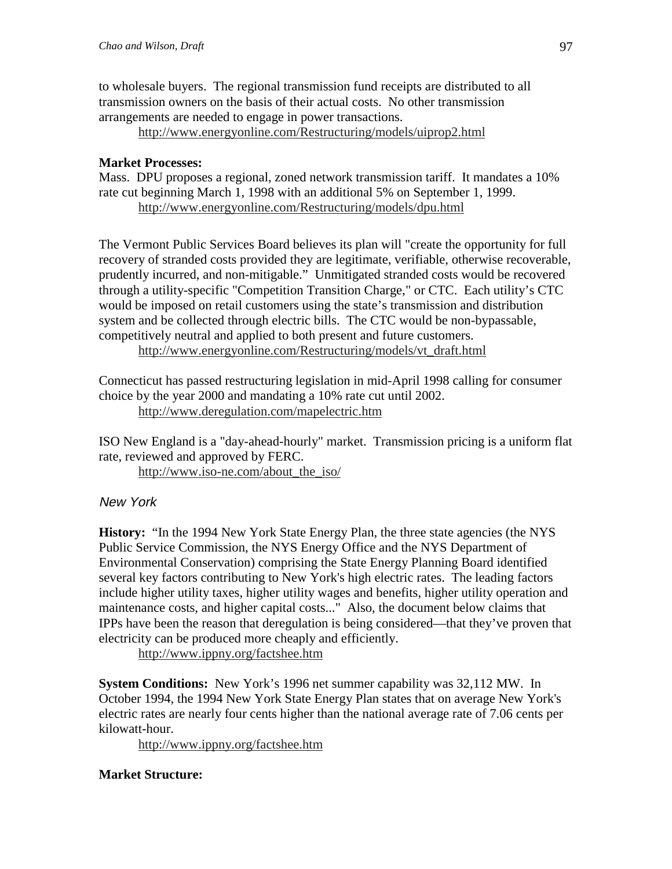to wholesale buyers. The regional transmission fund receipts are distributed to all transmission owners on the basis of their actual costs. No other transmission arrangements are needed to engage in power transactions.

http://www.energyonline.com/Restructuring/models/uiprop2.html

#### **Market Processes:**

Mass. DPU proposes a regional, zoned network transmission tariff. It mandates a 10% rate cut beginning March 1, 1998 with an additional 5% on September 1, 1999. http://www.energyonline.com/Restructuring/models/dpu.html

The Vermont Public Services Board believes its plan will "create the opportunity for full recovery of stranded costs provided they are legitimate, verifiable, otherwise recoverable, prudently incurred, and non-mitigable." Unmitigated stranded costs would be recovered through a utility-specific "Competition Transition Charge," or CTC. Each utility's CTC would be imposed on retail customers using the state's transmission and distribution system and be collected through electric bills. The CTC would be non-bypassable, competitively neutral and applied to both present and future customers.

http://www.energyonline.com/Restructuring/models/vt\_draft.html

Connecticut has passed restructuring legislation in mid-April 1998 calling for consumer choice by the year 2000 and mandating a 10% rate cut until 2002. http://www.deregulation.com/mapelectric.htm

ISO New England is a "day-ahead-hourly" market. Transmission pricing is a uniform flat rate, reviewed and approved by FERC.

http://www.iso-ne.com/about\_the\_iso/

#### New York

**History:** "In the 1994 New York State Energy Plan, the three state agencies (the NYS Public Service Commission, the NYS Energy Office and the NYS Department of Environmental Conservation) comprising the State Energy Planning Board identified several key factors contributing to New York's high electric rates. The leading factors include higher utility taxes, higher utility wages and benefits, higher utility operation and maintenance costs, and higher capital costs..." Also, the document below claims that IPPs have been the reason that deregulation is being considered—that they've proven that electricity can be produced more cheaply and efficiently.

http://www.ippny.org/factshee.htm

**System Conditions:** New York's 1996 net summer capability was 32,112 MW. In October 1994, the 1994 New York State Energy Plan states that on average New York's electric rates are nearly four cents higher than the national average rate of 7.06 cents per kilowatt-hour.

http://www.ippny.org/factshee.htm

### **Market Structure:**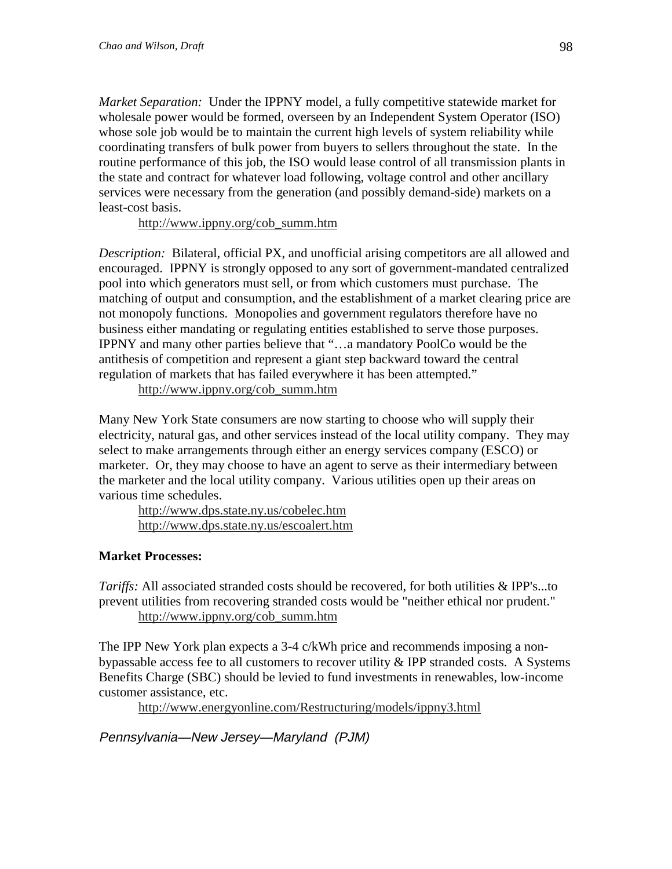*Market Separation:* Under the IPPNY model, a fully competitive statewide market for wholesale power would be formed, overseen by an Independent System Operator (ISO) whose sole job would be to maintain the current high levels of system reliability while coordinating transfers of bulk power from buyers to sellers throughout the state. In the routine performance of this job, the ISO would lease control of all transmission plants in the state and contract for whatever load following, voltage control and other ancillary services were necessary from the generation (and possibly demand-side) markets on a least-cost basis.

http://www.ippny.org/cob\_summ.htm

*Description:* Bilateral, official PX, and unofficial arising competitors are all allowed and encouraged. IPPNY is strongly opposed to any sort of government-mandated centralized pool into which generators must sell, or from which customers must purchase. The matching of output and consumption, and the establishment of a market clearing price are not monopoly functions. Monopolies and government regulators therefore have no business either mandating or regulating entities established to serve those purposes. IPPNY and many other parties believe that "…a mandatory PoolCo would be the antithesis of competition and represent a giant step backward toward the central regulation of markets that has failed everywhere it has been attempted."

http://www.ippny.org/cob\_summ.htm

Many New York State consumers are now starting to choose who will supply their electricity, natural gas, and other services instead of the local utility company. They may select to make arrangements through either an energy services company (ESCO) or marketer. Or, they may choose to have an agent to serve as their intermediary between the marketer and the local utility company. Various utilities open up their areas on various time schedules.

http://www.dps.state.ny.us/cobelec.htm http://www.dps.state.ny.us/escoalert.htm

#### **Market Processes:**

*Tariffs:* All associated stranded costs should be recovered, for both utilities & IPP's...to prevent utilities from recovering stranded costs would be "neither ethical nor prudent." http://www.ippny.org/cob\_summ.htm

The IPP New York plan expects a 3-4 c/kWh price and recommends imposing a nonbypassable access fee to all customers to recover utility  $\&$  IPP stranded costs. A Systems Benefits Charge (SBC) should be levied to fund investments in renewables, low-income customer assistance, etc.

http://www.energyonline.com/Restructuring/models/ippny3.html

Pennsylvania—New Jersey—Maryland (PJM)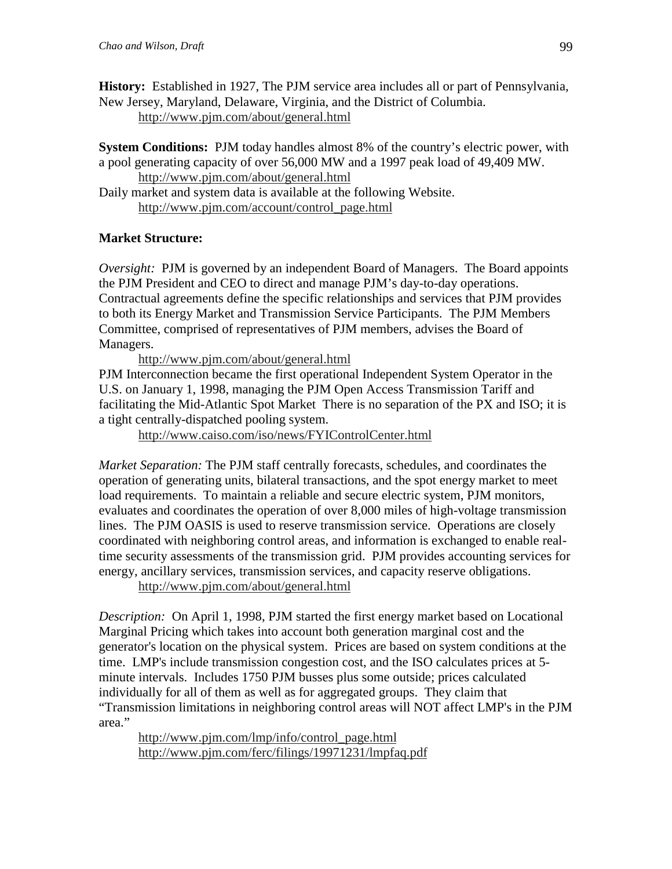**History:** Established in 1927, The PJM service area includes all or part of Pennsylvania, New Jersey, Maryland, Delaware, Virginia, and the District of Columbia. http://www.pjm.com/about/general.html

**System Conditions:** PJM today handles almost 8% of the country's electric power, with a pool generating capacity of over 56,000 MW and a 1997 peak load of 49,409 MW.

http://www.pjm.com/about/general.html

Daily market and system data is available at the following Website. http://www.pjm.com/account/control\_page.html

#### **Market Structure:**

*Oversight:* PJM is governed by an independent Board of Managers. The Board appoints the PJM President and CEO to direct and manage PJM's day-to-day operations. Contractual agreements define the specific relationships and services that PJM provides to both its Energy Market and Transmission Service Participants. The PJM Members Committee, comprised of representatives of PJM members, advises the Board of Managers.

http://www.pjm.com/about/general.html

PJM Interconnection became the first operational Independent System Operator in the U.S. on January 1, 1998, managing the PJM Open Access Transmission Tariff and facilitating the Mid-Atlantic Spot Market There is no separation of the PX and ISO; it is a tight centrally-dispatched pooling system.

http://www.caiso.com/iso/news/FYIControlCenter.html

*Market Separation:* The PJM staff centrally forecasts, schedules, and coordinates the operation of generating units, bilateral transactions, and the spot energy market to meet load requirements. To maintain a reliable and secure electric system, PJM monitors, evaluates and coordinates the operation of over 8,000 miles of high-voltage transmission lines. The PJM OASIS is used to reserve transmission service. Operations are closely coordinated with neighboring control areas, and information is exchanged to enable realtime security assessments of the transmission grid. PJM provides accounting services for energy, ancillary services, transmission services, and capacity reserve obligations.

http://www.pjm.com/about/general.html

*Description:* On April 1, 1998, PJM started the first energy market based on Locational Marginal Pricing which takes into account both generation marginal cost and the generator's location on the physical system. Prices are based on system conditions at the time. LMP's include transmission congestion cost, and the ISO calculates prices at 5 minute intervals. Includes 1750 PJM busses plus some outside; prices calculated individually for all of them as well as for aggregated groups. They claim that "Transmission limitations in neighboring control areas will NOT affect LMP's in the PJM area."

http://www.pjm.com/lmp/info/control\_page.html http://www.pjm.com/ferc/filings/19971231/lmpfaq.pdf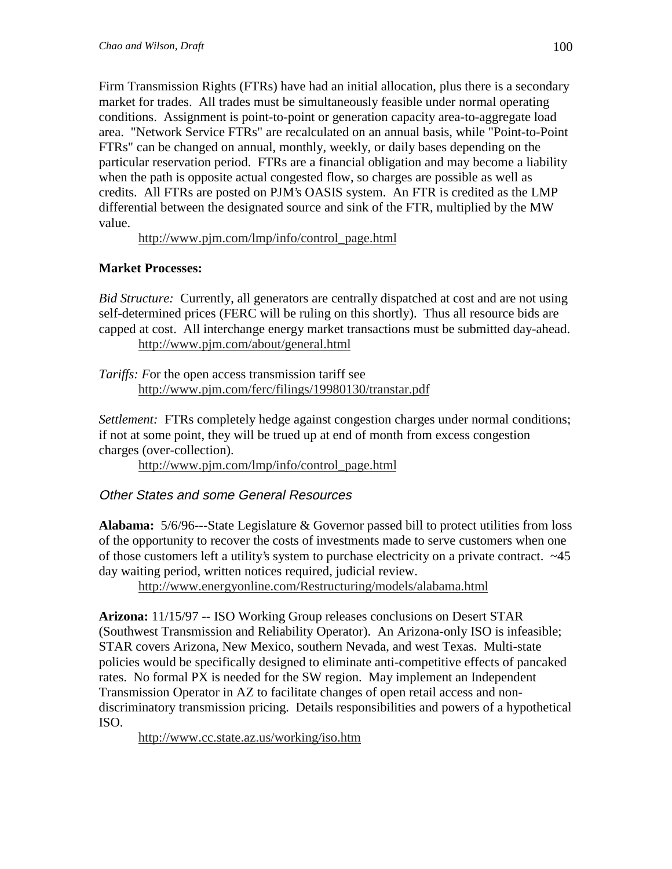Firm Transmission Rights (FTRs) have had an initial allocation, plus there is a secondary market for trades. All trades must be simultaneously feasible under normal operating conditions. Assignment is point-to-point or generation capacity area-to-aggregate load area. "Network Service FTRs" are recalculated on an annual basis, while "Point-to-Point FTRs" can be changed on annual, monthly, weekly, or daily bases depending on the particular reservation period. FTRs are a financial obligation and may become a liability when the path is opposite actual congested flow, so charges are possible as well as credits. All FTRs are posted on PJM's OASIS system. An FTR is credited as the LMP differential between the designated source and sink of the FTR, multiplied by the MW value.

http://www.pjm.com/lmp/info/control\_page.html

### **Market Processes:**

*Bid Structure:* Currently, all generators are centrally dispatched at cost and are not using self-determined prices (FERC will be ruling on this shortly). Thus all resource bids are capped at cost. All interchange energy market transactions must be submitted day-ahead. http://www.pjm.com/about/general.html

*Tariffs: F*or the open access transmission tariff see http://www.pjm.com/ferc/filings/19980130/transtar.pdf

*Settlement:* FTRs completely hedge against congestion charges under normal conditions; if not at some point, they will be trued up at end of month from excess congestion charges (over-collection).

http://www.pjm.com/lmp/info/control\_page.html

Other States and some General Resources

**Alabama:** 5/6/96---State Legislature & Governor passed bill to protect utilities from loss of the opportunity to recover the costs of investments made to serve customers when one of those customers left a utility's system to purchase electricity on a private contract. ~45 day waiting period, written notices required, judicial review.

http://www.energyonline.com/Restructuring/models/alabama.html

**Arizona:** 11/15/97 -- ISO Working Group releases conclusions on Desert STAR (Southwest Transmission and Reliability Operator). An Arizona-only ISO is infeasible; STAR covers Arizona, New Mexico, southern Nevada, and west Texas. Multi-state policies would be specifically designed to eliminate anti-competitive effects of pancaked rates. No formal PX is needed for the SW region. May implement an Independent Transmission Operator in AZ to facilitate changes of open retail access and nondiscriminatory transmission pricing. Details responsibilities and powers of a hypothetical ISO.

http://www.cc.state.az.us/working/iso.htm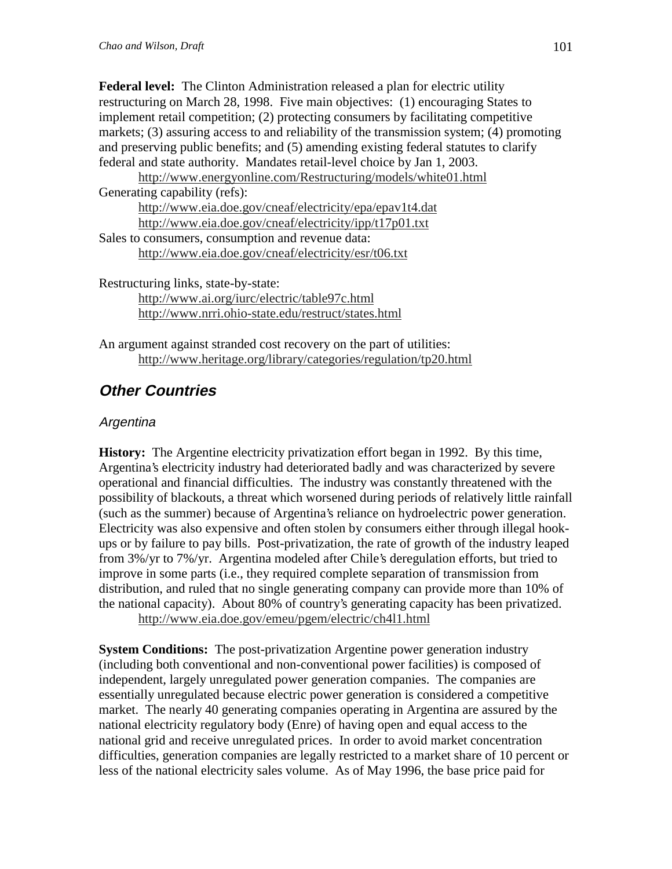**Federal level:** The Clinton Administration released a plan for electric utility restructuring on March 28, 1998. Five main objectives: (1) encouraging States to implement retail competition; (2) protecting consumers by facilitating competitive markets; (3) assuring access to and reliability of the transmission system; (4) promoting and preserving public benefits; and (5) amending existing federal statutes to clarify federal and state authority. Mandates retail-level choice by Jan 1, 2003.

http://www.energyonline.com/Restructuring/models/white01.html Generating capability (refs):

http://www.eia.doe.gov/cneaf/electricity/epa/epav1t4.dat http://www.eia.doe.gov/cneaf/electricity/ipp/t17p01.txt Sales to consumers, consumption and revenue data: http://www.eia.doe.gov/cneaf/electricity/esr/t06.txt

Restructuring links, state-by-state: http://www.ai.org/iurc/electric/table97c.html http://www.nrri.ohio-state.edu/restruct/states.html

An argument against stranded cost recovery on the part of utilities: http://www.heritage.org/library/categories/regulation/tp20.html

## **Other Countries**

#### **Argentina**

**History:** The Argentine electricity privatization effort began in 1992. By this time, Argentina's electricity industry had deteriorated badly and was characterized by severe operational and financial difficulties. The industry was constantly threatened with the possibility of blackouts, a threat which worsened during periods of relatively little rainfall (such as the summer) because of Argentina's reliance on hydroelectric power generation. Electricity was also expensive and often stolen by consumers either through illegal hookups or by failure to pay bills. Post-privatization, the rate of growth of the industry leaped from 3%/yr to 7%/yr. Argentina modeled after Chile's deregulation efforts, but tried to improve in some parts (i.e., they required complete separation of transmission from distribution, and ruled that no single generating company can provide more than 10% of the national capacity). About 80% of country's generating capacity has been privatized. http://www.eia.doe.gov/emeu/pgem/electric/ch4l1.html

**System Conditions:** The post-privatization Argentine power generation industry (including both conventional and non-conventional power facilities) is composed of independent, largely unregulated power generation companies. The companies are essentially unregulated because electric power generation is considered a competitive market. The nearly 40 generating companies operating in Argentina are assured by the national electricity regulatory body (Enre) of having open and equal access to the national grid and receive unregulated prices. In order to avoid market concentration difficulties, generation companies are legally restricted to a market share of 10 percent or less of the national electricity sales volume. As of May 1996, the base price paid for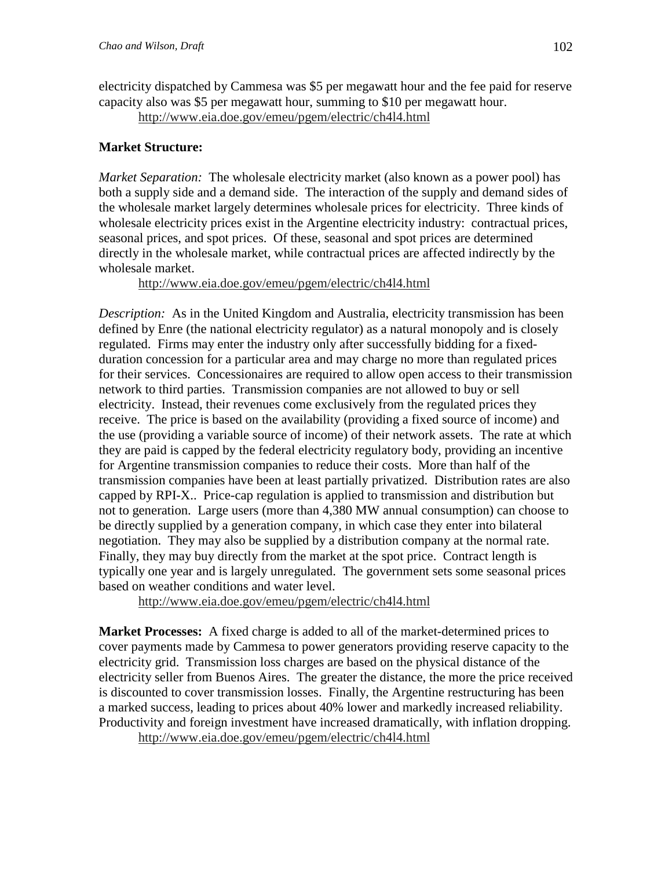electricity dispatched by Cammesa was \$5 per megawatt hour and the fee paid for reserve capacity also was \$5 per megawatt hour, summing to \$10 per megawatt hour.

http://www.eia.doe.gov/emeu/pgem/electric/ch4l4.html

#### **Market Structure:**

*Market Separation:* The wholesale electricity market (also known as a power pool) has both a supply side and a demand side. The interaction of the supply and demand sides of the wholesale market largely determines wholesale prices for electricity. Three kinds of wholesale electricity prices exist in the Argentine electricity industry: contractual prices, seasonal prices, and spot prices. Of these, seasonal and spot prices are determined directly in the wholesale market, while contractual prices are affected indirectly by the wholesale market.

http://www.eia.doe.gov/emeu/pgem/electric/ch4l4.html

*Description:* As in the United Kingdom and Australia, electricity transmission has been defined by Enre (the national electricity regulator) as a natural monopoly and is closely regulated. Firms may enter the industry only after successfully bidding for a fixedduration concession for a particular area and may charge no more than regulated prices for their services. Concessionaires are required to allow open access to their transmission network to third parties. Transmission companies are not allowed to buy or sell electricity. Instead, their revenues come exclusively from the regulated prices they receive. The price is based on the availability (providing a fixed source of income) and the use (providing a variable source of income) of their network assets. The rate at which they are paid is capped by the federal electricity regulatory body, providing an incentive for Argentine transmission companies to reduce their costs. More than half of the transmission companies have been at least partially privatized. Distribution rates are also capped by RPI-X.. Price-cap regulation is applied to transmission and distribution but not to generation. Large users (more than 4,380 MW annual consumption) can choose to be directly supplied by a generation company, in which case they enter into bilateral negotiation. They may also be supplied by a distribution company at the normal rate. Finally, they may buy directly from the market at the spot price. Contract length is typically one year and is largely unregulated. The government sets some seasonal prices based on weather conditions and water level.

http://www.eia.doe.gov/emeu/pgem/electric/ch4l4.html

**Market Processes:** A fixed charge is added to all of the market-determined prices to cover payments made by Cammesa to power generators providing reserve capacity to the electricity grid. Transmission loss charges are based on the physical distance of the electricity seller from Buenos Aires. The greater the distance, the more the price received is discounted to cover transmission losses. Finally, the Argentine restructuring has been a marked success, leading to prices about 40% lower and markedly increased reliability. Productivity and foreign investment have increased dramatically, with inflation dropping.

http://www.eia.doe.gov/emeu/pgem/electric/ch4l4.html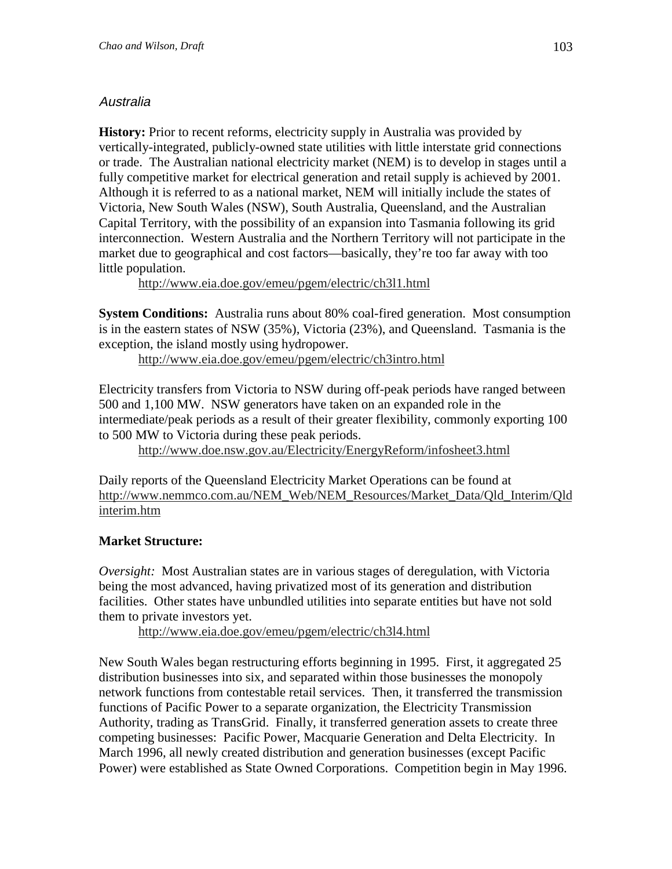### Australia

**History:** Prior to recent reforms, electricity supply in Australia was provided by vertically-integrated, publicly-owned state utilities with little interstate grid connections or trade. The Australian national electricity market (NEM) is to develop in stages until a fully competitive market for electrical generation and retail supply is achieved by 2001. Although it is referred to as a national market, NEM will initially include the states of Victoria, New South Wales (NSW), South Australia, Queensland, and the Australian Capital Territory, with the possibility of an expansion into Tasmania following its grid interconnection. Western Australia and the Northern Territory will not participate in the market due to geographical and cost factors—basically, they're too far away with too little population.

http://www.eia.doe.gov/emeu/pgem/electric/ch3l1.html

**System Conditions:** Australia runs about 80% coal-fired generation. Most consumption is in the eastern states of NSW (35%), Victoria (23%), and Queensland. Tasmania is the exception, the island mostly using hydropower.

http://www.eia.doe.gov/emeu/pgem/electric/ch3intro.html

Electricity transfers from Victoria to NSW during off-peak periods have ranged between 500 and 1,100 MW. NSW generators have taken on an expanded role in the intermediate/peak periods as a result of their greater flexibility, commonly exporting 100 to 500 MW to Victoria during these peak periods.

http://www.doe.nsw.gov.au/Electricity/EnergyReform/infosheet3.html

Daily reports of the Queensland Electricity Market Operations can be found at http://www.nemmco.com.au/NEM\_Web/NEM\_Resources/Market\_Data/Qld\_Interim/Qld interim.htm

#### **Market Structure:**

*Oversight:* Most Australian states are in various stages of deregulation, with Victoria being the most advanced, having privatized most of its generation and distribution facilities. Other states have unbundled utilities into separate entities but have not sold them to private investors yet.

http://www.eia.doe.gov/emeu/pgem/electric/ch3l4.html

New South Wales began restructuring efforts beginning in 1995. First, it aggregated 25 distribution businesses into six, and separated within those businesses the monopoly network functions from contestable retail services. Then, it transferred the transmission functions of Pacific Power to a separate organization, the Electricity Transmission Authority, trading as TransGrid. Finally, it transferred generation assets to create three competing businesses: Pacific Power, Macquarie Generation and Delta Electricity. In March 1996, all newly created distribution and generation businesses (except Pacific Power) were established as State Owned Corporations. Competition begin in May 1996.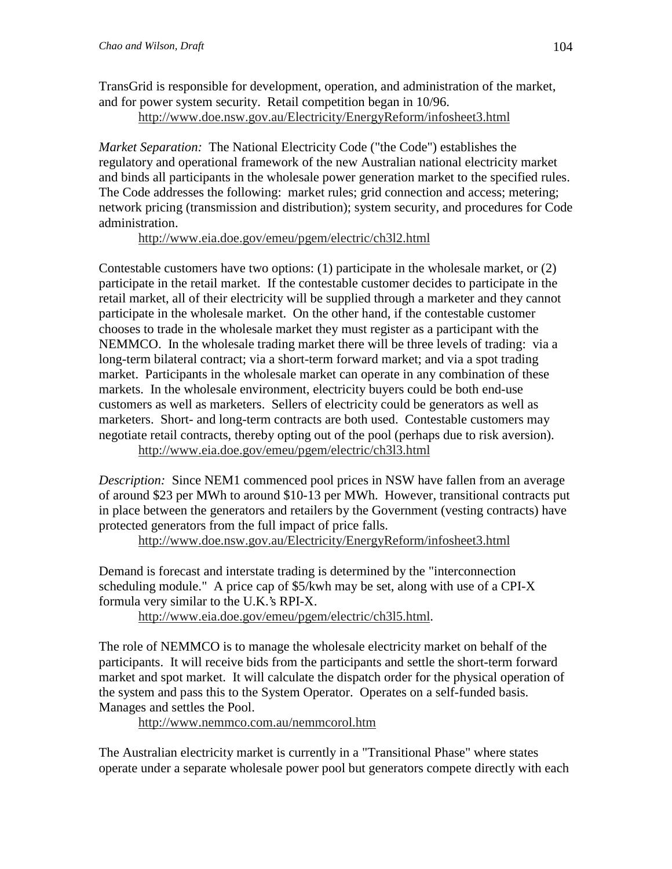TransGrid is responsible for development, operation, and administration of the market, and for power system security. Retail competition began in 10/96.

http://www.doe.nsw.gov.au/Electricity/EnergyReform/infosheet3.html

*Market Separation:* The National Electricity Code ("the Code") establishes the regulatory and operational framework of the new Australian national electricity market and binds all participants in the wholesale power generation market to the specified rules. The Code addresses the following: market rules; grid connection and access; metering; network pricing (transmission and distribution); system security, and procedures for Code administration.

http://www.eia.doe.gov/emeu/pgem/electric/ch3l2.html

Contestable customers have two options: (1) participate in the wholesale market, or (2) participate in the retail market. If the contestable customer decides to participate in the retail market, all of their electricity will be supplied through a marketer and they cannot participate in the wholesale market. On the other hand, if the contestable customer chooses to trade in the wholesale market they must register as a participant with the NEMMCO. In the wholesale trading market there will be three levels of trading: via a long-term bilateral contract; via a short-term forward market; and via a spot trading market. Participants in the wholesale market can operate in any combination of these markets. In the wholesale environment, electricity buyers could be both end-use customers as well as marketers. Sellers of electricity could be generators as well as marketers. Short- and long-term contracts are both used. Contestable customers may negotiate retail contracts, thereby opting out of the pool (perhaps due to risk aversion). http://www.eia.doe.gov/emeu/pgem/electric/ch3l3.html

*Description:* Since NEM1 commenced pool prices in NSW have fallen from an average of around \$23 per MWh to around \$10-13 per MWh. However, transitional contracts put in place between the generators and retailers by the Government (vesting contracts) have protected generators from the full impact of price falls.

http://www.doe.nsw.gov.au/Electricity/EnergyReform/infosheet3.html

Demand is forecast and interstate trading is determined by the "interconnection scheduling module." A price cap of \$5/kwh may be set, along with use of a CPI-X formula very similar to the U.K.'s RPI-X.

http://www.eia.doe.gov/emeu/pgem/electric/ch3l5.html.

The role of NEMMCO is to manage the wholesale electricity market on behalf of the participants. It will receive bids from the participants and settle the short-term forward market and spot market. It will calculate the dispatch order for the physical operation of the system and pass this to the System Operator. Operates on a self-funded basis. Manages and settles the Pool.

http://www.nemmco.com.au/nemmcorol.htm

The Australian electricity market is currently in a "Transitional Phase" where states operate under a separate wholesale power pool but generators compete directly with each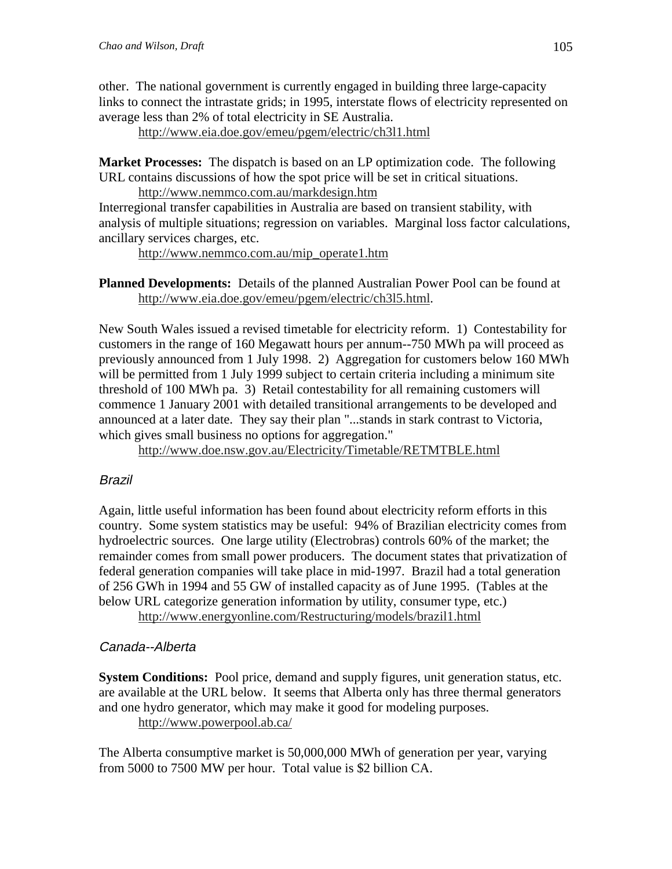other. The national government is currently engaged in building three large-capacity links to connect the intrastate grids; in 1995, interstate flows of electricity represented on average less than 2% of total electricity in SE Australia.

http://www.eia.doe.gov/emeu/pgem/electric/ch3l1.html

**Market Processes:** The dispatch is based on an LP optimization code. The following URL contains discussions of how the spot price will be set in critical situations.

http://www.nemmco.com.au/markdesign.htm Interregional transfer capabilities in Australia are based on transient stability, with analysis of multiple situations; regression on variables. Marginal loss factor calculations, ancillary services charges, etc.

http://www.nemmco.com.au/mip\_operate1.htm

#### **Planned Developments:** Details of the planned Australian Power Pool can be found at http://www.eia.doe.gov/emeu/pgem/electric/ch3l5.html.

New South Wales issued a revised timetable for electricity reform. 1) Contestability for customers in the range of 160 Megawatt hours per annum--750 MWh pa will proceed as previously announced from 1 July 1998. 2) Aggregation for customers below 160 MWh will be permitted from 1 July 1999 subject to certain criteria including a minimum site threshold of 100 MWh pa. 3) Retail contestability for all remaining customers will commence 1 January 2001 with detailed transitional arrangements to be developed and announced at a later date. They say their plan "...stands in stark contrast to Victoria, which gives small business no options for aggregation."

http://www.doe.nsw.gov.au/Electricity/Timetable/RETMTBLE.html

### Brazil

Again, little useful information has been found about electricity reform efforts in this country. Some system statistics may be useful: 94% of Brazilian electricity comes from hydroelectric sources. One large utility (Electrobras) controls 60% of the market; the remainder comes from small power producers. The document states that privatization of federal generation companies will take place in mid-1997. Brazil had a total generation of 256 GWh in 1994 and 55 GW of installed capacity as of June 1995. (Tables at the below URL categorize generation information by utility, consumer type, etc.)

http://www.energyonline.com/Restructuring/models/brazil1.html

## Canada--Alberta

**System Conditions:** Pool price, demand and supply figures, unit generation status, etc. are available at the URL below. It seems that Alberta only has three thermal generators and one hydro generator, which may make it good for modeling purposes.

http://www.powerpool.ab.ca/

The Alberta consumptive market is 50,000,000 MWh of generation per year, varying from 5000 to 7500 MW per hour. Total value is \$2 billion CA.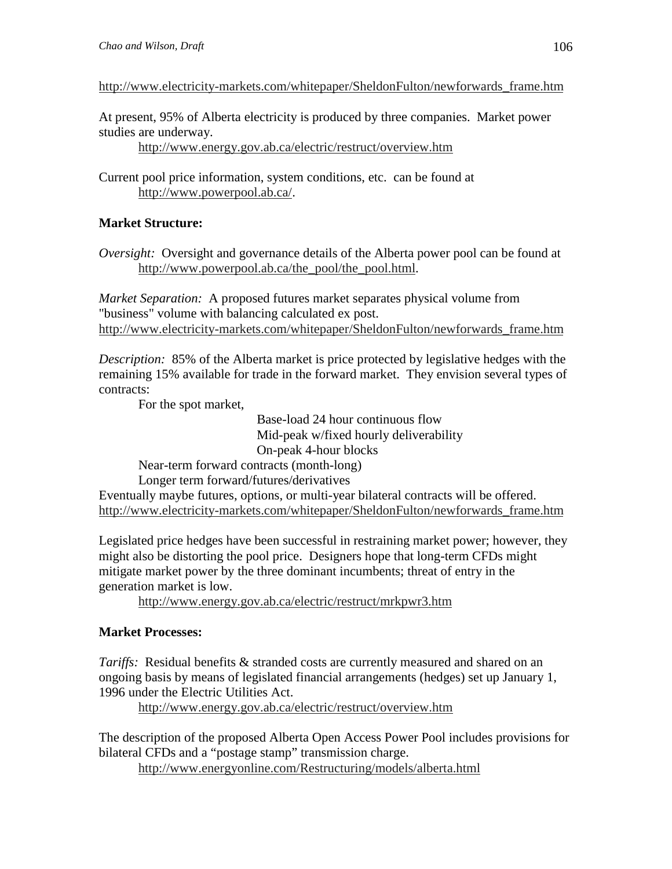http://www.electricity-markets.com/whitepaper/SheldonFulton/newforwards\_frame.htm

At present, 95% of Alberta electricity is produced by three companies. Market power studies are underway.

http://www.energy.gov.ab.ca/electric/restruct/overview.htm

Current pool price information, system conditions, etc. can be found at http://www.powerpool.ab.ca/.

### **Market Structure:**

*Oversight:* Oversight and governance details of the Alberta power pool can be found at http://www.powerpool.ab.ca/the\_pool/the\_pool.html.

*Market Separation:* A proposed futures market separates physical volume from "business" volume with balancing calculated ex post. http://www.electricity-markets.com/whitepaper/SheldonFulton/newforwards\_frame.htm

*Description:* 85% of the Alberta market is price protected by legislative hedges with the remaining 15% available for trade in the forward market. They envision several types of contracts:

For the spot market,

Base-load 24 hour continuous flow Mid-peak w/fixed hourly deliverability On-peak 4-hour blocks

Near-term forward contracts (month-long)

Longer term forward/futures/derivatives

Eventually maybe futures, options, or multi-year bilateral contracts will be offered. http://www.electricity-markets.com/whitepaper/SheldonFulton/newforwards\_frame.htm

Legislated price hedges have been successful in restraining market power; however, they might also be distorting the pool price. Designers hope that long-term CFDs might mitigate market power by the three dominant incumbents; threat of entry in the generation market is low.

http://www.energy.gov.ab.ca/electric/restruct/mrkpwr3.htm

### **Market Processes:**

*Tariffs:* Residual benefits & stranded costs are currently measured and shared on an ongoing basis by means of legislated financial arrangements (hedges) set up January 1, 1996 under the Electric Utilities Act.

http://www.energy.gov.ab.ca/electric/restruct/overview.htm

The description of the proposed Alberta Open Access Power Pool includes provisions for bilateral CFDs and a "postage stamp" transmission charge.

http://www.energyonline.com/Restructuring/models/alberta.html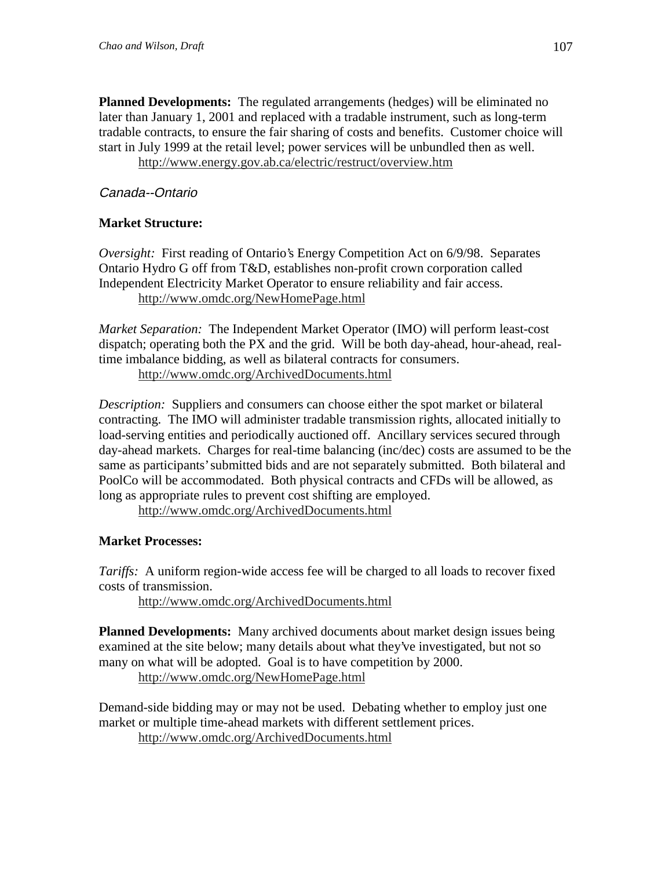**Planned Developments:** The regulated arrangements (hedges) will be eliminated no later than January 1, 2001 and replaced with a tradable instrument, such as long-term tradable contracts, to ensure the fair sharing of costs and benefits. Customer choice will start in July 1999 at the retail level; power services will be unbundled then as well. http://www.energy.gov.ab.ca/electric/restruct/overview.htm

#### Canada--Ontario

#### **Market Structure:**

*Oversight:* First reading of Ontario's Energy Competition Act on 6/9/98. Separates Ontario Hydro G off from T&D, establishes non-profit crown corporation called Independent Electricity Market Operator to ensure reliability and fair access. http://www.omdc.org/NewHomePage.html

*Market Separation:* The Independent Market Operator (IMO) will perform least-cost dispatch; operating both the PX and the grid. Will be both day-ahead, hour-ahead, realtime imbalance bidding, as well as bilateral contracts for consumers. http://www.omdc.org/ArchivedDocuments.html

*Description:* Suppliers and consumers can choose either the spot market or bilateral contracting. The IMO will administer tradable transmission rights, allocated initially to load-serving entities and periodically auctioned off. Ancillary services secured through day-ahead markets. Charges for real-time balancing (inc/dec) costs are assumed to be the same as participants' submitted bids and are not separately submitted. Both bilateral and PoolCo will be accommodated. Both physical contracts and CFDs will be allowed, as long as appropriate rules to prevent cost shifting are employed.

http://www.omdc.org/ArchivedDocuments.html

#### **Market Processes:**

*Tariffs:* A uniform region-wide access fee will be charged to all loads to recover fixed costs of transmission.

http://www.omdc.org/ArchivedDocuments.html

**Planned Developments:** Many archived documents about market design issues being examined at the site below; many details about what they've investigated, but not so many on what will be adopted. Goal is to have competition by 2000.

http://www.omdc.org/NewHomePage.html

Demand-side bidding may or may not be used. Debating whether to employ just one market or multiple time-ahead markets with different settlement prices.

http://www.omdc.org/ArchivedDocuments.html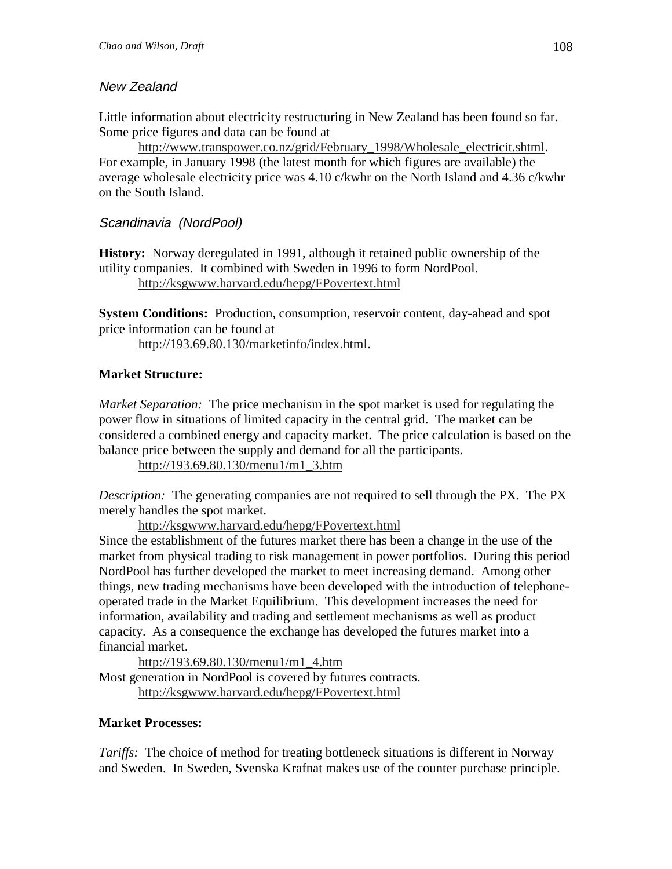## New Zealand

Little information about electricity restructuring in New Zealand has been found so far. Some price figures and data can be found at

http://www.transpower.co.nz/grid/February\_1998/Wholesale\_electricit.shtml. For example, in January 1998 (the latest month for which figures are available) the average wholesale electricity price was 4.10 c/kwhr on the North Island and 4.36 c/kwhr on the South Island.

Scandinavia (NordPool)

**History:** Norway deregulated in 1991, although it retained public ownership of the utility companies. It combined with Sweden in 1996 to form NordPool. http://ksgwww.harvard.edu/hepg/FPovertext.html

**System Conditions:** Production, consumption, reservoir content, day-ahead and spot price information can be found at

http://193.69.80.130/marketinfo/index.html.

## **Market Structure:**

*Market Separation:* The price mechanism in the spot market is used for regulating the power flow in situations of limited capacity in the central grid. The market can be considered a combined energy and capacity market. The price calculation is based on the balance price between the supply and demand for all the participants.

http://193.69.80.130/menu1/m1\_3.htm

*Description:* The generating companies are not required to sell through the PX. The PX merely handles the spot market.

http://ksgwww.harvard.edu/hepg/FPovertext.html Since the establishment of the futures market there has been a change in the use of the market from physical trading to risk management in power portfolios. During this period NordPool has further developed the market to meet increasing demand. Among other things, new trading mechanisms have been developed with the introduction of telephoneoperated trade in the Market Equilibrium. This development increases the need for information, availability and trading and settlement mechanisms as well as product capacity. As a consequence the exchange has developed the futures market into a financial market.

http://193.69.80.130/menu1/m1\_4.htm Most generation in NordPool is covered by futures contracts. http://ksgwww.harvard.edu/hepg/FPovertext.html

### **Market Processes:**

*Tariffs:* The choice of method for treating bottleneck situations is different in Norway and Sweden. In Sweden, Svenska Krafnat makes use of the counter purchase principle.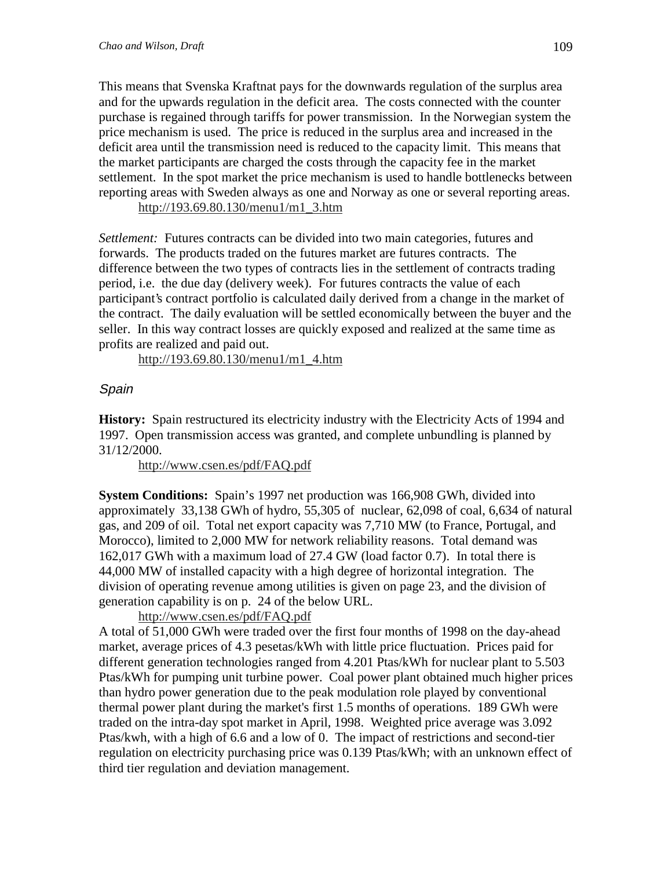This means that Svenska Kraftnat pays for the downwards regulation of the surplus area and for the upwards regulation in the deficit area. The costs connected with the counter purchase is regained through tariffs for power transmission. In the Norwegian system the price mechanism is used. The price is reduced in the surplus area and increased in the deficit area until the transmission need is reduced to the capacity limit. This means that the market participants are charged the costs through the capacity fee in the market settlement. In the spot market the price mechanism is used to handle bottlenecks between reporting areas with Sweden always as one and Norway as one or several reporting areas.

http://193.69.80.130/menu1/m1\_3.htm

*Settlement:* Futures contracts can be divided into two main categories, futures and forwards. The products traded on the futures market are futures contracts. The difference between the two types of contracts lies in the settlement of contracts trading period, i.e. the due day (delivery week). For futures contracts the value of each participant's contract portfolio is calculated daily derived from a change in the market of the contract. The daily evaluation will be settled economically between the buyer and the seller. In this way contract losses are quickly exposed and realized at the same time as profits are realized and paid out.

http://193.69.80.130/menu1/m1\_4.htm

#### Spain

**History:** Spain restructured its electricity industry with the Electricity Acts of 1994 and 1997. Open transmission access was granted, and complete unbundling is planned by 31/12/2000.

http://www.csen.es/pdf/FAQ.pdf

**System Conditions:** Spain's 1997 net production was 166,908 GWh, divided into approximately 33,138 GWh of hydro, 55,305 of nuclear, 62,098 of coal, 6,634 of natural gas, and 209 of oil. Total net export capacity was 7,710 MW (to France, Portugal, and Morocco), limited to 2,000 MW for network reliability reasons. Total demand was 162,017 GWh with a maximum load of 27.4 GW (load factor 0.7). In total there is 44,000 MW of installed capacity with a high degree of horizontal integration. The division of operating revenue among utilities is given on page 23, and the division of generation capability is on p. 24 of the below URL.

#### http://www.csen.es/pdf/FAQ.pdf

A total of 51,000 GWh were traded over the first four months of 1998 on the day-ahead market, average prices of 4.3 pesetas/kWh with little price fluctuation. Prices paid for different generation technologies ranged from 4.201 Ptas/kWh for nuclear plant to 5.503 Ptas/kWh for pumping unit turbine power. Coal power plant obtained much higher prices than hydro power generation due to the peak modulation role played by conventional thermal power plant during the market's first 1.5 months of operations. 189 GWh were traded on the intra-day spot market in April, 1998. Weighted price average was 3.092 Ptas/kwh, with a high of 6.6 and a low of 0. The impact of restrictions and second-tier regulation on electricity purchasing price was 0.139 Ptas/kWh; with an unknown effect of third tier regulation and deviation management.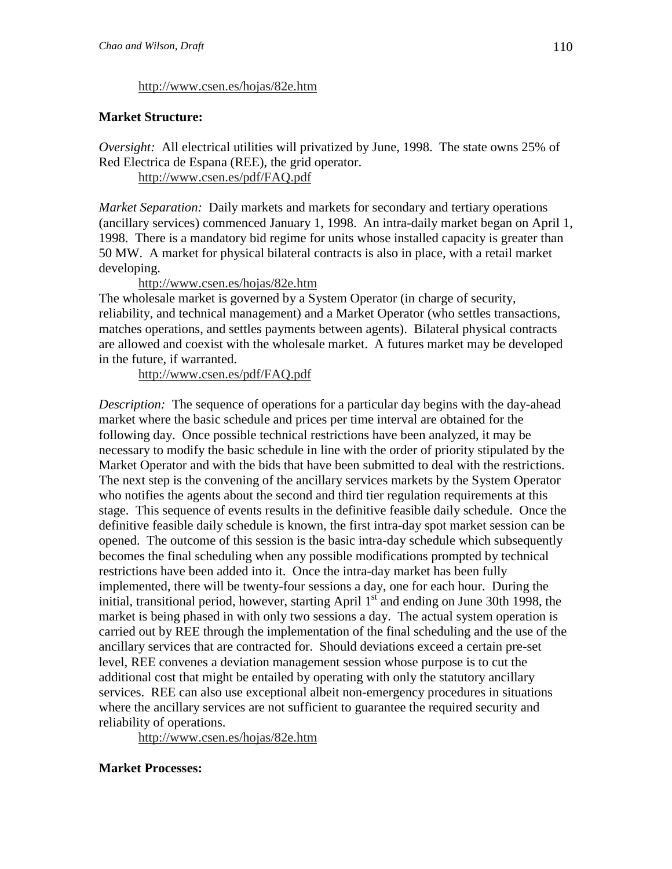http://www.csen.es/hojas/82e.htm

#### **Market Structure:**

*Oversight:* All electrical utilities will privatized by June, 1998. The state owns 25% of Red Electrica de Espana (REE), the grid operator.

http://www.csen.es/pdf/FAQ.pdf

*Market Separation:* Daily markets and markets for secondary and tertiary operations (ancillary services) commenced January 1, 1998. An intra-daily market began on April 1, 1998. There is a mandatory bid regime for units whose installed capacity is greater than 50 MW. A market for physical bilateral contracts is also in place, with a retail market developing.

http://www.csen.es/hojas/82e.htm

The wholesale market is governed by a System Operator (in charge of security, reliability, and technical management) and a Market Operator (who settles transactions, matches operations, and settles payments between agents). Bilateral physical contracts are allowed and coexist with the wholesale market. A futures market may be developed in the future, if warranted.

http://www.csen.es/pdf/FAQ.pdf

*Description:* The sequence of operations for a particular day begins with the day-ahead market where the basic schedule and prices per time interval are obtained for the following day. Once possible technical restrictions have been analyzed, it may be necessary to modify the basic schedule in line with the order of priority stipulated by the Market Operator and with the bids that have been submitted to deal with the restrictions. The next step is the convening of the ancillary services markets by the System Operator who notifies the agents about the second and third tier regulation requirements at this stage. This sequence of events results in the definitive feasible daily schedule. Once the definitive feasible daily schedule is known, the first intra-day spot market session can be opened. The outcome of this session is the basic intra-day schedule which subsequently becomes the final scheduling when any possible modifications prompted by technical restrictions have been added into it. Once the intra-day market has been fully implemented, there will be twenty-four sessions a day, one for each hour. During the initial, transitional period, however, starting April  $1<sup>st</sup>$  and ending on June 30th 1998, the market is being phased in with only two sessions a day. The actual system operation is carried out by REE through the implementation of the final scheduling and the use of the ancillary services that are contracted for. Should deviations exceed a certain pre-set level, REE convenes a deviation management session whose purpose is to cut the additional cost that might be entailed by operating with only the statutory ancillary services. REE can also use exceptional albeit non-emergency procedures in situations where the ancillary services are not sufficient to guarantee the required security and reliability of operations.

http://www.csen.es/hojas/82e.htm

#### **Market Processes:**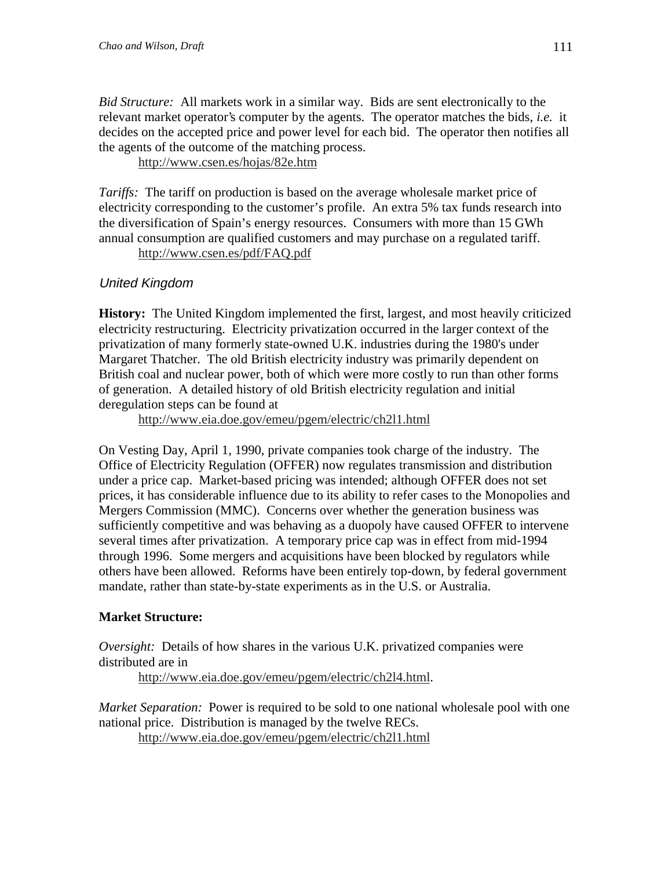*Bid Structure:* All markets work in a similar way. Bids are sent electronically to the relevant market operator's computer by the agents. The operator matches the bids, *i.e.* it decides on the accepted price and power level for each bid. The operator then notifies all the agents of the outcome of the matching process.

http://www.csen.es/hojas/82e.htm

*Tariffs:* The tariff on production is based on the average wholesale market price of electricity corresponding to the customer's profile. An extra 5% tax funds research into the diversification of Spain's energy resources. Consumers with more than 15 GWh annual consumption are qualified customers and may purchase on a regulated tariff.

http://www.csen.es/pdf/FAQ.pdf

## United Kingdom

**History:** The United Kingdom implemented the first, largest, and most heavily criticized electricity restructuring. Electricity privatization occurred in the larger context of the privatization of many formerly state-owned U.K. industries during the 1980's under Margaret Thatcher. The old British electricity industry was primarily dependent on British coal and nuclear power, both of which were more costly to run than other forms of generation. A detailed history of old British electricity regulation and initial deregulation steps can be found at

http://www.eia.doe.gov/emeu/pgem/electric/ch2l1.html

On Vesting Day, April 1, 1990, private companies took charge of the industry. The Office of Electricity Regulation (OFFER) now regulates transmission and distribution under a price cap. Market-based pricing was intended; although OFFER does not set prices, it has considerable influence due to its ability to refer cases to the Monopolies and Mergers Commission (MMC). Concerns over whether the generation business was sufficiently competitive and was behaving as a duopoly have caused OFFER to intervene several times after privatization. A temporary price cap was in effect from mid-1994 through 1996. Some mergers and acquisitions have been blocked by regulators while others have been allowed. Reforms have been entirely top-down, by federal government mandate, rather than state-by-state experiments as in the U.S. or Australia.

### **Market Structure:**

*Oversight:* Details of how shares in the various U.K. privatized companies were distributed are in

http://www.eia.doe.gov/emeu/pgem/electric/ch2l4.html.

*Market Separation:* Power is required to be sold to one national wholesale pool with one national price. Distribution is managed by the twelve RECs.

http://www.eia.doe.gov/emeu/pgem/electric/ch2l1.html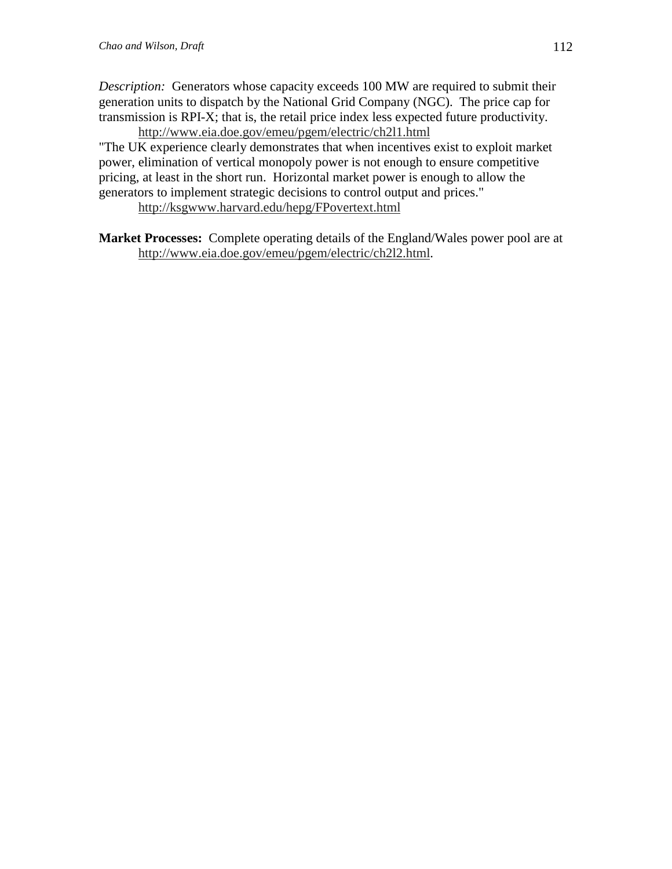*Description:* Generators whose capacity exceeds 100 MW are required to submit their generation units to dispatch by the National Grid Company (NGC). The price cap for transmission is RPI-X; that is, the retail price index less expected future productivity.

http://www.eia.doe.gov/emeu/pgem/electric/ch2l1.html "The UK experience clearly demonstrates that when incentives exist to exploit market power, elimination of vertical monopoly power is not enough to ensure competitive pricing, at least in the short run. Horizontal market power is enough to allow the generators to implement strategic decisions to control output and prices."

http://ksgwww.harvard.edu/hepg/FPovertext.html

**Market Processes:** Complete operating details of the England/Wales power pool are at http://www.eia.doe.gov/emeu/pgem/electric/ch2l2.html.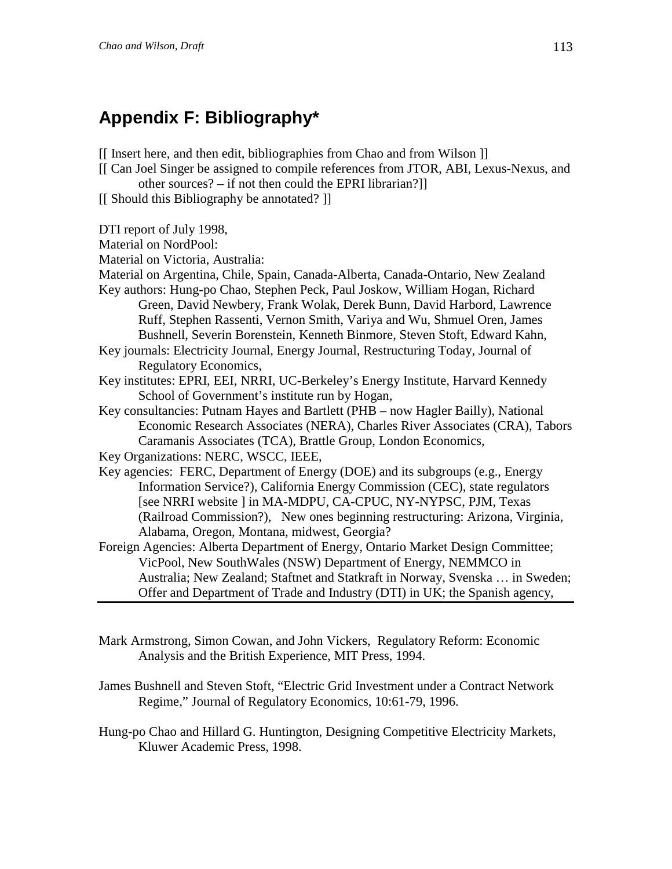# **Appendix F: Bibliography\***

[[ Insert here, and then edit, bibliographies from Chao and from Wilson ]]

- [[ Can Joel Singer be assigned to compile references from JTOR, ABI, Lexus-Nexus, and other sources? – if not then could the EPRI librarian?]]
- [[ Should this Bibliography be annotated? ]]

DTI report of July 1998,

Material on NordPool:

Material on Victoria, Australia:

Material on Argentina, Chile, Spain, Canada-Alberta, Canada-Ontario, New Zealand

Key authors: Hung-po Chao, Stephen Peck, Paul Joskow, William Hogan, Richard Green, David Newbery, Frank Wolak, Derek Bunn, David Harbord, Lawrence Ruff, Stephen Rassenti, Vernon Smith, Variya and Wu, Shmuel Oren, James Bushnell, Severin Borenstein, Kenneth Binmore, Steven Stoft, Edward Kahn,

Key journals: Electricity Journal, Energy Journal, Restructuring Today, Journal of Regulatory Economics,

- Key institutes: EPRI, EEI, NRRI, UC-Berkeley's Energy Institute, Harvard Kennedy School of Government's institute run by Hogan,
- Key consultancies: Putnam Hayes and Bartlett (PHB now Hagler Bailly), National Economic Research Associates (NERA), Charles River Associates (CRA), Tabors Caramanis Associates (TCA), Brattle Group, London Economics,

- Key agencies: FERC, Department of Energy (DOE) and its subgroups (e.g., Energy Information Service?), California Energy Commission (CEC), state regulators [see NRRI website ] in MA-MDPU, CA-CPUC, NY-NYPSC, PJM, Texas (Railroad Commission?), New ones beginning restructuring: Arizona, Virginia, Alabama, Oregon, Montana, midwest, Georgia?
- Foreign Agencies: Alberta Department of Energy, Ontario Market Design Committee; VicPool, New SouthWales (NSW) Department of Energy, NEMMCO in Australia; New Zealand; Staftnet and Statkraft in Norway, Svenska … in Sweden; Offer and Department of Trade and Industry (DTI) in UK; the Spanish agency,
- Mark Armstrong, Simon Cowan, and John Vickers, Regulatory Reform: Economic Analysis and the British Experience, MIT Press, 1994.
- James Bushnell and Steven Stoft, "Electric Grid Investment under a Contract Network Regime," Journal of Regulatory Economics, 10:61-79, 1996.
- Hung-po Chao and Hillard G. Huntington, Designing Competitive Electricity Markets, Kluwer Academic Press, 1998.

Key Organizations: NERC, WSCC, IEEE,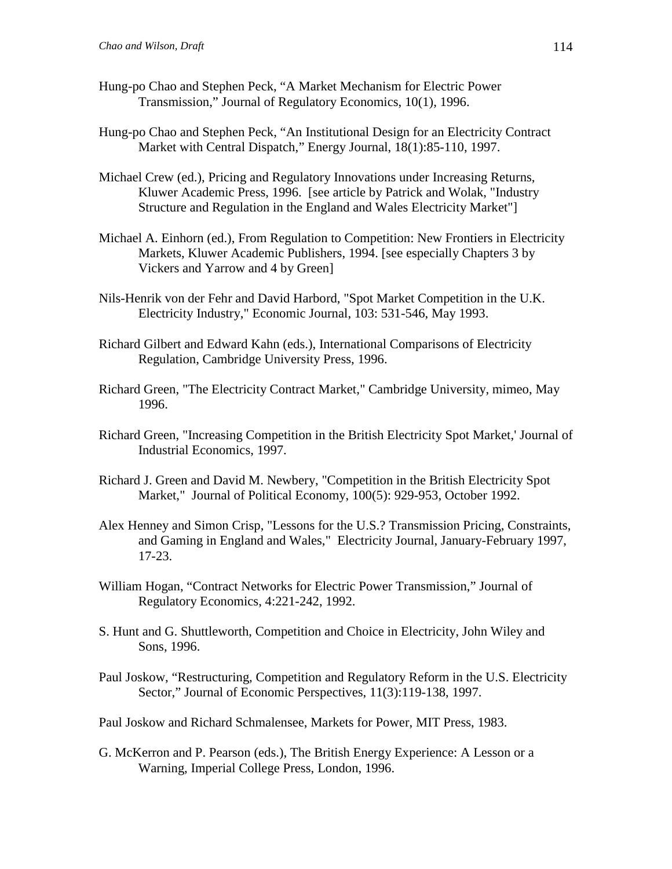- Hung-po Chao and Stephen Peck, "A Market Mechanism for Electric Power Transmission," Journal of Regulatory Economics, 10(1), 1996.
- Hung-po Chao and Stephen Peck, "An Institutional Design for an Electricity Contract Market with Central Dispatch," Energy Journal, 18(1):85-110, 1997.
- Michael Crew (ed.), Pricing and Regulatory Innovations under Increasing Returns, Kluwer Academic Press, 1996. [see article by Patrick and Wolak, "Industry Structure and Regulation in the England and Wales Electricity Market"]
- Michael A. Einhorn (ed.), From Regulation to Competition: New Frontiers in Electricity Markets, Kluwer Academic Publishers, 1994. [see especially Chapters 3 by Vickers and Yarrow and 4 by Green]
- Nils-Henrik von der Fehr and David Harbord, "Spot Market Competition in the U.K. Electricity Industry," Economic Journal, 103: 531-546, May 1993.
- Richard Gilbert and Edward Kahn (eds.), International Comparisons of Electricity Regulation, Cambridge University Press, 1996.
- Richard Green, "The Electricity Contract Market," Cambridge University, mimeo, May 1996.
- Richard Green, "Increasing Competition in the British Electricity Spot Market,' Journal of Industrial Economics, 1997.
- Richard J. Green and David M. Newbery, "Competition in the British Electricity Spot Market," Journal of Political Economy, 100(5): 929-953, October 1992.
- Alex Henney and Simon Crisp, "Lessons for the U.S.? Transmission Pricing, Constraints, and Gaming in England and Wales," Electricity Journal, January-February 1997, 17-23.
- William Hogan, "Contract Networks for Electric Power Transmission," Journal of Regulatory Economics, 4:221-242, 1992.
- S. Hunt and G. Shuttleworth, Competition and Choice in Electricity, John Wiley and Sons, 1996.
- Paul Joskow, "Restructuring, Competition and Regulatory Reform in the U.S. Electricity Sector," Journal of Economic Perspectives, 11(3):119-138, 1997.
- Paul Joskow and Richard Schmalensee, Markets for Power, MIT Press, 1983.
- G. McKerron and P. Pearson (eds.), The British Energy Experience: A Lesson or a Warning, Imperial College Press, London, 1996.